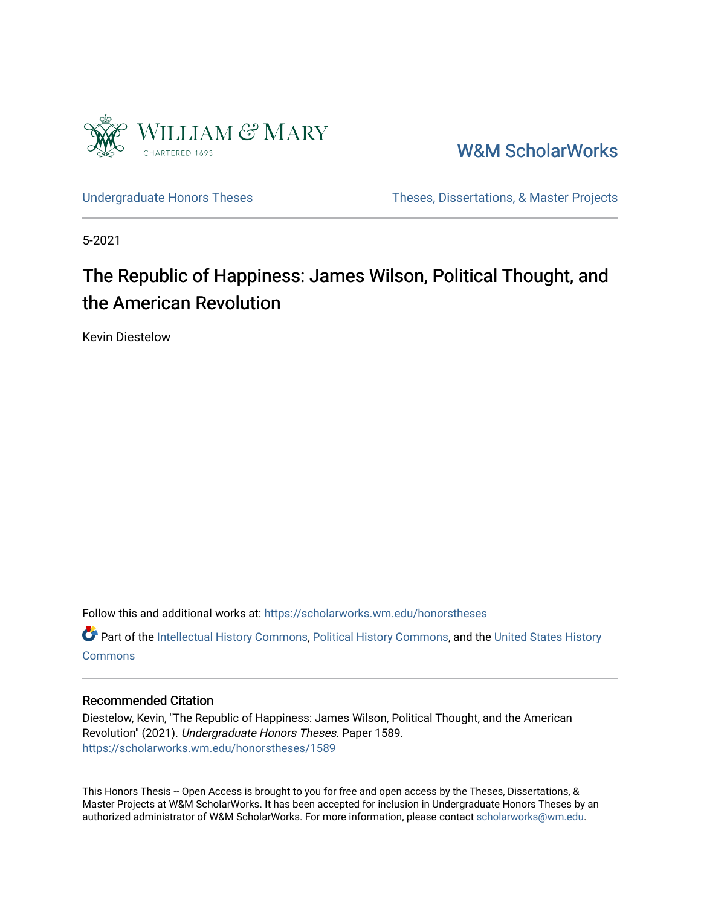

[W&M ScholarWorks](https://scholarworks.wm.edu/) 

[Undergraduate Honors Theses](https://scholarworks.wm.edu/honorstheses) Theses Theses, Dissertations, & Master Projects

5-2021

# The Republic of Happiness: James Wilson, Political Thought, and the American Revolution

Kevin Diestelow

Follow this and additional works at: [https://scholarworks.wm.edu/honorstheses](https://scholarworks.wm.edu/honorstheses?utm_source=scholarworks.wm.edu%2Fhonorstheses%2F1589&utm_medium=PDF&utm_campaign=PDFCoverPages) 

Part of the [Intellectual History Commons,](http://network.bepress.com/hgg/discipline/501?utm_source=scholarworks.wm.edu%2Fhonorstheses%2F1589&utm_medium=PDF&utm_campaign=PDFCoverPages) [Political History Commons,](http://network.bepress.com/hgg/discipline/505?utm_source=scholarworks.wm.edu%2Fhonorstheses%2F1589&utm_medium=PDF&utm_campaign=PDFCoverPages) and the [United States History](http://network.bepress.com/hgg/discipline/495?utm_source=scholarworks.wm.edu%2Fhonorstheses%2F1589&utm_medium=PDF&utm_campaign=PDFCoverPages)  **[Commons](http://network.bepress.com/hgg/discipline/495?utm_source=scholarworks.wm.edu%2Fhonorstheses%2F1589&utm_medium=PDF&utm_campaign=PDFCoverPages)** 

#### Recommended Citation

Diestelow, Kevin, "The Republic of Happiness: James Wilson, Political Thought, and the American Revolution" (2021). Undergraduate Honors Theses. Paper 1589. [https://scholarworks.wm.edu/honorstheses/1589](https://scholarworks.wm.edu/honorstheses/1589?utm_source=scholarworks.wm.edu%2Fhonorstheses%2F1589&utm_medium=PDF&utm_campaign=PDFCoverPages)

This Honors Thesis -- Open Access is brought to you for free and open access by the Theses, Dissertations, & Master Projects at W&M ScholarWorks. It has been accepted for inclusion in Undergraduate Honors Theses by an authorized administrator of W&M ScholarWorks. For more information, please contact [scholarworks@wm.edu](mailto:scholarworks@wm.edu).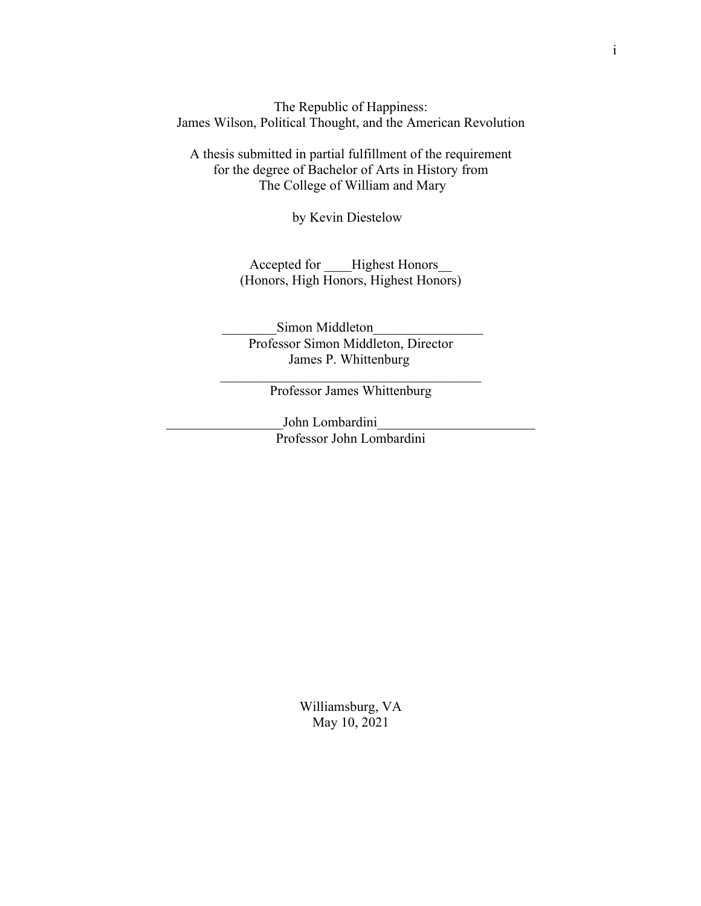The Republic of Happiness: James Wilson, Political Thought, and the American Revolution

A thesis submitted in partial fulfillment of the requirement for the degree of Bachelor of Arts in History from The College of William and Mary

by Kevin Diestelow

Accepted for Highest Honors (Honors, High Honors, Highest Honors)

Simon Middleton Professor Simon Middleton, Director James P. Whittenburg

 $\mathcal{L}_\text{max}$  and  $\mathcal{L}_\text{max}$  and  $\mathcal{L}_\text{max}$  and  $\mathcal{L}_\text{max}$ Professor James Whittenburg

John Lombardini Professor John Lombardini

> Williamsburg, VA May 10, 2021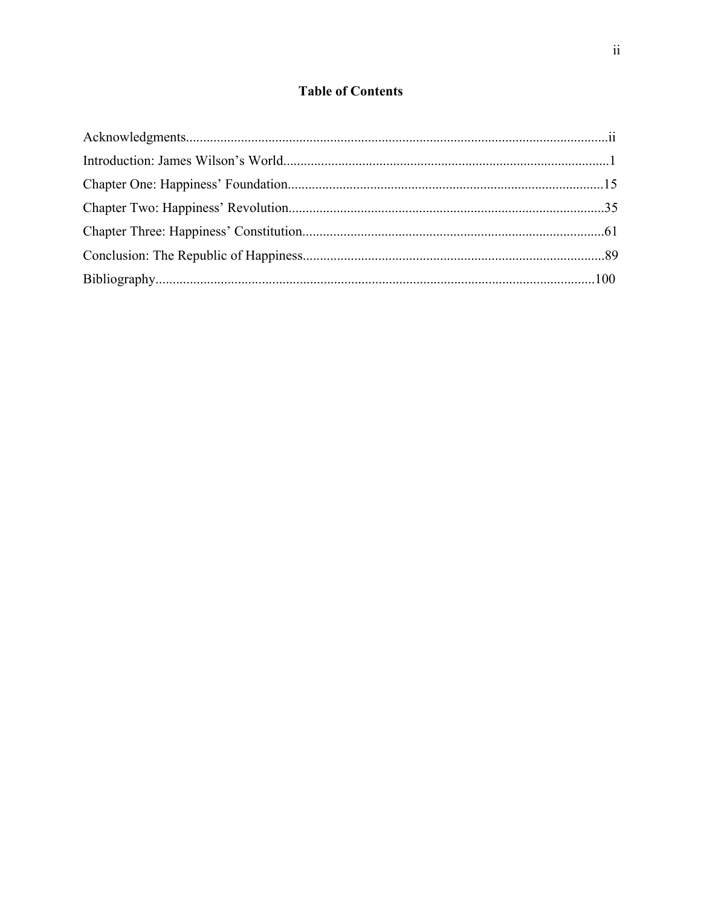## **Table of Contents**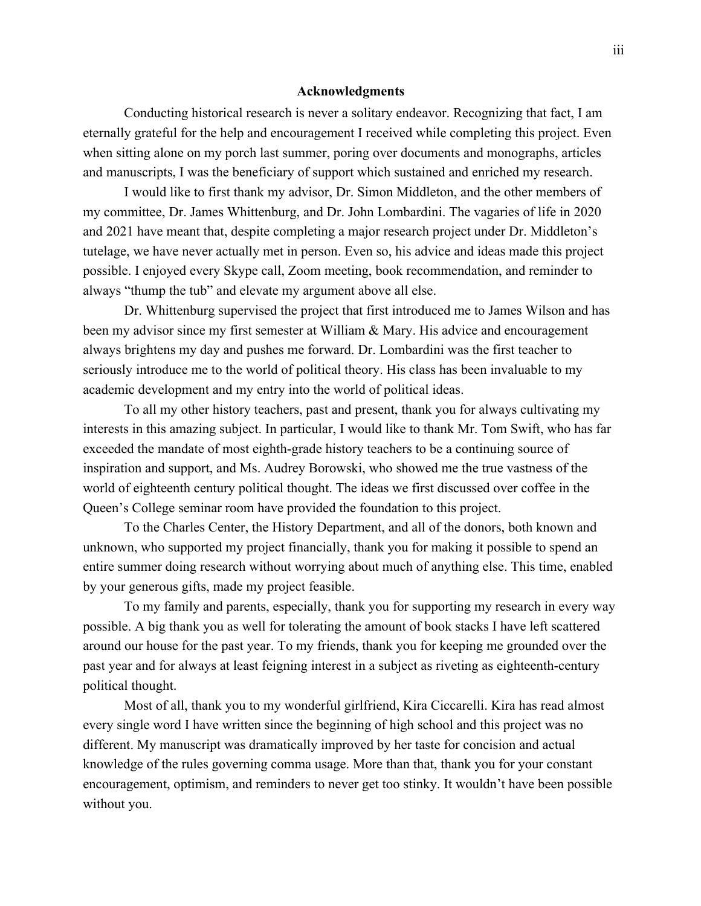#### **Acknowledgments**

Conducting historical research is never a solitary endeavor. Recognizing that fact, I am eternally grateful for the help and encouragement I received while completing this project. Even when sitting alone on my porch last summer, poring over documents and monographs, articles and manuscripts, I was the beneficiary of support which sustained and enriched my research.

I would like to first thank my advisor, Dr. Simon Middleton, and the other members of my committee, Dr. James Whittenburg, and Dr. John Lombardini. The vagaries of life in 2020 and 2021 have meant that, despite completing a major research project under Dr. Middleton's tutelage, we have never actually met in person. Even so, his advice and ideas made this project possible. I enjoyed every Skype call, Zoom meeting, book recommendation, and reminder to always "thump the tub" and elevate my argument above all else.

Dr. Whittenburg supervised the project that first introduced me to James Wilson and has been my advisor since my first semester at William & Mary. His advice and encouragement always brightens my day and pushes me forward. Dr. Lombardini was the first teacher to seriously introduce me to the world of political theory. His class has been invaluable to my academic development and my entry into the world of political ideas.

To all my other history teachers, past and present, thank you for always cultivating my interests in this amazing subject. In particular, I would like to thank Mr. Tom Swift, who has far exceeded the mandate of most eighth-grade history teachers to be a continuing source of inspiration and support, and Ms. Audrey Borowski, who showed me the true vastness of the world of eighteenth century political thought. The ideas we first discussed over coffee in the Queen's College seminar room have provided the foundation to this project.

To the Charles Center, the History Department, and all of the donors, both known and unknown, who supported my project financially, thank you for making it possible to spend an entire summer doing research without worrying about much of anything else. This time, enabled by your generous gifts, made my project feasible.

To my family and parents, especially, thank you for supporting my research in every way possible. A big thank you as well for tolerating the amount of book stacks I have left scattered around our house for the past year. To my friends, thank you for keeping me grounded over the past year and for always at least feigning interest in a subject as riveting as eighteenth-century political thought.

Most of all, thank you to my wonderful girlfriend, Kira Ciccarelli. Kira has read almost every single word I have written since the beginning of high school and this project was no different. My manuscript was dramatically improved by her taste for concision and actual knowledge of the rules governing comma usage. More than that, thank you for your constant encouragement, optimism, and reminders to never get too stinky. It wouldn't have been possible without you.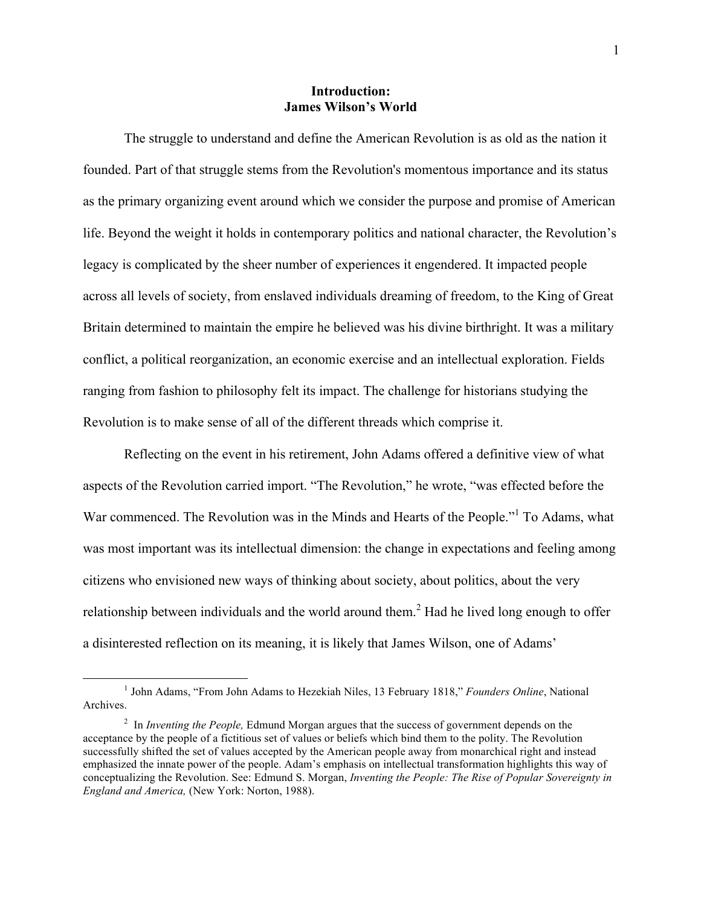#### **Introduction: James Wilson's World**

The struggle to understand and define the American Revolution is as old as the nation it founded. Part of that struggle stems from the Revolution's momentous importance and its status as the primary organizing event around which we consider the purpose and promise of American life. Beyond the weight it holds in contemporary politics and national character, the Revolution's legacy is complicated by the sheer number of experiences it engendered. It impacted people across all levels of society, from enslaved individuals dreaming of freedom, to the King of Great Britain determined to maintain the empire he believed was his divine birthright. It was a military conflict, a political reorganization, an economic exercise and an intellectual exploration. Fields ranging from fashion to philosophy felt its impact. The challenge for historians studying the Revolution is to make sense of all of the different threads which comprise it.

Reflecting on the event in his retirement, John Adams offered a definitive view of what aspects of the Revolution carried import. "The Revolution," he wrote, "was effected before the War commenced. The Revolution was in the Minds and Hearts of the People."<sup>1</sup> To Adams, what was most important was its intellectual dimension: the change in expectations and feeling among citizens who envisioned new ways of thinking about society, about politics, about the very relationship between individuals and the world around them.<sup>2</sup> Had he lived long enough to offer a disinterested reflection on its meaning, it is likely that James Wilson, one of Adams'

 <sup>1</sup> John Adams, "From John Adams to Hezekiah Niles, 13 February 1818," *Founders Online*, National Archives.

<sup>&</sup>lt;sup>2</sup> In *Inventing the People*, Edmund Morgan argues that the success of government depends on the acceptance by the people of a fictitious set of values or beliefs which bind them to the polity. The Revolution successfully shifted the set of values accepted by the American people away from monarchical right and instead emphasized the innate power of the people. Adam's emphasis on intellectual transformation highlights this way of conceptualizing the Revolution. See: Edmund S. Morgan, *Inventing the People: The Rise of Popular Sovereignty in England and America,* (New York: Norton, 1988).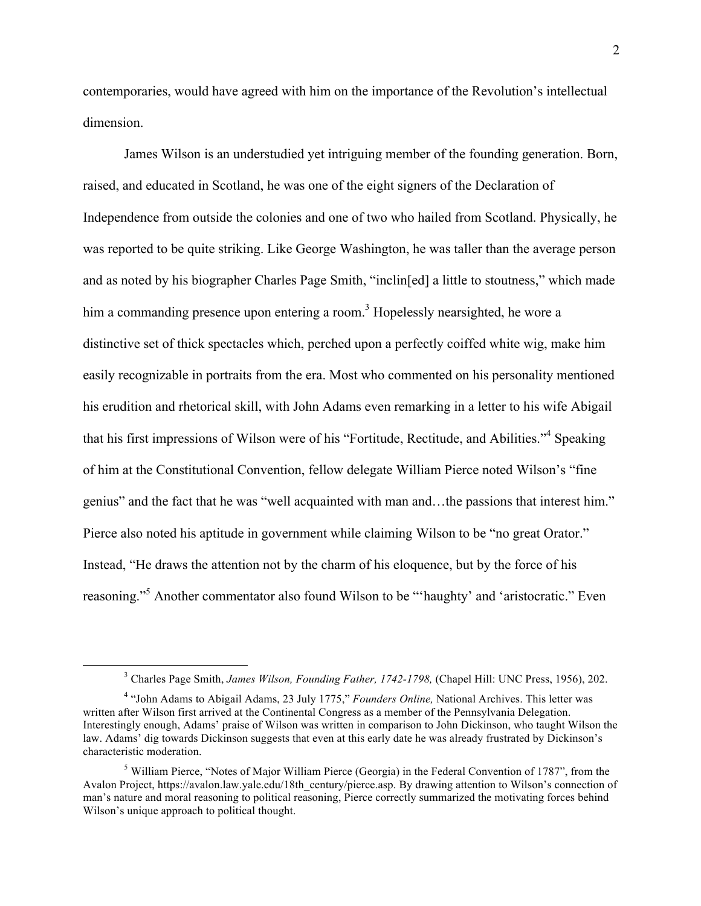contemporaries, would have agreed with him on the importance of the Revolution's intellectual dimension.

James Wilson is an understudied yet intriguing member of the founding generation. Born, raised, and educated in Scotland, he was one of the eight signers of the Declaration of Independence from outside the colonies and one of two who hailed from Scotland. Physically, he was reported to be quite striking. Like George Washington, he was taller than the average person and as noted by his biographer Charles Page Smith, "inclin[ed] a little to stoutness," which made him a commanding presence upon entering a room.<sup>3</sup> Hopelessly nearsighted, he wore a distinctive set of thick spectacles which, perched upon a perfectly coiffed white wig, make him easily recognizable in portraits from the era. Most who commented on his personality mentioned his erudition and rhetorical skill, with John Adams even remarking in a letter to his wife Abigail that his first impressions of Wilson were of his "Fortitude, Rectitude, and Abilities."4 Speaking of him at the Constitutional Convention, fellow delegate William Pierce noted Wilson's "fine genius" and the fact that he was "well acquainted with man and…the passions that interest him." Pierce also noted his aptitude in government while claiming Wilson to be "no great Orator." Instead, "He draws the attention not by the charm of his eloquence, but by the force of his reasoning."5 Another commentator also found Wilson to be "'haughty' and 'aristocratic." Even

 <sup>3</sup> Charles Page Smith, *James Wilson, Founding Father, 1742-1798,* (Chapel Hill: UNC Press, 1956), 202.

<sup>4</sup> "John Adams to Abigail Adams, 23 July 1775," *Founders Online,* National Archives. This letter was written after Wilson first arrived at the Continental Congress as a member of the Pennsylvania Delegation. Interestingly enough, Adams' praise of Wilson was written in comparison to John Dickinson, who taught Wilson the law. Adams' dig towards Dickinson suggests that even at this early date he was already frustrated by Dickinson's characteristic moderation.

 $<sup>5</sup>$  William Pierce, "Notes of Major William Pierce (Georgia) in the Federal Convention of 1787", from the</sup> Avalon Project, https://avalon.law.yale.edu/18th\_century/pierce.asp. By drawing attention to Wilson's connection of man's nature and moral reasoning to political reasoning, Pierce correctly summarized the motivating forces behind Wilson's unique approach to political thought.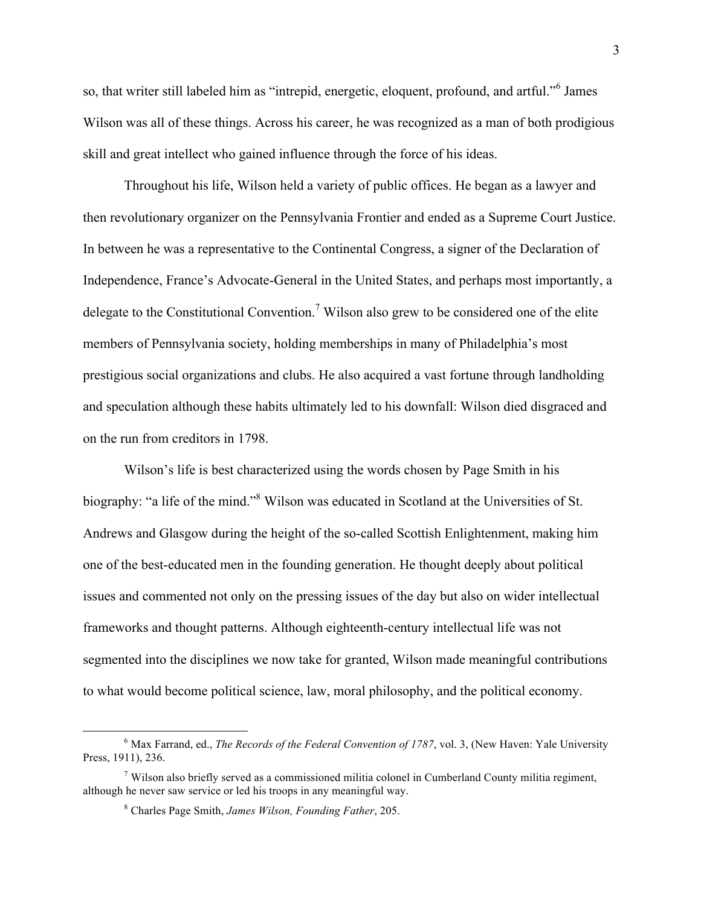so, that writer still labeled him as "intrepid, energetic, eloquent, profound, and artful."<sup>6</sup> James Wilson was all of these things. Across his career, he was recognized as a man of both prodigious skill and great intellect who gained influence through the force of his ideas.

Throughout his life, Wilson held a variety of public offices. He began as a lawyer and then revolutionary organizer on the Pennsylvania Frontier and ended as a Supreme Court Justice. In between he was a representative to the Continental Congress, a signer of the Declaration of Independence, France's Advocate-General in the United States, and perhaps most importantly, a delegate to the Constitutional Convention.<sup>7</sup> Wilson also grew to be considered one of the elite members of Pennsylvania society, holding memberships in many of Philadelphia's most prestigious social organizations and clubs. He also acquired a vast fortune through landholding and speculation although these habits ultimately led to his downfall: Wilson died disgraced and on the run from creditors in 1798.

Wilson's life is best characterized using the words chosen by Page Smith in his biography: "a life of the mind."<sup>8</sup> Wilson was educated in Scotland at the Universities of St. Andrews and Glasgow during the height of the so-called Scottish Enlightenment, making him one of the best-educated men in the founding generation. He thought deeply about political issues and commented not only on the pressing issues of the day but also on wider intellectual frameworks and thought patterns. Although eighteenth-century intellectual life was not segmented into the disciplines we now take for granted, Wilson made meaningful contributions to what would become political science, law, moral philosophy, and the political economy.

 <sup>6</sup> Max Farrand, ed., *The Records of the Federal Convention of 1787*, vol. 3, (New Haven: Yale University Press, 1911), 236.

 $<sup>7</sup>$  Wilson also briefly served as a commissioned militia colonel in Cumberland County militia regiment,</sup> although he never saw service or led his troops in any meaningful way.

<sup>8</sup> Charles Page Smith, *James Wilson, Founding Father*, 205.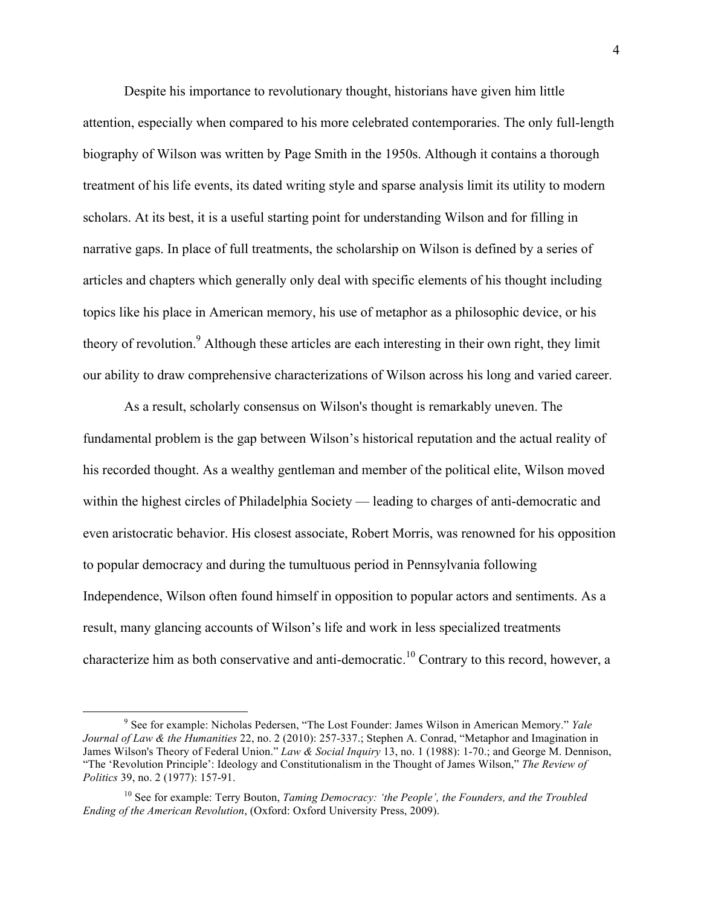Despite his importance to revolutionary thought, historians have given him little attention, especially when compared to his more celebrated contemporaries. The only full-length biography of Wilson was written by Page Smith in the 1950s. Although it contains a thorough treatment of his life events, its dated writing style and sparse analysis limit its utility to modern scholars. At its best, it is a useful starting point for understanding Wilson and for filling in narrative gaps. In place of full treatments, the scholarship on Wilson is defined by a series of articles and chapters which generally only deal with specific elements of his thought including topics like his place in American memory, his use of metaphor as a philosophic device, or his theory of revolution.<sup>9</sup> Although these articles are each interesting in their own right, they limit our ability to draw comprehensive characterizations of Wilson across his long and varied career.

As a result, scholarly consensus on Wilson's thought is remarkably uneven. The fundamental problem is the gap between Wilson's historical reputation and the actual reality of his recorded thought. As a wealthy gentleman and member of the political elite, Wilson moved within the highest circles of Philadelphia Society — leading to charges of anti-democratic and even aristocratic behavior. His closest associate, Robert Morris, was renowned for his opposition to popular democracy and during the tumultuous period in Pennsylvania following Independence, Wilson often found himself in opposition to popular actors and sentiments. As a result, many glancing accounts of Wilson's life and work in less specialized treatments characterize him as both conservative and anti-democratic.<sup>10</sup> Contrary to this record, however, a

 <sup>9</sup> See for example: Nicholas Pedersen, "The Lost Founder: James Wilson in American Memory." *Yale Journal of Law & the Humanities* 22, no. 2 (2010): 257-337.; Stephen A. Conrad, "Metaphor and Imagination in James Wilson's Theory of Federal Union." *Law & Social Inquiry* 13, no. 1 (1988): 1-70.; and George M. Dennison, "The 'Revolution Principle': Ideology and Constitutionalism in the Thought of James Wilson," *The Review of Politics* 39, no. 2 (1977): 157-91.

<sup>10</sup> See for example: Terry Bouton, *Taming Democracy: 'the People', the Founders, and the Troubled Ending of the American Revolution*, (Oxford: Oxford University Press, 2009).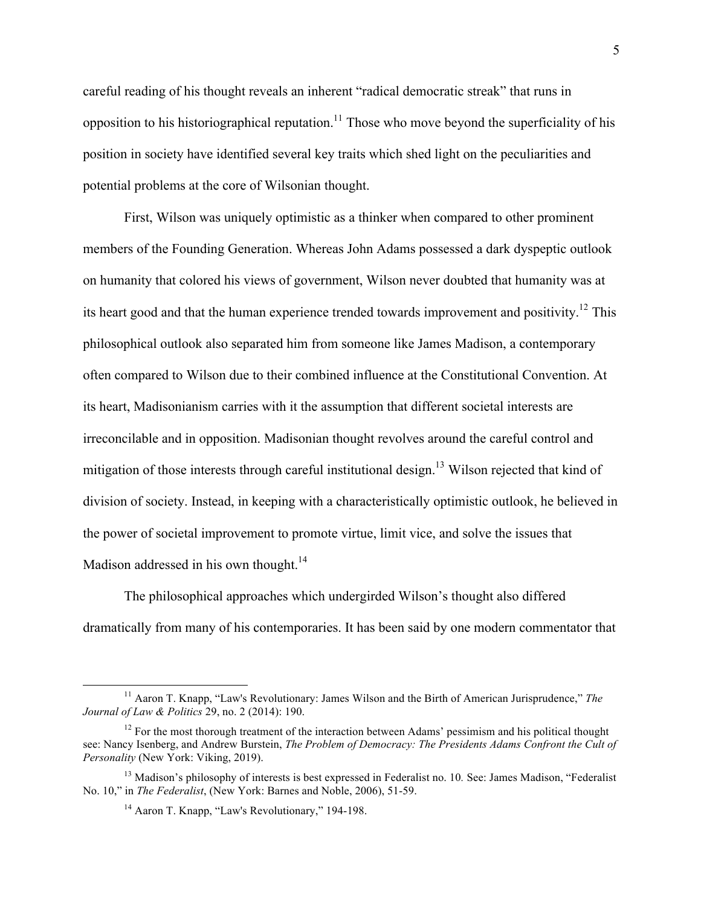careful reading of his thought reveals an inherent "radical democratic streak" that runs in opposition to his historiographical reputation.<sup>11</sup> Those who move beyond the superficiality of his position in society have identified several key traits which shed light on the peculiarities and potential problems at the core of Wilsonian thought.

First, Wilson was uniquely optimistic as a thinker when compared to other prominent members of the Founding Generation. Whereas John Adams possessed a dark dyspeptic outlook on humanity that colored his views of government, Wilson never doubted that humanity was at its heart good and that the human experience trended towards improvement and positivity.<sup>12</sup> This philosophical outlook also separated him from someone like James Madison, a contemporary often compared to Wilson due to their combined influence at the Constitutional Convention. At its heart, Madisonianism carries with it the assumption that different societal interests are irreconcilable and in opposition. Madisonian thought revolves around the careful control and mitigation of those interests through careful institutional design.<sup>13</sup> Wilson rejected that kind of division of society. Instead, in keeping with a characteristically optimistic outlook, he believed in the power of societal improvement to promote virtue, limit vice, and solve the issues that Madison addressed in his own thought.<sup>14</sup>

The philosophical approaches which undergirded Wilson's thought also differed dramatically from many of his contemporaries. It has been said by one modern commentator that

 <sup>11</sup> Aaron T. Knapp, "Law's Revolutionary: James Wilson and the Birth of American Jurisprudence," *The Journal of Law & Politics* 29, no. 2 (2014): 190.

 $12$  For the most thorough treatment of the interaction between Adams' pessimism and his political thought see: Nancy Isenberg, and Andrew Burstein, *The Problem of Democracy: The Presidents Adams Confront the Cult of Personality* (New York: Viking, 2019).

<sup>&</sup>lt;sup>13</sup> Madison's philosophy of interests is best expressed in Federalist no. 10. See: James Madison, "Federalist No. 10," in *The Federalist*, (New York: Barnes and Noble, 2006), 51-59.

<sup>&</sup>lt;sup>14</sup> Aaron T. Knapp, "Law's Revolutionary," 194-198.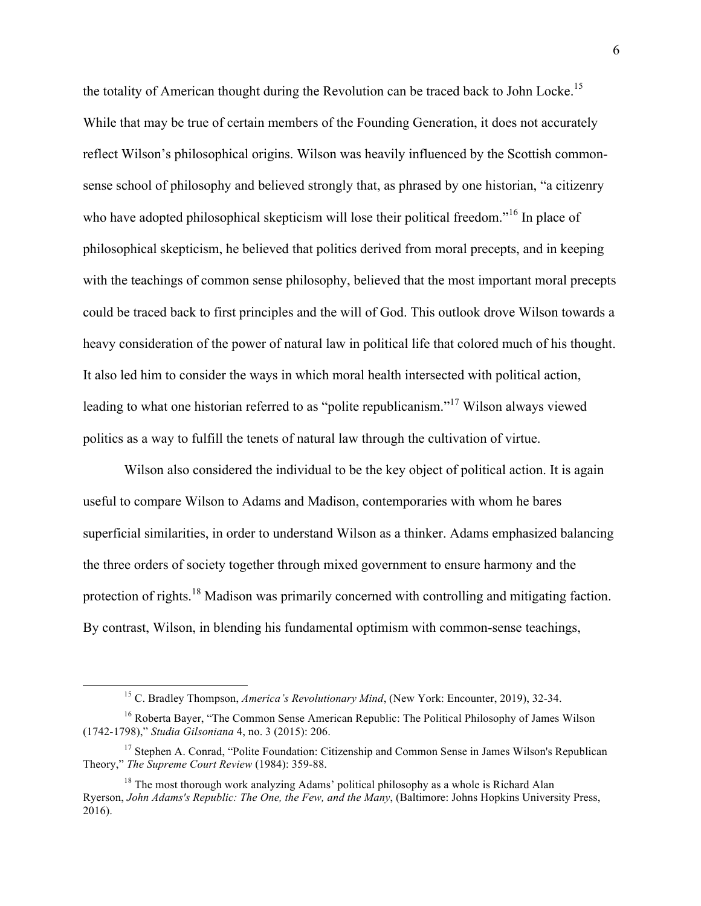the totality of American thought during the Revolution can be traced back to John Locke.<sup>15</sup> While that may be true of certain members of the Founding Generation, it does not accurately reflect Wilson's philosophical origins. Wilson was heavily influenced by the Scottish commonsense school of philosophy and believed strongly that, as phrased by one historian, "a citizenry who have adopted philosophical skepticism will lose their political freedom."<sup>16</sup> In place of philosophical skepticism, he believed that politics derived from moral precepts, and in keeping with the teachings of common sense philosophy, believed that the most important moral precepts could be traced back to first principles and the will of God. This outlook drove Wilson towards a heavy consideration of the power of natural law in political life that colored much of his thought. It also led him to consider the ways in which moral health intersected with political action, leading to what one historian referred to as "polite republicanism."<sup>17</sup> Wilson always viewed politics as a way to fulfill the tenets of natural law through the cultivation of virtue.

Wilson also considered the individual to be the key object of political action. It is again useful to compare Wilson to Adams and Madison, contemporaries with whom he bares superficial similarities, in order to understand Wilson as a thinker. Adams emphasized balancing the three orders of society together through mixed government to ensure harmony and the protection of rights.<sup>18</sup> Madison was primarily concerned with controlling and mitigating faction. By contrast, Wilson, in blending his fundamental optimism with common-sense teachings,

 <sup>15</sup> C. Bradley Thompson, *America's Revolutionary Mind*, (New York: Encounter, 2019), 32-34.

<sup>&</sup>lt;sup>16</sup> Roberta Bayer, "The Common Sense American Republic: The Political Philosophy of James Wilson (1742-1798)," *Studia Gilsoniana* 4, no. 3 (2015): 206.

<sup>&</sup>lt;sup>17</sup> Stephen A. Conrad, "Polite Foundation: Citizenship and Common Sense in James Wilson's Republican Theory," *The Supreme Court Review* (1984): 359-88.

<sup>&</sup>lt;sup>18</sup> The most thorough work analyzing Adams' political philosophy as a whole is Richard Alan Ryerson, *John Adams's Republic: The One, the Few, and the Many*, (Baltimore: Johns Hopkins University Press, 2016).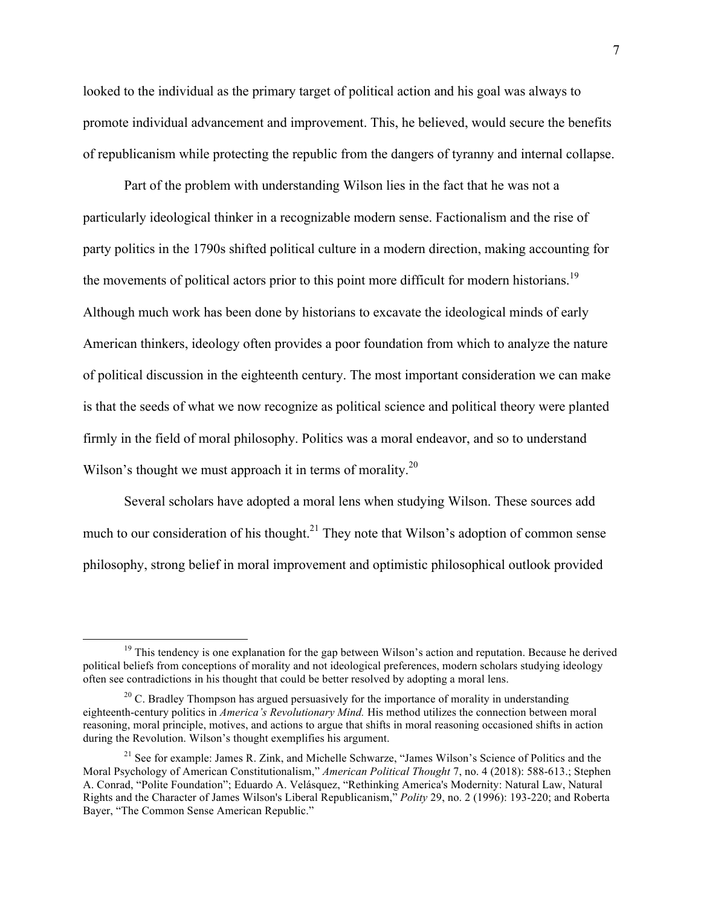looked to the individual as the primary target of political action and his goal was always to promote individual advancement and improvement. This, he believed, would secure the benefits of republicanism while protecting the republic from the dangers of tyranny and internal collapse.

Part of the problem with understanding Wilson lies in the fact that he was not a particularly ideological thinker in a recognizable modern sense. Factionalism and the rise of party politics in the 1790s shifted political culture in a modern direction, making accounting for the movements of political actors prior to this point more difficult for modern historians.<sup>19</sup> Although much work has been done by historians to excavate the ideological minds of early American thinkers, ideology often provides a poor foundation from which to analyze the nature of political discussion in the eighteenth century. The most important consideration we can make is that the seeds of what we now recognize as political science and political theory were planted firmly in the field of moral philosophy. Politics was a moral endeavor, and so to understand Wilson's thought we must approach it in terms of morality.<sup>20</sup>

Several scholars have adopted a moral lens when studying Wilson. These sources add much to our consideration of his thought.<sup>21</sup> They note that Wilson's adoption of common sense philosophy, strong belief in moral improvement and optimistic philosophical outlook provided

 $19$  This tendency is one explanation for the gap between Wilson's action and reputation. Because he derived political beliefs from conceptions of morality and not ideological preferences, modern scholars studying ideology often see contradictions in his thought that could be better resolved by adopting a moral lens.

 $20$  C. Bradley Thompson has argued persuasively for the importance of morality in understanding eighteenth-century politics in *America's Revolutionary Mind.* His method utilizes the connection between moral reasoning, moral principle, motives, and actions to argue that shifts in moral reasoning occasioned shifts in action during the Revolution. Wilson's thought exemplifies his argument.

<sup>&</sup>lt;sup>21</sup> See for example: James R. Zink, and Michelle Schwarze, "James Wilson's Science of Politics and the Moral Psychology of American Constitutionalism," *American Political Thought* 7, no. 4 (2018): 588-613.; Stephen A. Conrad, "Polite Foundation"; Eduardo A. Velásquez, "Rethinking America's Modernity: Natural Law, Natural Rights and the Character of James Wilson's Liberal Republicanism," *Polity* 29, no. 2 (1996): 193-220; and Roberta Bayer, "The Common Sense American Republic."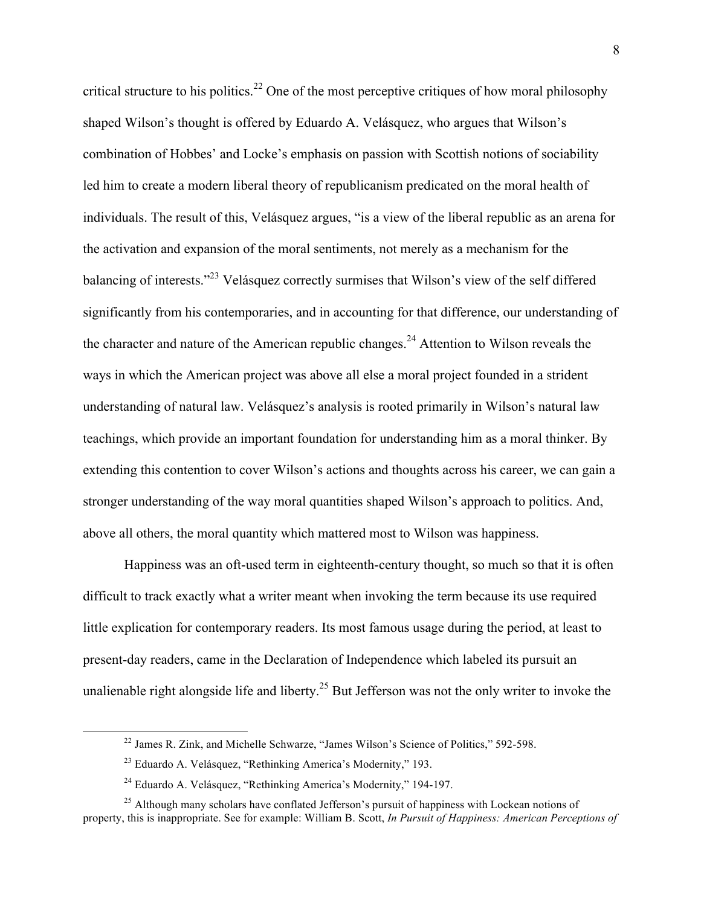critical structure to his politics.<sup>22</sup> One of the most perceptive critiques of how moral philosophy shaped Wilson's thought is offered by Eduardo A. Velásquez, who argues that Wilson's combination of Hobbes' and Locke's emphasis on passion with Scottish notions of sociability led him to create a modern liberal theory of republicanism predicated on the moral health of individuals. The result of this, Velásquez argues, "is a view of the liberal republic as an arena for the activation and expansion of the moral sentiments, not merely as a mechanism for the balancing of interests."<sup>23</sup> Velásquez correctly surmises that Wilson's view of the self differed significantly from his contemporaries, and in accounting for that difference, our understanding of the character and nature of the American republic changes.<sup>24</sup> Attention to Wilson reveals the ways in which the American project was above all else a moral project founded in a strident understanding of natural law. Velásquez's analysis is rooted primarily in Wilson's natural law teachings, which provide an important foundation for understanding him as a moral thinker. By extending this contention to cover Wilson's actions and thoughts across his career, we can gain a stronger understanding of the way moral quantities shaped Wilson's approach to politics. And, above all others, the moral quantity which mattered most to Wilson was happiness.

Happiness was an oft-used term in eighteenth-century thought, so much so that it is often difficult to track exactly what a writer meant when invoking the term because its use required little explication for contemporary readers. Its most famous usage during the period, at least to present-day readers, came in the Declaration of Independence which labeled its pursuit an unalienable right alongside life and liberty.<sup>25</sup> But Jefferson was not the only writer to invoke the

<sup>&</sup>lt;sup>22</sup> James R. Zink, and Michelle Schwarze, "James Wilson's Science of Politics," 592-598.

<sup>23</sup> Eduardo A. Velásquez, "Rethinking America's Modernity," 193.

<sup>24</sup> Eduardo A. Velásquez, "Rethinking America's Modernity," 194-197.

<sup>&</sup>lt;sup>25</sup> Although many scholars have conflated Jefferson's pursuit of happiness with Lockean notions of property, this is inappropriate. See for example: William B. Scott, *In Pursuit of Happiness: American Perceptions of*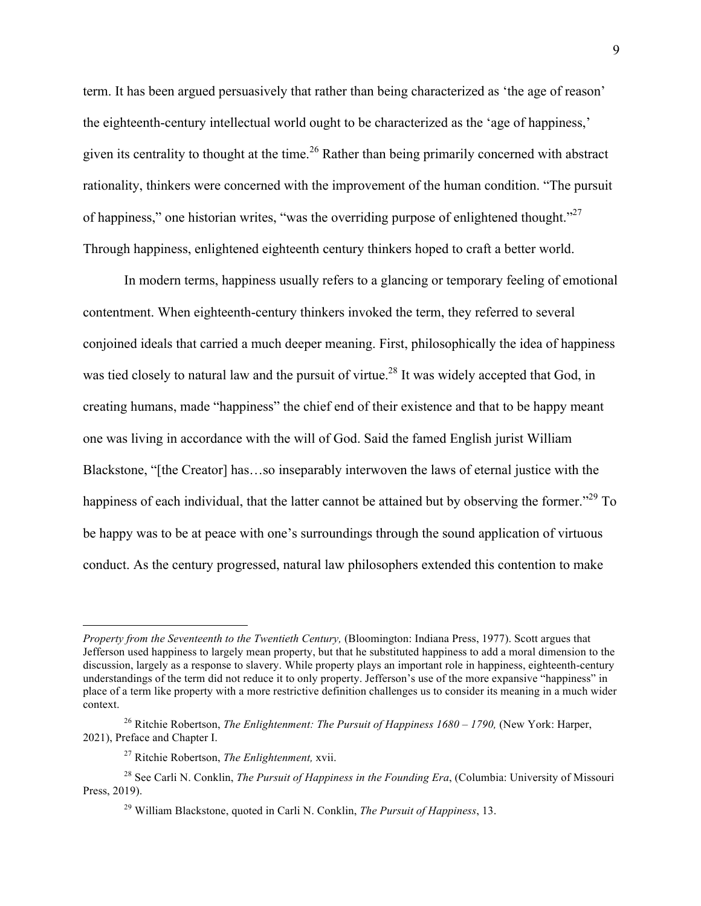term. It has been argued persuasively that rather than being characterized as 'the age of reason' the eighteenth-century intellectual world ought to be characterized as the 'age of happiness,' given its centrality to thought at the time.<sup>26</sup> Rather than being primarily concerned with abstract rationality, thinkers were concerned with the improvement of the human condition. "The pursuit of happiness," one historian writes, "was the overriding purpose of enlightened thought."<sup>27</sup> Through happiness, enlightened eighteenth century thinkers hoped to craft a better world.

In modern terms, happiness usually refers to a glancing or temporary feeling of emotional contentment. When eighteenth-century thinkers invoked the term, they referred to several conjoined ideals that carried a much deeper meaning. First, philosophically the idea of happiness was tied closely to natural law and the pursuit of virtue.<sup>28</sup> It was widely accepted that God, in creating humans, made "happiness" the chief end of their existence and that to be happy meant one was living in accordance with the will of God. Said the famed English jurist William Blackstone, "[the Creator] has…so inseparably interwoven the laws of eternal justice with the happiness of each individual, that the latter cannot be attained but by observing the former."<sup>29</sup> To be happy was to be at peace with one's surroundings through the sound application of virtuous conduct. As the century progressed, natural law philosophers extended this contention to make

 $\overline{a}$ 

*Property from the Seventeenth to the Twentieth Century, (Bloomington: Indiana Press, 1977). Scott argues that* Jefferson used happiness to largely mean property, but that he substituted happiness to add a moral dimension to the discussion, largely as a response to slavery. While property plays an important role in happiness, eighteenth-century understandings of the term did not reduce it to only property. Jefferson's use of the more expansive "happiness" in place of a term like property with a more restrictive definition challenges us to consider its meaning in a much wider context.

<sup>26</sup> Ritchie Robertson, *The Enlightenment: The Pursuit of Happiness 1680 – 1790,* (New York: Harper, 2021), Preface and Chapter I.

<sup>27</sup> Ritchie Robertson, *The Enlightenment,* xvii.

<sup>&</sup>lt;sup>28</sup> See Carli N. Conklin, *The Pursuit of Happiness in the Founding Era*, (Columbia: University of Missouri Press, 2019).

<sup>29</sup> William Blackstone, quoted in Carli N. Conklin, *The Pursuit of Happiness*, 13.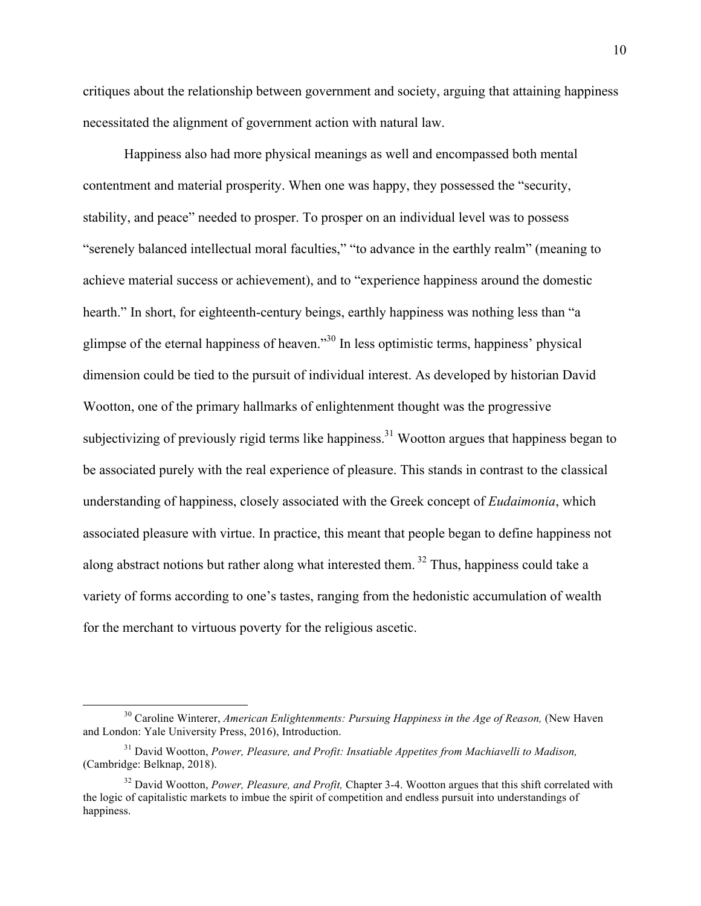critiques about the relationship between government and society, arguing that attaining happiness necessitated the alignment of government action with natural law.

Happiness also had more physical meanings as well and encompassed both mental contentment and material prosperity. When one was happy, they possessed the "security, stability, and peace" needed to prosper. To prosper on an individual level was to possess "serenely balanced intellectual moral faculties," "to advance in the earthly realm" (meaning to achieve material success or achievement), and to "experience happiness around the domestic hearth." In short, for eighteenth-century beings, earthly happiness was nothing less than "a glimpse of the eternal happiness of heaven."30 In less optimistic terms, happiness' physical dimension could be tied to the pursuit of individual interest. As developed by historian David Wootton, one of the primary hallmarks of enlightenment thought was the progressive subjectivizing of previously rigid terms like happiness.<sup>31</sup> Wootton argues that happiness began to be associated purely with the real experience of pleasure. This stands in contrast to the classical understanding of happiness, closely associated with the Greek concept of *Eudaimonia*, which associated pleasure with virtue. In practice, this meant that people began to define happiness not along abstract notions but rather along what interested them.<sup>32</sup> Thus, happiness could take a variety of forms according to one's tastes, ranging from the hedonistic accumulation of wealth for the merchant to virtuous poverty for the religious ascetic.

<sup>&</sup>lt;sup>30</sup> Caroline Winterer, *American Enlightenments: Pursuing Happiness in the Age of Reason*, (New Haven and London: Yale University Press, 2016), Introduction.

<sup>31</sup> David Wootton, *Power, Pleasure, and Profit: Insatiable Appetites from Machiavelli to Madison,*  (Cambridge: Belknap, 2018).

<sup>&</sup>lt;sup>32</sup> David Wootton, *Power, Pleasure, and Profit*, Chapter 3-4. Wootton argues that this shift correlated with the logic of capitalistic markets to imbue the spirit of competition and endless pursuit into understandings of happiness.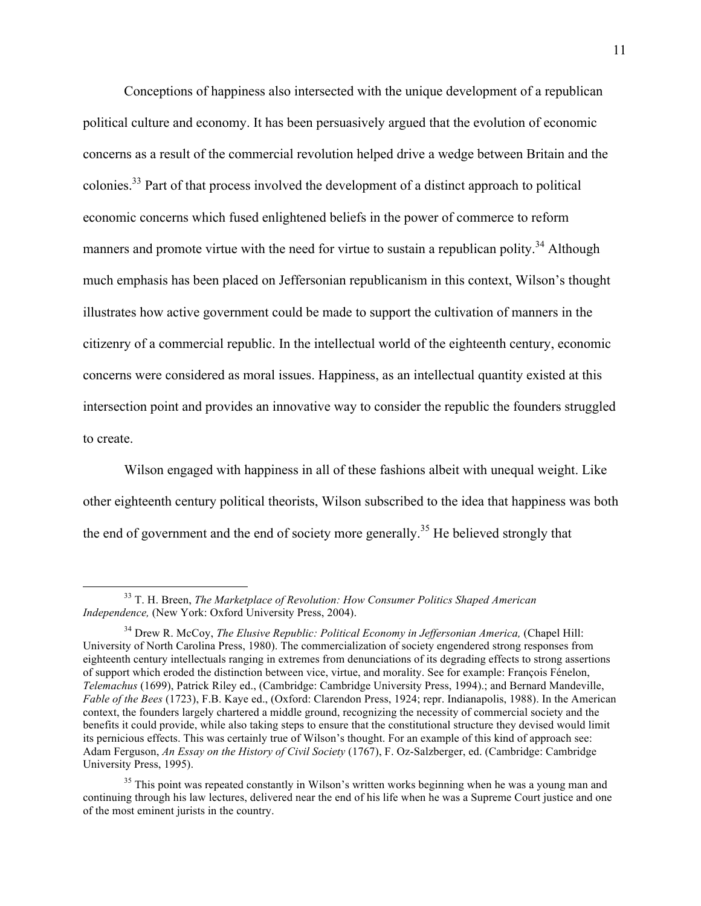Conceptions of happiness also intersected with the unique development of a republican political culture and economy. It has been persuasively argued that the evolution of economic concerns as a result of the commercial revolution helped drive a wedge between Britain and the colonies.33 Part of that process involved the development of a distinct approach to political economic concerns which fused enlightened beliefs in the power of commerce to reform manners and promote virtue with the need for virtue to sustain a republican polity.<sup>34</sup> Although much emphasis has been placed on Jeffersonian republicanism in this context, Wilson's thought illustrates how active government could be made to support the cultivation of manners in the citizenry of a commercial republic. In the intellectual world of the eighteenth century, economic concerns were considered as moral issues. Happiness, as an intellectual quantity existed at this intersection point and provides an innovative way to consider the republic the founders struggled to create.

Wilson engaged with happiness in all of these fashions albeit with unequal weight. Like other eighteenth century political theorists, Wilson subscribed to the idea that happiness was both the end of government and the end of society more generally.<sup>35</sup> He believed strongly that

 <sup>33</sup> T. H. Breen, *The Marketplace of Revolution: How Consumer Politics Shaped American Independence,* (New York: Oxford University Press, 2004).

<sup>34</sup> Drew R. McCoy, *The Elusive Republic: Political Economy in Jeffersonian America,* (Chapel Hill: University of North Carolina Press, 1980). The commercialization of society engendered strong responses from eighteenth century intellectuals ranging in extremes from denunciations of its degrading effects to strong assertions of support which eroded the distinction between vice, virtue, and morality. See for example: François Fénelon, *Telemachus* (1699), Patrick Riley ed., (Cambridge: Cambridge University Press, 1994).; and Bernard Mandeville, *Fable of the Bees* (1723), F.B. Kaye ed., (Oxford: Clarendon Press, 1924; repr. Indianapolis, 1988). In the American context, the founders largely chartered a middle ground, recognizing the necessity of commercial society and the benefits it could provide, while also taking steps to ensure that the constitutional structure they devised would limit its pernicious effects. This was certainly true of Wilson's thought. For an example of this kind of approach see: Adam Ferguson, *An Essay on the History of Civil Society* (1767), F. Oz-Salzberger, ed. (Cambridge: Cambridge University Press, 1995).

<sup>&</sup>lt;sup>35</sup> This point was repeated constantly in Wilson's written works beginning when he was a young man and continuing through his law lectures, delivered near the end of his life when he was a Supreme Court justice and one of the most eminent jurists in the country.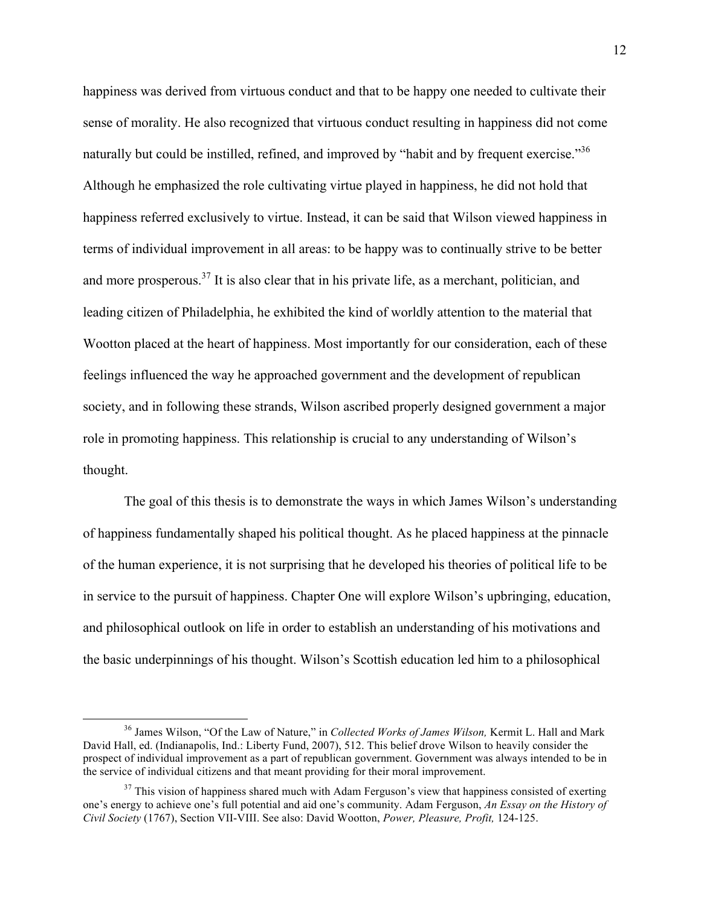happiness was derived from virtuous conduct and that to be happy one needed to cultivate their sense of morality. He also recognized that virtuous conduct resulting in happiness did not come naturally but could be instilled, refined, and improved by "habit and by frequent exercise."<sup>36</sup> Although he emphasized the role cultivating virtue played in happiness, he did not hold that happiness referred exclusively to virtue. Instead, it can be said that Wilson viewed happiness in terms of individual improvement in all areas: to be happy was to continually strive to be better and more prosperous.<sup>37</sup> It is also clear that in his private life, as a merchant, politician, and leading citizen of Philadelphia, he exhibited the kind of worldly attention to the material that Wootton placed at the heart of happiness. Most importantly for our consideration, each of these feelings influenced the way he approached government and the development of republican society, and in following these strands, Wilson ascribed properly designed government a major role in promoting happiness. This relationship is crucial to any understanding of Wilson's thought.

The goal of this thesis is to demonstrate the ways in which James Wilson's understanding of happiness fundamentally shaped his political thought. As he placed happiness at the pinnacle of the human experience, it is not surprising that he developed his theories of political life to be in service to the pursuit of happiness. Chapter One will explore Wilson's upbringing, education, and philosophical outlook on life in order to establish an understanding of his motivations and the basic underpinnings of his thought. Wilson's Scottish education led him to a philosophical

 <sup>36</sup> James Wilson, "Of the Law of Nature," in *Collected Works of James Wilson,* Kermit L. Hall and Mark David Hall, ed. (Indianapolis, Ind.: Liberty Fund, 2007), 512. This belief drove Wilson to heavily consider the prospect of individual improvement as a part of republican government. Government was always intended to be in the service of individual citizens and that meant providing for their moral improvement.

 $37$  This vision of happiness shared much with Adam Ferguson's view that happiness consisted of exerting one's energy to achieve one's full potential and aid one's community. Adam Ferguson, *An Essay on the History of Civil Society* (1767), Section VII-VIII. See also: David Wootton, *Power, Pleasure, Profit,* 124-125.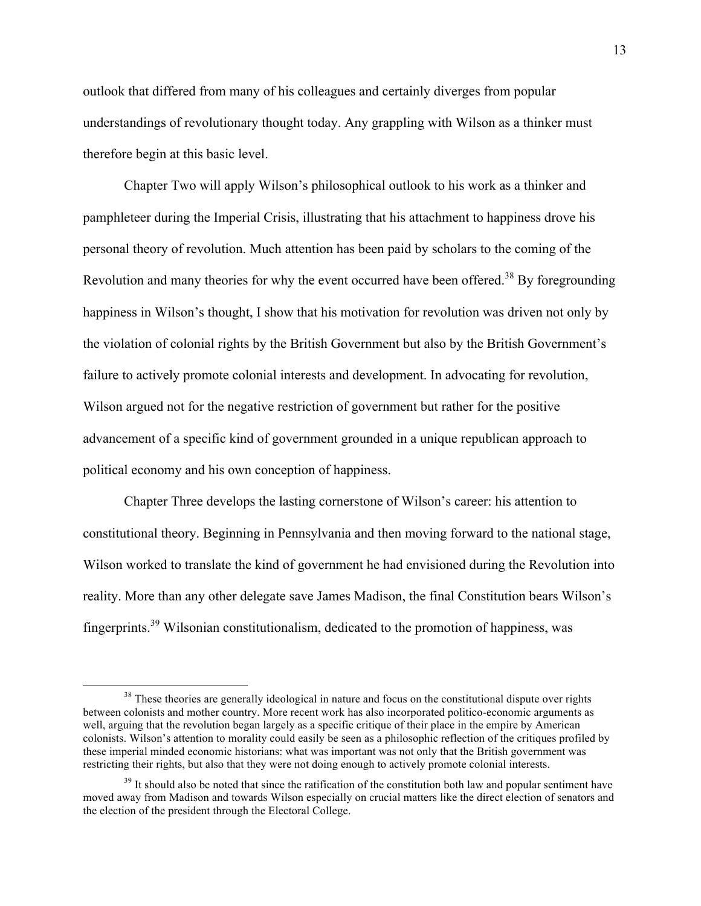outlook that differed from many of his colleagues and certainly diverges from popular understandings of revolutionary thought today. Any grappling with Wilson as a thinker must therefore begin at this basic level.

Chapter Two will apply Wilson's philosophical outlook to his work as a thinker and pamphleteer during the Imperial Crisis, illustrating that his attachment to happiness drove his personal theory of revolution. Much attention has been paid by scholars to the coming of the Revolution and many theories for why the event occurred have been offered.<sup>38</sup> By foregrounding happiness in Wilson's thought, I show that his motivation for revolution was driven not only by the violation of colonial rights by the British Government but also by the British Government's failure to actively promote colonial interests and development. In advocating for revolution, Wilson argued not for the negative restriction of government but rather for the positive advancement of a specific kind of government grounded in a unique republican approach to political economy and his own conception of happiness.

Chapter Three develops the lasting cornerstone of Wilson's career: his attention to constitutional theory. Beginning in Pennsylvania and then moving forward to the national stage, Wilson worked to translate the kind of government he had envisioned during the Revolution into reality. More than any other delegate save James Madison, the final Constitution bears Wilson's fingerprints.<sup>39</sup> Wilsonian constitutionalism, dedicated to the promotion of happiness, was

<sup>&</sup>lt;sup>38</sup> These theories are generally ideological in nature and focus on the constitutional dispute over rights between colonists and mother country. More recent work has also incorporated politico-economic arguments as well, arguing that the revolution began largely as a specific critique of their place in the empire by American colonists. Wilson's attention to morality could easily be seen as a philosophic reflection of the critiques profiled by these imperial minded economic historians: what was important was not only that the British government was restricting their rights, but also that they were not doing enough to actively promote colonial interests.

 $39$  It should also be noted that since the ratification of the constitution both law and popular sentiment have moved away from Madison and towards Wilson especially on crucial matters like the direct election of senators and the election of the president through the Electoral College.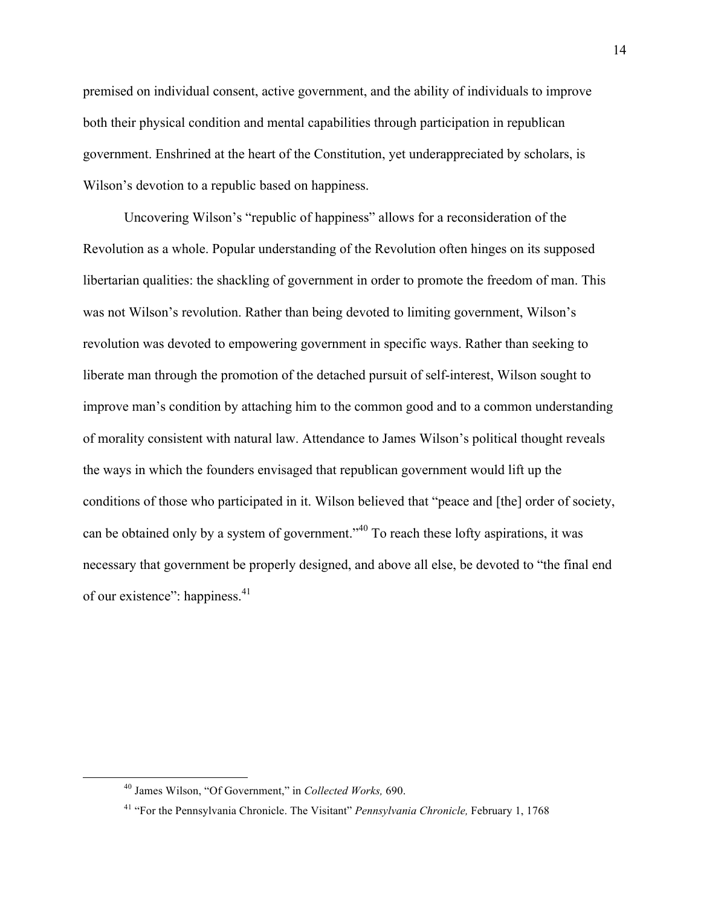premised on individual consent, active government, and the ability of individuals to improve both their physical condition and mental capabilities through participation in republican government. Enshrined at the heart of the Constitution, yet underappreciated by scholars, is Wilson's devotion to a republic based on happiness.

Uncovering Wilson's "republic of happiness" allows for a reconsideration of the Revolution as a whole. Popular understanding of the Revolution often hinges on its supposed libertarian qualities: the shackling of government in order to promote the freedom of man. This was not Wilson's revolution. Rather than being devoted to limiting government, Wilson's revolution was devoted to empowering government in specific ways. Rather than seeking to liberate man through the promotion of the detached pursuit of self-interest, Wilson sought to improve man's condition by attaching him to the common good and to a common understanding of morality consistent with natural law. Attendance to James Wilson's political thought reveals the ways in which the founders envisaged that republican government would lift up the conditions of those who participated in it. Wilson believed that "peace and [the] order of society, can be obtained only by a system of government.<sup>340</sup> To reach these lofty aspirations, it was necessary that government be properly designed, and above all else, be devoted to "the final end of our existence": happiness.<sup>41</sup>

 <sup>40</sup> James Wilson, "Of Government," in *Collected Works,* 690.

<sup>41</sup> "For the Pennsylvania Chronicle. The Visitant" *Pennsylvania Chronicle,* February 1, 1768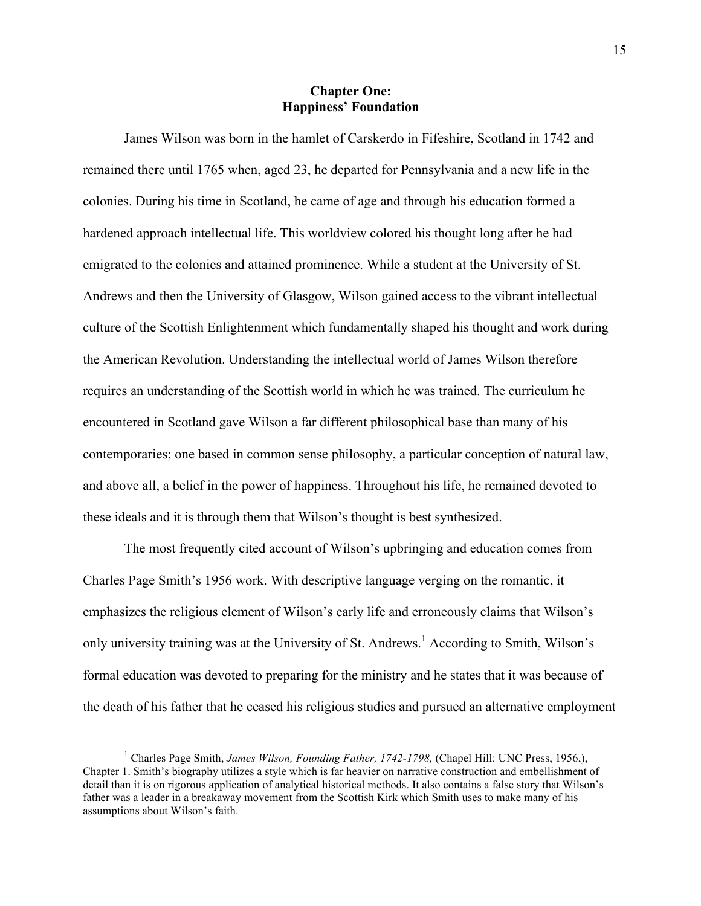### **Chapter One: Happiness' Foundation**

James Wilson was born in the hamlet of Carskerdo in Fifeshire, Scotland in 1742 and remained there until 1765 when, aged 23, he departed for Pennsylvania and a new life in the colonies. During his time in Scotland, he came of age and through his education formed a hardened approach intellectual life. This worldview colored his thought long after he had emigrated to the colonies and attained prominence. While a student at the University of St. Andrews and then the University of Glasgow, Wilson gained access to the vibrant intellectual culture of the Scottish Enlightenment which fundamentally shaped his thought and work during the American Revolution. Understanding the intellectual world of James Wilson therefore requires an understanding of the Scottish world in which he was trained. The curriculum he encountered in Scotland gave Wilson a far different philosophical base than many of his contemporaries; one based in common sense philosophy, a particular conception of natural law, and above all, a belief in the power of happiness. Throughout his life, he remained devoted to these ideals and it is through them that Wilson's thought is best synthesized.

The most frequently cited account of Wilson's upbringing and education comes from Charles Page Smith's 1956 work. With descriptive language verging on the romantic, it emphasizes the religious element of Wilson's early life and erroneously claims that Wilson's only university training was at the University of St. Andrews.<sup>1</sup> According to Smith, Wilson's formal education was devoted to preparing for the ministry and he states that it was because of the death of his father that he ceased his religious studies and pursued an alternative employment

 <sup>1</sup> Charles Page Smith, *James Wilson, Founding Father, 1742-1798,* (Chapel Hill: UNC Press, 1956,), Chapter 1. Smith's biography utilizes a style which is far heavier on narrative construction and embellishment of detail than it is on rigorous application of analytical historical methods. It also contains a false story that Wilson's father was a leader in a breakaway movement from the Scottish Kirk which Smith uses to make many of his assumptions about Wilson's faith.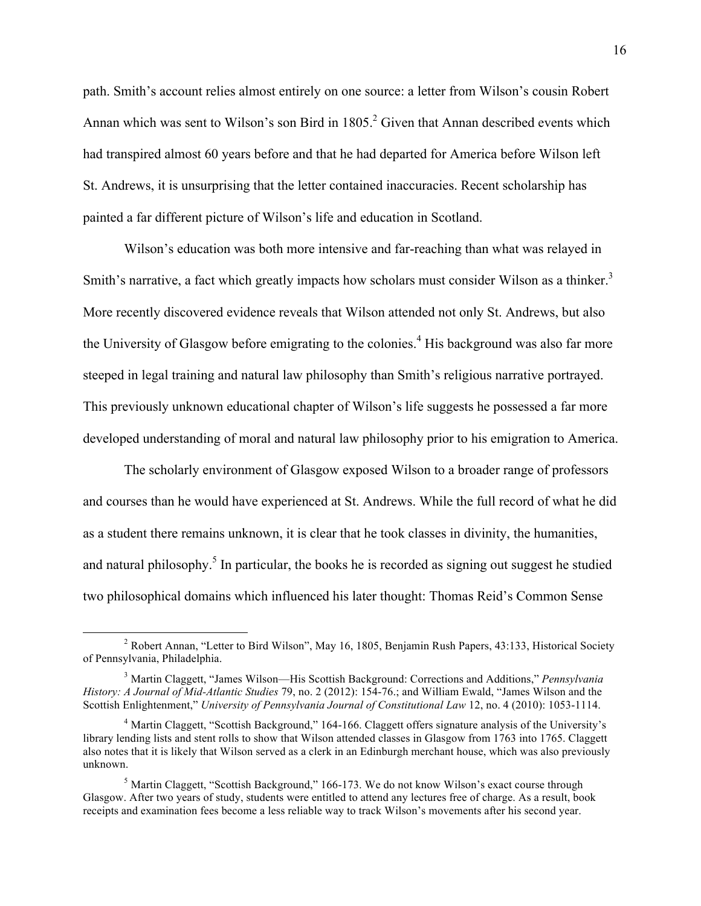path. Smith's account relies almost entirely on one source: a letter from Wilson's cousin Robert Annan which was sent to Wilson's son Bird in 1805.<sup>2</sup> Given that Annan described events which had transpired almost 60 years before and that he had departed for America before Wilson left St. Andrews, it is unsurprising that the letter contained inaccuracies. Recent scholarship has painted a far different picture of Wilson's life and education in Scotland.

Wilson's education was both more intensive and far-reaching than what was relayed in Smith's narrative, a fact which greatly impacts how scholars must consider Wilson as a thinker.<sup>3</sup> More recently discovered evidence reveals that Wilson attended not only St. Andrews, but also the University of Glasgow before emigrating to the colonies.<sup>4</sup> His background was also far more steeped in legal training and natural law philosophy than Smith's religious narrative portrayed. This previously unknown educational chapter of Wilson's life suggests he possessed a far more developed understanding of moral and natural law philosophy prior to his emigration to America.

The scholarly environment of Glasgow exposed Wilson to a broader range of professors and courses than he would have experienced at St. Andrews. While the full record of what he did as a student there remains unknown, it is clear that he took classes in divinity, the humanities, and natural philosophy.<sup>5</sup> In particular, the books he is recorded as signing out suggest he studied two philosophical domains which influenced his later thought: Thomas Reid's Common Sense

<sup>&</sup>lt;sup>2</sup> Robert Annan, "Letter to Bird Wilson", May 16, 1805, Benjamin Rush Papers, 43:133, Historical Society of Pennsylvania, Philadelphia.

<sup>3</sup> Martin Claggett, "James Wilson—His Scottish Background: Corrections and Additions," *Pennsylvania History: A Journal of Mid-Atlantic Studies* 79, no. 2 (2012): 154-76.; and William Ewald, "James Wilson and the Scottish Enlightenment," *University of Pennsylvania Journal of Constitutional Law* 12, no. 4 (2010): 1053-1114.

<sup>&</sup>lt;sup>4</sup> Martin Claggett, "Scottish Background," 164-166. Claggett offers signature analysis of the University's library lending lists and stent rolls to show that Wilson attended classes in Glasgow from 1763 into 1765. Claggett also notes that it is likely that Wilson served as a clerk in an Edinburgh merchant house, which was also previously unknown.

 $<sup>5</sup>$  Martin Claggett, "Scottish Background," 166-173. We do not know Wilson's exact course through</sup> Glasgow. After two years of study, students were entitled to attend any lectures free of charge. As a result, book receipts and examination fees become a less reliable way to track Wilson's movements after his second year.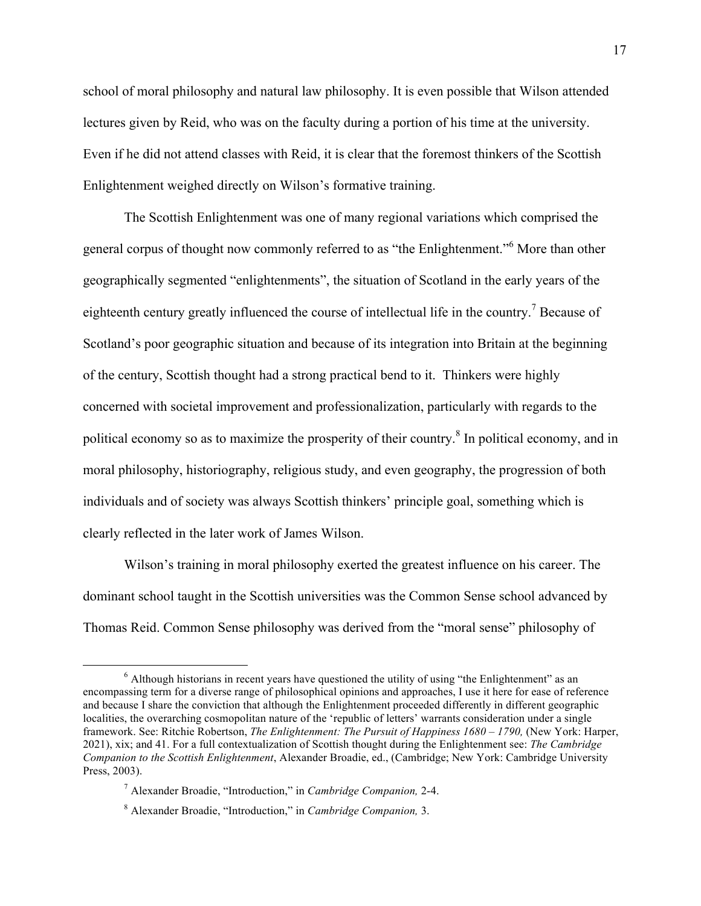school of moral philosophy and natural law philosophy. It is even possible that Wilson attended lectures given by Reid, who was on the faculty during a portion of his time at the university. Even if he did not attend classes with Reid, it is clear that the foremost thinkers of the Scottish Enlightenment weighed directly on Wilson's formative training.

The Scottish Enlightenment was one of many regional variations which comprised the general corpus of thought now commonly referred to as "the Enlightenment."<sup>6</sup> More than other geographically segmented "enlightenments", the situation of Scotland in the early years of the eighteenth century greatly influenced the course of intellectual life in the country.<sup>7</sup> Because of Scotland's poor geographic situation and because of its integration into Britain at the beginning of the century, Scottish thought had a strong practical bend to it. Thinkers were highly concerned with societal improvement and professionalization, particularly with regards to the political economy so as to maximize the prosperity of their country.<sup>8</sup> In political economy, and in moral philosophy, historiography, religious study, and even geography, the progression of both individuals and of society was always Scottish thinkers' principle goal, something which is clearly reflected in the later work of James Wilson.

Wilson's training in moral philosophy exerted the greatest influence on his career. The dominant school taught in the Scottish universities was the Common Sense school advanced by Thomas Reid. Common Sense philosophy was derived from the "moral sense" philosophy of

 <sup>6</sup> Although historians in recent years have questioned the utility of using "the Enlightenment" as an encompassing term for a diverse range of philosophical opinions and approaches, I use it here for ease of reference and because I share the conviction that although the Enlightenment proceeded differently in different geographic localities, the overarching cosmopolitan nature of the 'republic of letters' warrants consideration under a single framework. See: Ritchie Robertson, *The Enlightenment: The Pursuit of Happiness 1680 – 1790,* (New York: Harper, 2021), xix; and 41. For a full contextualization of Scottish thought during the Enlightenment see: *The Cambridge Companion to the Scottish Enlightenment*, Alexander Broadie, ed., (Cambridge; New York: Cambridge University Press, 2003).

<sup>7</sup> Alexander Broadie, "Introduction," in *Cambridge Companion,* 2-4.

<sup>8</sup> Alexander Broadie, "Introduction," in *Cambridge Companion,* 3.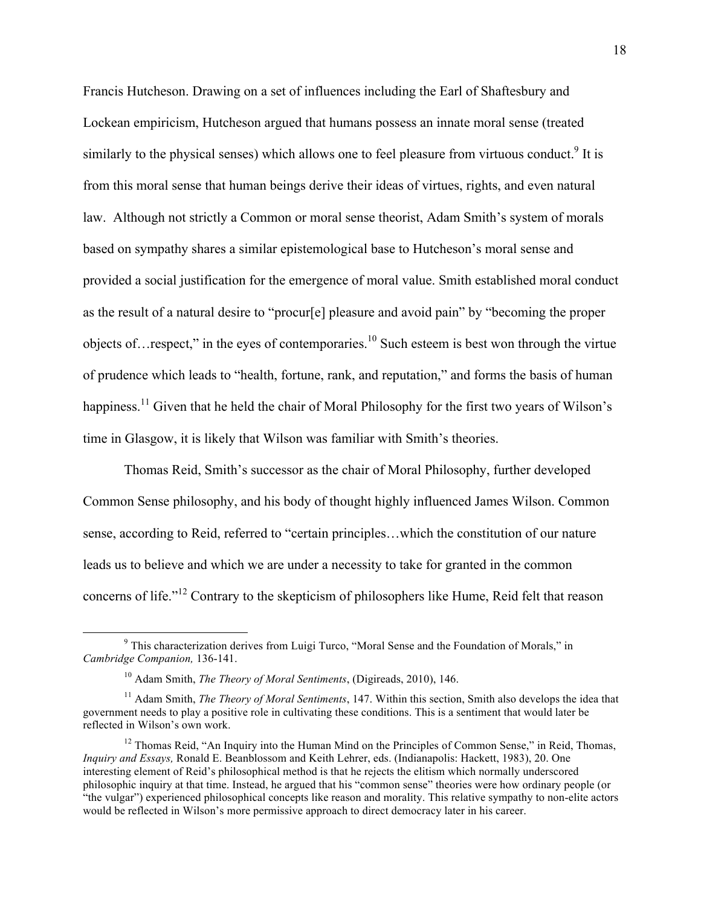Francis Hutcheson. Drawing on a set of influences including the Earl of Shaftesbury and Lockean empiricism, Hutcheson argued that humans possess an innate moral sense (treated similarly to the physical senses) which allows one to feel pleasure from virtuous conduct.<sup>9</sup> It is from this moral sense that human beings derive their ideas of virtues, rights, and even natural law. Although not strictly a Common or moral sense theorist, Adam Smith's system of morals based on sympathy shares a similar epistemological base to Hutcheson's moral sense and provided a social justification for the emergence of moral value. Smith established moral conduct as the result of a natural desire to "procur[e] pleasure and avoid pain" by "becoming the proper objects of…respect," in the eyes of contemporaries.<sup>10</sup> Such esteem is best won through the virtue of prudence which leads to "health, fortune, rank, and reputation," and forms the basis of human happiness.<sup>11</sup> Given that he held the chair of Moral Philosophy for the first two years of Wilson's time in Glasgow, it is likely that Wilson was familiar with Smith's theories.

Thomas Reid, Smith's successor as the chair of Moral Philosophy, further developed Common Sense philosophy, and his body of thought highly influenced James Wilson. Common sense, according to Reid, referred to "certain principles…which the constitution of our nature leads us to believe and which we are under a necessity to take for granted in the common concerns of life."<sup>12</sup> Contrary to the skepticism of philosophers like Hume, Reid felt that reason

 <sup>9</sup> This characterization derives from Luigi Turco, "Moral Sense and the Foundation of Morals," in *Cambridge Companion,* 136-141.

<sup>10</sup> Adam Smith, *The Theory of Moral Sentiments*, (Digireads, 2010), 146.

<sup>&</sup>lt;sup>11</sup> Adam Smith, *The Theory of Moral Sentiments*, 147. Within this section, Smith also develops the idea that government needs to play a positive role in cultivating these conditions. This is a sentiment that would later be reflected in Wilson's own work.

<sup>&</sup>lt;sup>12</sup> Thomas Reid, "An Inquiry into the Human Mind on the Principles of Common Sense," in Reid, Thomas, *Inquiry and Essays,* Ronald E. Beanblossom and Keith Lehrer, eds. (Indianapolis: Hackett, 1983), 20. One interesting element of Reid's philosophical method is that he rejects the elitism which normally underscored philosophic inquiry at that time. Instead, he argued that his "common sense" theories were how ordinary people (or "the vulgar") experienced philosophical concepts like reason and morality. This relative sympathy to non-elite actors would be reflected in Wilson's more permissive approach to direct democracy later in his career.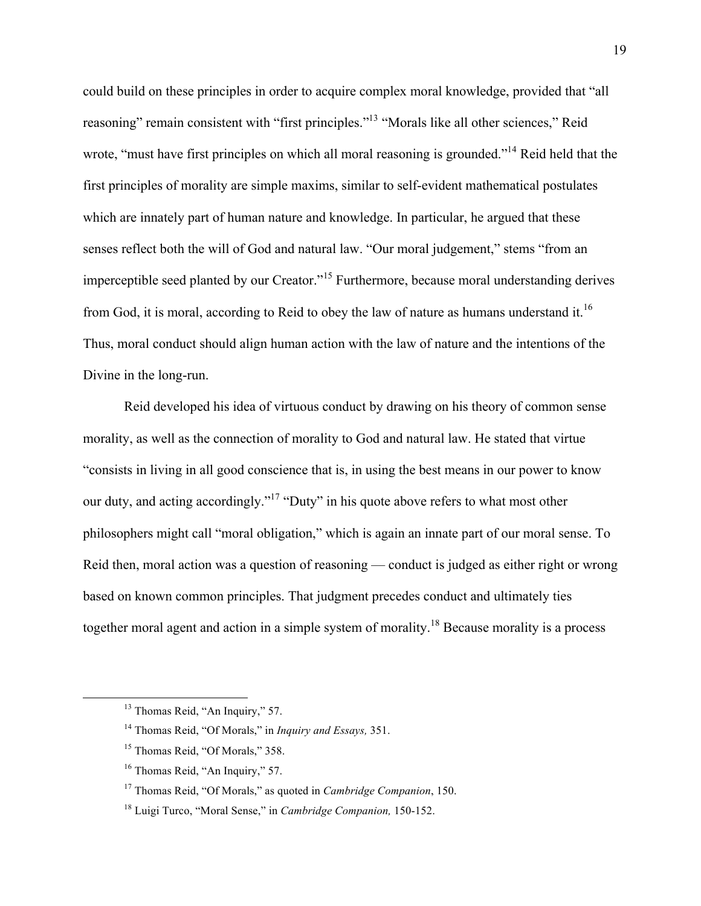could build on these principles in order to acquire complex moral knowledge, provided that "all reasoning" remain consistent with "first principles."13 "Morals like all other sciences," Reid wrote, "must have first principles on which all moral reasoning is grounded."<sup>14</sup> Reid held that the first principles of morality are simple maxims, similar to self-evident mathematical postulates which are innately part of human nature and knowledge. In particular, he argued that these senses reflect both the will of God and natural law. "Our moral judgement," stems "from an imperceptible seed planted by our Creator."<sup>15</sup> Furthermore, because moral understanding derives from God, it is moral, according to Reid to obey the law of nature as humans understand it.<sup>16</sup> Thus, moral conduct should align human action with the law of nature and the intentions of the Divine in the long-run.

Reid developed his idea of virtuous conduct by drawing on his theory of common sense morality, as well as the connection of morality to God and natural law. He stated that virtue "consists in living in all good conscience that is, in using the best means in our power to know our duty, and acting accordingly."17 "Duty" in his quote above refers to what most other philosophers might call "moral obligation," which is again an innate part of our moral sense. To Reid then, moral action was a question of reasoning — conduct is judged as either right or wrong based on known common principles. That judgment precedes conduct and ultimately ties together moral agent and action in a simple system of morality.<sup>18</sup> Because morality is a process

<sup>&</sup>lt;sup>13</sup> Thomas Reid, "An Inquiry," 57.

<sup>14</sup> Thomas Reid, "Of Morals," in *Inquiry and Essays,* 351.

<sup>&</sup>lt;sup>15</sup> Thomas Reid, "Of Morals," 358.

<sup>&</sup>lt;sup>16</sup> Thomas Reid, "An Inquiry," 57.

<sup>17</sup> Thomas Reid, "Of Morals," as quoted in *Cambridge Companion*, 150.

<sup>18</sup> Luigi Turco, "Moral Sense," in *Cambridge Companion,* 150-152.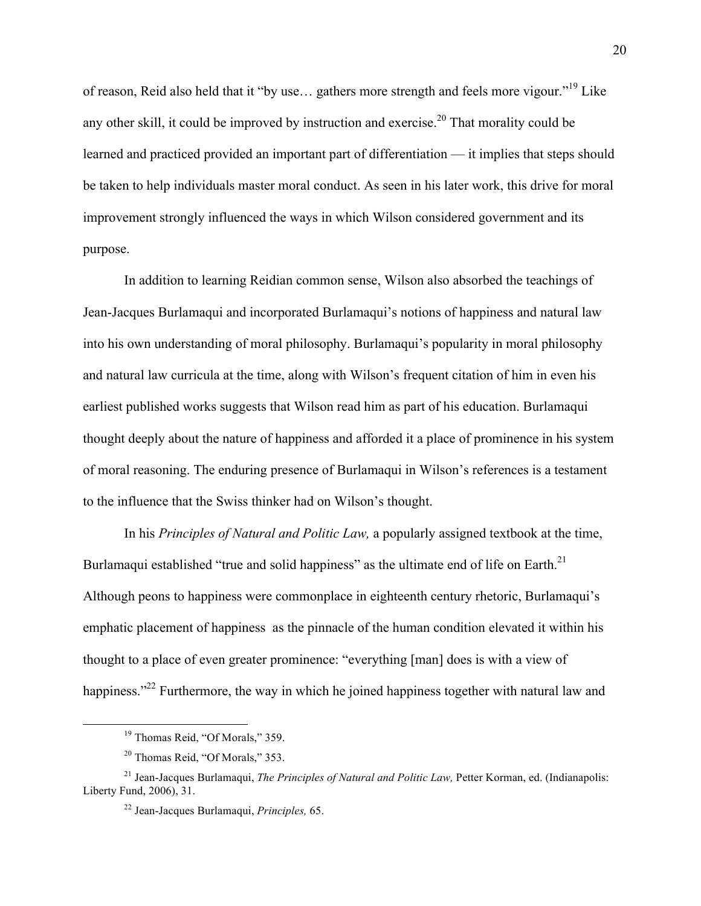of reason, Reid also held that it "by use… gathers more strength and feels more vigour."<sup>19</sup> Like any other skill, it could be improved by instruction and exercise.<sup>20</sup> That morality could be learned and practiced provided an important part of differentiation — it implies that steps should be taken to help individuals master moral conduct. As seen in his later work, this drive for moral improvement strongly influenced the ways in which Wilson considered government and its purpose.

In addition to learning Reidian common sense, Wilson also absorbed the teachings of Jean-Jacques Burlamaqui and incorporated Burlamaqui's notions of happiness and natural law into his own understanding of moral philosophy. Burlamaqui's popularity in moral philosophy and natural law curricula at the time, along with Wilson's frequent citation of him in even his earliest published works suggests that Wilson read him as part of his education. Burlamaqui thought deeply about the nature of happiness and afforded it a place of prominence in his system of moral reasoning. The enduring presence of Burlamaqui in Wilson's references is a testament to the influence that the Swiss thinker had on Wilson's thought.

In his *Principles of Natural and Politic Law,* a popularly assigned textbook at the time, Burlamaqui established "true and solid happiness" as the ultimate end of life on Earth.<sup>21</sup> Although peons to happiness were commonplace in eighteenth century rhetoric, Burlamaqui's emphatic placement of happiness as the pinnacle of the human condition elevated it within his thought to a place of even greater prominence: "everything [man] does is with a view of happiness."<sup>22</sup> Furthermore, the way in which he joined happiness together with natural law and

<sup>&</sup>lt;sup>19</sup> Thomas Reid, "Of Morals," 359.

<sup>20</sup> Thomas Reid, "Of Morals," 353.

<sup>&</sup>lt;sup>21</sup> Jean-Jacques Burlamaqui, *The Principles of Natural and Politic Law*, Petter Korman, ed. (Indianapolis: Liberty Fund, 2006), 31.

<sup>22</sup> Jean-Jacques Burlamaqui, *Principles,* 65.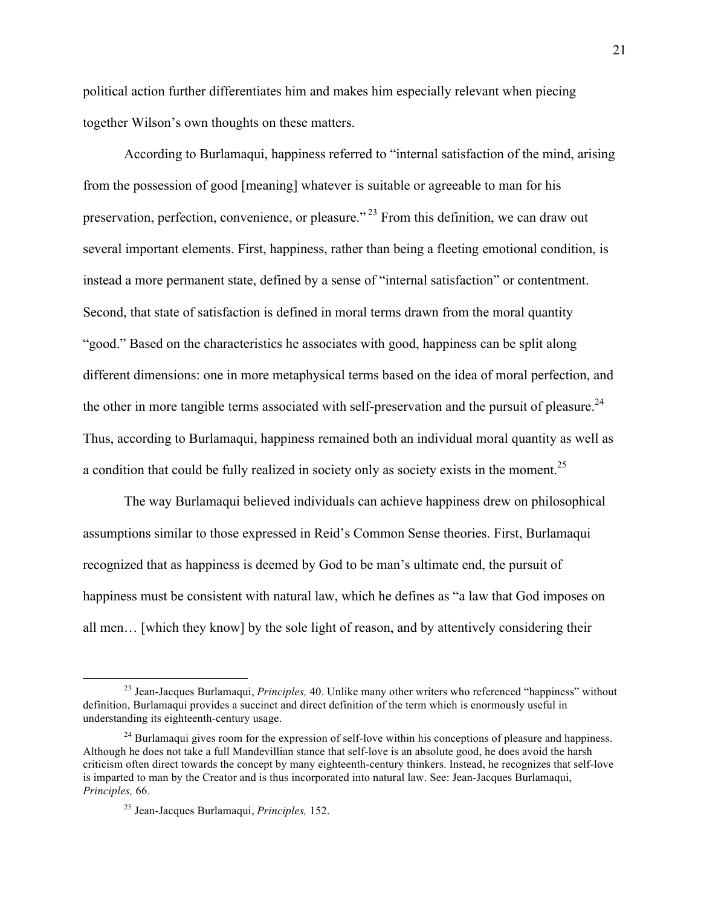political action further differentiates him and makes him especially relevant when piecing together Wilson's own thoughts on these matters.

According to Burlamaqui, happiness referred to "internal satisfaction of the mind, arising from the possession of good [meaning] whatever is suitable or agreeable to man for his preservation, perfection, convenience, or pleasure." <sup>23</sup> From this definition, we can draw out several important elements. First, happiness, rather than being a fleeting emotional condition, is instead a more permanent state, defined by a sense of "internal satisfaction" or contentment. Second, that state of satisfaction is defined in moral terms drawn from the moral quantity "good." Based on the characteristics he associates with good, happiness can be split along different dimensions: one in more metaphysical terms based on the idea of moral perfection, and the other in more tangible terms associated with self-preservation and the pursuit of pleasure.<sup>24</sup> Thus, according to Burlamaqui, happiness remained both an individual moral quantity as well as a condition that could be fully realized in society only as society exists in the moment.<sup>25</sup>

The way Burlamaqui believed individuals can achieve happiness drew on philosophical assumptions similar to those expressed in Reid's Common Sense theories. First, Burlamaqui recognized that as happiness is deemed by God to be man's ultimate end, the pursuit of happiness must be consistent with natural law, which he defines as "a law that God imposes on all men… [which they know] by the sole light of reason, and by attentively considering their

 <sup>23</sup> Jean-Jacques Burlamaqui, *Principles,* 40. Unlike many other writers who referenced "happiness" without definition, Burlamaqui provides a succinct and direct definition of the term which is enormously useful in understanding its eighteenth-century usage.

 $^{24}$  Burlamaqui gives room for the expression of self-love within his conceptions of pleasure and happiness. Although he does not take a full Mandevillian stance that self-love is an absolute good, he does avoid the harsh criticism often direct towards the concept by many eighteenth-century thinkers. Instead, he recognizes that self-love is imparted to man by the Creator and is thus incorporated into natural law. See: Jean-Jacques Burlamaqui, *Principles,* 66.

<sup>25</sup> Jean-Jacques Burlamaqui, *Principles,* 152.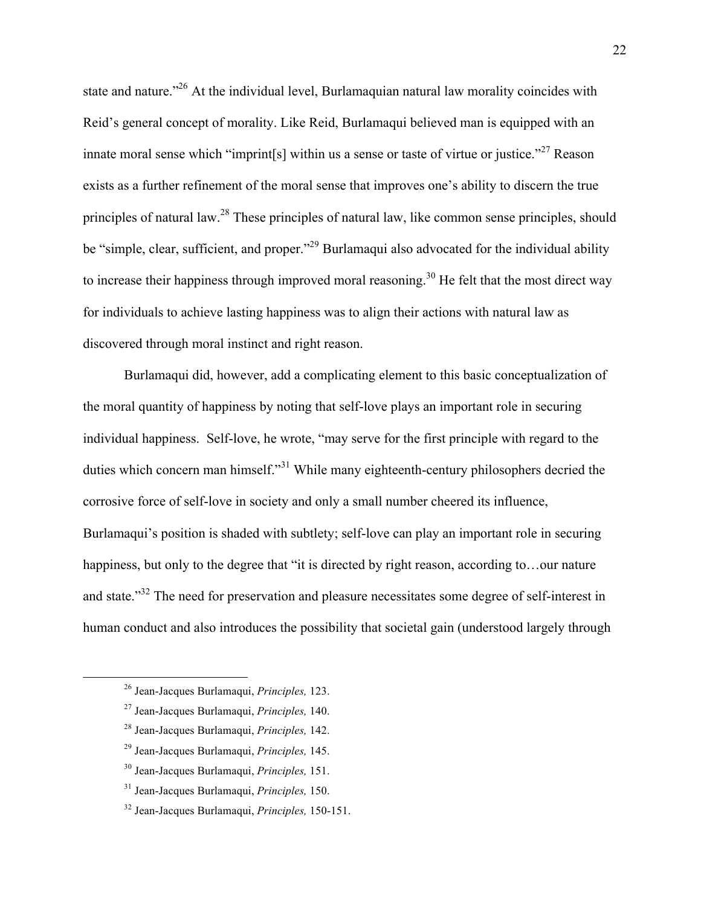state and nature."<sup>26</sup> At the individual level. Burlamaquian natural law morality coincides with Reid's general concept of morality. Like Reid, Burlamaqui believed man is equipped with an innate moral sense which "imprint[s] within us a sense or taste of virtue or justice."<sup>27</sup> Reason exists as a further refinement of the moral sense that improves one's ability to discern the true principles of natural law.<sup>28</sup> These principles of natural law, like common sense principles, should be "simple, clear, sufficient, and proper."<sup>29</sup> Burlamaqui also advocated for the individual ability to increase their happiness through improved moral reasoning.<sup>30</sup> He felt that the most direct way for individuals to achieve lasting happiness was to align their actions with natural law as discovered through moral instinct and right reason.

Burlamaqui did, however, add a complicating element to this basic conceptualization of the moral quantity of happiness by noting that self-love plays an important role in securing individual happiness. Self-love, he wrote, "may serve for the first principle with regard to the duties which concern man himself."<sup>31</sup> While many eighteenth-century philosophers decried the corrosive force of self-love in society and only a small number cheered its influence, Burlamaqui's position is shaded with subtlety; self-love can play an important role in securing happiness, but only to the degree that "it is directed by right reason, according to... our nature and state."32 The need for preservation and pleasure necessitates some degree of self-interest in human conduct and also introduces the possibility that societal gain (understood largely through

 <sup>26</sup> Jean-Jacques Burlamaqui, *Principles,* 123.

<sup>27</sup> Jean-Jacques Burlamaqui, *Principles,* 140.

<sup>28</sup> Jean-Jacques Burlamaqui, *Principles,* 142.

<sup>29</sup> Jean-Jacques Burlamaqui, *Principles,* 145.

<sup>30</sup> Jean-Jacques Burlamaqui, *Principles,* 151.

<sup>31</sup> Jean-Jacques Burlamaqui, *Principles,* 150.

<sup>32</sup> Jean-Jacques Burlamaqui, *Principles,* 150-151.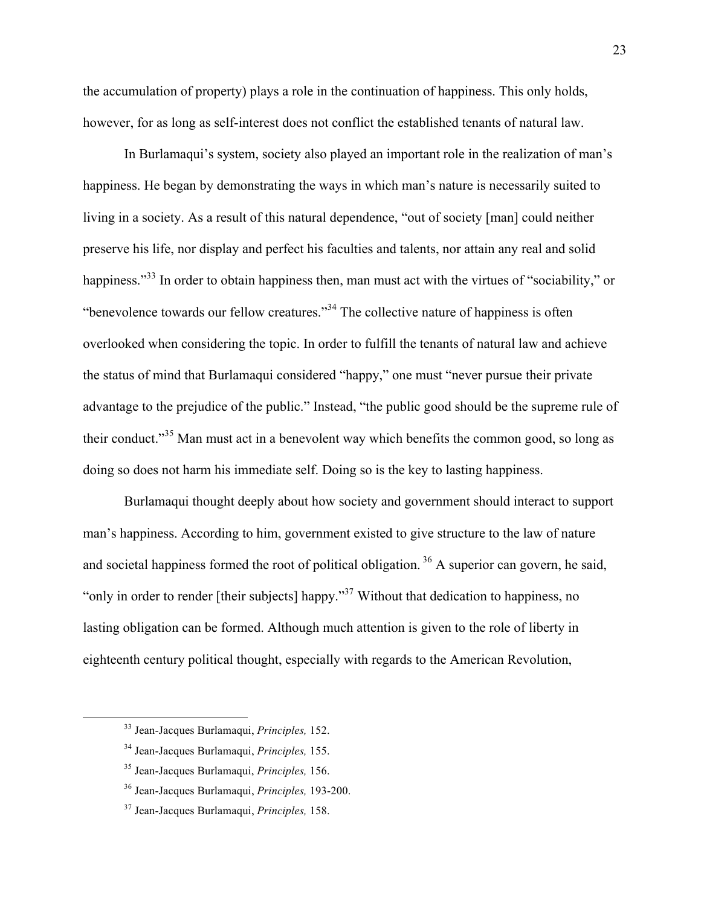the accumulation of property) plays a role in the continuation of happiness. This only holds, however, for as long as self-interest does not conflict the established tenants of natural law.

In Burlamaqui's system, society also played an important role in the realization of man's happiness. He began by demonstrating the ways in which man's nature is necessarily suited to living in a society. As a result of this natural dependence, "out of society [man] could neither preserve his life, nor display and perfect his faculties and talents, nor attain any real and solid happiness."<sup>33</sup> In order to obtain happiness then, man must act with the virtues of "sociability," or "benevolence towards our fellow creatures."<sup>34</sup> The collective nature of happiness is often overlooked when considering the topic. In order to fulfill the tenants of natural law and achieve the status of mind that Burlamaqui considered "happy," one must "never pursue their private advantage to the prejudice of the public." Instead, "the public good should be the supreme rule of their conduct."35 Man must act in a benevolent way which benefits the common good, so long as doing so does not harm his immediate self. Doing so is the key to lasting happiness.

Burlamaqui thought deeply about how society and government should interact to support man's happiness. According to him, government existed to give structure to the law of nature and societal happiness formed the root of political obligation.  $36$  A superior can govern, he said, "only in order to render [their subjects] happy."<sup>37</sup> Without that dedication to happiness, no lasting obligation can be formed. Although much attention is given to the role of liberty in eighteenth century political thought, especially with regards to the American Revolution,

 <sup>33</sup> Jean-Jacques Burlamaqui, *Principles,* 152.

<sup>34</sup> Jean-Jacques Burlamaqui, *Principles,* 155.

<sup>35</sup> Jean-Jacques Burlamaqui, *Principles,* 156.

<sup>36</sup> Jean-Jacques Burlamaqui, *Principles,* 193-200.

<sup>37</sup> Jean-Jacques Burlamaqui, *Principles,* 158.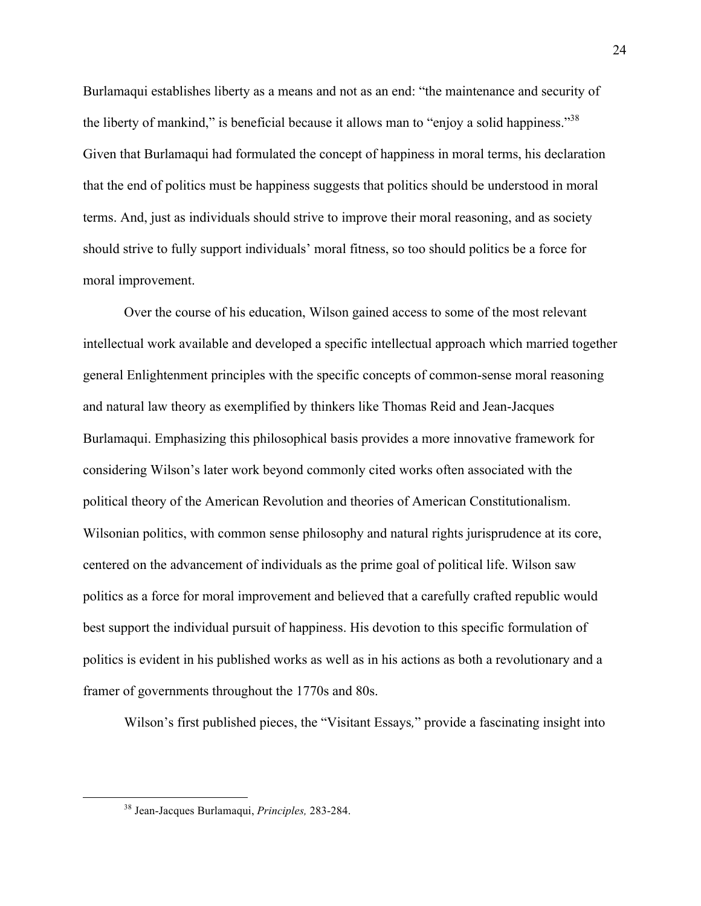Burlamaqui establishes liberty as a means and not as an end: "the maintenance and security of the liberty of mankind," is beneficial because it allows man to "enjoy a solid happiness."<sup>38</sup> Given that Burlamaqui had formulated the concept of happiness in moral terms, his declaration that the end of politics must be happiness suggests that politics should be understood in moral terms. And, just as individuals should strive to improve their moral reasoning, and as society should strive to fully support individuals' moral fitness, so too should politics be a force for moral improvement.

Over the course of his education, Wilson gained access to some of the most relevant intellectual work available and developed a specific intellectual approach which married together general Enlightenment principles with the specific concepts of common-sense moral reasoning and natural law theory as exemplified by thinkers like Thomas Reid and Jean-Jacques Burlamaqui. Emphasizing this philosophical basis provides a more innovative framework for considering Wilson's later work beyond commonly cited works often associated with the political theory of the American Revolution and theories of American Constitutionalism. Wilsonian politics, with common sense philosophy and natural rights jurisprudence at its core, centered on the advancement of individuals as the prime goal of political life. Wilson saw politics as a force for moral improvement and believed that a carefully crafted republic would best support the individual pursuit of happiness. His devotion to this specific formulation of politics is evident in his published works as well as in his actions as both a revolutionary and a framer of governments throughout the 1770s and 80s.

Wilson's first published pieces, the "Visitant Essays*,*" provide a fascinating insight into

 <sup>38</sup> Jean-Jacques Burlamaqui, *Principles,* 283-284.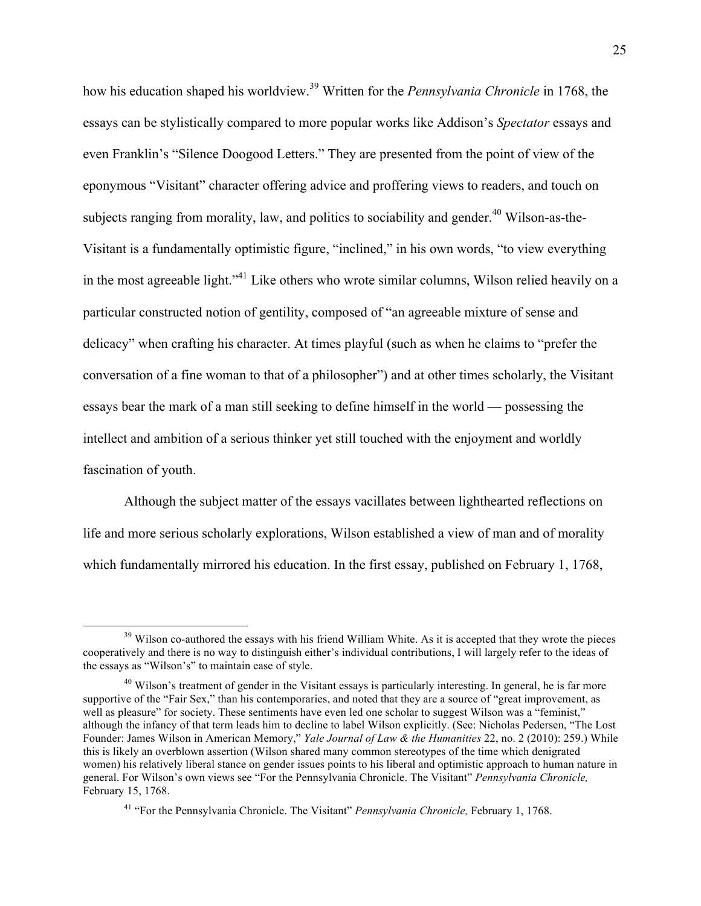how his education shaped his worldview.<sup>39</sup> Written for the *Pennsylvania Chronicle* in 1768, the essays can be stylistically compared to more popular works like Addison's *Spectator* essays and even Franklin's "Silence Doogood Letters." They are presented from the point of view of the eponymous "Visitant" character offering advice and proffering views to readers, and touch on subjects ranging from morality, law, and politics to sociability and gender.<sup>40</sup> Wilson-as-the-Visitant is a fundamentally optimistic figure, "inclined," in his own words, "to view everything in the most agreeable light."41 Like others who wrote similar columns, Wilson relied heavily on a particular constructed notion of gentility, composed of "an agreeable mixture of sense and delicacy" when crafting his character. At times playful (such as when he claims to "prefer the conversation of a fine woman to that of a philosopher") and at other times scholarly, the Visitant essays bear the mark of a man still seeking to define himself in the world –– possessing the intellect and ambition of a serious thinker yet still touched with the enjoyment and worldly fascination of youth.

Although the subject matter of the essays vacillates between lighthearted reflections on life and more serious scholarly explorations, Wilson established a view of man and of morality which fundamentally mirrored his education. In the first essay, published on February 1, 1768,

<sup>&</sup>lt;sup>39</sup> Wilson co-authored the essays with his friend William White. As it is accepted that they wrote the pieces cooperatively and there is no way to distinguish either's individual contributions, I will largely refer to the ideas of the essays as "Wilson's" to maintain ease of style.

<sup>&</sup>lt;sup>40</sup> Wilson's treatment of gender in the Visitant essays is particularly interesting. In general, he is far more supportive of the "Fair Sex," than his contemporaries, and noted that they are a source of "great improvement, as well as pleasure" for society. These sentiments have even led one scholar to suggest Wilson was a "feminist," although the infancy of that term leads him to decline to label Wilson explicitly. (See: Nicholas Pedersen, "The Lost Founder: James Wilson in American Memory," *Yale Journal of Law & the Humanities* 22, no. 2 (2010): 259.) While this is likely an overblown assertion (Wilson shared many common stereotypes of the time which denigrated women) his relatively liberal stance on gender issues points to his liberal and optimistic approach to human nature in general. For Wilson's own views see "For the Pennsylvania Chronicle. The Visitant" *Pennsylvania Chronicle,*  February 15, 1768.

<sup>41</sup> "For the Pennsylvania Chronicle. The Visitant" *Pennsylvania Chronicle,* February 1, 1768.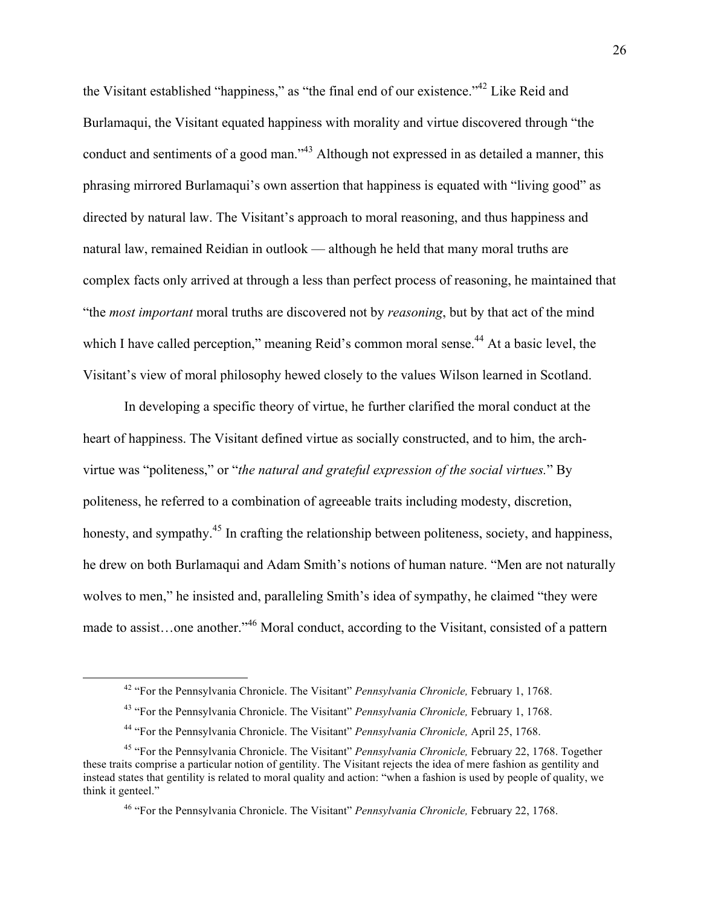the Visitant established "happiness," as "the final end of our existence."42 Like Reid and Burlamaqui, the Visitant equated happiness with morality and virtue discovered through "the conduct and sentiments of a good man."<sup>43</sup> Although not expressed in as detailed a manner, this phrasing mirrored Burlamaqui's own assertion that happiness is equated with "living good" as directed by natural law. The Visitant's approach to moral reasoning, and thus happiness and natural law, remained Reidian in outlook — although he held that many moral truths are complex facts only arrived at through a less than perfect process of reasoning, he maintained that "the *most important* moral truths are discovered not by *reasoning*, but by that act of the mind which I have called perception," meaning Reid's common moral sense.<sup>44</sup> At a basic level, the Visitant's view of moral philosophy hewed closely to the values Wilson learned in Scotland.

In developing a specific theory of virtue, he further clarified the moral conduct at the heart of happiness. The Visitant defined virtue as socially constructed, and to him, the archvirtue was "politeness," or "*the natural and grateful expression of the social virtues.*" By politeness, he referred to a combination of agreeable traits including modesty, discretion, honesty, and sympathy.<sup>45</sup> In crafting the relationship between politeness, society, and happiness, he drew on both Burlamaqui and Adam Smith's notions of human nature. "Men are not naturally wolves to men," he insisted and, paralleling Smith's idea of sympathy, he claimed "they were made to assist...one another."<sup>46</sup> Moral conduct, according to the Visitant, consisted of a pattern

 <sup>42</sup> "For the Pennsylvania Chronicle. The Visitant" *Pennsylvania Chronicle,* February 1, 1768.

<sup>43</sup> "For the Pennsylvania Chronicle. The Visitant" *Pennsylvania Chronicle,* February 1, 1768.

<sup>44</sup> "For the Pennsylvania Chronicle. The Visitant" *Pennsylvania Chronicle,* April 25, 1768.

<sup>45</sup> "For the Pennsylvania Chronicle. The Visitant" *Pennsylvania Chronicle,* February 22, 1768. Together these traits comprise a particular notion of gentility. The Visitant rejects the idea of mere fashion as gentility and instead states that gentility is related to moral quality and action: "when a fashion is used by people of quality, we think it genteel."

<sup>46</sup> "For the Pennsylvania Chronicle. The Visitant" *Pennsylvania Chronicle,* February 22, 1768.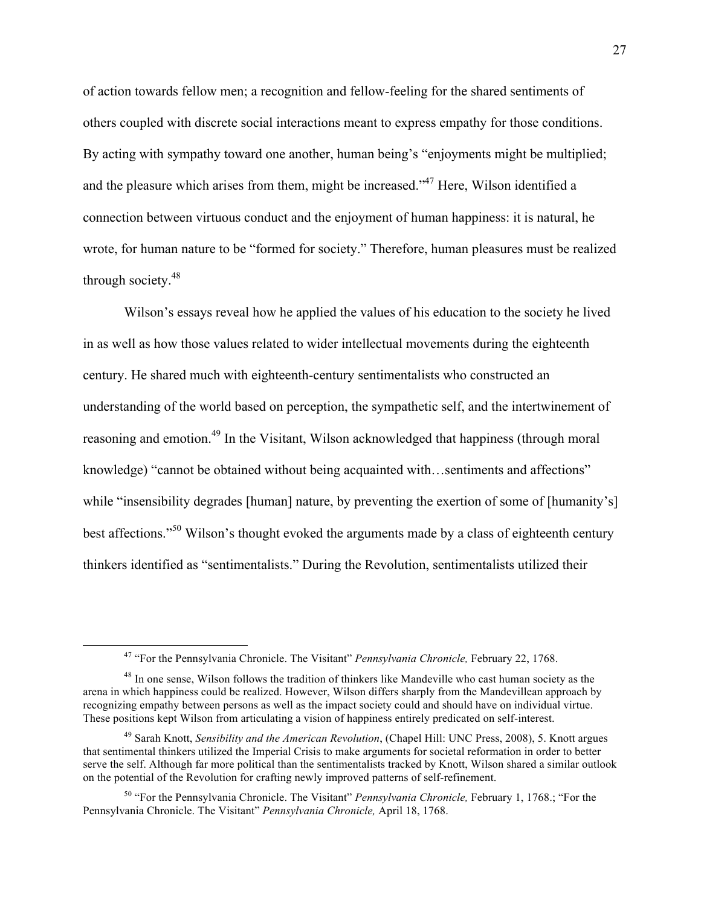of action towards fellow men; a recognition and fellow-feeling for the shared sentiments of others coupled with discrete social interactions meant to express empathy for those conditions. By acting with sympathy toward one another, human being's "enjoyments might be multiplied; and the pleasure which arises from them, might be increased."47 Here, Wilson identified a connection between virtuous conduct and the enjoyment of human happiness: it is natural, he wrote, for human nature to be "formed for society." Therefore, human pleasures must be realized through society.<sup>48</sup>

Wilson's essays reveal how he applied the values of his education to the society he lived in as well as how those values related to wider intellectual movements during the eighteenth century. He shared much with eighteenth-century sentimentalists who constructed an understanding of the world based on perception, the sympathetic self, and the intertwinement of reasoning and emotion.<sup>49</sup> In the Visitant, Wilson acknowledged that happiness (through moral knowledge) "cannot be obtained without being acquainted with...sentiments and affections" while "insensibility degrades [human] nature, by preventing the exertion of some of [humanity's] best affections."<sup>50</sup> Wilson's thought evoked the arguments made by a class of eighteenth century thinkers identified as "sentimentalists." During the Revolution, sentimentalists utilized their

 <sup>47</sup> "For the Pennsylvania Chronicle. The Visitant" *Pennsylvania Chronicle,* February 22, 1768.

<sup>&</sup>lt;sup>48</sup> In one sense, Wilson follows the tradition of thinkers like Mandeville who cast human society as the arena in which happiness could be realized. However, Wilson differs sharply from the Mandevillean approach by recognizing empathy between persons as well as the impact society could and should have on individual virtue. These positions kept Wilson from articulating a vision of happiness entirely predicated on self-interest.

<sup>49</sup> Sarah Knott, *Sensibility and the American Revolution*, (Chapel Hill: UNC Press, 2008), 5. Knott argues that sentimental thinkers utilized the Imperial Crisis to make arguments for societal reformation in order to better serve the self. Although far more political than the sentimentalists tracked by Knott, Wilson shared a similar outlook on the potential of the Revolution for crafting newly improved patterns of self-refinement.

<sup>50</sup> "For the Pennsylvania Chronicle. The Visitant" *Pennsylvania Chronicle,* February 1, 1768.; "For the Pennsylvania Chronicle. The Visitant" *Pennsylvania Chronicle,* April 18, 1768.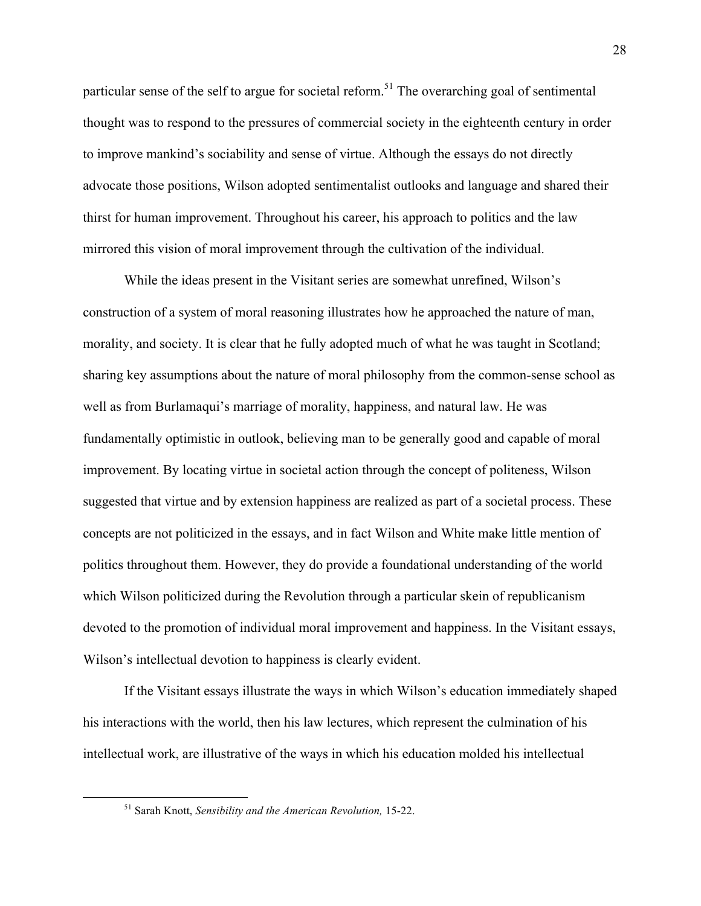particular sense of the self to argue for societal reform.<sup>51</sup> The overarching goal of sentimental thought was to respond to the pressures of commercial society in the eighteenth century in order to improve mankind's sociability and sense of virtue. Although the essays do not directly advocate those positions, Wilson adopted sentimentalist outlooks and language and shared their thirst for human improvement. Throughout his career, his approach to politics and the law mirrored this vision of moral improvement through the cultivation of the individual.

While the ideas present in the Visitant series are somewhat unrefined, Wilson's construction of a system of moral reasoning illustrates how he approached the nature of man, morality, and society. It is clear that he fully adopted much of what he was taught in Scotland; sharing key assumptions about the nature of moral philosophy from the common-sense school as well as from Burlamaqui's marriage of morality, happiness, and natural law. He was fundamentally optimistic in outlook, believing man to be generally good and capable of moral improvement. By locating virtue in societal action through the concept of politeness, Wilson suggested that virtue and by extension happiness are realized as part of a societal process. These concepts are not politicized in the essays, and in fact Wilson and White make little mention of politics throughout them. However, they do provide a foundational understanding of the world which Wilson politicized during the Revolution through a particular skein of republicanism devoted to the promotion of individual moral improvement and happiness. In the Visitant essays, Wilson's intellectual devotion to happiness is clearly evident.

If the Visitant essays illustrate the ways in which Wilson's education immediately shaped his interactions with the world, then his law lectures, which represent the culmination of his intellectual work, are illustrative of the ways in which his education molded his intellectual

 <sup>51</sup> Sarah Knott, *Sensibility and the American Revolution,* 15-22.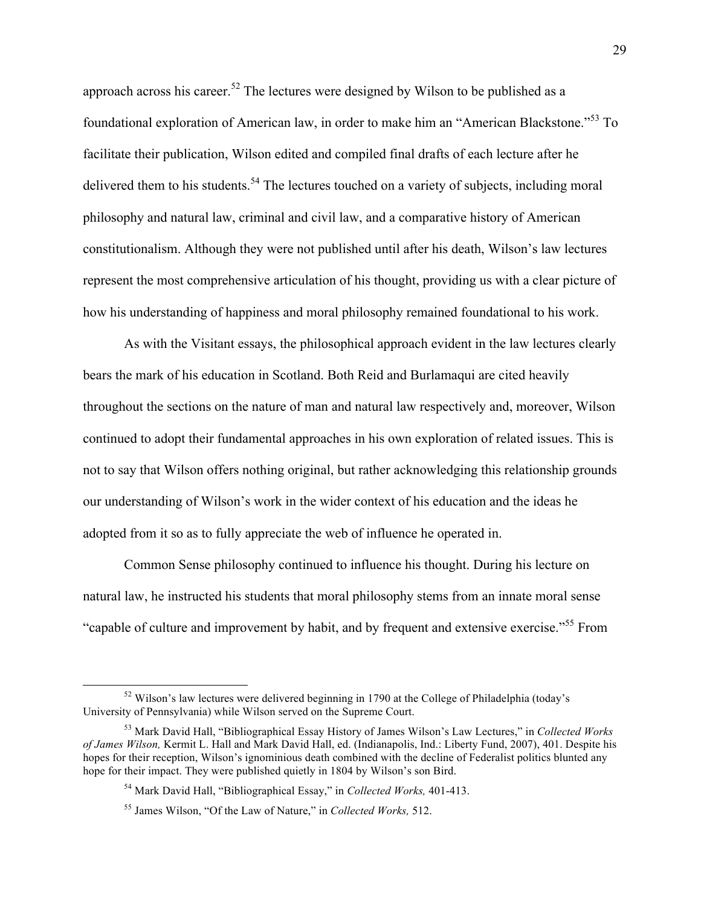approach across his career.<sup>52</sup> The lectures were designed by Wilson to be published as a foundational exploration of American law, in order to make him an "American Blackstone."<sup>53</sup> To facilitate their publication, Wilson edited and compiled final drafts of each lecture after he delivered them to his students.<sup>54</sup> The lectures touched on a variety of subjects, including moral philosophy and natural law, criminal and civil law, and a comparative history of American constitutionalism. Although they were not published until after his death, Wilson's law lectures represent the most comprehensive articulation of his thought, providing us with a clear picture of how his understanding of happiness and moral philosophy remained foundational to his work.

As with the Visitant essays, the philosophical approach evident in the law lectures clearly bears the mark of his education in Scotland. Both Reid and Burlamaqui are cited heavily throughout the sections on the nature of man and natural law respectively and, moreover, Wilson continued to adopt their fundamental approaches in his own exploration of related issues. This is not to say that Wilson offers nothing original, but rather acknowledging this relationship grounds our understanding of Wilson's work in the wider context of his education and the ideas he adopted from it so as to fully appreciate the web of influence he operated in.

Common Sense philosophy continued to influence his thought. During his lecture on natural law, he instructed his students that moral philosophy stems from an innate moral sense "capable of culture and improvement by habit, and by frequent and extensive exercise."<sup>55</sup> From

 $52$  Wilson's law lectures were delivered beginning in 1790 at the College of Philadelphia (today's University of Pennsylvania) while Wilson served on the Supreme Court.

<sup>53</sup> Mark David Hall, "Bibliographical Essay History of James Wilson's Law Lectures," in *Collected Works of James Wilson,* Kermit L. Hall and Mark David Hall, ed. (Indianapolis, Ind.: Liberty Fund, 2007), 401. Despite his hopes for their reception, Wilson's ignominious death combined with the decline of Federalist politics blunted any hope for their impact. They were published quietly in 1804 by Wilson's son Bird.

<sup>54</sup> Mark David Hall, "Bibliographical Essay," in *Collected Works,* 401-413.

<sup>55</sup> James Wilson, "Of the Law of Nature," in *Collected Works,* 512.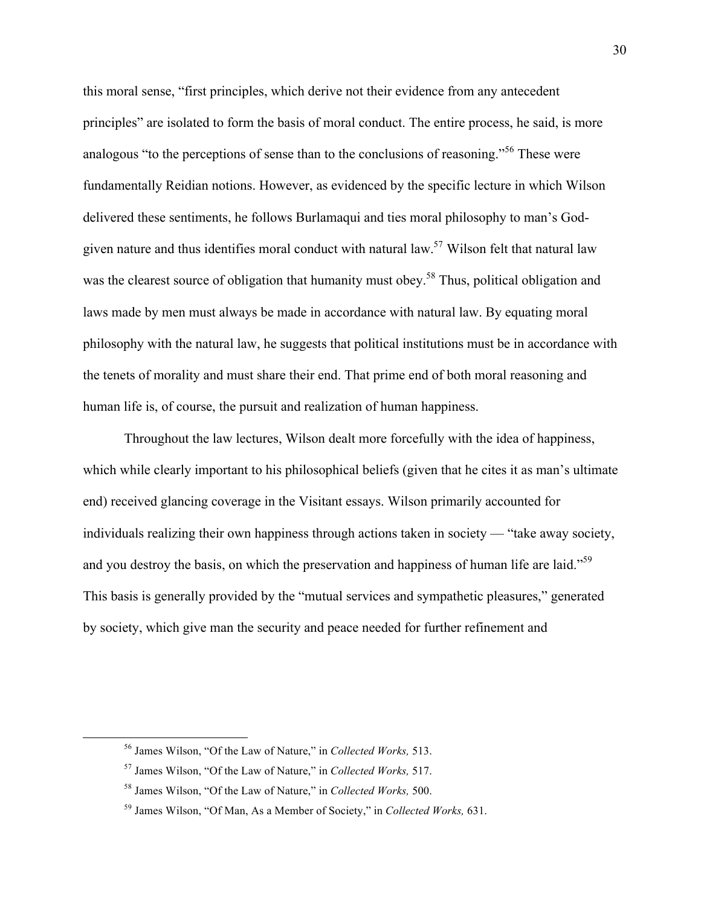this moral sense, "first principles, which derive not their evidence from any antecedent principles" are isolated to form the basis of moral conduct. The entire process, he said, is more analogous "to the perceptions of sense than to the conclusions of reasoning."<sup>56</sup> These were fundamentally Reidian notions. However, as evidenced by the specific lecture in which Wilson delivered these sentiments, he follows Burlamaqui and ties moral philosophy to man's Godgiven nature and thus identifies moral conduct with natural law.<sup>57</sup> Wilson felt that natural law was the clearest source of obligation that humanity must obey.<sup>58</sup> Thus, political obligation and laws made by men must always be made in accordance with natural law. By equating moral philosophy with the natural law, he suggests that political institutions must be in accordance with the tenets of morality and must share their end. That prime end of both moral reasoning and human life is, of course, the pursuit and realization of human happiness.

Throughout the law lectures, Wilson dealt more forcefully with the idea of happiness, which while clearly important to his philosophical beliefs (given that he cites it as man's ultimate end) received glancing coverage in the Visitant essays. Wilson primarily accounted for individuals realizing their own happiness through actions taken in society –– "take away society, and you destroy the basis, on which the preservation and happiness of human life are laid."<sup>59</sup> This basis is generally provided by the "mutual services and sympathetic pleasures," generated by society, which give man the security and peace needed for further refinement and

 <sup>56</sup> James Wilson, "Of the Law of Nature," in *Collected Works,* 513.

<sup>57</sup> James Wilson, "Of the Law of Nature," in *Collected Works,* 517.

<sup>58</sup> James Wilson, "Of the Law of Nature," in *Collected Works,* 500.

<sup>59</sup> James Wilson, "Of Man, As a Member of Society," in *Collected Works,* 631.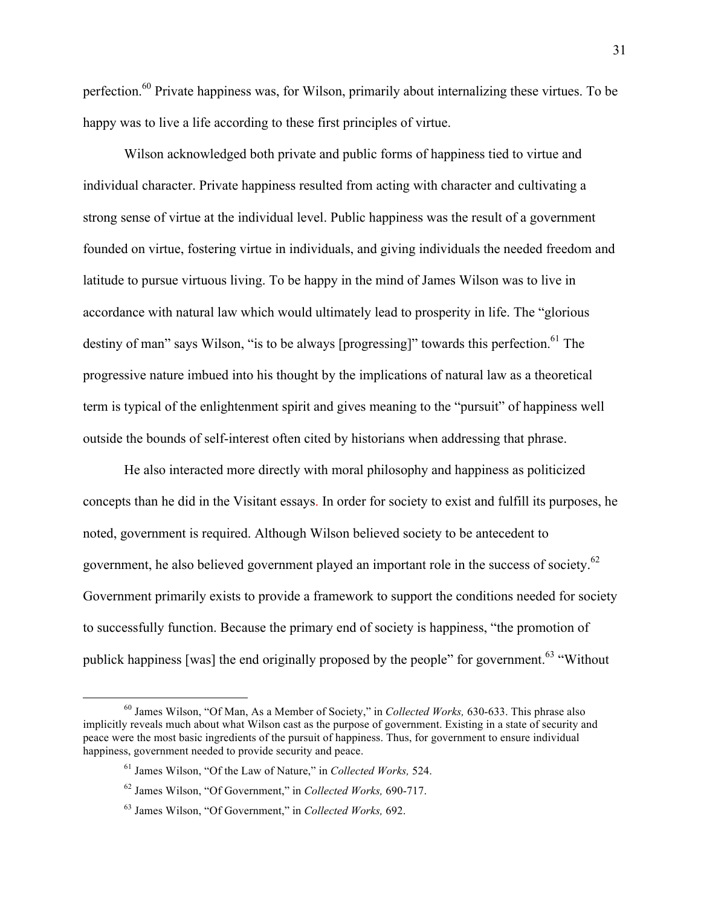perfection.60 Private happiness was, for Wilson, primarily about internalizing these virtues. To be happy was to live a life according to these first principles of virtue.

Wilson acknowledged both private and public forms of happiness tied to virtue and individual character. Private happiness resulted from acting with character and cultivating a strong sense of virtue at the individual level. Public happiness was the result of a government founded on virtue, fostering virtue in individuals, and giving individuals the needed freedom and latitude to pursue virtuous living. To be happy in the mind of James Wilson was to live in accordance with natural law which would ultimately lead to prosperity in life. The "glorious destiny of man" says Wilson, "is to be always [progressing]" towards this perfection.<sup>61</sup> The progressive nature imbued into his thought by the implications of natural law as a theoretical term is typical of the enlightenment spirit and gives meaning to the "pursuit" of happiness well outside the bounds of self-interest often cited by historians when addressing that phrase.

He also interacted more directly with moral philosophy and happiness as politicized concepts than he did in the Visitant essays. In order for society to exist and fulfill its purposes, he noted, government is required. Although Wilson believed society to be antecedent to government, he also believed government played an important role in the success of society.<sup>62</sup> Government primarily exists to provide a framework to support the conditions needed for society to successfully function. Because the primary end of society is happiness, "the promotion of publick happiness [was] the end originally proposed by the people" for government.<sup>63</sup> "Without"

 <sup>60</sup> James Wilson, "Of Man, As a Member of Society," in *Collected Works,* 630-633. This phrase also implicitly reveals much about what Wilson cast as the purpose of government. Existing in a state of security and peace were the most basic ingredients of the pursuit of happiness. Thus, for government to ensure individual happiness, government needed to provide security and peace.

<sup>61</sup> James Wilson, "Of the Law of Nature," in *Collected Works,* 524.

<sup>62</sup> James Wilson, "Of Government," in *Collected Works,* 690-717.

<sup>63</sup> James Wilson, "Of Government," in *Collected Works,* 692.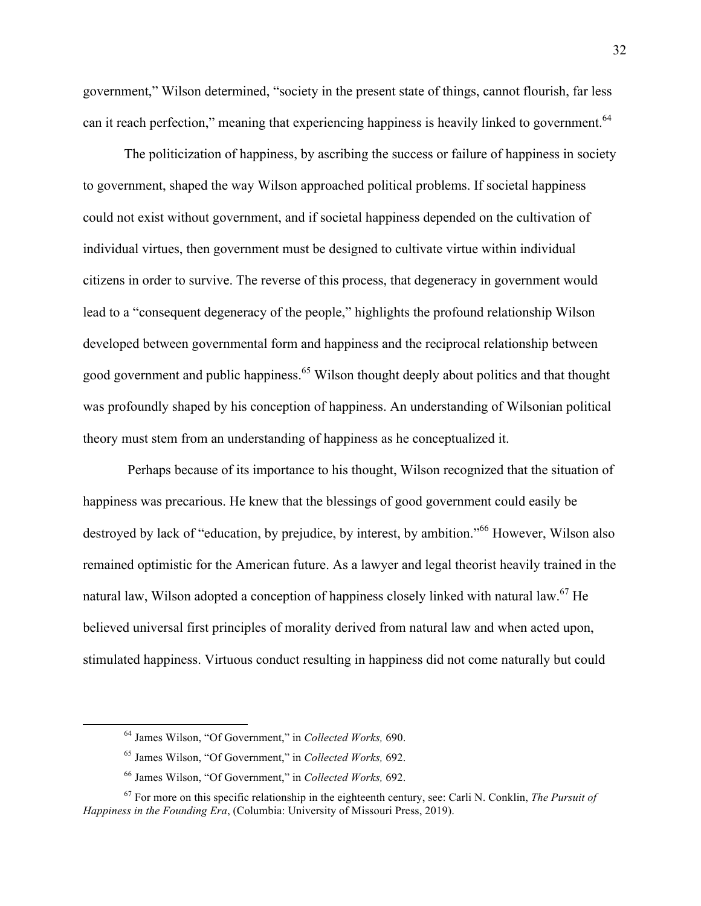government," Wilson determined, "society in the present state of things, cannot flourish, far less can it reach perfection," meaning that experiencing happiness is heavily linked to government.<sup>64</sup>

The politicization of happiness, by ascribing the success or failure of happiness in society to government, shaped the way Wilson approached political problems. If societal happiness could not exist without government, and if societal happiness depended on the cultivation of individual virtues, then government must be designed to cultivate virtue within individual citizens in order to survive. The reverse of this process, that degeneracy in government would lead to a "consequent degeneracy of the people," highlights the profound relationship Wilson developed between governmental form and happiness and the reciprocal relationship between good government and public happiness.<sup>65</sup> Wilson thought deeply about politics and that thought was profoundly shaped by his conception of happiness. An understanding of Wilsonian political theory must stem from an understanding of happiness as he conceptualized it.

Perhaps because of its importance to his thought, Wilson recognized that the situation of happiness was precarious. He knew that the blessings of good government could easily be destroyed by lack of "education, by prejudice, by interest, by ambition."<sup>66</sup> However, Wilson also remained optimistic for the American future. As a lawyer and legal theorist heavily trained in the natural law, Wilson adopted a conception of happiness closely linked with natural law.<sup>67</sup> He believed universal first principles of morality derived from natural law and when acted upon, stimulated happiness. Virtuous conduct resulting in happiness did not come naturally but could

 <sup>64</sup> James Wilson, "Of Government," in *Collected Works,* 690.

<sup>65</sup> James Wilson, "Of Government," in *Collected Works,* 692.

<sup>66</sup> James Wilson, "Of Government," in *Collected Works,* 692.

<sup>67</sup> For more on this specific relationship in the eighteenth century, see: Carli N. Conklin, *The Pursuit of Happiness in the Founding Era*, (Columbia: University of Missouri Press, 2019).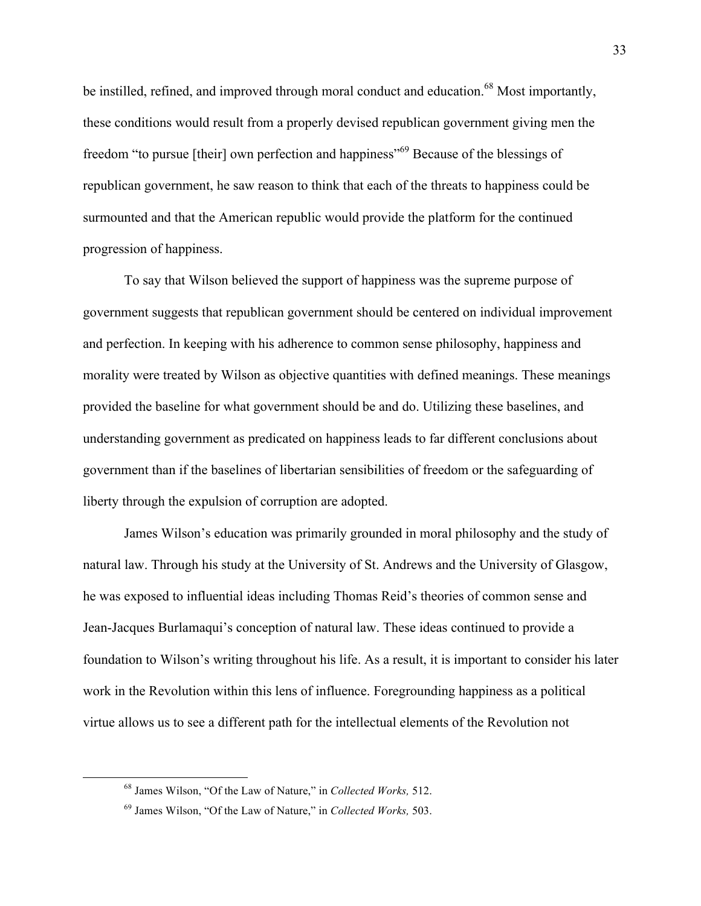be instilled, refined, and improved through moral conduct and education.<sup>68</sup> Most importantly, these conditions would result from a properly devised republican government giving men the freedom "to pursue [their] own perfection and happiness"<sup>69</sup> Because of the blessings of republican government, he saw reason to think that each of the threats to happiness could be surmounted and that the American republic would provide the platform for the continued progression of happiness.

To say that Wilson believed the support of happiness was the supreme purpose of government suggests that republican government should be centered on individual improvement and perfection. In keeping with his adherence to common sense philosophy, happiness and morality were treated by Wilson as objective quantities with defined meanings. These meanings provided the baseline for what government should be and do. Utilizing these baselines, and understanding government as predicated on happiness leads to far different conclusions about government than if the baselines of libertarian sensibilities of freedom or the safeguarding of liberty through the expulsion of corruption are adopted.

James Wilson's education was primarily grounded in moral philosophy and the study of natural law. Through his study at the University of St. Andrews and the University of Glasgow, he was exposed to influential ideas including Thomas Reid's theories of common sense and Jean-Jacques Burlamaqui's conception of natural law. These ideas continued to provide a foundation to Wilson's writing throughout his life. As a result, it is important to consider his later work in the Revolution within this lens of influence. Foregrounding happiness as a political virtue allows us to see a different path for the intellectual elements of the Revolution not

 <sup>68</sup> James Wilson, "Of the Law of Nature," in *Collected Works,* 512.

<sup>69</sup> James Wilson, "Of the Law of Nature," in *Collected Works,* 503.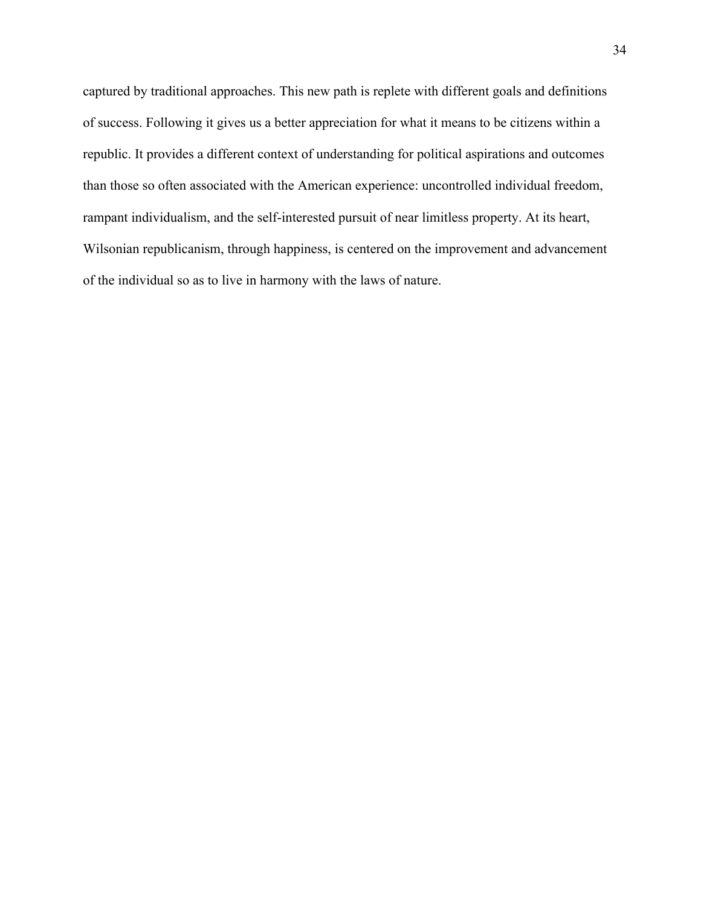captured by traditional approaches. This new path is replete with different goals and definitions of success. Following it gives us a better appreciation for what it means to be citizens within a republic. It provides a different context of understanding for political aspirations and outcomes than those so often associated with the American experience: uncontrolled individual freedom, rampant individualism, and the self-interested pursuit of near limitless property. At its heart, Wilsonian republicanism, through happiness, is centered on the improvement and advancement of the individual so as to live in harmony with the laws of nature.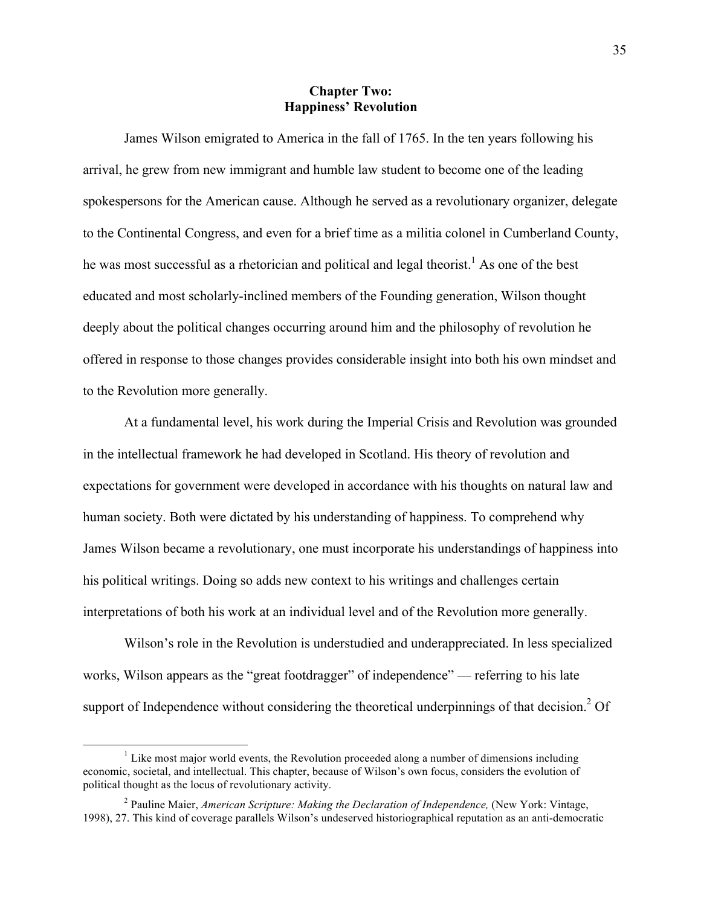## **Chapter Two: Happiness' Revolution**

James Wilson emigrated to America in the fall of 1765. In the ten years following his arrival, he grew from new immigrant and humble law student to become one of the leading spokespersons for the American cause. Although he served as a revolutionary organizer, delegate to the Continental Congress, and even for a brief time as a militia colonel in Cumberland County, he was most successful as a rhetorician and political and legal theorist.<sup>1</sup> As one of the best educated and most scholarly-inclined members of the Founding generation, Wilson thought deeply about the political changes occurring around him and the philosophy of revolution he offered in response to those changes provides considerable insight into both his own mindset and to the Revolution more generally.

At a fundamental level, his work during the Imperial Crisis and Revolution was grounded in the intellectual framework he had developed in Scotland. His theory of revolution and expectations for government were developed in accordance with his thoughts on natural law and human society. Both were dictated by his understanding of happiness. To comprehend why James Wilson became a revolutionary, one must incorporate his understandings of happiness into his political writings. Doing so adds new context to his writings and challenges certain interpretations of both his work at an individual level and of the Revolution more generally.

Wilson's role in the Revolution is understudied and underappreciated. In less specialized works, Wilson appears as the "great footdragger" of independence" — referring to his late support of Independence without considering the theoretical underpinnings of that decision.<sup>2</sup> Of

 $<sup>1</sup>$  Like most major world events, the Revolution proceeded along a number of dimensions including</sup> economic, societal, and intellectual. This chapter, because of Wilson's own focus, considers the evolution of political thought as the locus of revolutionary activity.

<sup>&</sup>lt;sup>2</sup> Pauline Maier, *American Scripture: Making the Declaration of Independence*, (New York: Vintage, 1998), 27. This kind of coverage parallels Wilson's undeserved historiographical reputation as an anti-democratic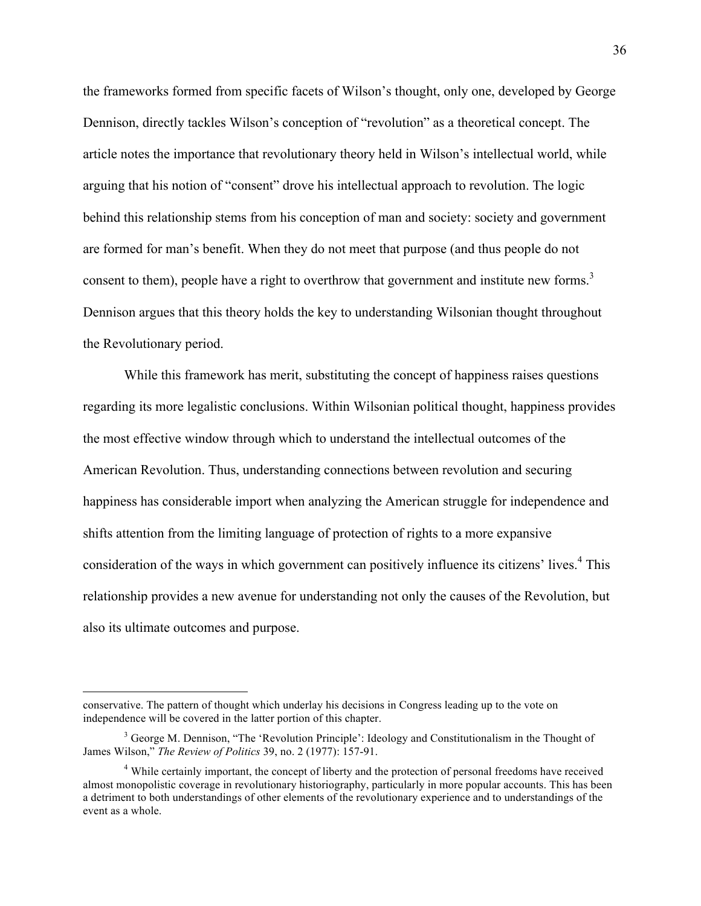the frameworks formed from specific facets of Wilson's thought, only one, developed by George Dennison, directly tackles Wilson's conception of "revolution" as a theoretical concept. The article notes the importance that revolutionary theory held in Wilson's intellectual world, while arguing that his notion of "consent" drove his intellectual approach to revolution. The logic behind this relationship stems from his conception of man and society: society and government are formed for man's benefit. When they do not meet that purpose (and thus people do not consent to them), people have a right to overthrow that government and institute new forms.<sup>3</sup> Dennison argues that this theory holds the key to understanding Wilsonian thought throughout the Revolutionary period.

While this framework has merit, substituting the concept of happiness raises questions regarding its more legalistic conclusions. Within Wilsonian political thought, happiness provides the most effective window through which to understand the intellectual outcomes of the American Revolution. Thus, understanding connections between revolution and securing happiness has considerable import when analyzing the American struggle for independence and shifts attention from the limiting language of protection of rights to a more expansive consideration of the ways in which government can positively influence its citizens' lives.<sup>4</sup> This relationship provides a new avenue for understanding not only the causes of the Revolution, but also its ultimate outcomes and purpose.

 $\overline{a}$ 

conservative. The pattern of thought which underlay his decisions in Congress leading up to the vote on independence will be covered in the latter portion of this chapter.

<sup>&</sup>lt;sup>3</sup> George M. Dennison, "The 'Revolution Principle': Ideology and Constitutionalism in the Thought of James Wilson," *The Review of Politics* 39, no. 2 (1977): 157-91.

<sup>&</sup>lt;sup>4</sup> While certainly important, the concept of liberty and the protection of personal freedoms have received almost monopolistic coverage in revolutionary historiography, particularly in more popular accounts. This has been a detriment to both understandings of other elements of the revolutionary experience and to understandings of the event as a whole.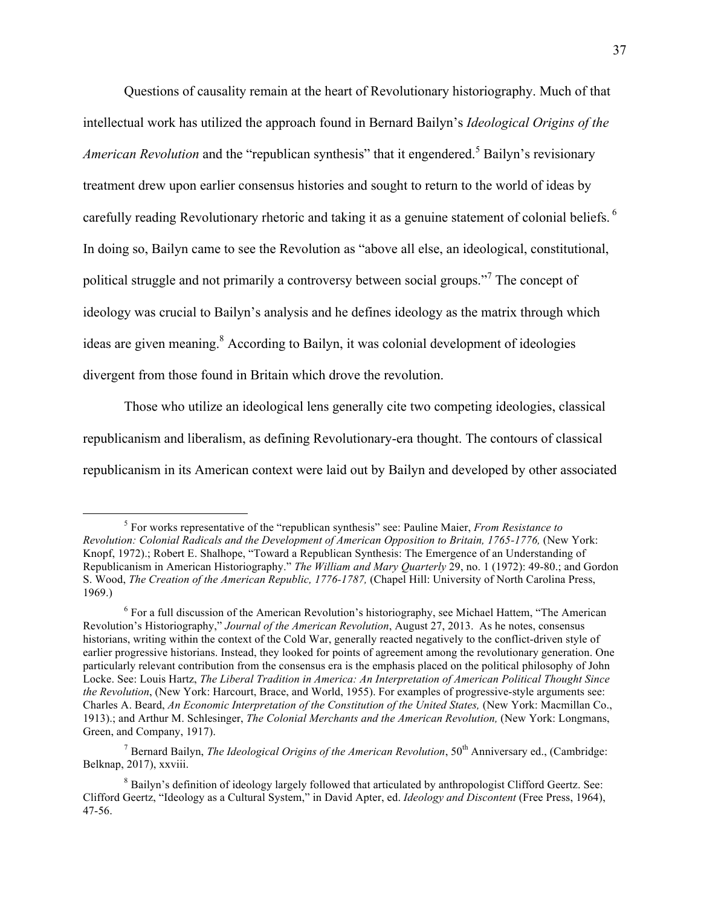Questions of causality remain at the heart of Revolutionary historiography. Much of that intellectual work has utilized the approach found in Bernard Bailyn's *Ideological Origins of the American Revolution* and the "republican synthesis" that it engendered.<sup>5</sup> Bailyn's revisionary treatment drew upon earlier consensus histories and sought to return to the world of ideas by carefully reading Revolutionary rhetoric and taking it as a genuine statement of colonial beliefs.<sup>6</sup> In doing so, Bailyn came to see the Revolution as "above all else, an ideological, constitutional, political struggle and not primarily a controversy between social groups."<sup>7</sup> The concept of ideology was crucial to Bailyn's analysis and he defines ideology as the matrix through which ideas are given meaning.<sup>8</sup> According to Bailyn, it was colonial development of ideologies divergent from those found in Britain which drove the revolution.

Those who utilize an ideological lens generally cite two competing ideologies, classical republicanism and liberalism, as defining Revolutionary-era thought. The contours of classical republicanism in its American context were laid out by Bailyn and developed by other associated

 <sup>5</sup> For works representative of the "republican synthesis" see: Pauline Maier, *From Resistance to Revolution: Colonial Radicals and the Development of American Opposition to Britain, 1765-1776,* (New York: Knopf, 1972).; Robert E. Shalhope, "Toward a Republican Synthesis: The Emergence of an Understanding of Republicanism in American Historiography." *The William and Mary Quarterly* 29, no. 1 (1972): 49-80.; and Gordon S. Wood, *The Creation of the American Republic, 1776-1787,* (Chapel Hill: University of North Carolina Press, 1969.)

 $6$  For a full discussion of the American Revolution's historiography, see Michael Hattem, "The American" Revolution's Historiography," *Journal of the American Revolution*, August 27, 2013. As he notes, consensus historians, writing within the context of the Cold War, generally reacted negatively to the conflict-driven style of earlier progressive historians. Instead, they looked for points of agreement among the revolutionary generation. One particularly relevant contribution from the consensus era is the emphasis placed on the political philosophy of John Locke. See: Louis Hartz, *The Liberal Tradition in America: An Interpretation of American Political Thought Since the Revolution*, (New York: Harcourt, Brace, and World, 1955). For examples of progressive-style arguments see: Charles A. Beard, *An Economic Interpretation of the Constitution of the United States,* (New York: Macmillan Co., 1913).; and Arthur M. Schlesinger, *The Colonial Merchants and the American Revolution,* (New York: Longmans, Green, and Company, 1917).

<sup>&</sup>lt;sup>7</sup> Bernard Bailyn, *The Ideological Origins of the American Revolution*,  $50<sup>th</sup>$  Anniversary ed., (Cambridge: Belknap, 2017), xxviii.

<sup>8</sup> Bailyn's definition of ideology largely followed that articulated by anthropologist Clifford Geertz. See: Clifford Geertz, "Ideology as a Cultural System," in David Apter, ed. *Ideology and Discontent* (Free Press, 1964), 47-56.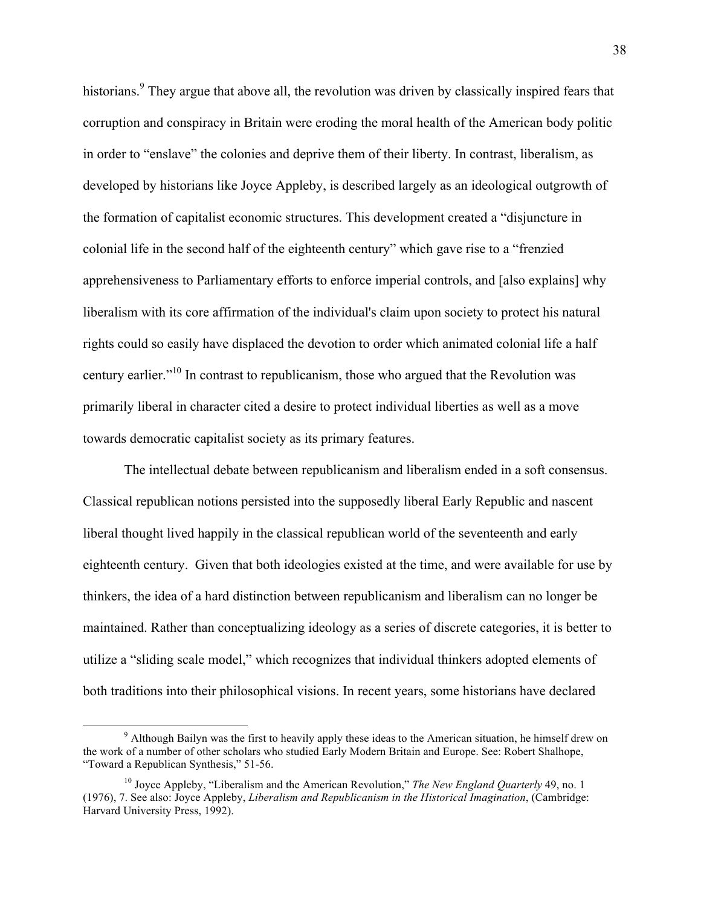historians.<sup>9</sup> They argue that above all, the revolution was driven by classically inspired fears that corruption and conspiracy in Britain were eroding the moral health of the American body politic in order to "enslave" the colonies and deprive them of their liberty. In contrast, liberalism, as developed by historians like Joyce Appleby, is described largely as an ideological outgrowth of the formation of capitalist economic structures. This development created a "disjuncture in colonial life in the second half of the eighteenth century" which gave rise to a "frenzied apprehensiveness to Parliamentary efforts to enforce imperial controls, and [also explains] why liberalism with its core affirmation of the individual's claim upon society to protect his natural rights could so easily have displaced the devotion to order which animated colonial life a half century earlier."<sup>10</sup> In contrast to republicanism, those who argued that the Revolution was primarily liberal in character cited a desire to protect individual liberties as well as a move towards democratic capitalist society as its primary features.

The intellectual debate between republicanism and liberalism ended in a soft consensus. Classical republican notions persisted into the supposedly liberal Early Republic and nascent liberal thought lived happily in the classical republican world of the seventeenth and early eighteenth century. Given that both ideologies existed at the time, and were available for use by thinkers, the idea of a hard distinction between republicanism and liberalism can no longer be maintained. Rather than conceptualizing ideology as a series of discrete categories, it is better to utilize a "sliding scale model," which recognizes that individual thinkers adopted elements of both traditions into their philosophical visions. In recent years, some historians have declared

<sup>&</sup>lt;sup>9</sup> Although Bailyn was the first to heavily apply these ideas to the American situation, he himself drew on the work of a number of other scholars who studied Early Modern Britain and Europe. See: Robert Shalhope, "Toward a Republican Synthesis," 51-56.

<sup>&</sup>lt;sup>10</sup> Joyce Appleby, "Liberalism and the American Revolution," *The New England Quarterly* 49, no. 1 (1976), 7. See also: Joyce Appleby, *Liberalism and Republicanism in the Historical Imagination*, (Cambridge: Harvard University Press, 1992).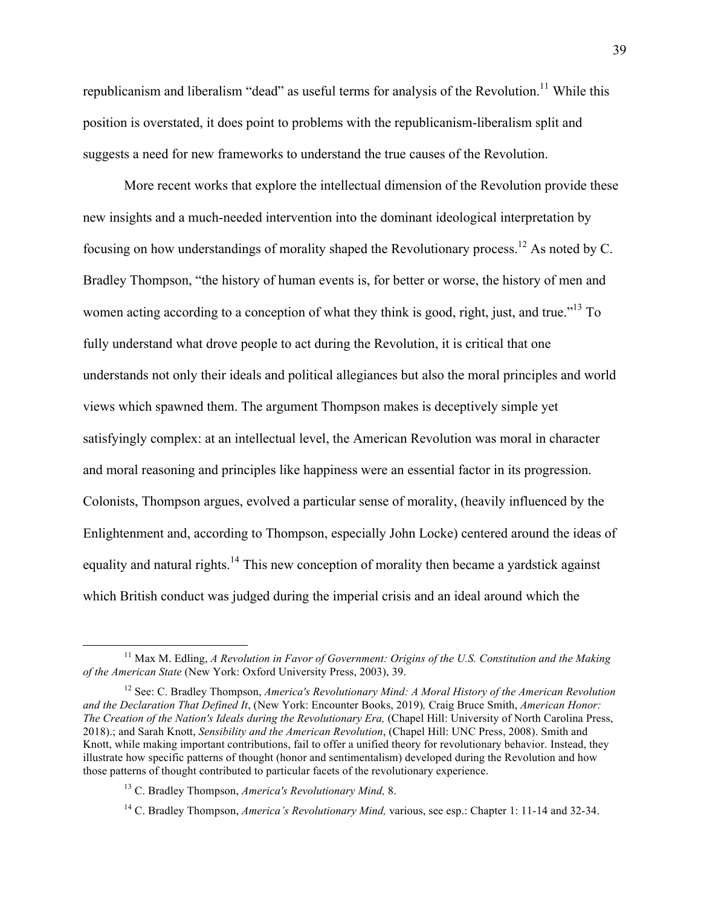republicanism and liberalism "dead" as useful terms for analysis of the Revolution.<sup>11</sup> While this position is overstated, it does point to problems with the republicanism-liberalism split and suggests a need for new frameworks to understand the true causes of the Revolution.

More recent works that explore the intellectual dimension of the Revolution provide these new insights and a much-needed intervention into the dominant ideological interpretation by focusing on how understandings of morality shaped the Revolutionary process.<sup>12</sup> As noted by C. Bradley Thompson, "the history of human events is, for better or worse, the history of men and women acting according to a conception of what they think is good, right, just, and true."<sup>13</sup> To fully understand what drove people to act during the Revolution, it is critical that one understands not only their ideals and political allegiances but also the moral principles and world views which spawned them. The argument Thompson makes is deceptively simple yet satisfyingly complex: at an intellectual level, the American Revolution was moral in character and moral reasoning and principles like happiness were an essential factor in its progression. Colonists, Thompson argues, evolved a particular sense of morality, (heavily influenced by the Enlightenment and, according to Thompson, especially John Locke) centered around the ideas of equality and natural rights.<sup>14</sup> This new conception of morality then became a vardstick against which British conduct was judged during the imperial crisis and an ideal around which the

<sup>&</sup>lt;sup>11</sup> Max M. Edling, *A Revolution in Favor of Government: Origins of the U.S. Constitution and the Making of the American State* (New York: Oxford University Press, 2003), 39.

<sup>12</sup> See: C. Bradley Thompson, *America's Revolutionary Mind: A Moral History of the American Revolution and the Declaration That Defined It*, (New York: Encounter Books, 2019)*,* Craig Bruce Smith, *American Honor: The Creation of the Nation's Ideals during the Revolutionary Era,* (Chapel Hill: University of North Carolina Press, 2018).; and Sarah Knott, *Sensibility and the American Revolution*, (Chapel Hill: UNC Press, 2008). Smith and Knott, while making important contributions, fail to offer a unified theory for revolutionary behavior. Instead, they illustrate how specific patterns of thought (honor and sentimentalism) developed during the Revolution and how those patterns of thought contributed to particular facets of the revolutionary experience.

<sup>13</sup> C. Bradley Thompson, *America's Revolutionary Mind,* 8.

<sup>14</sup> C. Bradley Thompson, *America's Revolutionary Mind,* various, see esp.: Chapter 1: 11-14 and 32-34.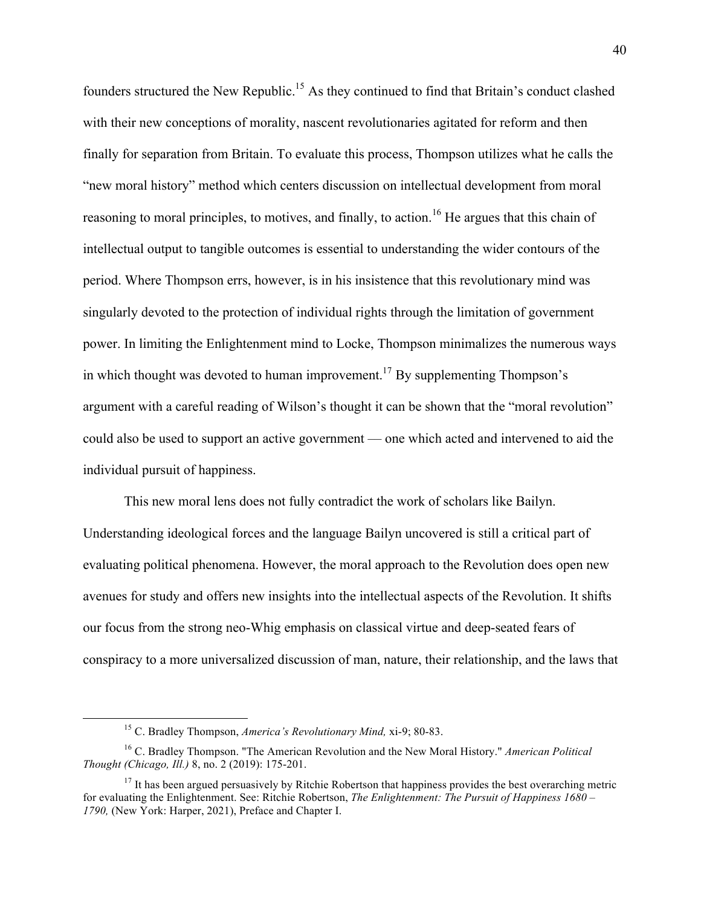founders structured the New Republic.15 As they continued to find that Britain's conduct clashed with their new conceptions of morality, nascent revolutionaries agitated for reform and then finally for separation from Britain. To evaluate this process, Thompson utilizes what he calls the "new moral history" method which centers discussion on intellectual development from moral reasoning to moral principles, to motives, and finally, to action.<sup>16</sup> He argues that this chain of intellectual output to tangible outcomes is essential to understanding the wider contours of the period. Where Thompson errs, however, is in his insistence that this revolutionary mind was singularly devoted to the protection of individual rights through the limitation of government power. In limiting the Enlightenment mind to Locke, Thompson minimalizes the numerous ways in which thought was devoted to human improvement.<sup>17</sup> By supplementing Thompson's argument with a careful reading of Wilson's thought it can be shown that the "moral revolution" could also be used to support an active government — one which acted and intervened to aid the individual pursuit of happiness.

This new moral lens does not fully contradict the work of scholars like Bailyn. Understanding ideological forces and the language Bailyn uncovered is still a critical part of evaluating political phenomena. However, the moral approach to the Revolution does open new avenues for study and offers new insights into the intellectual aspects of the Revolution. It shifts our focus from the strong neo-Whig emphasis on classical virtue and deep-seated fears of conspiracy to a more universalized discussion of man, nature, their relationship, and the laws that

 <sup>15</sup> C. Bradley Thompson, *America's Revolutionary Mind,* xi-9; 80-83.

<sup>16</sup> C. Bradley Thompson. "The American Revolution and the New Moral History." *American Political Thought (Chicago, Ill.)* 8, no. 2 (2019): 175-201.

 $17$  It has been argued persuasively by Ritchie Robertson that happiness provides the best overarching metric for evaluating the Enlightenment. See: Ritchie Robertson, *The Enlightenment: The Pursuit of Happiness 1680 – 1790,* (New York: Harper, 2021), Preface and Chapter I.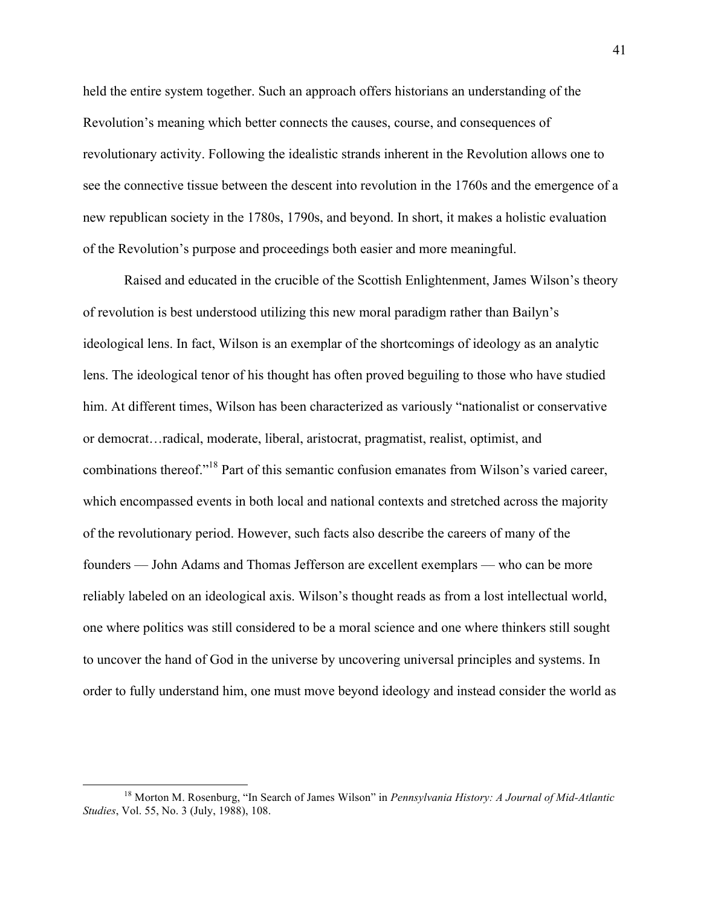held the entire system together. Such an approach offers historians an understanding of the Revolution's meaning which better connects the causes, course, and consequences of revolutionary activity. Following the idealistic strands inherent in the Revolution allows one to see the connective tissue between the descent into revolution in the 1760s and the emergence of a new republican society in the 1780s, 1790s, and beyond. In short, it makes a holistic evaluation of the Revolution's purpose and proceedings both easier and more meaningful.

Raised and educated in the crucible of the Scottish Enlightenment, James Wilson's theory of revolution is best understood utilizing this new moral paradigm rather than Bailyn's ideological lens. In fact, Wilson is an exemplar of the shortcomings of ideology as an analytic lens. The ideological tenor of his thought has often proved beguiling to those who have studied him. At different times, Wilson has been characterized as variously "nationalist or conservative or democrat…radical, moderate, liberal, aristocrat, pragmatist, realist, optimist, and combinations thereof."18 Part of this semantic confusion emanates from Wilson's varied career, which encompassed events in both local and national contexts and stretched across the majority of the revolutionary period. However, such facts also describe the careers of many of the founders –– John Adams and Thomas Jefferson are excellent exemplars –– who can be more reliably labeled on an ideological axis. Wilson's thought reads as from a lost intellectual world, one where politics was still considered to be a moral science and one where thinkers still sought to uncover the hand of God in the universe by uncovering universal principles and systems. In order to fully understand him, one must move beyond ideology and instead consider the world as

 <sup>18</sup> Morton M. Rosenburg, "In Search of James Wilson" in *Pennsylvania History: A Journal of Mid-Atlantic Studies*, Vol. 55, No. 3 (July, 1988), 108.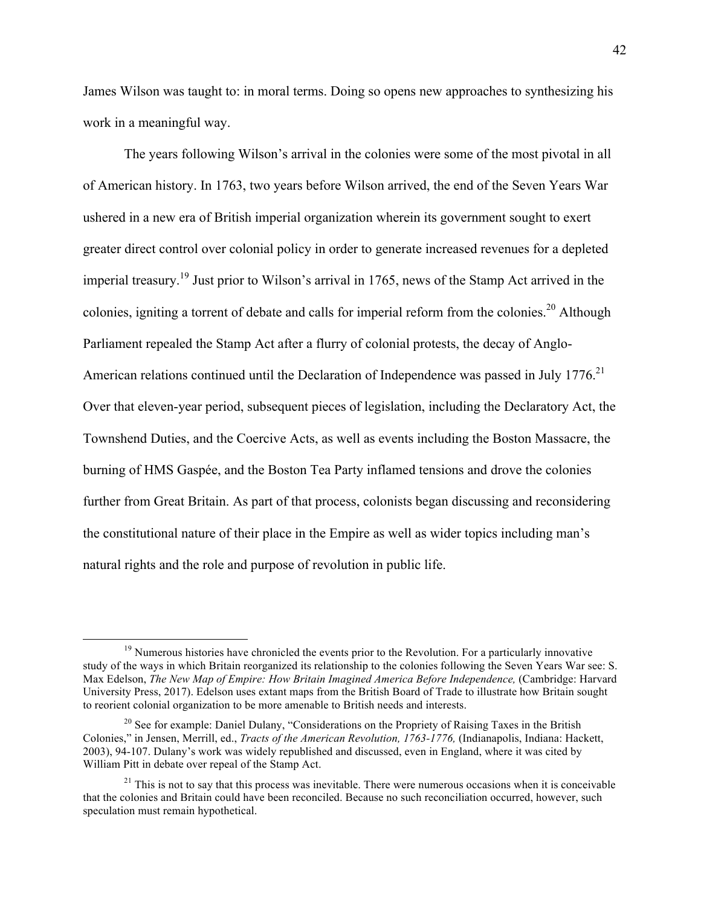James Wilson was taught to: in moral terms. Doing so opens new approaches to synthesizing his work in a meaningful way.

The years following Wilson's arrival in the colonies were some of the most pivotal in all of American history. In 1763, two years before Wilson arrived, the end of the Seven Years War ushered in a new era of British imperial organization wherein its government sought to exert greater direct control over colonial policy in order to generate increased revenues for a depleted imperial treasury.<sup>19</sup> Just prior to Wilson's arrival in 1765, news of the Stamp Act arrived in the colonies, igniting a torrent of debate and calls for imperial reform from the colonies.<sup>20</sup> Although Parliament repealed the Stamp Act after a flurry of colonial protests, the decay of Anglo-American relations continued until the Declaration of Independence was passed in July  $1776$ <sup>21</sup> Over that eleven-year period, subsequent pieces of legislation, including the Declaratory Act, the Townshend Duties, and the Coercive Acts, as well as events including the Boston Massacre, the burning of HMS Gaspée, and the Boston Tea Party inflamed tensions and drove the colonies further from Great Britain. As part of that process, colonists began discussing and reconsidering the constitutional nature of their place in the Empire as well as wider topics including man's natural rights and the role and purpose of revolution in public life.

<sup>&</sup>lt;sup>19</sup> Numerous histories have chronicled the events prior to the Revolution. For a particularly innovative study of the ways in which Britain reorganized its relationship to the colonies following the Seven Years War see: S. Max Edelson, *The New Map of Empire: How Britain Imagined America Before Independence,* (Cambridge: Harvard University Press, 2017). Edelson uses extant maps from the British Board of Trade to illustrate how Britain sought to reorient colonial organization to be more amenable to British needs and interests.

<sup>&</sup>lt;sup>20</sup> See for example: Daniel Dulany, "Considerations on the Propriety of Raising Taxes in the British Colonies," in Jensen, Merrill, ed., *Tracts of the American Revolution, 1763-1776,* (Indianapolis, Indiana: Hackett, 2003), 94-107. Dulany's work was widely republished and discussed, even in England, where it was cited by William Pitt in debate over repeal of the Stamp Act.

 $2<sup>1</sup>$  This is not to say that this process was inevitable. There were numerous occasions when it is conceivable that the colonies and Britain could have been reconciled. Because no such reconciliation occurred, however, such speculation must remain hypothetical.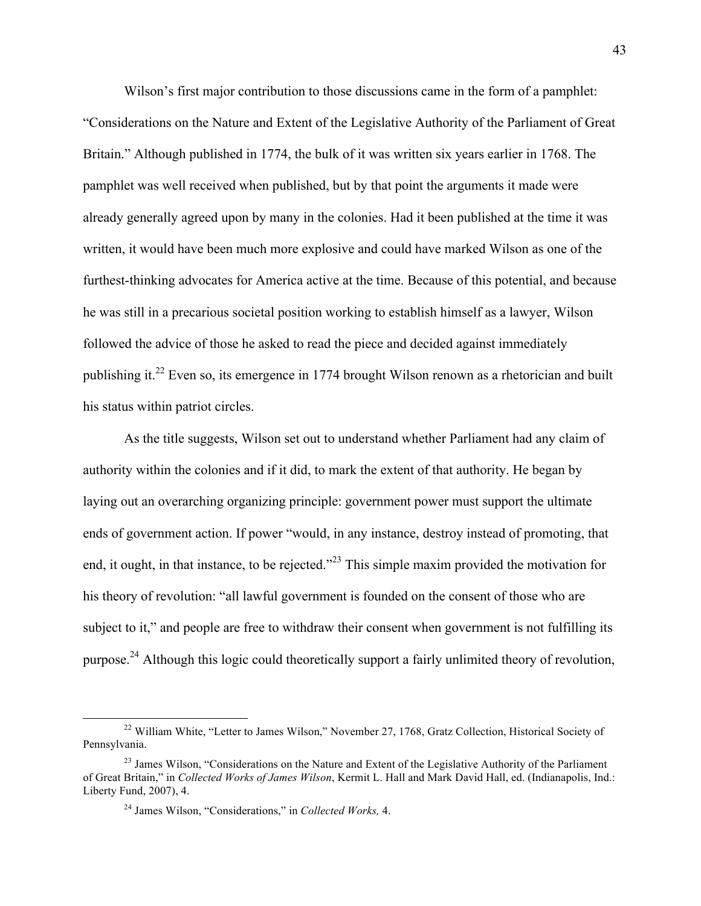Wilson's first major contribution to those discussions came in the form of a pamphlet: "Considerations on the Nature and Extent of the Legislative Authority of the Parliament of Great Britain." Although published in 1774, the bulk of it was written six years earlier in 1768. The pamphlet was well received when published, but by that point the arguments it made were already generally agreed upon by many in the colonies. Had it been published at the time it was written, it would have been much more explosive and could have marked Wilson as one of the furthest-thinking advocates for America active at the time. Because of this potential, and because he was still in a precarious societal position working to establish himself as a lawyer, Wilson followed the advice of those he asked to read the piece and decided against immediately publishing it.<sup>22</sup> Even so, its emergence in 1774 brought Wilson renown as a rhetorician and built his status within patriot circles.

As the title suggests, Wilson set out to understand whether Parliament had any claim of authority within the colonies and if it did, to mark the extent of that authority. He began by laying out an overarching organizing principle: government power must support the ultimate ends of government action. If power "would, in any instance, destroy instead of promoting, that end, it ought, in that instance, to be rejected."<sup>23</sup> This simple maxim provided the motivation for his theory of revolution: "all lawful government is founded on the consent of those who are subject to it," and people are free to withdraw their consent when government is not fulfilling its purpose.<sup>24</sup> Although this logic could theoretically support a fairly unlimited theory of revolution,

<sup>&</sup>lt;sup>22</sup> William White, "Letter to James Wilson," November 27, 1768, Gratz Collection, Historical Society of Pennsylvania.

 $^{23}$  James Wilson, "Considerations on the Nature and Extent of the Legislative Authority of the Parliament of Great Britain," in *Collected Works of James Wilson*, Kermit L. Hall and Mark David Hall, ed. (Indianapolis, Ind.: Liberty Fund, 2007), 4.

<sup>24</sup> James Wilson, "Considerations," in *Collected Works,* 4.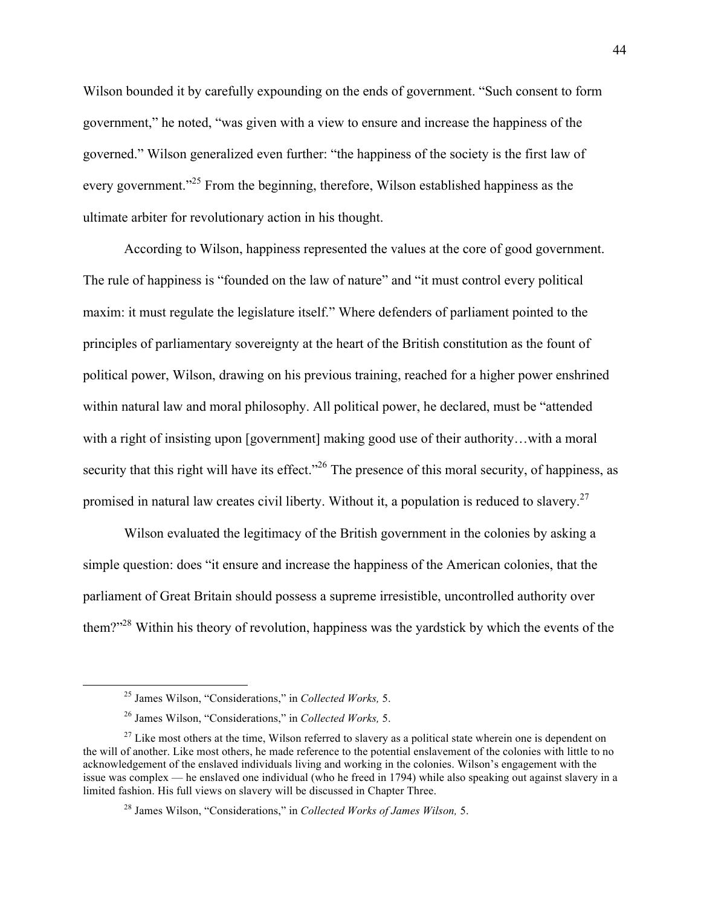Wilson bounded it by carefully expounding on the ends of government. "Such consent to form government," he noted, "was given with a view to ensure and increase the happiness of the governed." Wilson generalized even further: "the happiness of the society is the first law of every government."<sup>25</sup> From the beginning, therefore, Wilson established happiness as the ultimate arbiter for revolutionary action in his thought.

According to Wilson, happiness represented the values at the core of good government. The rule of happiness is "founded on the law of nature" and "it must control every political maxim: it must regulate the legislature itself." Where defenders of parliament pointed to the principles of parliamentary sovereignty at the heart of the British constitution as the fount of political power, Wilson, drawing on his previous training, reached for a higher power enshrined within natural law and moral philosophy. All political power, he declared, must be "attended with a right of insisting upon [government] making good use of their authority...with a moral security that this right will have its effect.<sup>226</sup> The presence of this moral security, of happiness, as promised in natural law creates civil liberty. Without it, a population is reduced to slavery.<sup>27</sup>

Wilson evaluated the legitimacy of the British government in the colonies by asking a simple question: does "it ensure and increase the happiness of the American colonies, that the parliament of Great Britain should possess a supreme irresistible, uncontrolled authority over them?"<sup>28</sup> Within his theory of revolution, happiness was the yardstick by which the events of the

 <sup>25</sup> James Wilson, "Considerations," in *Collected Works,* 5.

<sup>26</sup> James Wilson, "Considerations," in *Collected Works,* 5.

 $27$  Like most others at the time, Wilson referred to slavery as a political state wherein one is dependent on the will of another. Like most others, he made reference to the potential enslavement of the colonies with little to no acknowledgement of the enslaved individuals living and working in the colonies. Wilson's engagement with the issue was complex –– he enslaved one individual (who he freed in 1794) while also speaking out against slavery in a limited fashion. His full views on slavery will be discussed in Chapter Three.

<sup>28</sup> James Wilson, "Considerations," in *Collected Works of James Wilson,* 5.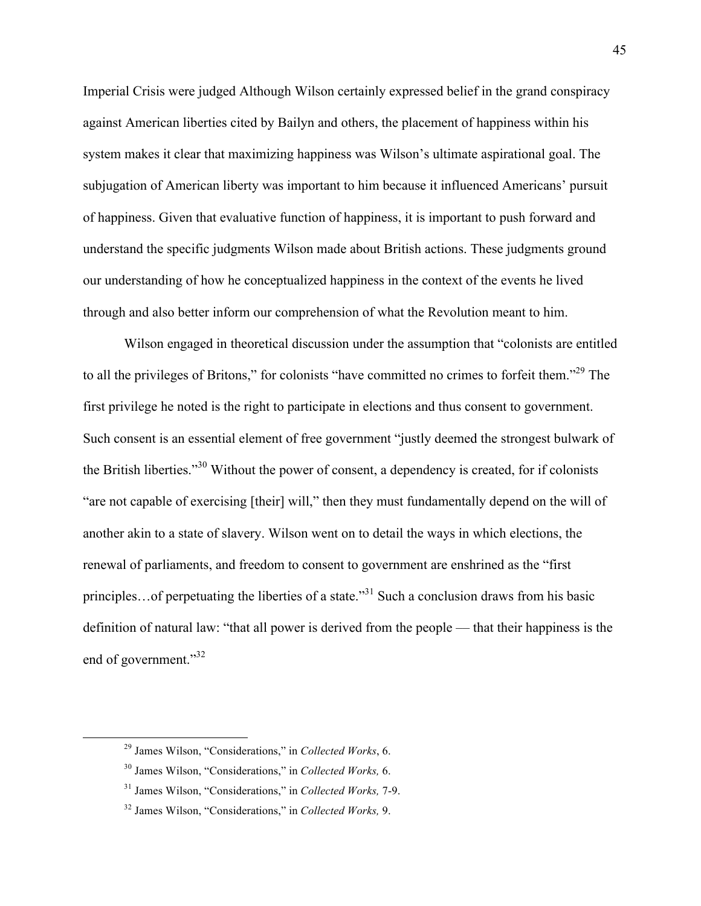Imperial Crisis were judged Although Wilson certainly expressed belief in the grand conspiracy against American liberties cited by Bailyn and others, the placement of happiness within his system makes it clear that maximizing happiness was Wilson's ultimate aspirational goal. The subjugation of American liberty was important to him because it influenced Americans' pursuit of happiness. Given that evaluative function of happiness, it is important to push forward and understand the specific judgments Wilson made about British actions. These judgments ground our understanding of how he conceptualized happiness in the context of the events he lived through and also better inform our comprehension of what the Revolution meant to him.

Wilson engaged in theoretical discussion under the assumption that "colonists are entitled to all the privileges of Britons," for colonists "have committed no crimes to forfeit them."<sup>29</sup> The first privilege he noted is the right to participate in elections and thus consent to government. Such consent is an essential element of free government "justly deemed the strongest bulwark of the British liberties."<sup>30</sup> Without the power of consent, a dependency is created, for if colonists "are not capable of exercising [their] will," then they must fundamentally depend on the will of another akin to a state of slavery. Wilson went on to detail the ways in which elections, the renewal of parliaments, and freedom to consent to government are enshrined as the "first principles…of perpetuating the liberties of a state."<sup>31</sup> Such a conclusion draws from his basic definition of natural law: "that all power is derived from the people — that their happiness is the end of government."<sup>32</sup>

 <sup>29</sup> James Wilson, "Considerations," in *Collected Works*, 6.

<sup>30</sup> James Wilson, "Considerations," in *Collected Works,* 6.

<sup>31</sup> James Wilson, "Considerations," in *Collected Works,* 7-9.

<sup>32</sup> James Wilson, "Considerations," in *Collected Works,* 9.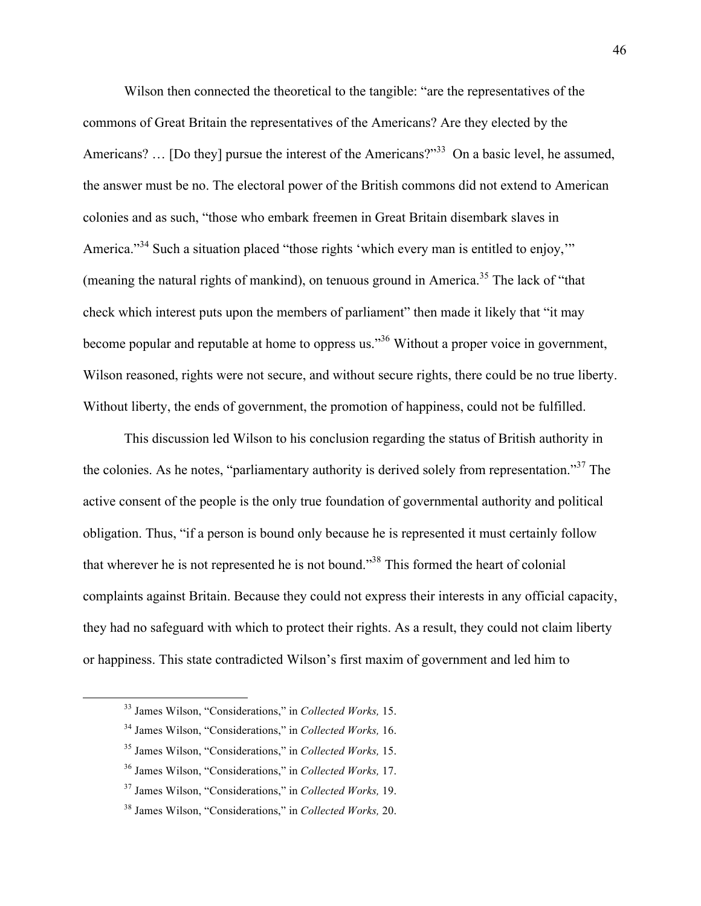Wilson then connected the theoretical to the tangible: "are the representatives of the commons of Great Britain the representatives of the Americans? Are they elected by the Americans? ... [Do they] pursue the interest of the Americans?"<sup>33</sup> On a basic level, he assumed, the answer must be no. The electoral power of the British commons did not extend to American colonies and as such, "those who embark freemen in Great Britain disembark slaves in America."<sup>34</sup> Such a situation placed "those rights 'which every man is entitled to enjoy," (meaning the natural rights of mankind), on tenuous ground in America.<sup>35</sup> The lack of "that check which interest puts upon the members of parliament" then made it likely that "it may become popular and reputable at home to oppress us."<sup>36</sup> Without a proper voice in government, Wilson reasoned, rights were not secure, and without secure rights, there could be no true liberty. Without liberty, the ends of government, the promotion of happiness, could not be fulfilled.

This discussion led Wilson to his conclusion regarding the status of British authority in the colonies. As he notes, "parliamentary authority is derived solely from representation."<sup>37</sup> The active consent of the people is the only true foundation of governmental authority and political obligation. Thus, "if a person is bound only because he is represented it must certainly follow that wherever he is not represented he is not bound."38 This formed the heart of colonial complaints against Britain. Because they could not express their interests in any official capacity, they had no safeguard with which to protect their rights. As a result, they could not claim liberty or happiness. This state contradicted Wilson's first maxim of government and led him to

 <sup>33</sup> James Wilson, "Considerations," in *Collected Works,* 15.

<sup>34</sup> James Wilson, "Considerations," in *Collected Works,* 16.

<sup>35</sup> James Wilson, "Considerations," in *Collected Works,* 15.

<sup>36</sup> James Wilson, "Considerations," in *Collected Works,* 17.

<sup>37</sup> James Wilson, "Considerations," in *Collected Works,* 19.

<sup>38</sup> James Wilson, "Considerations," in *Collected Works,* 20.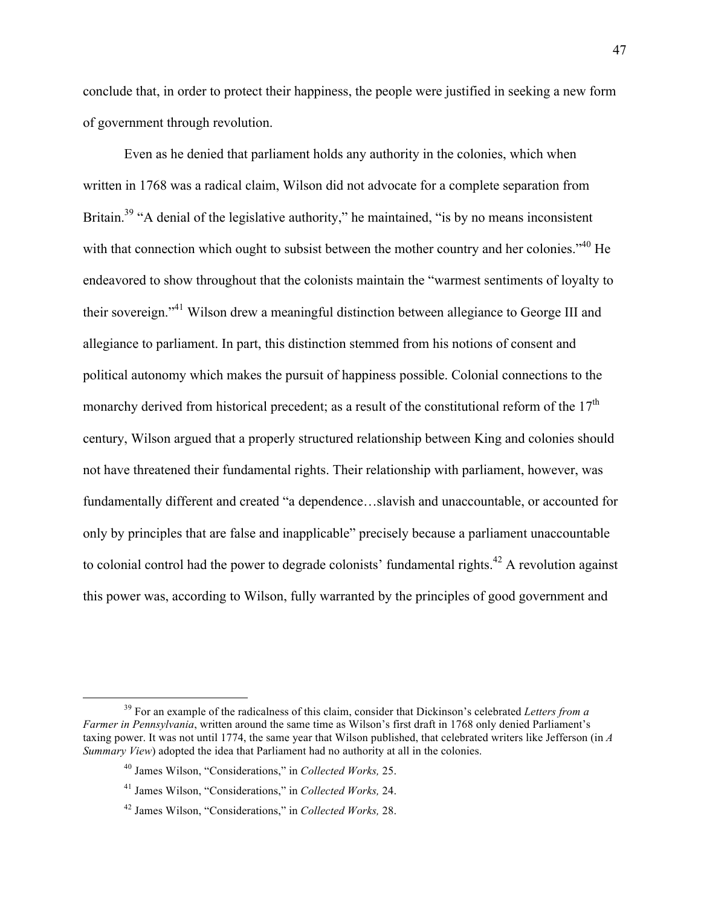conclude that, in order to protect their happiness, the people were justified in seeking a new form of government through revolution.

Even as he denied that parliament holds any authority in the colonies, which when written in 1768 was a radical claim, Wilson did not advocate for a complete separation from Britain.<sup>39</sup> "A denial of the legislative authority," he maintained, "is by no means inconsistent with that connection which ought to subsist between the mother country and her colonies."<sup>40</sup> He endeavored to show throughout that the colonists maintain the "warmest sentiments of loyalty to their sovereign."41 Wilson drew a meaningful distinction between allegiance to George III and allegiance to parliament. In part, this distinction stemmed from his notions of consent and political autonomy which makes the pursuit of happiness possible. Colonial connections to the monarchy derived from historical precedent; as a result of the constitutional reform of the 17<sup>th</sup> century, Wilson argued that a properly structured relationship between King and colonies should not have threatened their fundamental rights. Their relationship with parliament, however, was fundamentally different and created "a dependence…slavish and unaccountable, or accounted for only by principles that are false and inapplicable" precisely because a parliament unaccountable to colonial control had the power to degrade colonists' fundamental rights.<sup>42</sup> A revolution against this power was, according to Wilson, fully warranted by the principles of good government and

 <sup>39</sup> For an example of the radicalness of this claim, consider that Dickinson's celebrated *Letters from a Farmer in Pennsylvania*, written around the same time as Wilson's first draft in 1768 only denied Parliament's taxing power. It was not until 1774, the same year that Wilson published, that celebrated writers like Jefferson (in *A Summary View*) adopted the idea that Parliament had no authority at all in the colonies.

<sup>40</sup> James Wilson, "Considerations," in *Collected Works,* 25.

<sup>41</sup> James Wilson, "Considerations," in *Collected Works,* 24.

<sup>42</sup> James Wilson, "Considerations," in *Collected Works,* 28.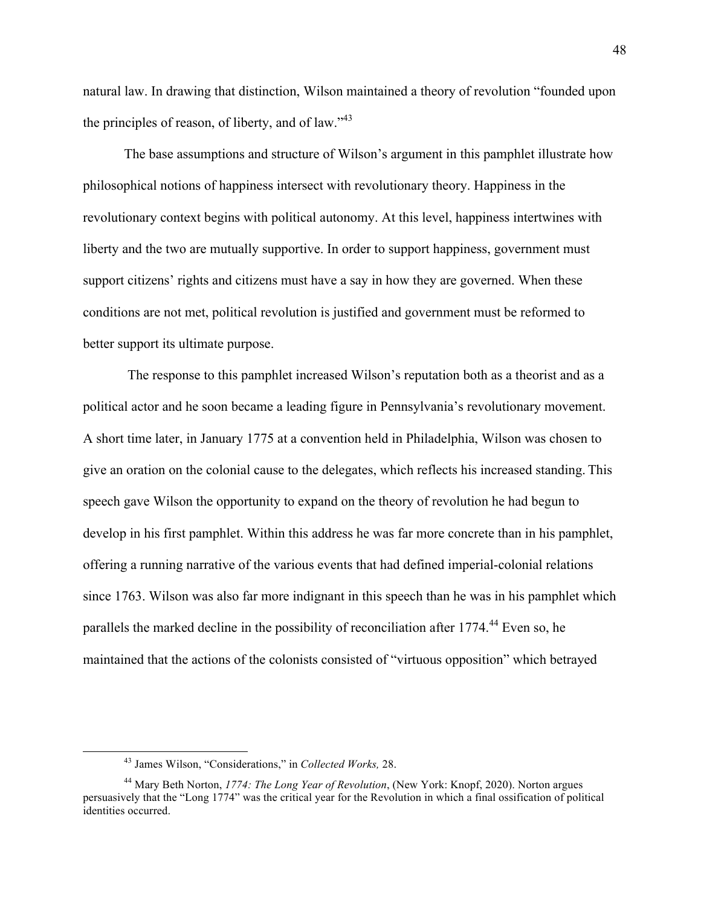natural law. In drawing that distinction, Wilson maintained a theory of revolution "founded upon the principles of reason, of liberty, and of law. $143$ 

The base assumptions and structure of Wilson's argument in this pamphlet illustrate how philosophical notions of happiness intersect with revolutionary theory. Happiness in the revolutionary context begins with political autonomy. At this level, happiness intertwines with liberty and the two are mutually supportive. In order to support happiness, government must support citizens' rights and citizens must have a say in how they are governed. When these conditions are not met, political revolution is justified and government must be reformed to better support its ultimate purpose.

The response to this pamphlet increased Wilson's reputation both as a theorist and as a political actor and he soon became a leading figure in Pennsylvania's revolutionary movement. A short time later, in January 1775 at a convention held in Philadelphia, Wilson was chosen to give an oration on the colonial cause to the delegates, which reflects his increased standing. This speech gave Wilson the opportunity to expand on the theory of revolution he had begun to develop in his first pamphlet. Within this address he was far more concrete than in his pamphlet, offering a running narrative of the various events that had defined imperial-colonial relations since 1763. Wilson was also far more indignant in this speech than he was in his pamphlet which parallels the marked decline in the possibility of reconciliation after 1774.<sup>44</sup> Even so, he maintained that the actions of the colonists consisted of "virtuous opposition" which betrayed

 <sup>43</sup> James Wilson, "Considerations," in *Collected Works,* 28.

<sup>44</sup> Mary Beth Norton, *1774: The Long Year of Revolution*, (New York: Knopf, 2020). Norton argues persuasively that the "Long 1774" was the critical year for the Revolution in which a final ossification of political identities occurred.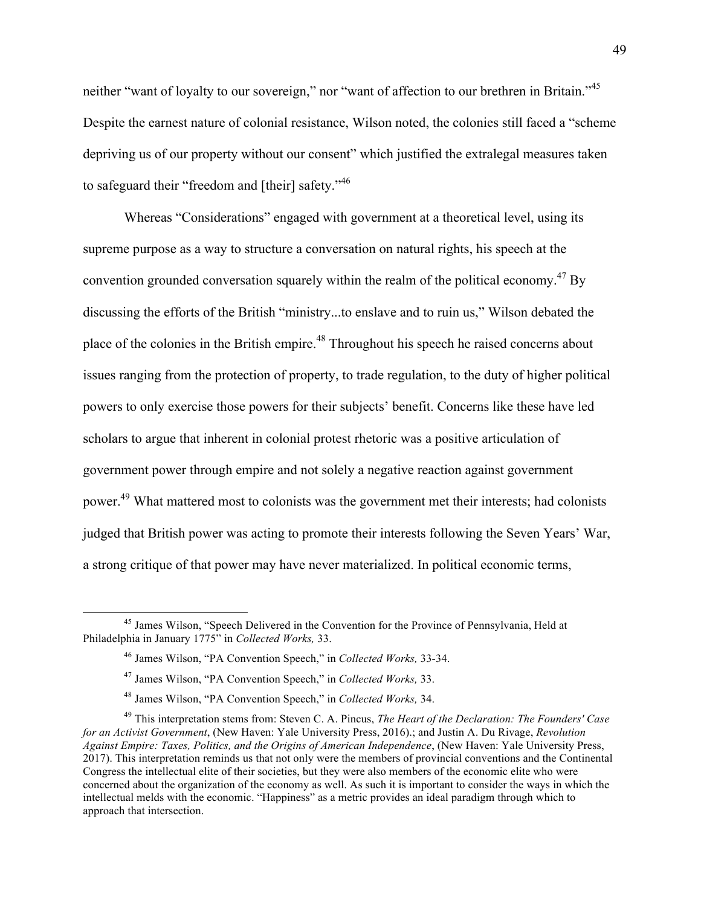neither "want of loyalty to our sovereign," nor "want of affection to our brethren in Britain."<sup>45</sup> Despite the earnest nature of colonial resistance, Wilson noted, the colonies still faced a "scheme depriving us of our property without our consent" which justified the extralegal measures taken to safeguard their "freedom and [their] safety."<sup>46</sup>

Whereas "Considerations" engaged with government at a theoretical level, using its supreme purpose as a way to structure a conversation on natural rights, his speech at the convention grounded conversation squarely within the realm of the political economy.<sup>47</sup> By discussing the efforts of the British "ministry...to enslave and to ruin us," Wilson debated the place of the colonies in the British empire.<sup>48</sup> Throughout his speech he raised concerns about issues ranging from the protection of property, to trade regulation, to the duty of higher political powers to only exercise those powers for their subjects' benefit. Concerns like these have led scholars to argue that inherent in colonial protest rhetoric was a positive articulation of government power through empire and not solely a negative reaction against government power.49 What mattered most to colonists was the government met their interests; had colonists judged that British power was acting to promote their interests following the Seven Years' War, a strong critique of that power may have never materialized. In political economic terms,

<sup>&</sup>lt;sup>45</sup> James Wilson, "Speech Delivered in the Convention for the Province of Pennsylvania, Held at Philadelphia in January 1775" in *Collected Works,* 33.

<sup>46</sup> James Wilson, "PA Convention Speech," in *Collected Works,* 33-34.

<sup>47</sup> James Wilson, "PA Convention Speech," in *Collected Works,* 33.

<sup>48</sup> James Wilson, "PA Convention Speech," in *Collected Works,* 34.

<sup>49</sup> This interpretation stems from: Steven C. A. Pincus, *The Heart of the Declaration: The Founders' Case for an Activist Government*, (New Haven: Yale University Press, 2016).; and Justin A. Du Rivage, *Revolution Against Empire: Taxes, Politics, and the Origins of American Independence*, (New Haven: Yale University Press, 2017). This interpretation reminds us that not only were the members of provincial conventions and the Continental Congress the intellectual elite of their societies, but they were also members of the economic elite who were concerned about the organization of the economy as well. As such it is important to consider the ways in which the intellectual melds with the economic. "Happiness" as a metric provides an ideal paradigm through which to approach that intersection.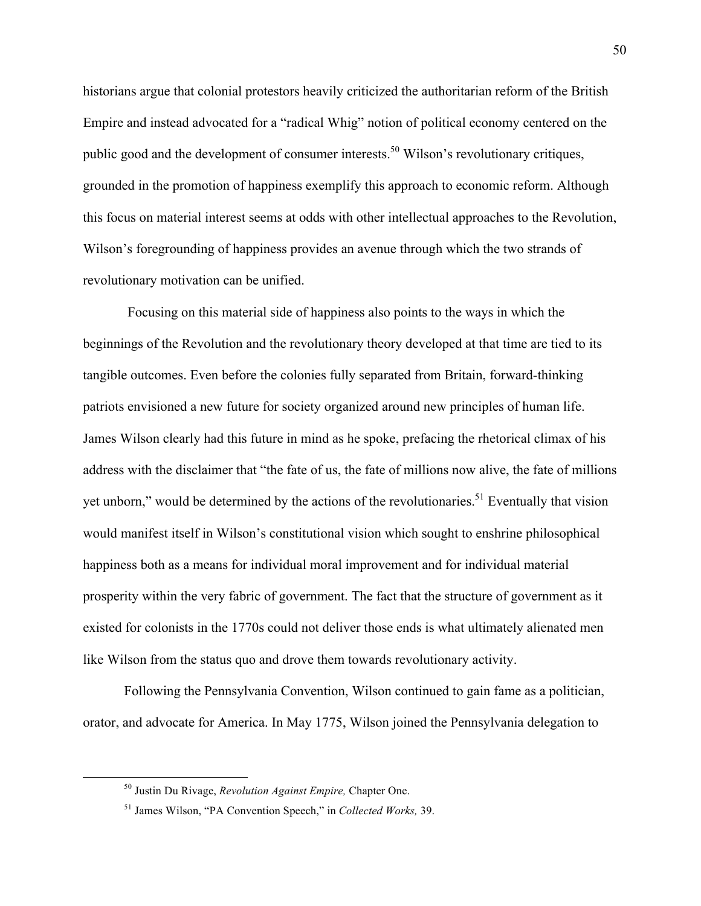historians argue that colonial protestors heavily criticized the authoritarian reform of the British Empire and instead advocated for a "radical Whig" notion of political economy centered on the public good and the development of consumer interests.<sup>50</sup> Wilson's revolutionary critiques, grounded in the promotion of happiness exemplify this approach to economic reform. Although this focus on material interest seems at odds with other intellectual approaches to the Revolution, Wilson's foregrounding of happiness provides an avenue through which the two strands of revolutionary motivation can be unified.

Focusing on this material side of happiness also points to the ways in which the beginnings of the Revolution and the revolutionary theory developed at that time are tied to its tangible outcomes. Even before the colonies fully separated from Britain, forward-thinking patriots envisioned a new future for society organized around new principles of human life. James Wilson clearly had this future in mind as he spoke, prefacing the rhetorical climax of his address with the disclaimer that "the fate of us, the fate of millions now alive, the fate of millions yet unborn," would be determined by the actions of the revolutionaries.<sup>51</sup> Eventually that vision would manifest itself in Wilson's constitutional vision which sought to enshrine philosophical happiness both as a means for individual moral improvement and for individual material prosperity within the very fabric of government. The fact that the structure of government as it existed for colonists in the 1770s could not deliver those ends is what ultimately alienated men like Wilson from the status quo and drove them towards revolutionary activity.

Following the Pennsylvania Convention, Wilson continued to gain fame as a politician, orator, and advocate for America. In May 1775, Wilson joined the Pennsylvania delegation to

 <sup>50</sup> Justin Du Rivage, *Revolution Against Empire,* Chapter One.

<sup>51</sup> James Wilson, "PA Convention Speech," in *Collected Works,* 39.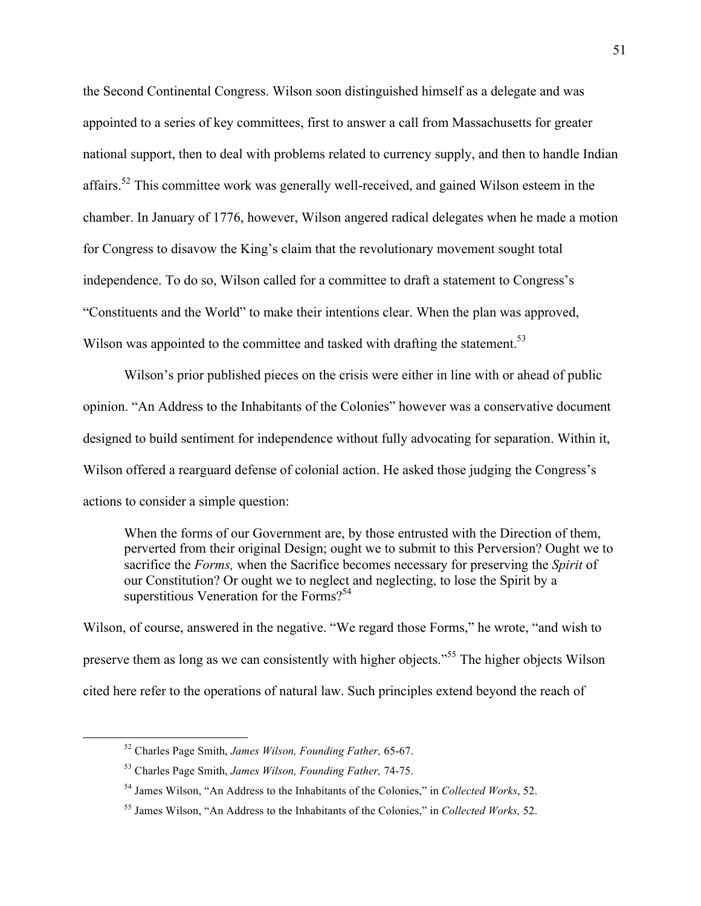the Second Continental Congress. Wilson soon distinguished himself as a delegate and was appointed to a series of key committees, first to answer a call from Massachusetts for greater national support, then to deal with problems related to currency supply, and then to handle Indian affairs.52 This committee work was generally well-received, and gained Wilson esteem in the chamber. In January of 1776, however, Wilson angered radical delegates when he made a motion for Congress to disavow the King's claim that the revolutionary movement sought total independence. To do so, Wilson called for a committee to draft a statement to Congress's "Constituents and the World" to make their intentions clear. When the plan was approved, Wilson was appointed to the committee and tasked with drafting the statement.<sup>53</sup>

Wilson's prior published pieces on the crisis were either in line with or ahead of public opinion. "An Address to the Inhabitants of the Colonies" however was a conservative document designed to build sentiment for independence without fully advocating for separation. Within it, Wilson offered a rearguard defense of colonial action. He asked those judging the Congress's actions to consider a simple question:

When the forms of our Government are, by those entrusted with the Direction of them, perverted from their original Design; ought we to submit to this Perversion? Ought we to sacrifice the *Forms,* when the Sacrifice becomes necessary for preserving the *Spirit* of our Constitution? Or ought we to neglect and neglecting, to lose the Spirit by a superstitious Veneration for the Forms? $54$ 

Wilson, of course, answered in the negative. "We regard those Forms," he wrote, "and wish to preserve them as long as we can consistently with higher objects."<sup>55</sup> The higher objects Wilson cited here refer to the operations of natural law. Such principles extend beyond the reach of

 <sup>52</sup> Charles Page Smith, *James Wilson, Founding Father,* 65-67.

<sup>53</sup> Charles Page Smith, *James Wilson, Founding Father,* 74-75.

<sup>54</sup> James Wilson, "An Address to the Inhabitants of the Colonies," in *Collected Works*, 52.

<sup>55</sup> James Wilson, "An Address to the Inhabitants of the Colonies," in *Collected Works,* 52.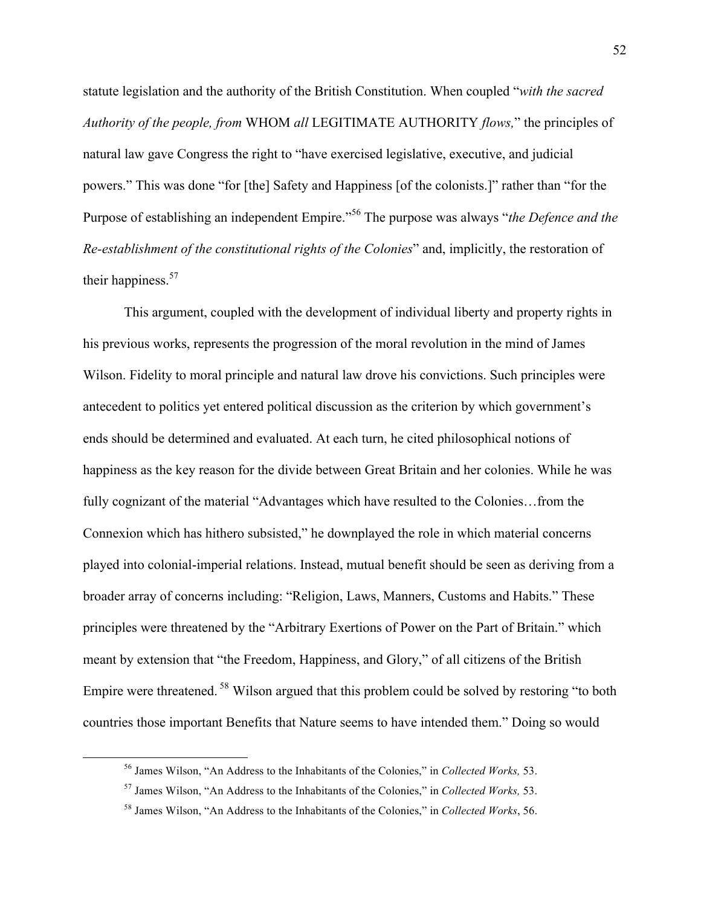statute legislation and the authority of the British Constitution. When coupled "*with the sacred Authority of the people, from* WHOM *all* LEGITIMATE AUTHORITY *flows,*" the principles of natural law gave Congress the right to "have exercised legislative, executive, and judicial powers." This was done "for [the] Safety and Happiness [of the colonists.]" rather than "for the Purpose of establishing an independent Empire."<sup>56</sup> The purpose was always "*the Defence and the Re-establishment of the constitutional rights of the Colonies*" and, implicitly, the restoration of their happiness. 57

This argument, coupled with the development of individual liberty and property rights in his previous works, represents the progression of the moral revolution in the mind of James Wilson. Fidelity to moral principle and natural law drove his convictions. Such principles were antecedent to politics yet entered political discussion as the criterion by which government's ends should be determined and evaluated. At each turn, he cited philosophical notions of happiness as the key reason for the divide between Great Britain and her colonies. While he was fully cognizant of the material "Advantages which have resulted to the Colonies…from the Connexion which has hithero subsisted," he downplayed the role in which material concerns played into colonial-imperial relations. Instead, mutual benefit should be seen as deriving from a broader array of concerns including: "Religion, Laws, Manners, Customs and Habits." These principles were threatened by the "Arbitrary Exertions of Power on the Part of Britain." which meant by extension that "the Freedom, Happiness, and Glory," of all citizens of the British Empire were threatened. <sup>58</sup> Wilson argued that this problem could be solved by restoring "to both countries those important Benefits that Nature seems to have intended them." Doing so would

 <sup>56</sup> James Wilson, "An Address to the Inhabitants of the Colonies," in *Collected Works,* 53.

<sup>57</sup> James Wilson, "An Address to the Inhabitants of the Colonies," in *Collected Works,* 53.

<sup>58</sup> James Wilson, "An Address to the Inhabitants of the Colonies," in *Collected Works*, 56.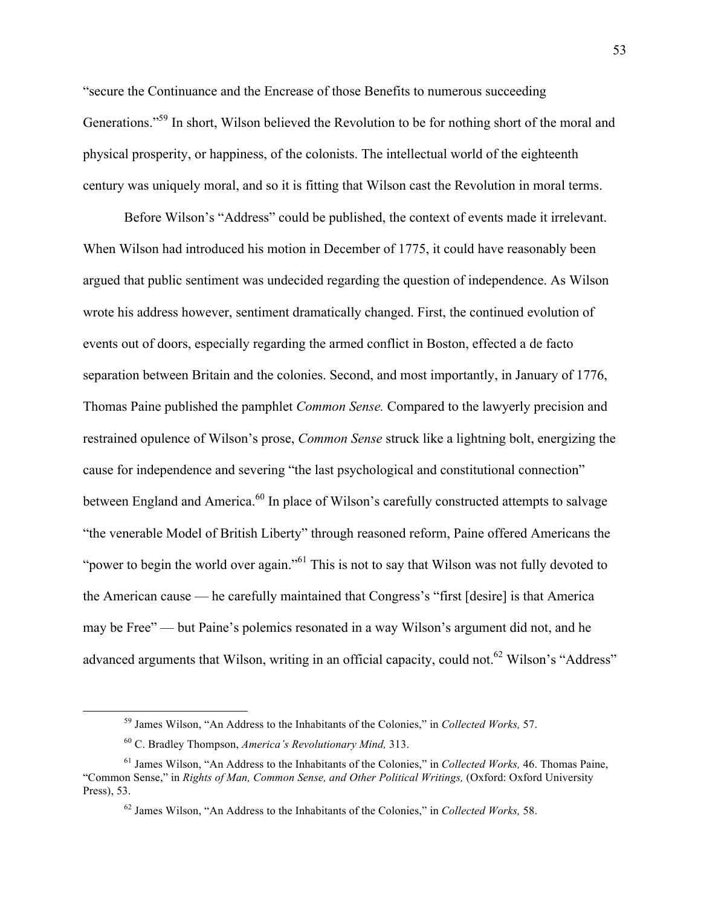"secure the Continuance and the Encrease of those Benefits to numerous succeeding Generations."59 In short, Wilson believed the Revolution to be for nothing short of the moral and physical prosperity, or happiness, of the colonists. The intellectual world of the eighteenth century was uniquely moral, and so it is fitting that Wilson cast the Revolution in moral terms.

Before Wilson's "Address" could be published, the context of events made it irrelevant. When Wilson had introduced his motion in December of 1775, it could have reasonably been argued that public sentiment was undecided regarding the question of independence. As Wilson wrote his address however, sentiment dramatically changed. First, the continued evolution of events out of doors, especially regarding the armed conflict in Boston, effected a de facto separation between Britain and the colonies. Second, and most importantly, in January of 1776, Thomas Paine published the pamphlet *Common Sense.* Compared to the lawyerly precision and restrained opulence of Wilson's prose, *Common Sense* struck like a lightning bolt, energizing the cause for independence and severing "the last psychological and constitutional connection" between England and America.<sup>60</sup> In place of Wilson's carefully constructed attempts to salvage "the venerable Model of British Liberty" through reasoned reform, Paine offered Americans the "power to begin the world over again."<sup>61</sup> This is not to say that Wilson was not fully devoted to the American cause –– he carefully maintained that Congress's "first [desire] is that America may be Free" –– but Paine's polemics resonated in a way Wilson's argument did not, and he advanced arguments that Wilson, writing in an official capacity, could not.<sup>62</sup> Wilson's "Address"

 <sup>59</sup> James Wilson, "An Address to the Inhabitants of the Colonies," in *Collected Works,* 57.

<sup>60</sup> C. Bradley Thompson, *America's Revolutionary Mind,* 313.

<sup>61</sup> James Wilson, "An Address to the Inhabitants of the Colonies," in *Collected Works,* 46. Thomas Paine, "Common Sense," in *Rights of Man, Common Sense, and Other Political Writings,* (Oxford: Oxford University Press), 53.

<sup>62</sup> James Wilson, "An Address to the Inhabitants of the Colonies," in *Collected Works,* 58.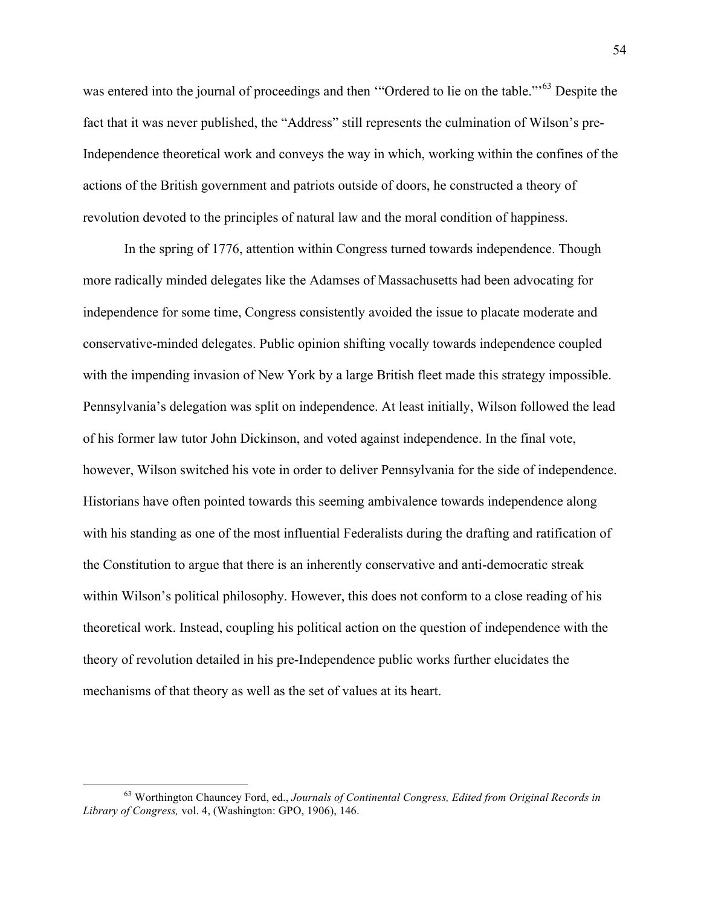was entered into the journal of proceedings and then "Ordered to lie on the table."<sup>63</sup> Despite the fact that it was never published, the "Address" still represents the culmination of Wilson's pre-Independence theoretical work and conveys the way in which, working within the confines of the actions of the British government and patriots outside of doors, he constructed a theory of revolution devoted to the principles of natural law and the moral condition of happiness.

In the spring of 1776, attention within Congress turned towards independence. Though more radically minded delegates like the Adamses of Massachusetts had been advocating for independence for some time, Congress consistently avoided the issue to placate moderate and conservative-minded delegates. Public opinion shifting vocally towards independence coupled with the impending invasion of New York by a large British fleet made this strategy impossible. Pennsylvania's delegation was split on independence. At least initially, Wilson followed the lead of his former law tutor John Dickinson, and voted against independence. In the final vote, however, Wilson switched his vote in order to deliver Pennsylvania for the side of independence. Historians have often pointed towards this seeming ambivalence towards independence along with his standing as one of the most influential Federalists during the drafting and ratification of the Constitution to argue that there is an inherently conservative and anti-democratic streak within Wilson's political philosophy. However, this does not conform to a close reading of his theoretical work. Instead, coupling his political action on the question of independence with the theory of revolution detailed in his pre-Independence public works further elucidates the mechanisms of that theory as well as the set of values at its heart.

 <sup>63</sup> Worthington Chauncey Ford, ed., *Journals of Continental Congress, Edited from Original Records in Library of Congress,* vol. 4, (Washington: GPO, 1906), 146.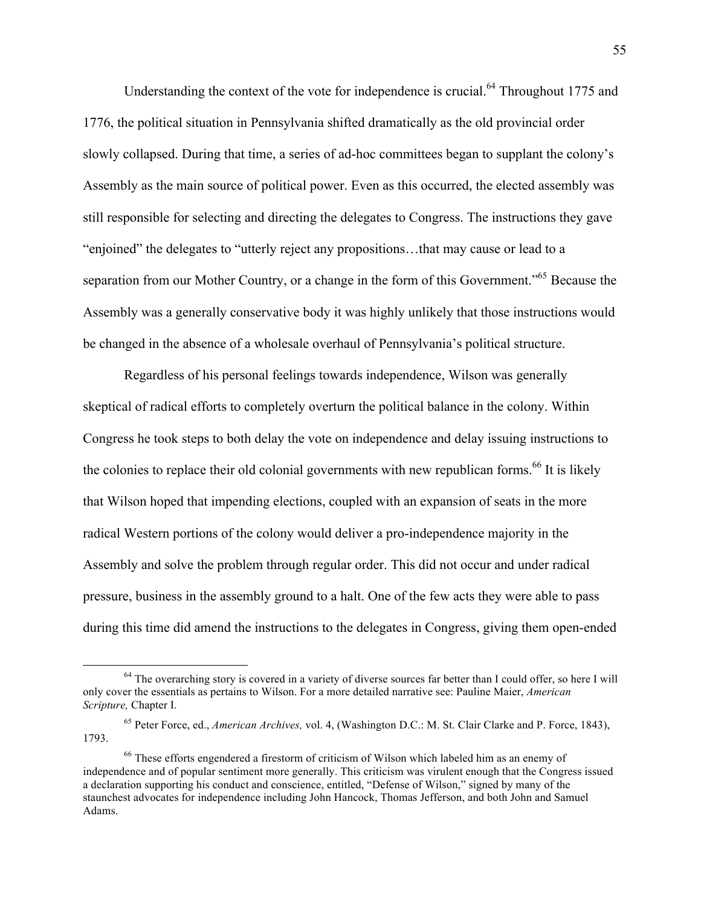Understanding the context of the vote for independence is crucial.<sup>64</sup> Throughout 1775 and 1776, the political situation in Pennsylvania shifted dramatically as the old provincial order slowly collapsed. During that time, a series of ad-hoc committees began to supplant the colony's Assembly as the main source of political power. Even as this occurred, the elected assembly was still responsible for selecting and directing the delegates to Congress. The instructions they gave "enjoined" the delegates to "utterly reject any propositions…that may cause or lead to a separation from our Mother Country, or a change in the form of this Government."<sup>65</sup> Because the Assembly was a generally conservative body it was highly unlikely that those instructions would be changed in the absence of a wholesale overhaul of Pennsylvania's political structure.

Regardless of his personal feelings towards independence, Wilson was generally skeptical of radical efforts to completely overturn the political balance in the colony. Within Congress he took steps to both delay the vote on independence and delay issuing instructions to the colonies to replace their old colonial governments with new republican forms.<sup>66</sup> It is likely that Wilson hoped that impending elections, coupled with an expansion of seats in the more radical Western portions of the colony would deliver a pro-independence majority in the Assembly and solve the problem through regular order. This did not occur and under radical pressure, business in the assembly ground to a halt. One of the few acts they were able to pass during this time did amend the instructions to the delegates in Congress, giving them open-ended

 $64$  The overarching story is covered in a variety of diverse sources far better than I could offer, so here I will only cover the essentials as pertains to Wilson. For a more detailed narrative see: Pauline Maier, *American Scripture,* Chapter I.

<sup>65</sup> Peter Force, ed., *American Archives,* vol. 4, (Washington D.C.: M. St. Clair Clarke and P. Force, 1843), 1793.

 $66$  These efforts engendered a firestorm of criticism of Wilson which labeled him as an enemy of independence and of popular sentiment more generally. This criticism was virulent enough that the Congress issued a declaration supporting his conduct and conscience, entitled, "Defense of Wilson," signed by many of the staunchest advocates for independence including John Hancock, Thomas Jefferson, and both John and Samuel Adams.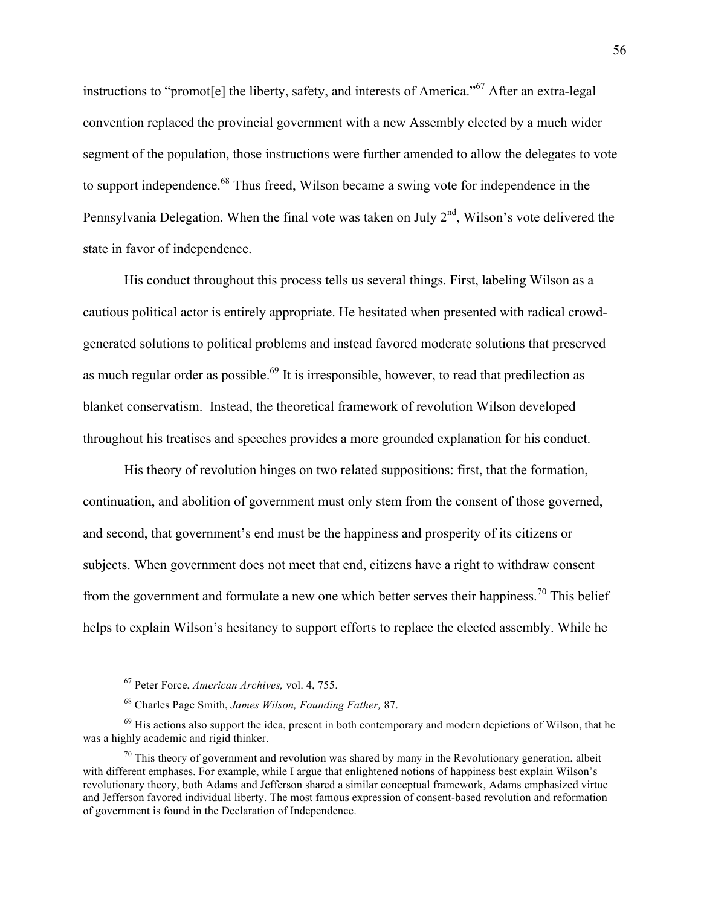instructions to "promot[e] the liberty, safety, and interests of America."67 After an extra-legal convention replaced the provincial government with a new Assembly elected by a much wider segment of the population, those instructions were further amended to allow the delegates to vote to support independence.<sup>68</sup> Thus freed, Wilson became a swing vote for independence in the Pennsylvania Delegation. When the final vote was taken on July  $2<sup>nd</sup>$ , Wilson's vote delivered the state in favor of independence.

His conduct throughout this process tells us several things. First, labeling Wilson as a cautious political actor is entirely appropriate. He hesitated when presented with radical crowdgenerated solutions to political problems and instead favored moderate solutions that preserved as much regular order as possible.<sup>69</sup> It is irresponsible, however, to read that predilection as blanket conservatism. Instead, the theoretical framework of revolution Wilson developed throughout his treatises and speeches provides a more grounded explanation for his conduct.

His theory of revolution hinges on two related suppositions: first, that the formation, continuation, and abolition of government must only stem from the consent of those governed, and second, that government's end must be the happiness and prosperity of its citizens or subjects. When government does not meet that end, citizens have a right to withdraw consent from the government and formulate a new one which better serves their happiness.<sup>70</sup> This belief helps to explain Wilson's hesitancy to support efforts to replace the elected assembly. While he

 <sup>67</sup> Peter Force, *American Archives,* vol. 4, 755.

<sup>68</sup> Charles Page Smith, *James Wilson, Founding Father,* 87.

 $69$  His actions also support the idea, present in both contemporary and modern depictions of Wilson, that he was a highly academic and rigid thinker.

 $70$  This theory of government and revolution was shared by many in the Revolutionary generation, albeit with different emphases. For example, while I argue that enlightened notions of happiness best explain Wilson's revolutionary theory, both Adams and Jefferson shared a similar conceptual framework, Adams emphasized virtue and Jefferson favored individual liberty. The most famous expression of consent-based revolution and reformation of government is found in the Declaration of Independence.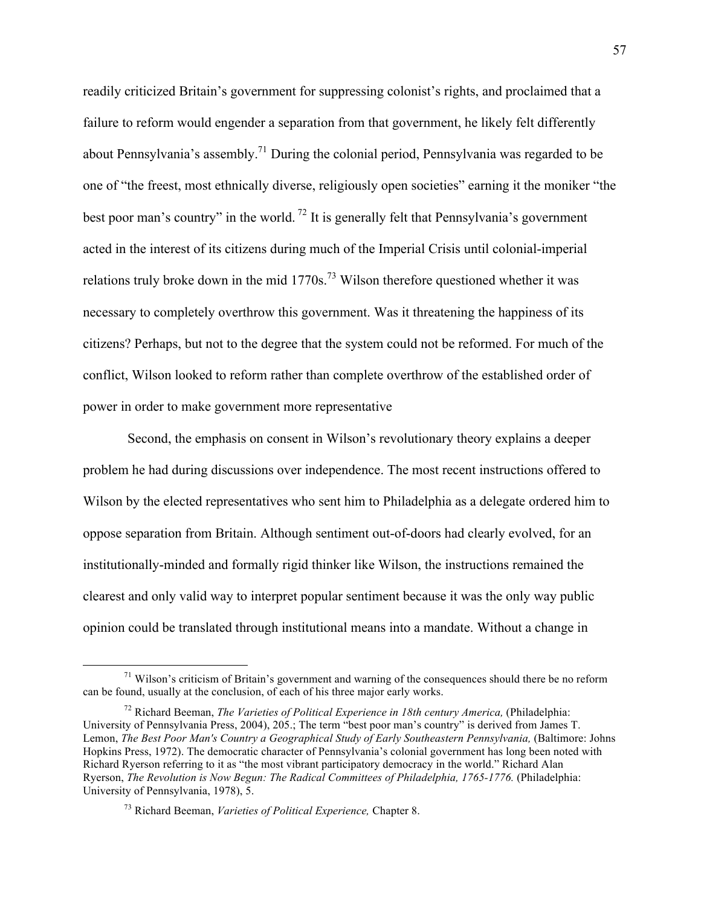readily criticized Britain's government for suppressing colonist's rights, and proclaimed that a failure to reform would engender a separation from that government, he likely felt differently about Pennsylvania's assembly.<sup>71</sup> During the colonial period, Pennsylvania was regarded to be one of "the freest, most ethnically diverse, religiously open societies" earning it the moniker "the best poor man's country" in the world. <sup>72</sup> It is generally felt that Pennsylvania's government acted in the interest of its citizens during much of the Imperial Crisis until colonial-imperial relations truly broke down in the mid  $1770s$ .<sup>73</sup> Wilson therefore questioned whether it was necessary to completely overthrow this government. Was it threatening the happiness of its citizens? Perhaps, but not to the degree that the system could not be reformed. For much of the conflict, Wilson looked to reform rather than complete overthrow of the established order of power in order to make government more representative

Second, the emphasis on consent in Wilson's revolutionary theory explains a deeper problem he had during discussions over independence. The most recent instructions offered to Wilson by the elected representatives who sent him to Philadelphia as a delegate ordered him to oppose separation from Britain. Although sentiment out-of-doors had clearly evolved, for an institutionally-minded and formally rigid thinker like Wilson, the instructions remained the clearest and only valid way to interpret popular sentiment because it was the only way public opinion could be translated through institutional means into a mandate. Without a change in

 $71$  Wilson's criticism of Britain's government and warning of the consequences should there be no reform can be found, usually at the conclusion, of each of his three major early works.

<sup>&</sup>lt;sup>72</sup> Richard Beeman, *The Varieties of Political Experience in 18th century America*, (Philadelphia: University of Pennsylvania Press, 2004), 205.; The term "best poor man's country" is derived from James T. Lemon, *The Best Poor Man's Country a Geographical Study of Early Southeastern Pennsylvania*, (Baltimore: Johns Hopkins Press, 1972). The democratic character of Pennsylvania's colonial government has long been noted with Richard Ryerson referring to it as "the most vibrant participatory democracy in the world." Richard Alan Ryerson, *The Revolution is Now Begun: The Radical Committees of Philadelphia, 1765-1776.* (Philadelphia: University of Pennsylvania, 1978), 5.

<sup>73</sup> Richard Beeman, *Varieties of Political Experience,* Chapter 8.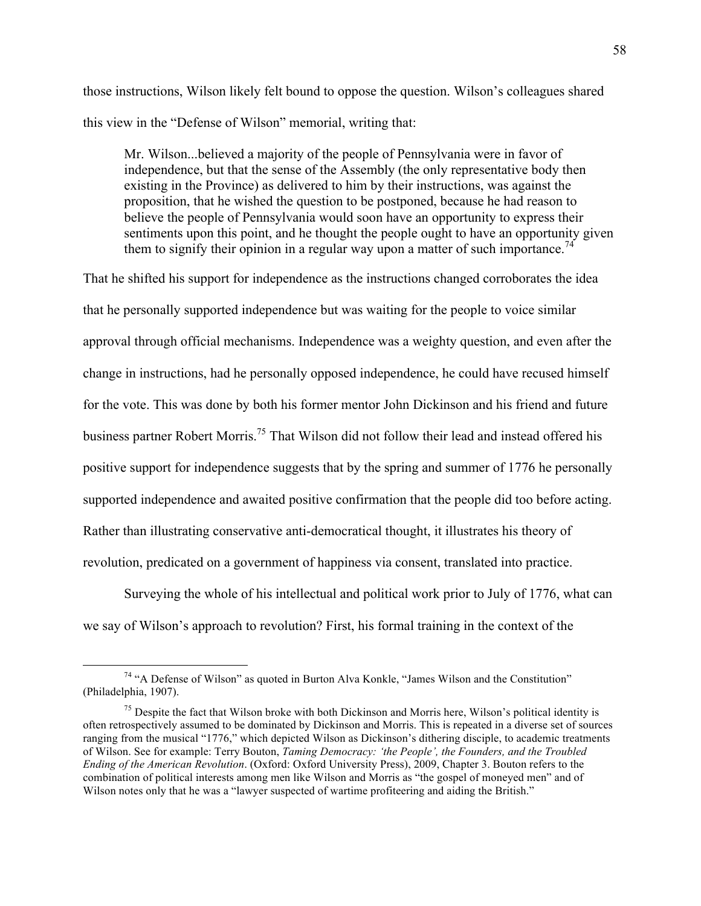those instructions, Wilson likely felt bound to oppose the question. Wilson's colleagues shared this view in the "Defense of Wilson" memorial, writing that:

Mr. Wilson...believed a majority of the people of Pennsylvania were in favor of independence, but that the sense of the Assembly (the only representative body then existing in the Province) as delivered to him by their instructions, was against the proposition, that he wished the question to be postponed, because he had reason to believe the people of Pennsylvania would soon have an opportunity to express their sentiments upon this point, and he thought the people ought to have an opportunity given them to signify their opinion in a regular way upon a matter of such importance.<sup>74</sup>

That he shifted his support for independence as the instructions changed corroborates the idea that he personally supported independence but was waiting for the people to voice similar approval through official mechanisms. Independence was a weighty question, and even after the change in instructions, had he personally opposed independence, he could have recused himself for the vote. This was done by both his former mentor John Dickinson and his friend and future business partner Robert Morris.<sup>75</sup> That Wilson did not follow their lead and instead offered his positive support for independence suggests that by the spring and summer of 1776 he personally supported independence and awaited positive confirmation that the people did too before acting. Rather than illustrating conservative anti-democratical thought, it illustrates his theory of revolution, predicated on a government of happiness via consent, translated into practice.

Surveying the whole of his intellectual and political work prior to July of 1776, what can we say of Wilson's approach to revolution? First, his formal training in the context of the

 <sup>74</sup> "A Defense of Wilson" as quoted in Burton Alva Konkle, "James Wilson and the Constitution" (Philadelphia, 1907).

 $75$  Despite the fact that Wilson broke with both Dickinson and Morris here, Wilson's political identity is often retrospectively assumed to be dominated by Dickinson and Morris. This is repeated in a diverse set of sources ranging from the musical "1776," which depicted Wilson as Dickinson's dithering disciple, to academic treatments of Wilson. See for example: Terry Bouton, *Taming Democracy: 'the People', the Founders, and the Troubled Ending of the American Revolution*. (Oxford: Oxford University Press), 2009, Chapter 3. Bouton refers to the combination of political interests among men like Wilson and Morris as "the gospel of moneyed men" and of Wilson notes only that he was a "lawyer suspected of wartime profiteering and aiding the British."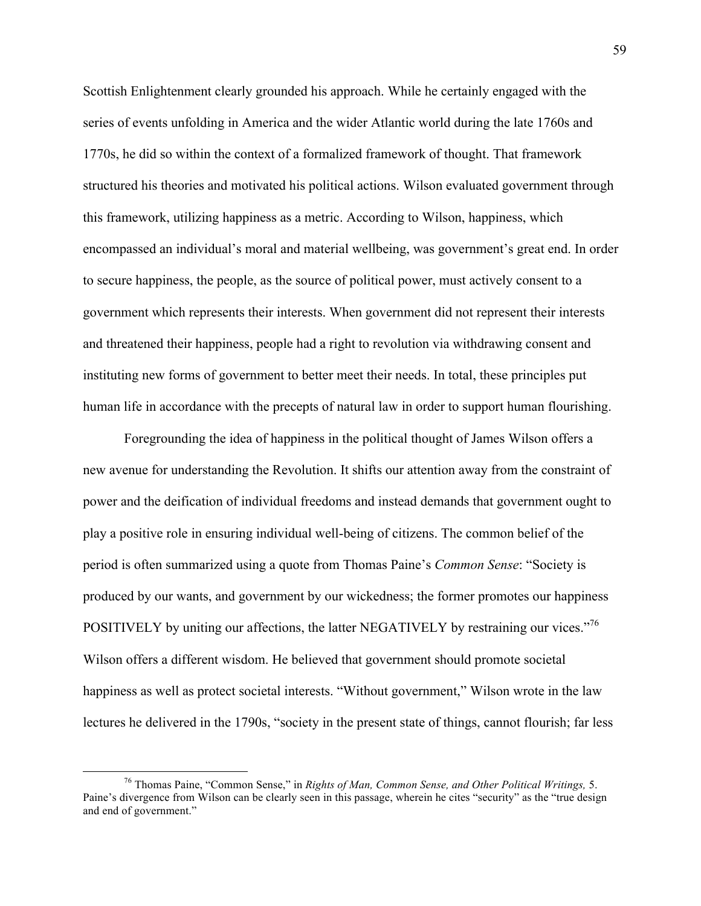Scottish Enlightenment clearly grounded his approach. While he certainly engaged with the series of events unfolding in America and the wider Atlantic world during the late 1760s and 1770s, he did so within the context of a formalized framework of thought. That framework structured his theories and motivated his political actions. Wilson evaluated government through this framework, utilizing happiness as a metric. According to Wilson, happiness, which encompassed an individual's moral and material wellbeing, was government's great end. In order to secure happiness, the people, as the source of political power, must actively consent to a government which represents their interests. When government did not represent their interests and threatened their happiness, people had a right to revolution via withdrawing consent and instituting new forms of government to better meet their needs. In total, these principles put human life in accordance with the precepts of natural law in order to support human flourishing.

Foregrounding the idea of happiness in the political thought of James Wilson offers a new avenue for understanding the Revolution. It shifts our attention away from the constraint of power and the deification of individual freedoms and instead demands that government ought to play a positive role in ensuring individual well-being of citizens. The common belief of the period is often summarized using a quote from Thomas Paine's *Common Sense*: "Society is produced by our wants, and government by our wickedness; the former promotes our happiness POSITIVELY by uniting our affections, the latter NEGATIVELY by restraining our vices."<sup>76</sup> Wilson offers a different wisdom. He believed that government should promote societal happiness as well as protect societal interests. "Without government," Wilson wrote in the law lectures he delivered in the 1790s, "society in the present state of things, cannot flourish; far less

 <sup>76</sup> Thomas Paine, "Common Sense," in *Rights of Man, Common Sense, and Other Political Writings,* 5. Paine's divergence from Wilson can be clearly seen in this passage, wherein he cites "security" as the "true design and end of government."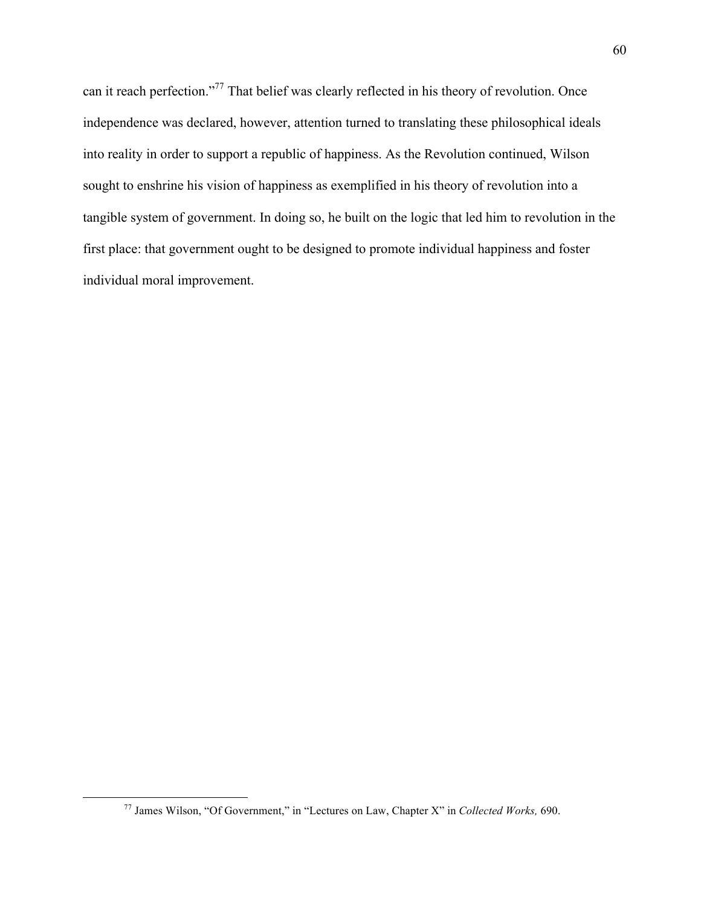can it reach perfection."<sup>77</sup> That belief was clearly reflected in his theory of revolution. Once independence was declared, however, attention turned to translating these philosophical ideals into reality in order to support a republic of happiness. As the Revolution continued, Wilson sought to enshrine his vision of happiness as exemplified in his theory of revolution into a tangible system of government. In doing so, he built on the logic that led him to revolution in the first place: that government ought to be designed to promote individual happiness and foster individual moral improvement.

 <sup>77</sup> James Wilson, "Of Government," in "Lectures on Law, Chapter X" in *Collected Works,* 690.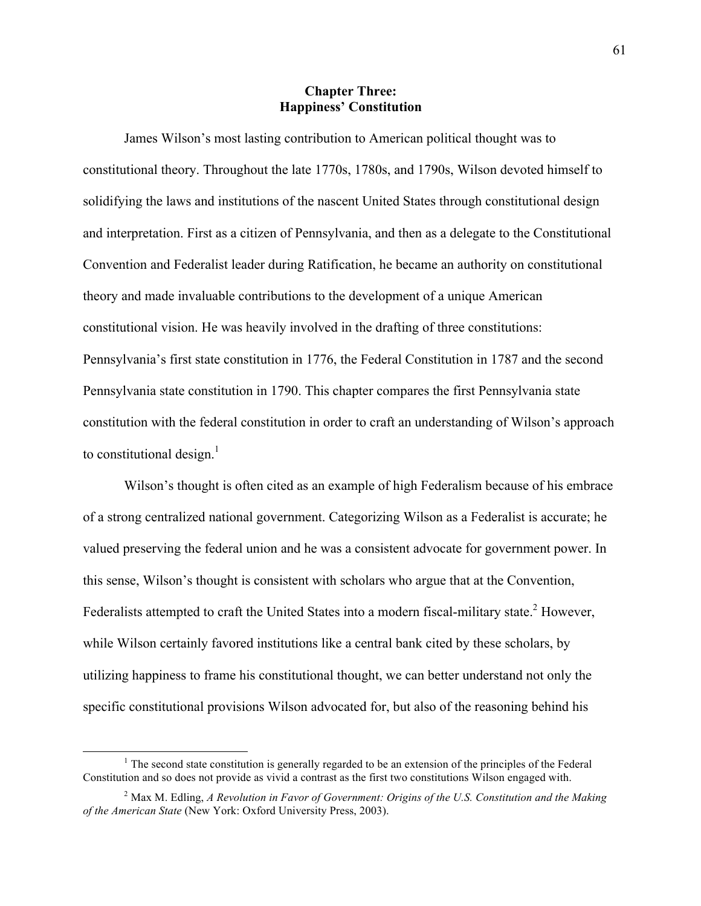## **Chapter Three: Happiness' Constitution**

James Wilson's most lasting contribution to American political thought was to constitutional theory. Throughout the late 1770s, 1780s, and 1790s, Wilson devoted himself to solidifying the laws and institutions of the nascent United States through constitutional design and interpretation. First as a citizen of Pennsylvania, and then as a delegate to the Constitutional Convention and Federalist leader during Ratification, he became an authority on constitutional theory and made invaluable contributions to the development of a unique American constitutional vision. He was heavily involved in the drafting of three constitutions: Pennsylvania's first state constitution in 1776, the Federal Constitution in 1787 and the second Pennsylvania state constitution in 1790. This chapter compares the first Pennsylvania state constitution with the federal constitution in order to craft an understanding of Wilson's approach to constitutional design.<sup>1</sup>

Wilson's thought is often cited as an example of high Federalism because of his embrace of a strong centralized national government. Categorizing Wilson as a Federalist is accurate; he valued preserving the federal union and he was a consistent advocate for government power. In this sense, Wilson's thought is consistent with scholars who argue that at the Convention, Federalists attempted to craft the United States into a modern fiscal-military state.<sup>2</sup> However, while Wilson certainly favored institutions like a central bank cited by these scholars, by utilizing happiness to frame his constitutional thought, we can better understand not only the specific constitutional provisions Wilson advocated for, but also of the reasoning behind his

 $<sup>1</sup>$  The second state constitution is generally regarded to be an extension of the principles of the Federal</sup> Constitution and so does not provide as vivid a contrast as the first two constitutions Wilson engaged with.

<sup>2</sup> Max M. Edling, *A Revolution in Favor of Government: Origins of the U.S. Constitution and the Making of the American State* (New York: Oxford University Press, 2003).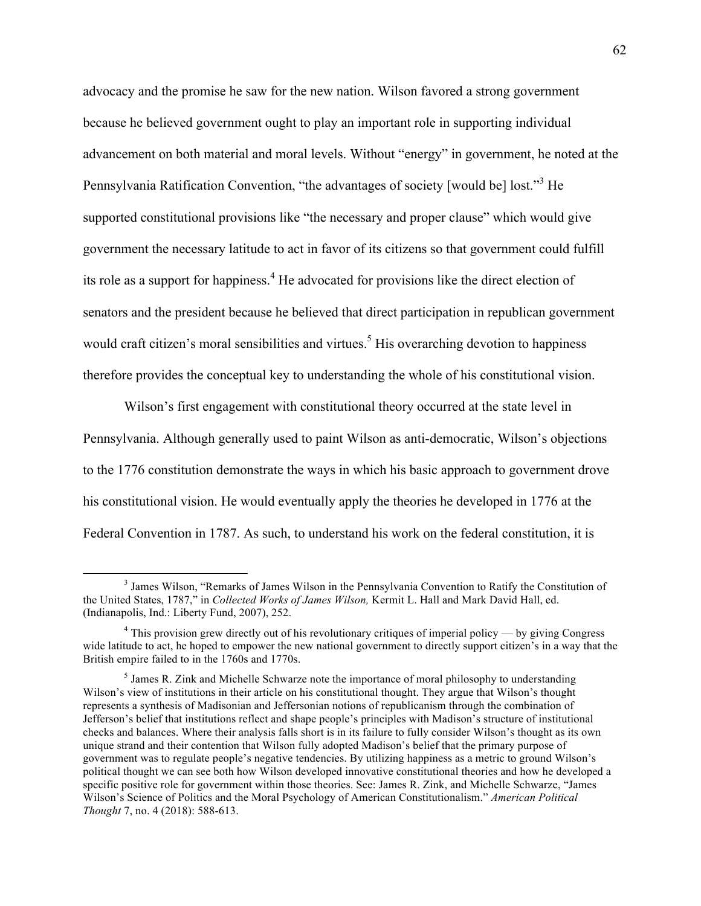advocacy and the promise he saw for the new nation. Wilson favored a strong government because he believed government ought to play an important role in supporting individual advancement on both material and moral levels. Without "energy" in government, he noted at the Pennsylvania Ratification Convention, "the advantages of society [would be] lost."3 He supported constitutional provisions like "the necessary and proper clause" which would give government the necessary latitude to act in favor of its citizens so that government could fulfill its role as a support for happiness.<sup>4</sup> He advocated for provisions like the direct election of senators and the president because he believed that direct participation in republican government would craft citizen's moral sensibilities and virtues.<sup>5</sup> His overarching devotion to happiness therefore provides the conceptual key to understanding the whole of his constitutional vision.

Wilson's first engagement with constitutional theory occurred at the state level in Pennsylvania. Although generally used to paint Wilson as anti-democratic, Wilson's objections to the 1776 constitution demonstrate the ways in which his basic approach to government drove his constitutional vision. He would eventually apply the theories he developed in 1776 at the Federal Convention in 1787. As such, to understand his work on the federal constitution, it is

 <sup>3</sup> James Wilson, "Remarks of James Wilson in the Pennsylvania Convention to Ratify the Constitution of the United States, 1787," in *Collected Works of James Wilson,* Kermit L. Hall and Mark David Hall, ed. (Indianapolis, Ind.: Liberty Fund, 2007), 252.

 $4$  This provision grew directly out of his revolutionary critiques of imperial policy — by giving Congress wide latitude to act, he hoped to empower the new national government to directly support citizen's in a way that the British empire failed to in the 1760s and 1770s.

<sup>&</sup>lt;sup>5</sup> James R. Zink and Michelle Schwarze note the importance of moral philosophy to understanding Wilson's view of institutions in their article on his constitutional thought. They argue that Wilson's thought represents a synthesis of Madisonian and Jeffersonian notions of republicanism through the combination of Jefferson's belief that institutions reflect and shape people's principles with Madison's structure of institutional checks and balances. Where their analysis falls short is in its failure to fully consider Wilson's thought as its own unique strand and their contention that Wilson fully adopted Madison's belief that the primary purpose of government was to regulate people's negative tendencies. By utilizing happiness as a metric to ground Wilson's political thought we can see both how Wilson developed innovative constitutional theories and how he developed a specific positive role for government within those theories. See: James R. Zink, and Michelle Schwarze, "James Wilson's Science of Politics and the Moral Psychology of American Constitutionalism." *American Political Thought* 7, no. 4 (2018): 588-613.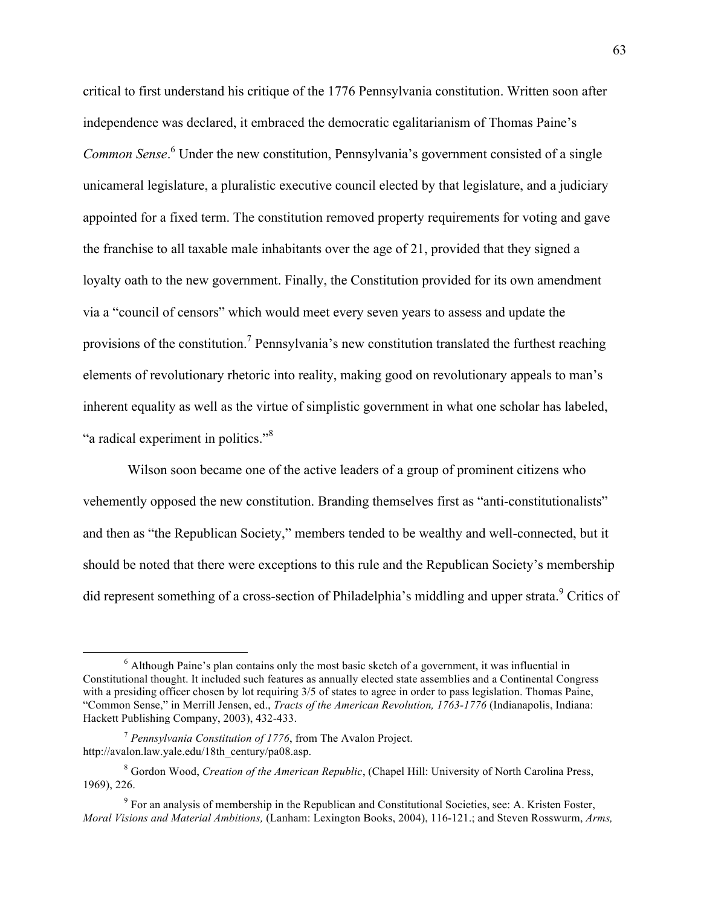critical to first understand his critique of the 1776 Pennsylvania constitution. Written soon after independence was declared, it embraced the democratic egalitarianism of Thomas Paine's *Common Sense*. <sup>6</sup> Under the new constitution, Pennsylvania's government consisted of a single unicameral legislature, a pluralistic executive council elected by that legislature, and a judiciary appointed for a fixed term. The constitution removed property requirements for voting and gave the franchise to all taxable male inhabitants over the age of 21, provided that they signed a loyalty oath to the new government. Finally, the Constitution provided for its own amendment via a "council of censors" which would meet every seven years to assess and update the provisions of the constitution.7 Pennsylvania's new constitution translated the furthest reaching elements of revolutionary rhetoric into reality, making good on revolutionary appeals to man's inherent equality as well as the virtue of simplistic government in what one scholar has labeled, "a radical experiment in politics."<sup>8</sup>

Wilson soon became one of the active leaders of a group of prominent citizens who vehemently opposed the new constitution. Branding themselves first as "anti-constitutionalists" and then as "the Republican Society," members tended to be wealthy and well-connected, but it should be noted that there were exceptions to this rule and the Republican Society's membership did represent something of a cross-section of Philadelphia's middling and upper strata.<sup>9</sup> Critics of

<sup>&</sup>lt;sup>6</sup> Although Paine's plan contains only the most basic sketch of a government, it was influential in Constitutional thought. It included such features as annually elected state assemblies and a Continental Congress with a presiding officer chosen by lot requiring  $3/5$  of states to agree in order to pass legislation. Thomas Paine, "Common Sense," in Merrill Jensen, ed., *Tracts of the American Revolution, 1763-1776* (Indianapolis, Indiana: Hackett Publishing Company, 2003), 432-433.

<sup>7</sup> *Pennsylvania Constitution of 1776*, from The Avalon Project. http://avalon.law.yale.edu/18th\_century/pa08.asp.

<sup>8</sup> Gordon Wood, *Creation of the American Republic*, (Chapel Hill: University of North Carolina Press, 1969), 226.

<sup>&</sup>lt;sup>9</sup> For an analysis of membership in the Republican and Constitutional Societies, see: A. Kristen Foster, *Moral Visions and Material Ambitions,* (Lanham: Lexington Books, 2004), 116-121.; and Steven Rosswurm, *Arms,*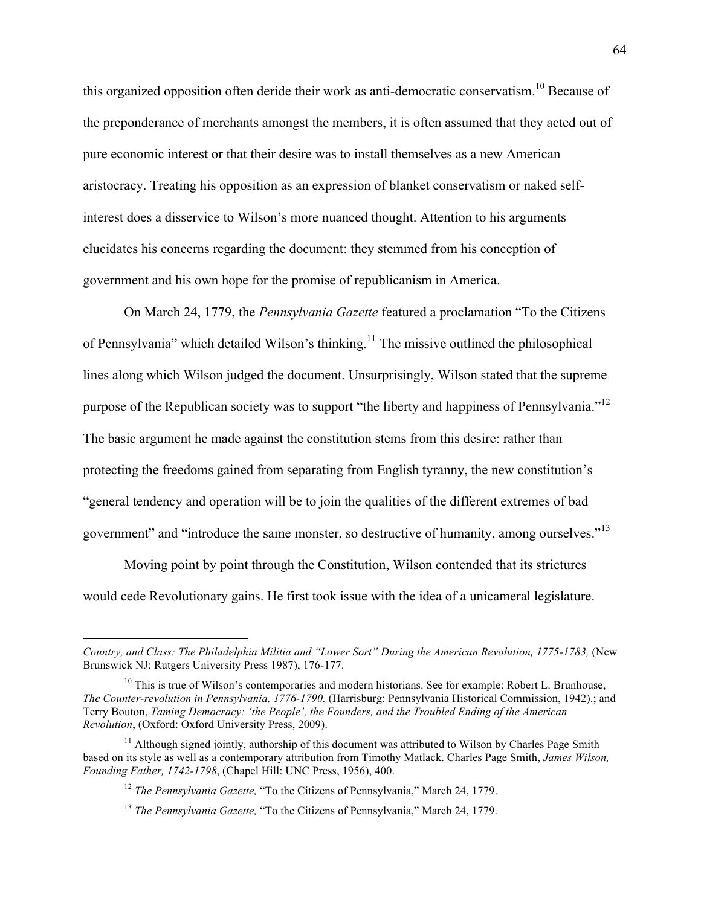this organized opposition often deride their work as anti-democratic conservatism.<sup>10</sup> Because of the preponderance of merchants amongst the members, it is often assumed that they acted out of pure economic interest or that their desire was to install themselves as a new American aristocracy. Treating his opposition as an expression of blanket conservatism or naked selfinterest does a disservice to Wilson's more nuanced thought. Attention to his arguments elucidates his concerns regarding the document: they stemmed from his conception of government and his own hope for the promise of republicanism in America.

On March 24, 1779, the *Pennsylvania Gazette* featured a proclamation "To the Citizens of Pennsylvania" which detailed Wilson's thinking.<sup>11</sup> The missive outlined the philosophical lines along which Wilson judged the document. Unsurprisingly, Wilson stated that the supreme purpose of the Republican society was to support "the liberty and happiness of Pennsylvania."<sup>12</sup> The basic argument he made against the constitution stems from this desire: rather than protecting the freedoms gained from separating from English tyranny, the new constitution's "general tendency and operation will be to join the qualities of the different extremes of bad government" and "introduce the same monster, so destructive of humanity, among ourselves."<sup>13</sup>

Moving point by point through the Constitution, Wilson contended that its strictures would cede Revolutionary gains. He first took issue with the idea of a unicameral legislature.

 $\overline{a}$ 

*Country, and Class: The Philadelphia Militia and "Lower Sort" During the American Revolution, 1775-1783,* (New Brunswick NJ: Rutgers University Press 1987), 176-177.

 $10$  This is true of Wilson's contemporaries and modern historians. See for example: Robert L. Brunhouse, *The Counter-revolution in Pennsylvania, 1776-1790.* (Harrisburg: Pennsylvania Historical Commission, 1942).; and Terry Bouton, *Taming Democracy: 'the People', the Founders, and the Troubled Ending of the American Revolution*, (Oxford: Oxford University Press, 2009).

 $11$  Although signed jointly, authorship of this document was attributed to Wilson by Charles Page Smith based on its style as well as a contemporary attribution from Timothy Matlack. Charles Page Smith, *James Wilson, Founding Father, 1742-1798*, (Chapel Hill: UNC Press, 1956), 400.

<sup>12</sup> *The Pennsylvania Gazette,* "To the Citizens of Pennsylvania," March 24, 1779.

<sup>13</sup> *The Pennsylvania Gazette,* "To the Citizens of Pennsylvania," March 24, 1779.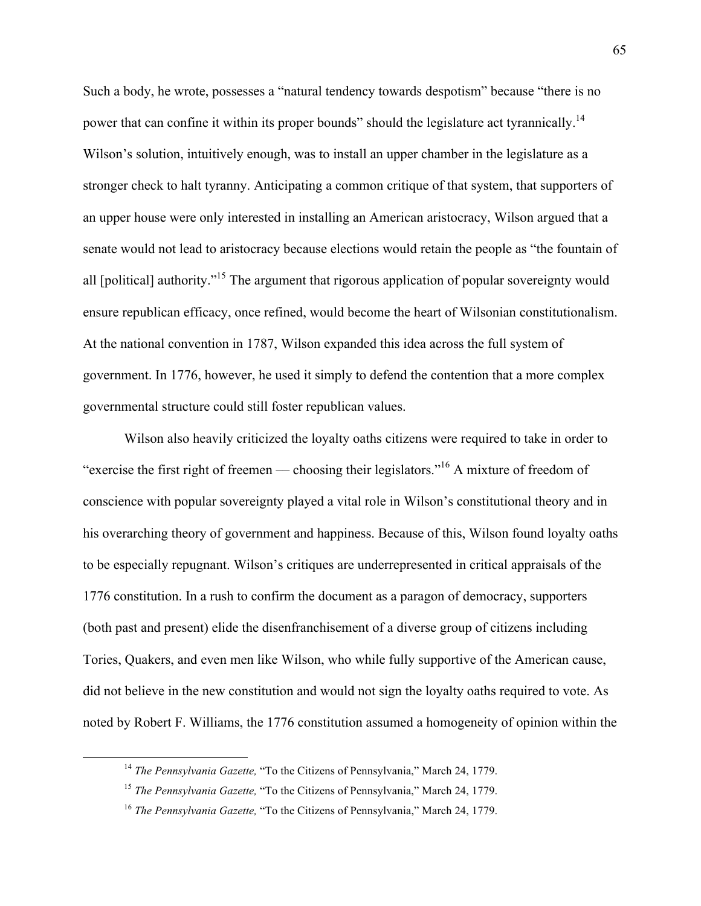Such a body, he wrote, possesses a "natural tendency towards despotism" because "there is no power that can confine it within its proper bounds" should the legislature act tyrannically.<sup>14</sup> Wilson's solution, intuitively enough, was to install an upper chamber in the legislature as a stronger check to halt tyranny. Anticipating a common critique of that system, that supporters of an upper house were only interested in installing an American aristocracy, Wilson argued that a senate would not lead to aristocracy because elections would retain the people as "the fountain of all [political] authority."15 The argument that rigorous application of popular sovereignty would ensure republican efficacy, once refined, would become the heart of Wilsonian constitutionalism. At the national convention in 1787, Wilson expanded this idea across the full system of government. In 1776, however, he used it simply to defend the contention that a more complex governmental structure could still foster republican values.

Wilson also heavily criticized the loyalty oaths citizens were required to take in order to "exercise the first right of freemen — choosing their legislators."<sup>16</sup> A mixture of freedom of conscience with popular sovereignty played a vital role in Wilson's constitutional theory and in his overarching theory of government and happiness. Because of this, Wilson found loyalty oaths to be especially repugnant. Wilson's critiques are underrepresented in critical appraisals of the 1776 constitution. In a rush to confirm the document as a paragon of democracy, supporters (both past and present) elide the disenfranchisement of a diverse group of citizens including Tories, Quakers, and even men like Wilson, who while fully supportive of the American cause, did not believe in the new constitution and would not sign the loyalty oaths required to vote. As noted by Robert F. Williams, the 1776 constitution assumed a homogeneity of opinion within the

 <sup>14</sup> *The Pennsylvania Gazette,* "To the Citizens of Pennsylvania," March 24, 1779.

<sup>15</sup> *The Pennsylvania Gazette,* "To the Citizens of Pennsylvania," March 24, 1779.

<sup>16</sup> *The Pennsylvania Gazette,* "To the Citizens of Pennsylvania," March 24, 1779.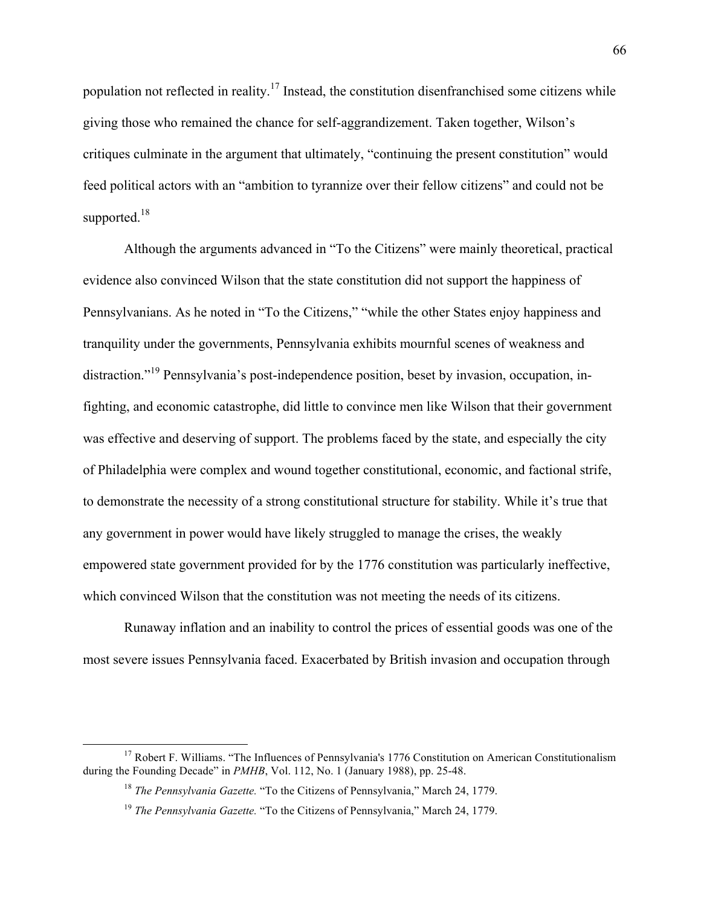population not reflected in reality.<sup>17</sup> Instead, the constitution disenfranchised some citizens while giving those who remained the chance for self-aggrandizement. Taken together, Wilson's critiques culminate in the argument that ultimately, "continuing the present constitution" would feed political actors with an "ambition to tyrannize over their fellow citizens" and could not be supported.<sup>18</sup>

Although the arguments advanced in "To the Citizens" were mainly theoretical, practical evidence also convinced Wilson that the state constitution did not support the happiness of Pennsylvanians. As he noted in "To the Citizens," "while the other States enjoy happiness and tranquility under the governments, Pennsylvania exhibits mournful scenes of weakness and distraction."<sup>19</sup> Pennsylvania's post-independence position, beset by invasion, occupation, infighting, and economic catastrophe, did little to convince men like Wilson that their government was effective and deserving of support. The problems faced by the state, and especially the city of Philadelphia were complex and wound together constitutional, economic, and factional strife, to demonstrate the necessity of a strong constitutional structure for stability. While it's true that any government in power would have likely struggled to manage the crises, the weakly empowered state government provided for by the 1776 constitution was particularly ineffective, which convinced Wilson that the constitution was not meeting the needs of its citizens.

Runaway inflation and an inability to control the prices of essential goods was one of the most severe issues Pennsylvania faced. Exacerbated by British invasion and occupation through

 $17$  Robert F. Williams. "The Influences of Pennsylvania's 1776 Constitution on American Constitutionalism during the Founding Decade" in *PMHB*, Vol. 112, No. 1 (January 1988), pp. 25-48.

<sup>18</sup> *The Pennsylvania Gazette.* "To the Citizens of Pennsylvania," March 24, 1779.

<sup>19</sup> *The Pennsylvania Gazette.* "To the Citizens of Pennsylvania," March 24, 1779.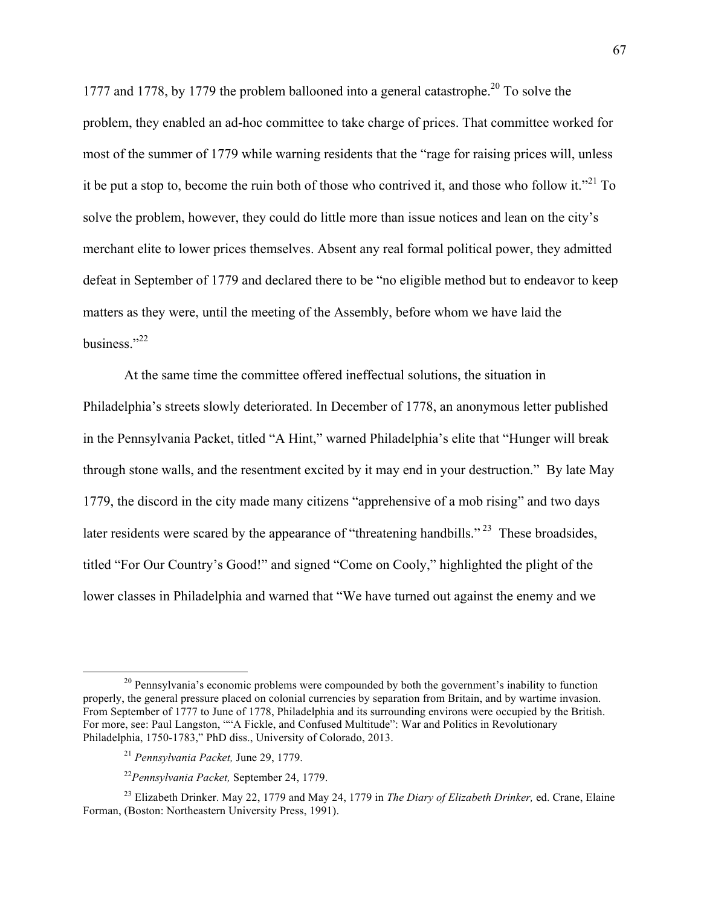1777 and 1778, by 1779 the problem ballooned into a general catastrophe.<sup>20</sup> To solve the problem, they enabled an ad-hoc committee to take charge of prices. That committee worked for most of the summer of 1779 while warning residents that the "rage for raising prices will, unless it be put a stop to, become the ruin both of those who contrived it, and those who follow it."<sup>21</sup> To solve the problem, however, they could do little more than issue notices and lean on the city's merchant elite to lower prices themselves. Absent any real formal political power, they admitted defeat in September of 1779 and declared there to be "no eligible method but to endeavor to keep matters as they were, until the meeting of the Assembly, before whom we have laid the business."22

At the same time the committee offered ineffectual solutions, the situation in Philadelphia's streets slowly deteriorated. In December of 1778, an anonymous letter published in the Pennsylvania Packet, titled "A Hint," warned Philadelphia's elite that "Hunger will break through stone walls, and the resentment excited by it may end in your destruction." By late May 1779, the discord in the city made many citizens "apprehensive of a mob rising" and two days later residents were scared by the appearance of "threatening handbills."<sup>23</sup> These broadsides, titled "For Our Country's Good!" and signed "Come on Cooly," highlighted the plight of the lower classes in Philadelphia and warned that "We have turned out against the enemy and we

<sup>&</sup>lt;sup>20</sup> Pennsylvania's economic problems were compounded by both the government's inability to function properly, the general pressure placed on colonial currencies by separation from Britain, and by wartime invasion. From September of 1777 to June of 1778, Philadelphia and its surrounding environs were occupied by the British. For more, see: Paul Langston, ""A Fickle, and Confused Multitude": War and Politics in Revolutionary Philadelphia, 1750-1783," PhD diss., University of Colorado, 2013.

<sup>21</sup> *Pennsylvania Packet,* June 29, 1779.

<sup>22</sup>*Pennsylvania Packet,* September 24, 1779.

<sup>23</sup> Elizabeth Drinker. May 22, 1779 and May 24, 1779 in *The Diary of Elizabeth Drinker,* ed. Crane, Elaine Forman, (Boston: Northeastern University Press, 1991).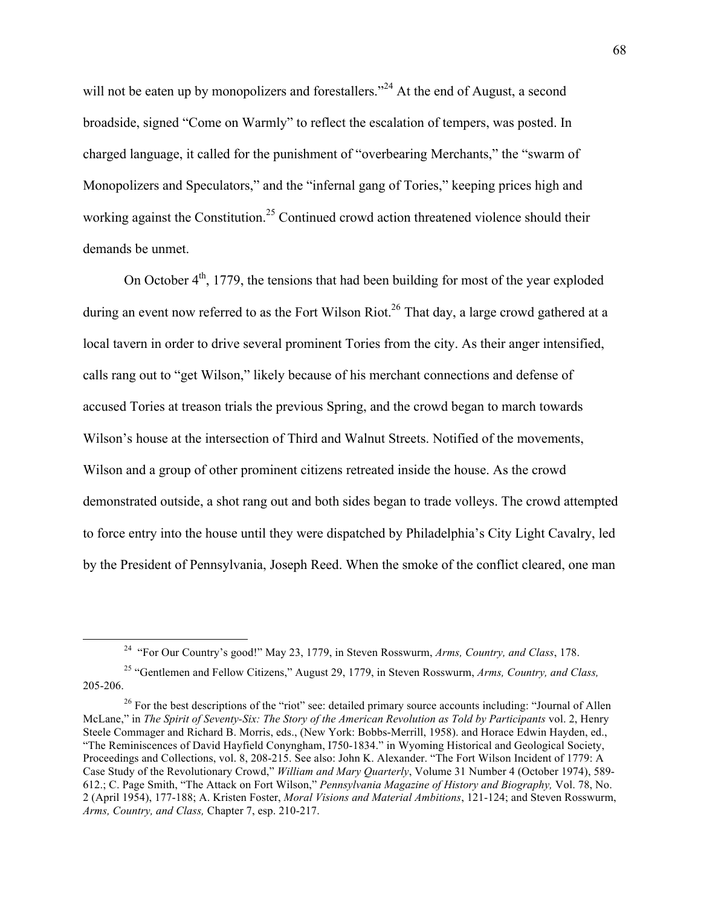will not be eaten up by monopolizers and forestallers."<sup>24</sup> At the end of August, a second broadside, signed "Come on Warmly" to reflect the escalation of tempers, was posted. In charged language, it called for the punishment of "overbearing Merchants," the "swarm of Monopolizers and Speculators," and the "infernal gang of Tories," keeping prices high and working against the Constitution.<sup>25</sup> Continued crowd action threatened violence should their demands be unmet.

On October  $4<sup>th</sup>$ , 1779, the tensions that had been building for most of the year exploded during an event now referred to as the Fort Wilson Riot.<sup>26</sup> That day, a large crowd gathered at a local tavern in order to drive several prominent Tories from the city. As their anger intensified, calls rang out to "get Wilson," likely because of his merchant connections and defense of accused Tories at treason trials the previous Spring, and the crowd began to march towards Wilson's house at the intersection of Third and Walnut Streets. Notified of the movements, Wilson and a group of other prominent citizens retreated inside the house. As the crowd demonstrated outside, a shot rang out and both sides began to trade volleys. The crowd attempted to force entry into the house until they were dispatched by Philadelphia's City Light Cavalry, led by the President of Pennsylvania, Joseph Reed. When the smoke of the conflict cleared, one man

 <sup>24 &</sup>quot;For Our Country's good!" May 23, 1779, in Steven Rosswurm, *Arms, Country, and Class*, 178.

<sup>25</sup> "Gentlemen and Fellow Citizens," August 29, 1779, in Steven Rosswurm, *Arms, Country, and Class,*  205-206.

<sup>&</sup>lt;sup>26</sup> For the best descriptions of the "riot" see: detailed primary source accounts including: "Journal of Allen McLane," in *The Spirit of Seventy-Six: The Story of the American Revolution as Told by Participants* vol. 2, Henry Steele Commager and Richard B. Morris, eds., (New York: Bobbs-Merrill, 1958). and Horace Edwin Hayden, ed., "The Reminiscences of David Hayfield Conyngham, I750-1834." in Wyoming Historical and Geological Society, Proceedings and Collections, vol. 8, 208-215. See also: John K. Alexander. "The Fort Wilson Incident of 1779: A Case Study of the Revolutionary Crowd," *William and Mary Quarterly*, Volume 31 Number 4 (October 1974), 589- 612.; C. Page Smith, "The Attack on Fort Wilson," *Pennsylvania Magazine of History and Biography,* Vol. 78, No. 2 (April 1954), 177-188; A. Kristen Foster, *Moral Visions and Material Ambitions*, 121-124; and Steven Rosswurm, *Arms, Country, and Class,* Chapter 7, esp. 210-217.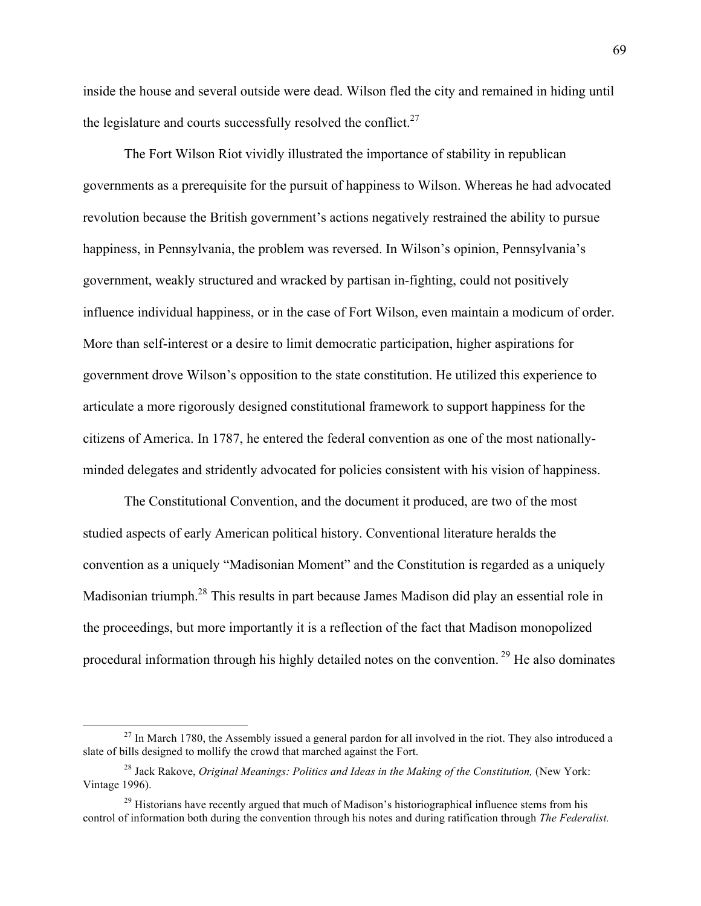inside the house and several outside were dead. Wilson fled the city and remained in hiding until the legislature and courts successfully resolved the conflict. $27$ 

The Fort Wilson Riot vividly illustrated the importance of stability in republican governments as a prerequisite for the pursuit of happiness to Wilson. Whereas he had advocated revolution because the British government's actions negatively restrained the ability to pursue happiness, in Pennsylvania, the problem was reversed. In Wilson's opinion, Pennsylvania's government, weakly structured and wracked by partisan in-fighting, could not positively influence individual happiness, or in the case of Fort Wilson, even maintain a modicum of order. More than self-interest or a desire to limit democratic participation, higher aspirations for government drove Wilson's opposition to the state constitution. He utilized this experience to articulate a more rigorously designed constitutional framework to support happiness for the citizens of America. In 1787, he entered the federal convention as one of the most nationallyminded delegates and stridently advocated for policies consistent with his vision of happiness.

The Constitutional Convention, and the document it produced, are two of the most studied aspects of early American political history. Conventional literature heralds the convention as a uniquely "Madisonian Moment" and the Constitution is regarded as a uniquely Madisonian triumph.28 This results in part because James Madison did play an essential role in the proceedings, but more importantly it is a reflection of the fact that Madison monopolized procedural information through his highly detailed notes on the convention. <sup>29</sup> He also dominates

 $27$  In March 1780, the Assembly issued a general pardon for all involved in the riot. They also introduced a slate of bills designed to mollify the crowd that marched against the Fort.

<sup>&</sup>lt;sup>28</sup> Jack Rakove, *Original Meanings: Politics and Ideas in the Making of the Constitution*, (New York: Vintage 1996).

 $^{29}$  Historians have recently argued that much of Madison's historiographical influence stems from his control of information both during the convention through his notes and during ratification through *The Federalist.*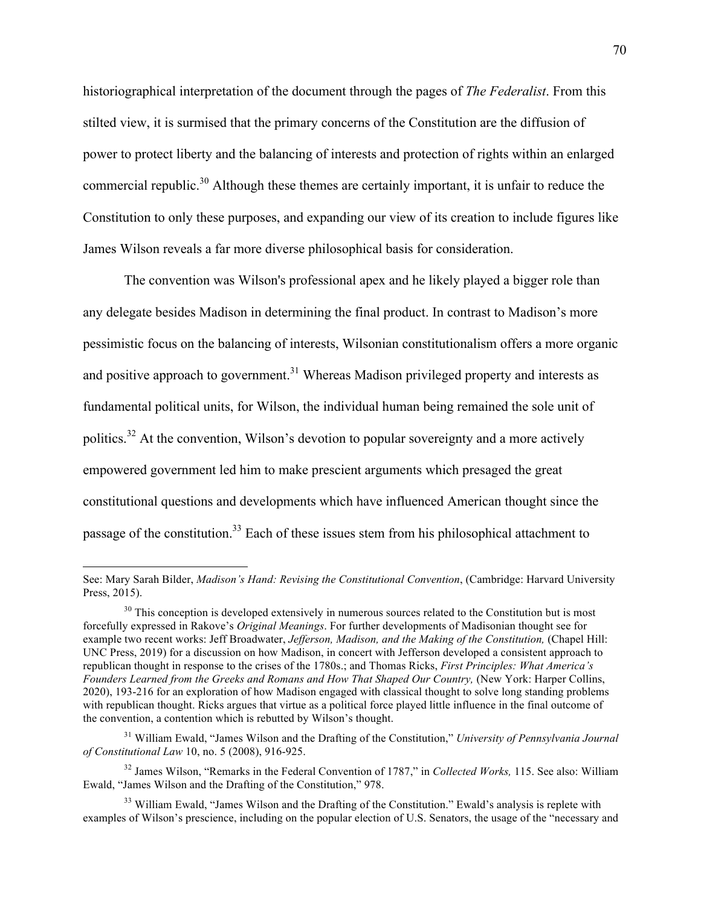historiographical interpretation of the document through the pages of *The Federalist*. From this stilted view, it is surmised that the primary concerns of the Constitution are the diffusion of power to protect liberty and the balancing of interests and protection of rights within an enlarged commercial republic.<sup>30</sup> Although these themes are certainly important, it is unfair to reduce the Constitution to only these purposes, and expanding our view of its creation to include figures like James Wilson reveals a far more diverse philosophical basis for consideration.

The convention was Wilson's professional apex and he likely played a bigger role than any delegate besides Madison in determining the final product. In contrast to Madison's more pessimistic focus on the balancing of interests, Wilsonian constitutionalism offers a more organic and positive approach to government.<sup>31</sup> Whereas Madison privileged property and interests as fundamental political units, for Wilson, the individual human being remained the sole unit of politics.<sup>32</sup> At the convention, Wilson's devotion to popular sovereignty and a more actively empowered government led him to make prescient arguments which presaged the great constitutional questions and developments which have influenced American thought since the passage of the constitution.<sup>33</sup> Each of these issues stem from his philosophical attachment to

See: Mary Sarah Bilder, *Madison's Hand: Revising the Constitutional Convention*, (Cambridge: Harvard University Press, 2015).

<sup>&</sup>lt;sup>30</sup> This conception is developed extensively in numerous sources related to the Constitution but is most forcefully expressed in Rakove's *Original Meanings*. For further developments of Madisonian thought see for example two recent works: Jeff Broadwater, *Jefferson, Madison, and the Making of the Constitution,* (Chapel Hill: UNC Press, 2019) for a discussion on how Madison, in concert with Jefferson developed a consistent approach to republican thought in response to the crises of the 1780s.; and Thomas Ricks, *First Principles: What America's Founders Learned from the Greeks and Romans and How That Shaped Our Country,* (New York: Harper Collins, 2020), 193-216 for an exploration of how Madison engaged with classical thought to solve long standing problems with republican thought. Ricks argues that virtue as a political force played little influence in the final outcome of the convention, a contention which is rebutted by Wilson's thought.

<sup>31</sup> William Ewald, "James Wilson and the Drafting of the Constitution," *University of Pennsylvania Journal of Constitutional Law* 10, no. 5 (2008), 916-925.

<sup>32</sup> James Wilson, "Remarks in the Federal Convention of 1787," in *Collected Works,* 115. See also: William Ewald, "James Wilson and the Drafting of the Constitution," 978.

<sup>&</sup>lt;sup>33</sup> William Ewald, "James Wilson and the Drafting of the Constitution." Ewald's analysis is replete with examples of Wilson's prescience, including on the popular election of U.S. Senators, the usage of the "necessary and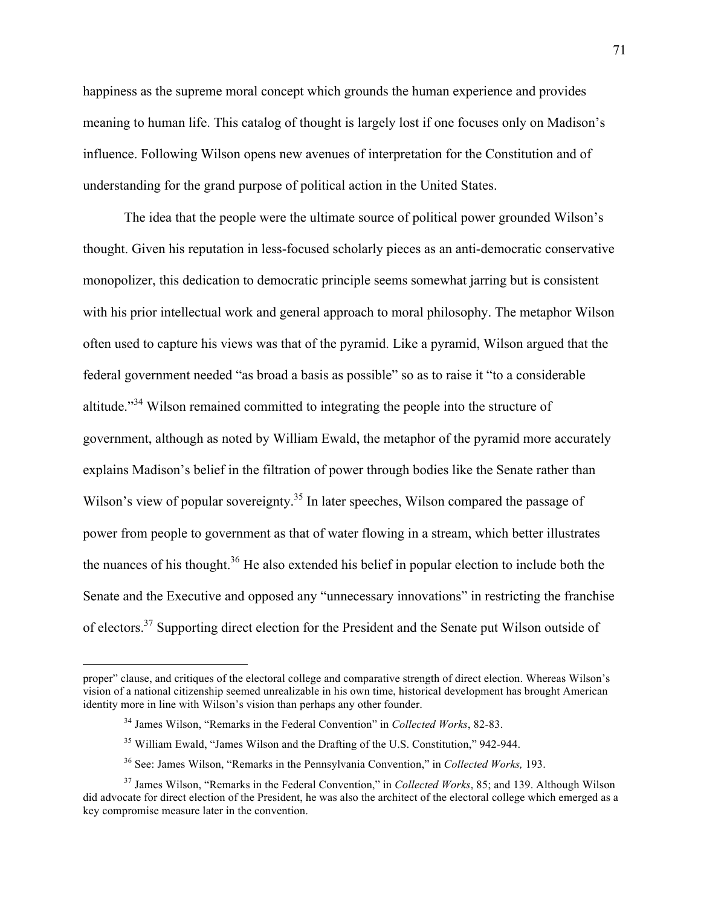happiness as the supreme moral concept which grounds the human experience and provides meaning to human life. This catalog of thought is largely lost if one focuses only on Madison's influence. Following Wilson opens new avenues of interpretation for the Constitution and of understanding for the grand purpose of political action in the United States.

The idea that the people were the ultimate source of political power grounded Wilson's thought. Given his reputation in less-focused scholarly pieces as an anti-democratic conservative monopolizer, this dedication to democratic principle seems somewhat jarring but is consistent with his prior intellectual work and general approach to moral philosophy. The metaphor Wilson often used to capture his views was that of the pyramid. Like a pyramid, Wilson argued that the federal government needed "as broad a basis as possible" so as to raise it "to a considerable altitude."<sup>34</sup> Wilson remained committed to integrating the people into the structure of government, although as noted by William Ewald, the metaphor of the pyramid more accurately explains Madison's belief in the filtration of power through bodies like the Senate rather than Wilson's view of popular sovereignty.<sup>35</sup> In later speeches, Wilson compared the passage of power from people to government as that of water flowing in a stream, which better illustrates the nuances of his thought.36 He also extended his belief in popular election to include both the Senate and the Executive and opposed any "unnecessary innovations" in restricting the franchise of electors.37 Supporting direct election for the President and the Senate put Wilson outside of

 $\overline{a}$ 

proper" clause, and critiques of the electoral college and comparative strength of direct election. Whereas Wilson's vision of a national citizenship seemed unrealizable in his own time, historical development has brought American identity more in line with Wilson's vision than perhaps any other founder.

<sup>34</sup> James Wilson, "Remarks in the Federal Convention" in *Collected Works*, 82-83.

<sup>&</sup>lt;sup>35</sup> William Ewald, "James Wilson and the Drafting of the U.S. Constitution," 942-944.

<sup>36</sup> See: James Wilson, "Remarks in the Pennsylvania Convention," in *Collected Works,* 193.

<sup>37</sup> James Wilson, "Remarks in the Federal Convention," in *Collected Works*, 85; and 139. Although Wilson did advocate for direct election of the President, he was also the architect of the electoral college which emerged as a key compromise measure later in the convention.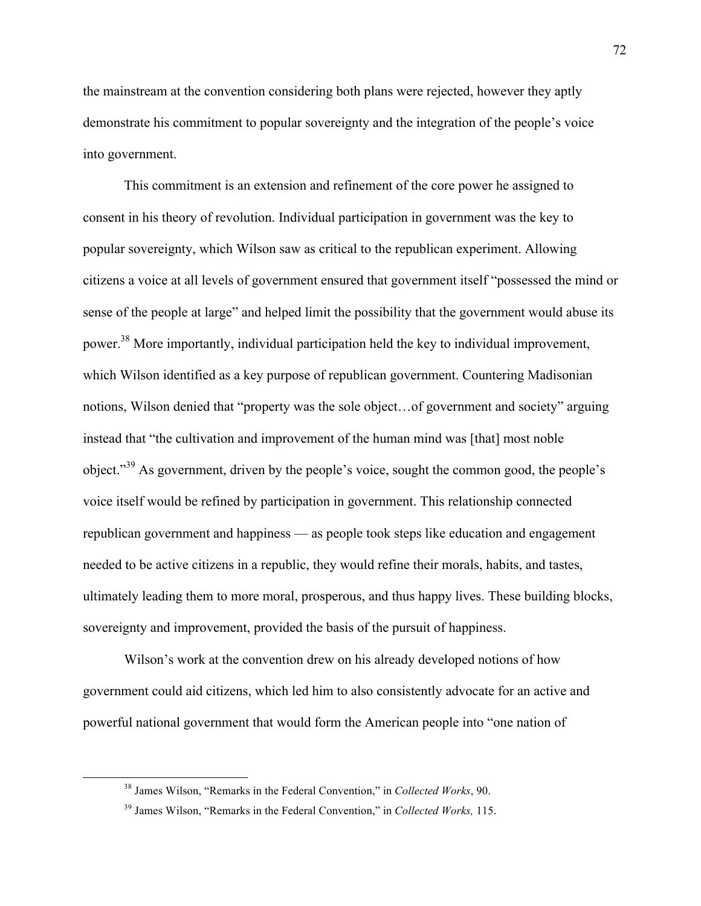the mainstream at the convention considering both plans were rejected, however they aptly demonstrate his commitment to popular sovereignty and the integration of the people's voice into government.

This commitment is an extension and refinement of the core power he assigned to consent in his theory of revolution. Individual participation in government was the key to popular sovereignty, which Wilson saw as critical to the republican experiment. Allowing citizens a voice at all levels of government ensured that government itself "possessed the mind or sense of the people at large" and helped limit the possibility that the government would abuse its power.38 More importantly, individual participation held the key to individual improvement, which Wilson identified as a key purpose of republican government. Countering Madisonian notions, Wilson denied that "property was the sole object…of government and society" arguing instead that "the cultivation and improvement of the human mind was [that] most noble object."<sup>39</sup> As government, driven by the people's voice, sought the common good, the people's voice itself would be refined by participation in government. This relationship connected republican government and happiness –– as people took steps like education and engagement needed to be active citizens in a republic, they would refine their morals, habits, and tastes, ultimately leading them to more moral, prosperous, and thus happy lives. These building blocks, sovereignty and improvement, provided the basis of the pursuit of happiness.

Wilson's work at the convention drew on his already developed notions of how government could aid citizens, which led him to also consistently advocate for an active and powerful national government that would form the American people into "one nation of

 <sup>38</sup> James Wilson, "Remarks in the Federal Convention," in *Collected Works*, 90.

<sup>39</sup> James Wilson, "Remarks in the Federal Convention," in *Collected Works,* 115.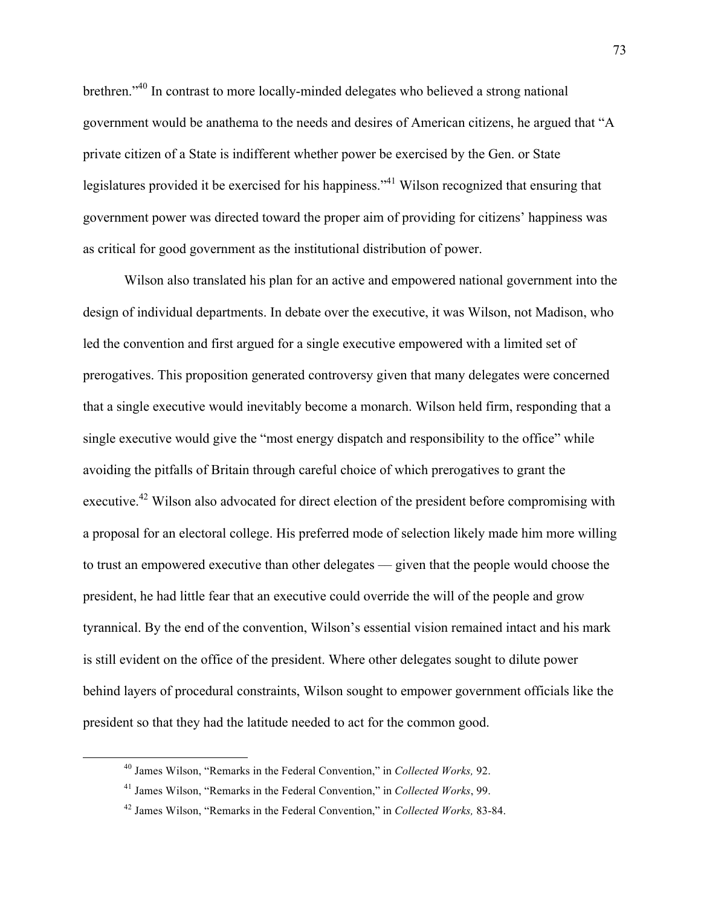brethren."40 In contrast to more locally-minded delegates who believed a strong national government would be anathema to the needs and desires of American citizens, he argued that "A private citizen of a State is indifferent whether power be exercised by the Gen. or State legislatures provided it be exercised for his happiness."41 Wilson recognized that ensuring that government power was directed toward the proper aim of providing for citizens' happiness was as critical for good government as the institutional distribution of power.

Wilson also translated his plan for an active and empowered national government into the design of individual departments. In debate over the executive, it was Wilson, not Madison, who led the convention and first argued for a single executive empowered with a limited set of prerogatives. This proposition generated controversy given that many delegates were concerned that a single executive would inevitably become a monarch. Wilson held firm, responding that a single executive would give the "most energy dispatch and responsibility to the office" while avoiding the pitfalls of Britain through careful choice of which prerogatives to grant the executive.<sup>42</sup> Wilson also advocated for direct election of the president before compromising with a proposal for an electoral college. His preferred mode of selection likely made him more willing to trust an empowered executive than other delegates –– given that the people would choose the president, he had little fear that an executive could override the will of the people and grow tyrannical. By the end of the convention, Wilson's essential vision remained intact and his mark is still evident on the office of the president. Where other delegates sought to dilute power behind layers of procedural constraints, Wilson sought to empower government officials like the president so that they had the latitude needed to act for the common good.

 <sup>40</sup> James Wilson, "Remarks in the Federal Convention," in *Collected Works,* 92.

<sup>41</sup> James Wilson, "Remarks in the Federal Convention," in *Collected Works*, 99.

<sup>42</sup> James Wilson, "Remarks in the Federal Convention," in *Collected Works,* 83-84.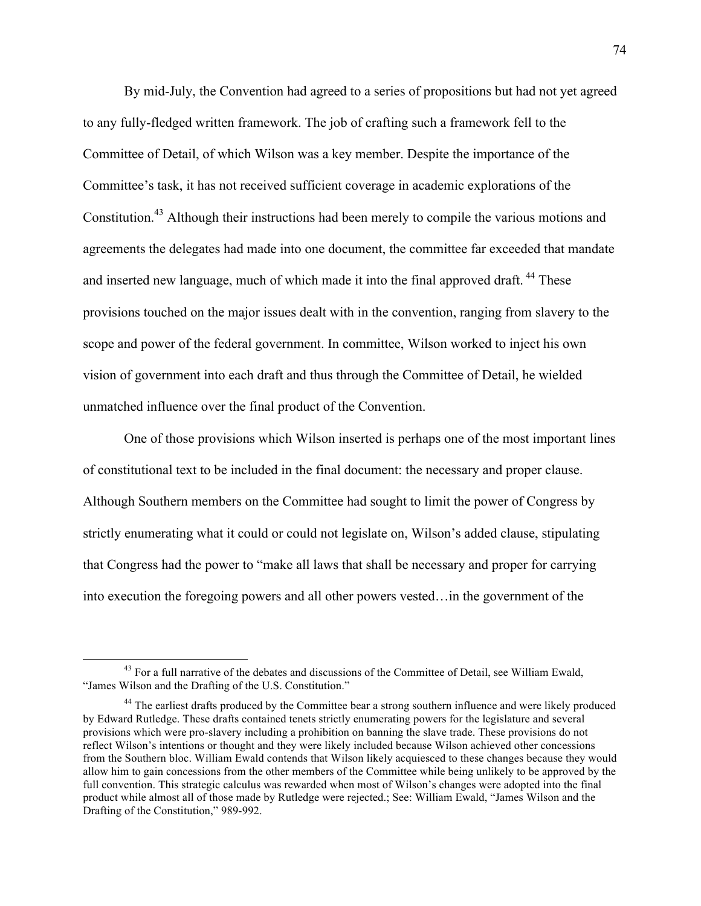By mid-July, the Convention had agreed to a series of propositions but had not yet agreed to any fully-fledged written framework. The job of crafting such a framework fell to the Committee of Detail, of which Wilson was a key member. Despite the importance of the Committee's task, it has not received sufficient coverage in academic explorations of the Constitution.<sup>43</sup> Although their instructions had been merely to compile the various motions and agreements the delegates had made into one document, the committee far exceeded that mandate and inserted new language, much of which made it into the final approved draft.<sup>44</sup> These provisions touched on the major issues dealt with in the convention, ranging from slavery to the scope and power of the federal government. In committee, Wilson worked to inject his own vision of government into each draft and thus through the Committee of Detail, he wielded unmatched influence over the final product of the Convention.

One of those provisions which Wilson inserted is perhaps one of the most important lines of constitutional text to be included in the final document: the necessary and proper clause. Although Southern members on the Committee had sought to limit the power of Congress by strictly enumerating what it could or could not legislate on, Wilson's added clause, stipulating that Congress had the power to "make all laws that shall be necessary and proper for carrying into execution the foregoing powers and all other powers vested…in the government of the

<sup>&</sup>lt;sup>43</sup> For a full narrative of the debates and discussions of the Committee of Detail, see William Ewald, "James Wilson and the Drafting of the U.S. Constitution."

<sup>&</sup>lt;sup>44</sup> The earliest drafts produced by the Committee bear a strong southern influence and were likely produced by Edward Rutledge. These drafts contained tenets strictly enumerating powers for the legislature and several provisions which were pro-slavery including a prohibition on banning the slave trade. These provisions do not reflect Wilson's intentions or thought and they were likely included because Wilson achieved other concessions from the Southern bloc. William Ewald contends that Wilson likely acquiesced to these changes because they would allow him to gain concessions from the other members of the Committee while being unlikely to be approved by the full convention. This strategic calculus was rewarded when most of Wilson's changes were adopted into the final product while almost all of those made by Rutledge were rejected.; See: William Ewald, "James Wilson and the Drafting of the Constitution," 989-992.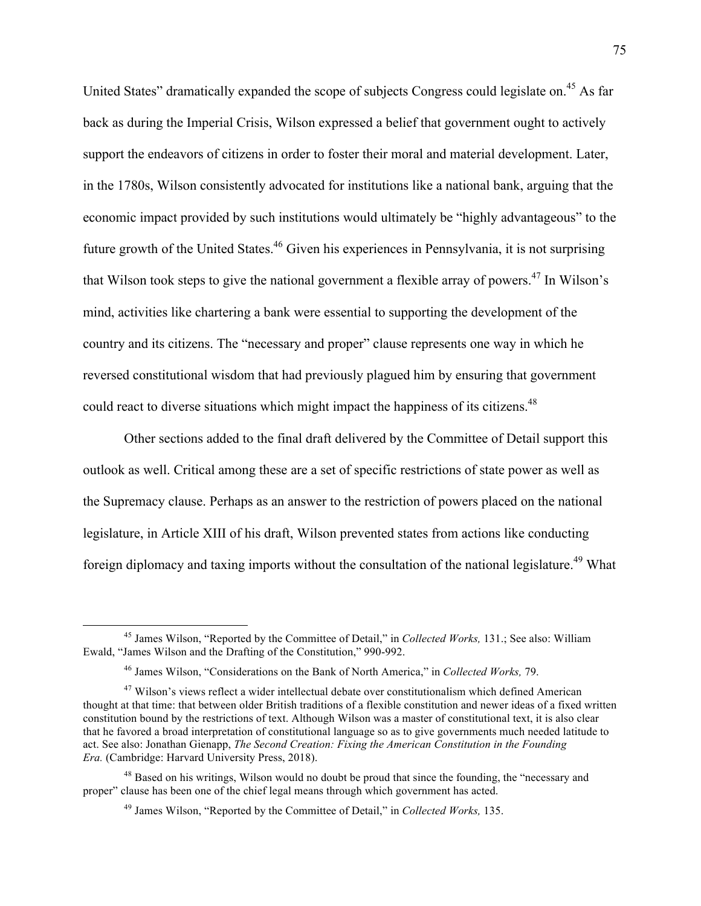United States" dramatically expanded the scope of subjects Congress could legislate on.<sup>45</sup> As far back as during the Imperial Crisis, Wilson expressed a belief that government ought to actively support the endeavors of citizens in order to foster their moral and material development. Later, in the 1780s, Wilson consistently advocated for institutions like a national bank, arguing that the economic impact provided by such institutions would ultimately be "highly advantageous" to the future growth of the United States.<sup>46</sup> Given his experiences in Pennsylvania, it is not surprising that Wilson took steps to give the national government a flexible array of powers.<sup>47</sup> In Wilson's mind, activities like chartering a bank were essential to supporting the development of the country and its citizens. The "necessary and proper" clause represents one way in which he reversed constitutional wisdom that had previously plagued him by ensuring that government could react to diverse situations which might impact the happiness of its citizens.<sup>48</sup>

Other sections added to the final draft delivered by the Committee of Detail support this outlook as well. Critical among these are a set of specific restrictions of state power as well as the Supremacy clause. Perhaps as an answer to the restriction of powers placed on the national legislature, in Article XIII of his draft, Wilson prevented states from actions like conducting foreign diplomacy and taxing imports without the consultation of the national legislature.<sup>49</sup> What

 <sup>45</sup> James Wilson, "Reported by the Committee of Detail," in *Collected Works,* 131.; See also: William Ewald, "James Wilson and the Drafting of the Constitution," 990-992.

<sup>46</sup> James Wilson, "Considerations on the Bank of North America," in *Collected Works,* 79.

<sup>&</sup>lt;sup>47</sup> Wilson's views reflect a wider intellectual debate over constitutionalism which defined American thought at that time: that between older British traditions of a flexible constitution and newer ideas of a fixed written constitution bound by the restrictions of text. Although Wilson was a master of constitutional text, it is also clear that he favored a broad interpretation of constitutional language so as to give governments much needed latitude to act. See also: Jonathan Gienapp, *The Second Creation: Fixing the American Constitution in the Founding Era.* (Cambridge: Harvard University Press, 2018).

<sup>&</sup>lt;sup>48</sup> Based on his writings, Wilson would no doubt be proud that since the founding, the "necessary and proper" clause has been one of the chief legal means through which government has acted.

<sup>49</sup> James Wilson, "Reported by the Committee of Detail," in *Collected Works,* 135.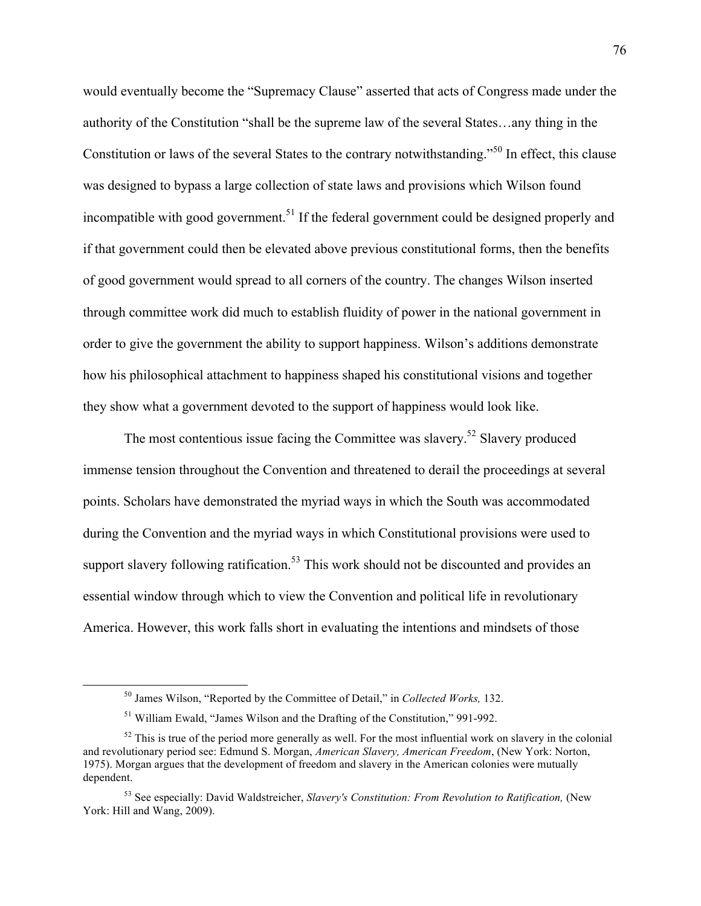would eventually become the "Supremacy Clause" asserted that acts of Congress made under the authority of the Constitution "shall be the supreme law of the several States…any thing in the Constitution or laws of the several States to the contrary notwithstanding."<sup>50</sup> In effect, this clause was designed to bypass a large collection of state laws and provisions which Wilson found incompatible with good government.<sup>51</sup> If the federal government could be designed properly and if that government could then be elevated above previous constitutional forms, then the benefits of good government would spread to all corners of the country. The changes Wilson inserted through committee work did much to establish fluidity of power in the national government in order to give the government the ability to support happiness. Wilson's additions demonstrate how his philosophical attachment to happiness shaped his constitutional visions and together they show what a government devoted to the support of happiness would look like.

The most contentious issue facing the Committee was slavery.<sup>52</sup> Slavery produced immense tension throughout the Convention and threatened to derail the proceedings at several points. Scholars have demonstrated the myriad ways in which the South was accommodated during the Convention and the myriad ways in which Constitutional provisions were used to support slavery following ratification.<sup>53</sup> This work should not be discounted and provides an essential window through which to view the Convention and political life in revolutionary America. However, this work falls short in evaluating the intentions and mindsets of those

 <sup>50</sup> James Wilson, "Reported by the Committee of Detail," in *Collected Works,* 132.

<sup>51</sup> William Ewald, "James Wilson and the Drafting of the Constitution," 991-992.

 $52$  This is true of the period more generally as well. For the most influential work on slavery in the colonial and revolutionary period see: Edmund S. Morgan, *American Slavery, American Freedom*, (New York: Norton, 1975). Morgan argues that the development of freedom and slavery in the American colonies were mutually dependent.

<sup>53</sup> See especially: David Waldstreicher, *Slavery's Constitution: From Revolution to Ratification,* (New York: Hill and Wang, 2009).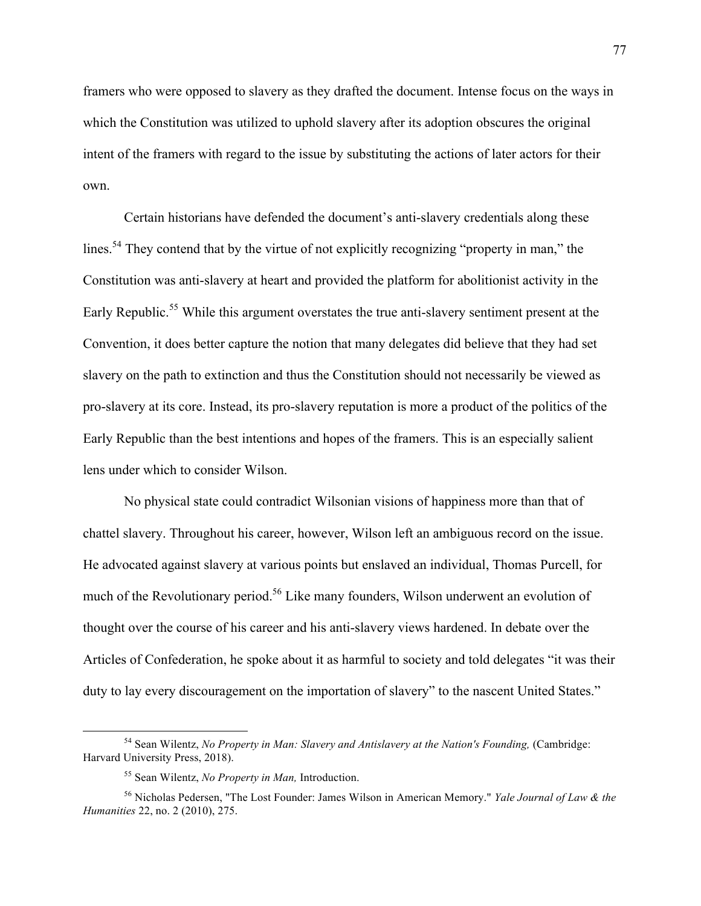framers who were opposed to slavery as they drafted the document. Intense focus on the ways in which the Constitution was utilized to uphold slavery after its adoption obscures the original intent of the framers with regard to the issue by substituting the actions of later actors for their own.

Certain historians have defended the document's anti-slavery credentials along these lines.<sup>54</sup> They contend that by the virtue of not explicitly recognizing "property in man," the Constitution was anti-slavery at heart and provided the platform for abolitionist activity in the Early Republic.<sup>55</sup> While this argument overstates the true anti-slavery sentiment present at the Convention, it does better capture the notion that many delegates did believe that they had set slavery on the path to extinction and thus the Constitution should not necessarily be viewed as pro-slavery at its core. Instead, its pro-slavery reputation is more a product of the politics of the Early Republic than the best intentions and hopes of the framers. This is an especially salient lens under which to consider Wilson.

No physical state could contradict Wilsonian visions of happiness more than that of chattel slavery. Throughout his career, however, Wilson left an ambiguous record on the issue. He advocated against slavery at various points but enslaved an individual, Thomas Purcell, for much of the Revolutionary period.<sup>56</sup> Like many founders, Wilson underwent an evolution of thought over the course of his career and his anti-slavery views hardened. In debate over the Articles of Confederation, he spoke about it as harmful to society and told delegates "it was their duty to lay every discouragement on the importation of slavery" to the nascent United States."

<sup>&</sup>lt;sup>54</sup> Sean Wilentz, *No Property in Man: Slavery and Antislavery at the Nation's Founding, (Cambridge:* Harvard University Press, 2018).

<sup>55</sup> Sean Wilentz, *No Property in Man,* Introduction.

<sup>56</sup> Nicholas Pedersen, "The Lost Founder: James Wilson in American Memory." *Yale Journal of Law & the Humanities* 22, no. 2 (2010), 275.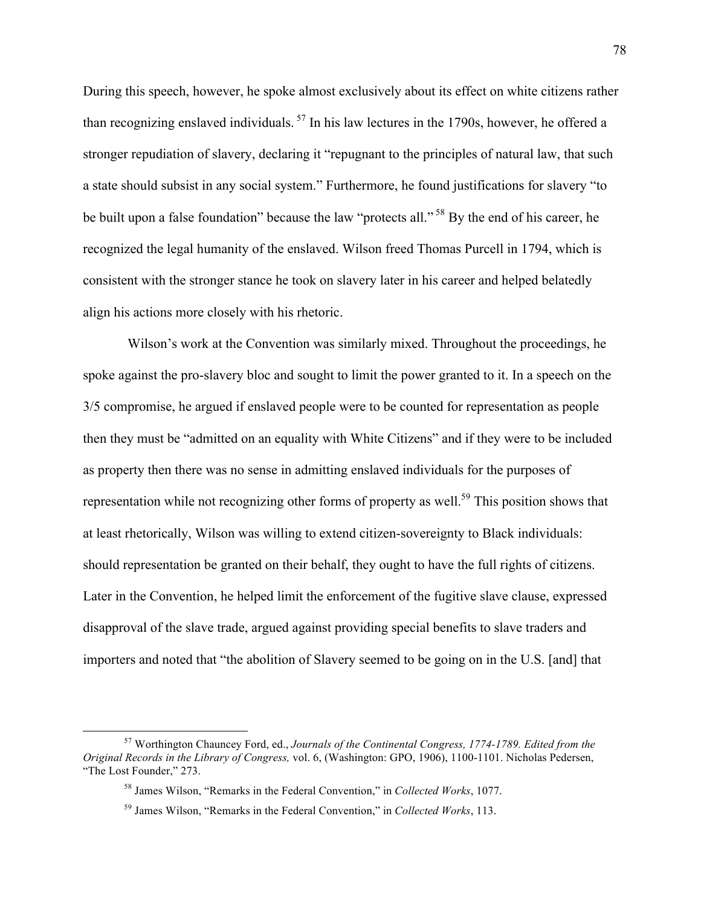During this speech, however, he spoke almost exclusively about its effect on white citizens rather than recognizing enslaved individuals. <sup>57</sup> In his law lectures in the 1790s, however, he offered a stronger repudiation of slavery, declaring it "repugnant to the principles of natural law, that such a state should subsist in any social system." Furthermore, he found justifications for slavery "to be built upon a false foundation" because the law "protects all."<sup>58</sup> By the end of his career, he recognized the legal humanity of the enslaved. Wilson freed Thomas Purcell in 1794, which is consistent with the stronger stance he took on slavery later in his career and helped belatedly align his actions more closely with his rhetoric.

Wilson's work at the Convention was similarly mixed. Throughout the proceedings, he spoke against the pro-slavery bloc and sought to limit the power granted to it. In a speech on the 3/5 compromise, he argued if enslaved people were to be counted for representation as people then they must be "admitted on an equality with White Citizens" and if they were to be included as property then there was no sense in admitting enslaved individuals for the purposes of representation while not recognizing other forms of property as well.<sup>59</sup> This position shows that at least rhetorically, Wilson was willing to extend citizen-sovereignty to Black individuals: should representation be granted on their behalf, they ought to have the full rights of citizens. Later in the Convention, he helped limit the enforcement of the fugitive slave clause, expressed disapproval of the slave trade, argued against providing special benefits to slave traders and importers and noted that "the abolition of Slavery seemed to be going on in the U.S. [and] that

 <sup>57</sup> Worthington Chauncey Ford, ed., *Journals of the Continental Congress, 1774-1789. Edited from the Original Records in the Library of Congress,* vol. 6, (Washington: GPO, 1906), 1100-1101. Nicholas Pedersen, "The Lost Founder," 273.

<sup>58</sup> James Wilson, "Remarks in the Federal Convention," in *Collected Works*, 1077.

<sup>59</sup> James Wilson, "Remarks in the Federal Convention," in *Collected Works*, 113.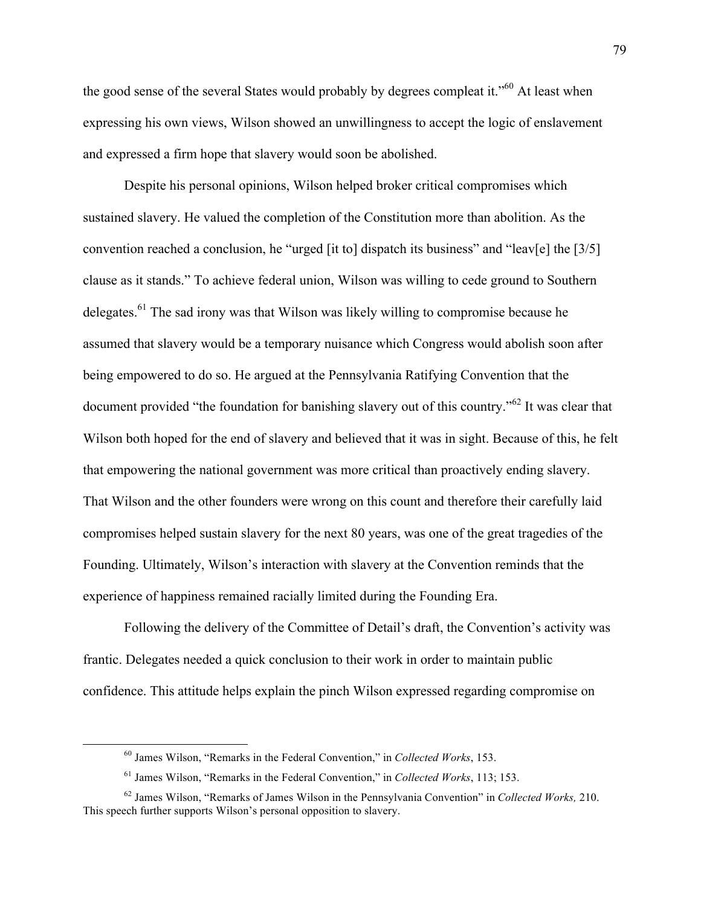the good sense of the several States would probably by degrees compleat it."<sup>60</sup> At least when expressing his own views, Wilson showed an unwillingness to accept the logic of enslavement and expressed a firm hope that slavery would soon be abolished.

Despite his personal opinions, Wilson helped broker critical compromises which sustained slavery. He valued the completion of the Constitution more than abolition. As the convention reached a conclusion, he "urged [it to] dispatch its business" and "leav[e] the [3/5] clause as it stands." To achieve federal union, Wilson was willing to cede ground to Southern delegates. $^{61}$  The sad irony was that Wilson was likely willing to compromise because he assumed that slavery would be a temporary nuisance which Congress would abolish soon after being empowered to do so. He argued at the Pennsylvania Ratifying Convention that the document provided "the foundation for banishing slavery out of this country."62 It was clear that Wilson both hoped for the end of slavery and believed that it was in sight. Because of this, he felt that empowering the national government was more critical than proactively ending slavery. That Wilson and the other founders were wrong on this count and therefore their carefully laid compromises helped sustain slavery for the next 80 years, was one of the great tragedies of the Founding. Ultimately, Wilson's interaction with slavery at the Convention reminds that the experience of happiness remained racially limited during the Founding Era.

Following the delivery of the Committee of Detail's draft, the Convention's activity was frantic. Delegates needed a quick conclusion to their work in order to maintain public confidence. This attitude helps explain the pinch Wilson expressed regarding compromise on

 <sup>60</sup> James Wilson, "Remarks in the Federal Convention," in *Collected Works*, 153.

<sup>61</sup> James Wilson, "Remarks in the Federal Convention," in *Collected Works*, 113; 153.

<sup>62</sup> James Wilson, "Remarks of James Wilson in the Pennsylvania Convention" in *Collected Works,* 210. This speech further supports Wilson's personal opposition to slavery.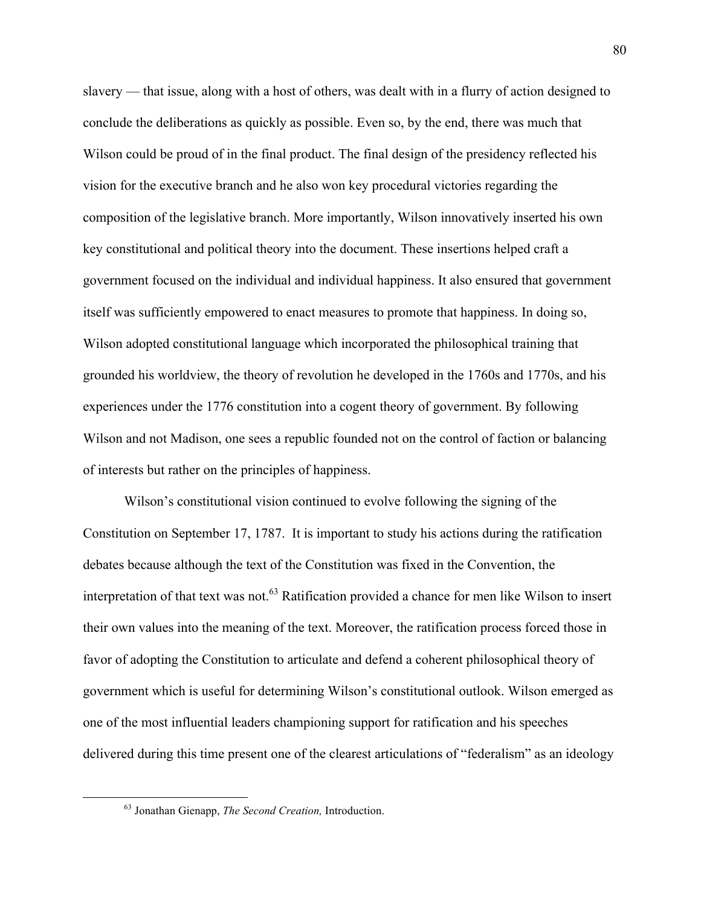slavery –– that issue, along with a host of others, was dealt with in a flurry of action designed to conclude the deliberations as quickly as possible. Even so, by the end, there was much that Wilson could be proud of in the final product. The final design of the presidency reflected his vision for the executive branch and he also won key procedural victories regarding the composition of the legislative branch. More importantly, Wilson innovatively inserted his own key constitutional and political theory into the document. These insertions helped craft a government focused on the individual and individual happiness. It also ensured that government itself was sufficiently empowered to enact measures to promote that happiness. In doing so, Wilson adopted constitutional language which incorporated the philosophical training that grounded his worldview, the theory of revolution he developed in the 1760s and 1770s, and his experiences under the 1776 constitution into a cogent theory of government. By following Wilson and not Madison, one sees a republic founded not on the control of faction or balancing of interests but rather on the principles of happiness.

Wilson's constitutional vision continued to evolve following the signing of the Constitution on September 17, 1787. It is important to study his actions during the ratification debates because although the text of the Constitution was fixed in the Convention, the interpretation of that text was not.<sup>63</sup> Ratification provided a chance for men like Wilson to insert their own values into the meaning of the text. Moreover, the ratification process forced those in favor of adopting the Constitution to articulate and defend a coherent philosophical theory of government which is useful for determining Wilson's constitutional outlook. Wilson emerged as one of the most influential leaders championing support for ratification and his speeches delivered during this time present one of the clearest articulations of "federalism" as an ideology

 <sup>63</sup> Jonathan Gienapp, *The Second Creation,* Introduction.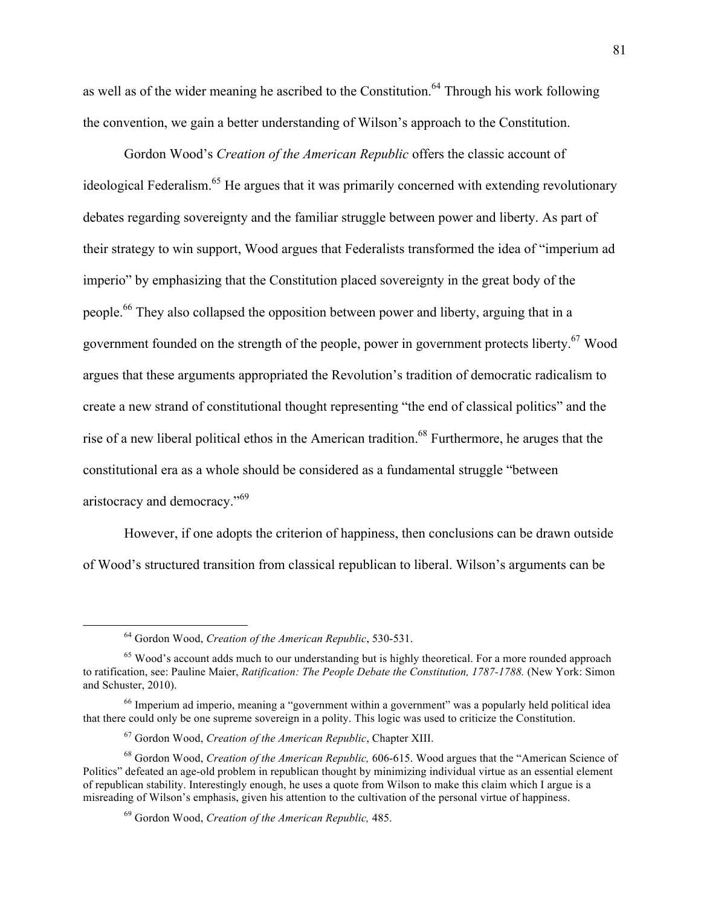as well as of the wider meaning he ascribed to the Constitution.<sup>64</sup> Through his work following the convention, we gain a better understanding of Wilson's approach to the Constitution.

Gordon Wood's *Creation of the American Republic* offers the classic account of ideological Federalism.<sup>65</sup> He argues that it was primarily concerned with extending revolutionary debates regarding sovereignty and the familiar struggle between power and liberty. As part of their strategy to win support, Wood argues that Federalists transformed the idea of "imperium ad imperio" by emphasizing that the Constitution placed sovereignty in the great body of the people.<sup>66</sup> They also collapsed the opposition between power and liberty, arguing that in a government founded on the strength of the people, power in government protects liberty.<sup>67</sup> Wood argues that these arguments appropriated the Revolution's tradition of democratic radicalism to create a new strand of constitutional thought representing "the end of classical politics" and the rise of a new liberal political ethos in the American tradition.<sup>68</sup> Furthermore, he aruges that the constitutional era as a whole should be considered as a fundamental struggle "between aristocracy and democracy."<sup>69</sup>

However, if one adopts the criterion of happiness, then conclusions can be drawn outside of Wood's structured transition from classical republican to liberal. Wilson's arguments can be

 <sup>64</sup> Gordon Wood, *Creation of the American Republic*, 530-531.

<sup>&</sup>lt;sup>65</sup> Wood's account adds much to our understanding but is highly theoretical. For a more rounded approach to ratification, see: Pauline Maier, *Ratification: The People Debate the Constitution, 1787-1788.* (New York: Simon and Schuster, 2010).

<sup>66</sup> Imperium ad imperio, meaning a "government within a government" was a popularly held political idea that there could only be one supreme sovereign in a polity. This logic was used to criticize the Constitution.

<sup>67</sup> Gordon Wood, *Creation of the American Republic*, Chapter XIII.

<sup>68</sup> Gordon Wood, *Creation of the American Republic,* 606-615. Wood argues that the "American Science of Politics" defeated an age-old problem in republican thought by minimizing individual virtue as an essential element of republican stability. Interestingly enough, he uses a quote from Wilson to make this claim which I argue is a misreading of Wilson's emphasis, given his attention to the cultivation of the personal virtue of happiness.

<sup>69</sup> Gordon Wood, *Creation of the American Republic,* 485.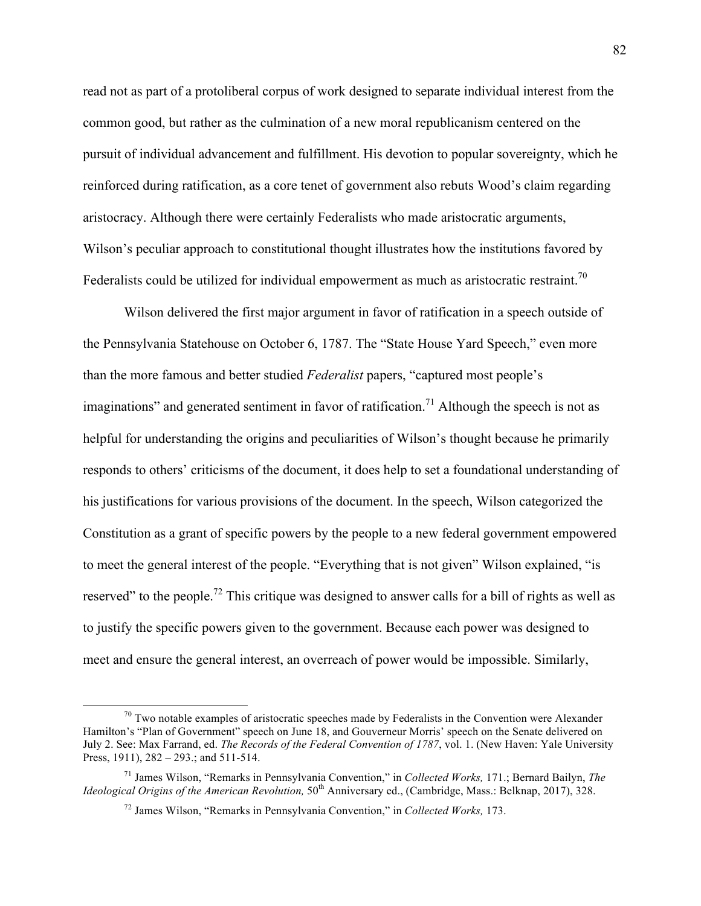read not as part of a protoliberal corpus of work designed to separate individual interest from the common good, but rather as the culmination of a new moral republicanism centered on the pursuit of individual advancement and fulfillment. His devotion to popular sovereignty, which he reinforced during ratification, as a core tenet of government also rebuts Wood's claim regarding aristocracy. Although there were certainly Federalists who made aristocratic arguments, Wilson's peculiar approach to constitutional thought illustrates how the institutions favored by Federalists could be utilized for individual empowerment as much as aristocratic restraint.<sup>70</sup>

Wilson delivered the first major argument in favor of ratification in a speech outside of the Pennsylvania Statehouse on October 6, 1787. The "State House Yard Speech," even more than the more famous and better studied *Federalist* papers, "captured most people's imaginations" and generated sentiment in favor of ratification.<sup>71</sup> Although the speech is not as helpful for understanding the origins and peculiarities of Wilson's thought because he primarily responds to others' criticisms of the document, it does help to set a foundational understanding of his justifications for various provisions of the document. In the speech, Wilson categorized the Constitution as a grant of specific powers by the people to a new federal government empowered to meet the general interest of the people. "Everything that is not given" Wilson explained, "is reserved" to the people.<sup>72</sup> This critique was designed to answer calls for a bill of rights as well as to justify the specific powers given to the government. Because each power was designed to meet and ensure the general interest, an overreach of power would be impossible. Similarly,

 $70$  Two notable examples of aristocratic speeches made by Federalists in the Convention were Alexander Hamilton's "Plan of Government" speech on June 18, and Gouverneur Morris' speech on the Senate delivered on July 2. See: Max Farrand, ed. *The Records of the Federal Convention of 1787*, vol. 1. (New Haven: Yale University Press, 1911), 282 – 293.; and 511-514.

<sup>71</sup> James Wilson, "Remarks in Pennsylvania Convention," in *Collected Works,* 171.; Bernard Bailyn, *The Ideological Origins of the American Revolution,* 50<sup>th</sup> Anniversary ed., (Cambridge, Mass.: Belknap, 2017), 328.

<sup>72</sup> James Wilson, "Remarks in Pennsylvania Convention," in *Collected Works,* 173.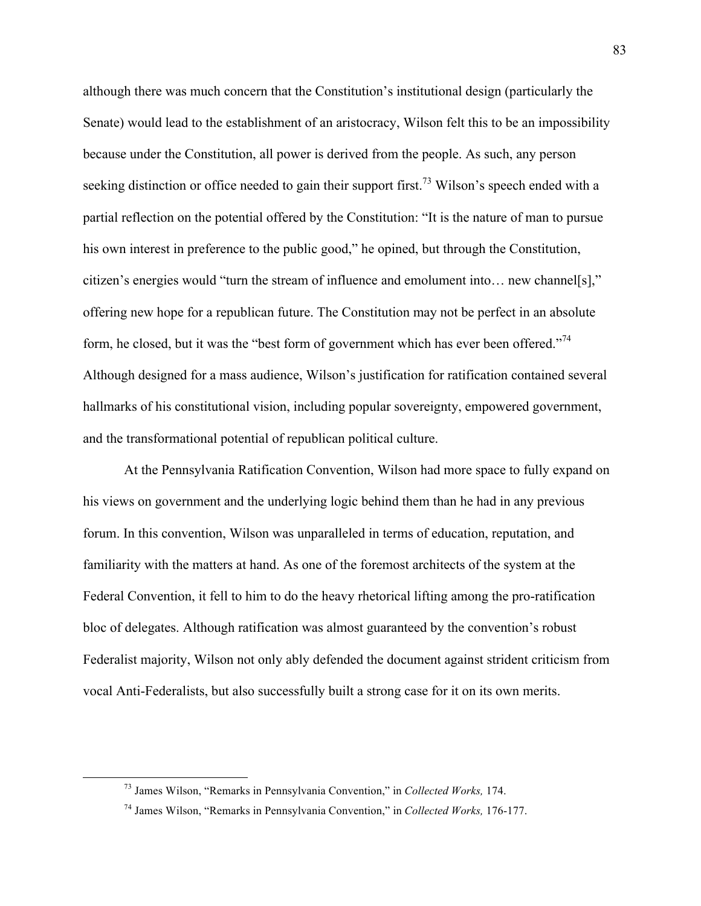although there was much concern that the Constitution's institutional design (particularly the Senate) would lead to the establishment of an aristocracy, Wilson felt this to be an impossibility because under the Constitution, all power is derived from the people. As such, any person seeking distinction or office needed to gain their support first.<sup>73</sup> Wilson's speech ended with a partial reflection on the potential offered by the Constitution: "It is the nature of man to pursue his own interest in preference to the public good," he opined, but through the Constitution, citizen's energies would "turn the stream of influence and emolument into… new channel[s]," offering new hope for a republican future. The Constitution may not be perfect in an absolute form, he closed, but it was the "best form of government which has ever been offered."<sup>74</sup> Although designed for a mass audience, Wilson's justification for ratification contained several hallmarks of his constitutional vision, including popular sovereignty, empowered government, and the transformational potential of republican political culture.

At the Pennsylvania Ratification Convention, Wilson had more space to fully expand on his views on government and the underlying logic behind them than he had in any previous forum. In this convention, Wilson was unparalleled in terms of education, reputation, and familiarity with the matters at hand. As one of the foremost architects of the system at the Federal Convention, it fell to him to do the heavy rhetorical lifting among the pro-ratification bloc of delegates. Although ratification was almost guaranteed by the convention's robust Federalist majority, Wilson not only ably defended the document against strident criticism from vocal Anti-Federalists, but also successfully built a strong case for it on its own merits.

 <sup>73</sup> James Wilson, "Remarks in Pennsylvania Convention," in *Collected Works,* 174.

<sup>74</sup> James Wilson, "Remarks in Pennsylvania Convention," in *Collected Works,* 176-177.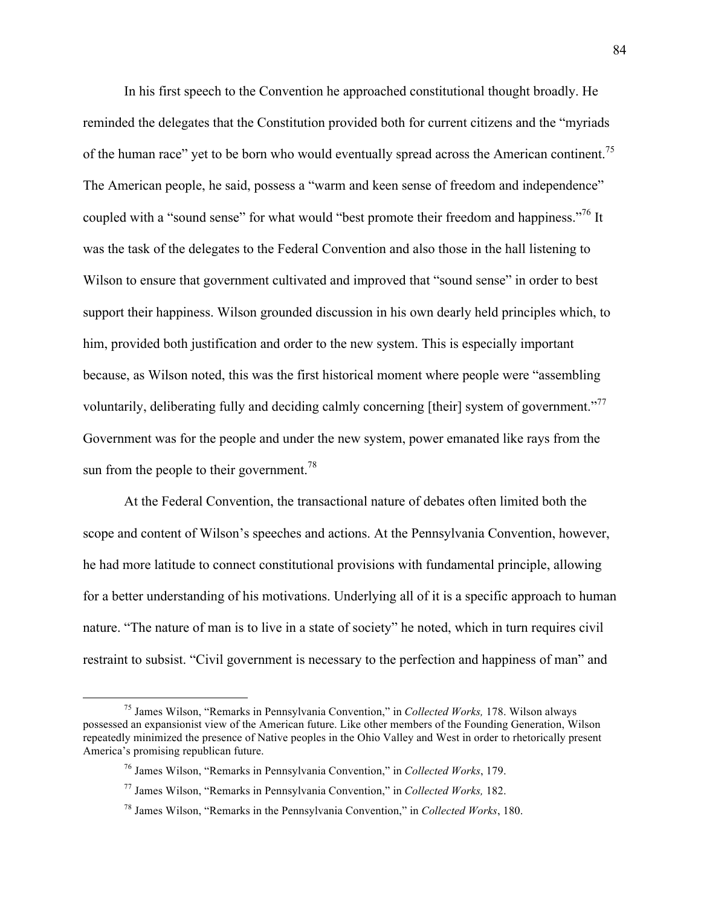In his first speech to the Convention he approached constitutional thought broadly. He reminded the delegates that the Constitution provided both for current citizens and the "myriads of the human race" yet to be born who would eventually spread across the American continent.<sup>75</sup> The American people, he said, possess a "warm and keen sense of freedom and independence" coupled with a "sound sense" for what would "best promote their freedom and happiness."<sup>76</sup> It was the task of the delegates to the Federal Convention and also those in the hall listening to Wilson to ensure that government cultivated and improved that "sound sense" in order to best support their happiness. Wilson grounded discussion in his own dearly held principles which, to him, provided both justification and order to the new system. This is especially important because, as Wilson noted, this was the first historical moment where people were "assembling voluntarily, deliberating fully and deciding calmly concerning [their] system of government."<sup>77</sup> Government was for the people and under the new system, power emanated like rays from the sun from the people to their government.<sup>78</sup>

At the Federal Convention, the transactional nature of debates often limited both the scope and content of Wilson's speeches and actions. At the Pennsylvania Convention, however, he had more latitude to connect constitutional provisions with fundamental principle, allowing for a better understanding of his motivations. Underlying all of it is a specific approach to human nature. "The nature of man is to live in a state of society" he noted, which in turn requires civil restraint to subsist. "Civil government is necessary to the perfection and happiness of man" and

 <sup>75</sup> James Wilson, "Remarks in Pennsylvania Convention," in *Collected Works,* 178. Wilson always possessed an expansionist view of the American future. Like other members of the Founding Generation, Wilson repeatedly minimized the presence of Native peoples in the Ohio Valley and West in order to rhetorically present America's promising republican future.

<sup>76</sup> James Wilson, "Remarks in Pennsylvania Convention," in *Collected Works*, 179.

<sup>77</sup> James Wilson, "Remarks in Pennsylvania Convention," in *Collected Works,* 182.

<sup>78</sup> James Wilson, "Remarks in the Pennsylvania Convention," in *Collected Works*, 180.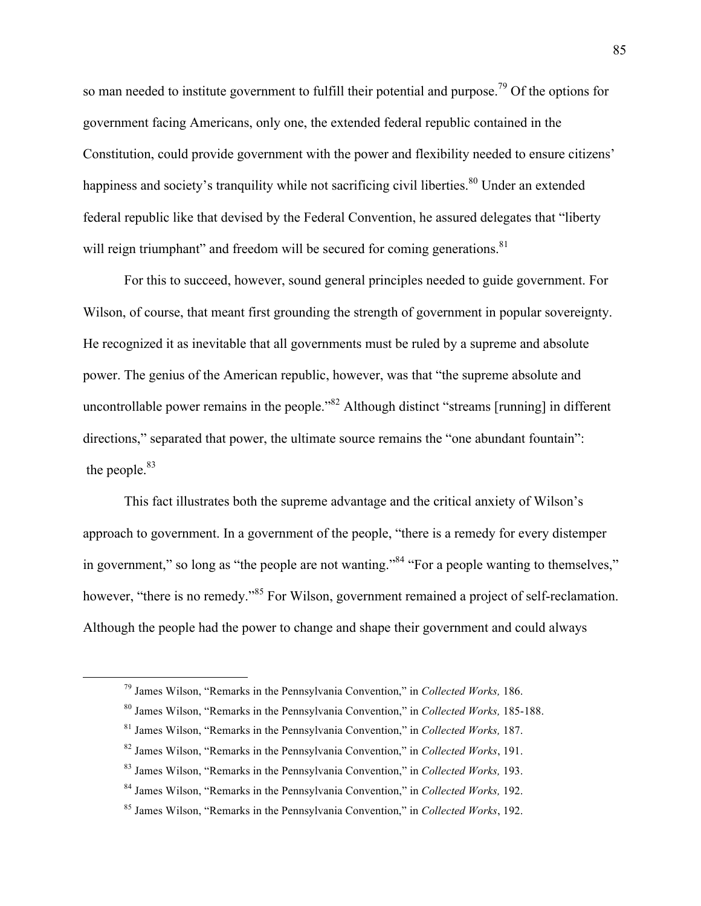so man needed to institute government to fulfill their potential and purpose.<sup>79</sup> Of the options for government facing Americans, only one, the extended federal republic contained in the Constitution, could provide government with the power and flexibility needed to ensure citizens' happiness and society's tranquility while not sacrificing civil liberties.<sup>80</sup> Under an extended federal republic like that devised by the Federal Convention, he assured delegates that "liberty will reign triumphant" and freedom will be secured for coming generations.  $81$ 

For this to succeed, however, sound general principles needed to guide government. For Wilson, of course, that meant first grounding the strength of government in popular sovereignty. He recognized it as inevitable that all governments must be ruled by a supreme and absolute power. The genius of the American republic, however, was that "the supreme absolute and uncontrollable power remains in the people.<sup>382</sup> Although distinct "streams [running] in different directions," separated that power, the ultimate source remains the "one abundant fountain": the people.<sup>83</sup>

This fact illustrates both the supreme advantage and the critical anxiety of Wilson's approach to government. In a government of the people, "there is a remedy for every distemper in government," so long as "the people are not wanting."<sup>84</sup> "For a people wanting to themselves," however, "there is no remedy."<sup>85</sup> For Wilson, government remained a project of self-reclamation. Although the people had the power to change and shape their government and could always

 <sup>79</sup> James Wilson, "Remarks in the Pennsylvania Convention," in *Collected Works,* 186.

<sup>80</sup> James Wilson, "Remarks in the Pennsylvania Convention," in *Collected Works,* 185-188.

<sup>81</sup> James Wilson, "Remarks in the Pennsylvania Convention," in *Collected Works,* 187.

<sup>82</sup> James Wilson, "Remarks in the Pennsylvania Convention," in *Collected Works*, 191.

<sup>83</sup> James Wilson, "Remarks in the Pennsylvania Convention," in *Collected Works,* 193.

<sup>84</sup> James Wilson, "Remarks in the Pennsylvania Convention," in *Collected Works,* 192.

<sup>85</sup> James Wilson, "Remarks in the Pennsylvania Convention," in *Collected Works*, 192.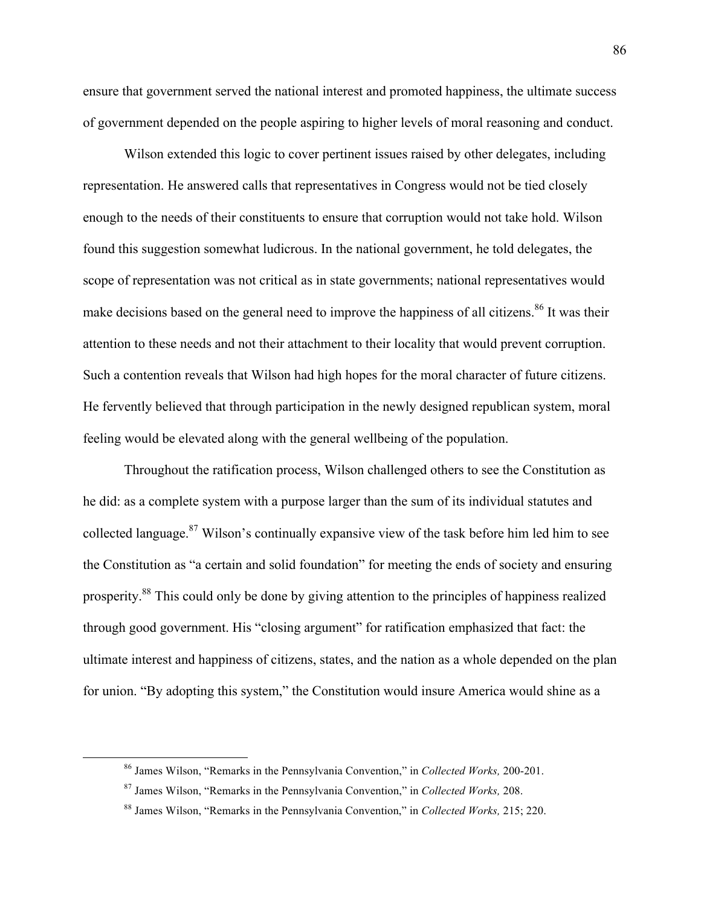ensure that government served the national interest and promoted happiness, the ultimate success of government depended on the people aspiring to higher levels of moral reasoning and conduct.

Wilson extended this logic to cover pertinent issues raised by other delegates, including representation. He answered calls that representatives in Congress would not be tied closely enough to the needs of their constituents to ensure that corruption would not take hold. Wilson found this suggestion somewhat ludicrous. In the national government, he told delegates, the scope of representation was not critical as in state governments; national representatives would make decisions based on the general need to improve the happiness of all citizens.<sup>86</sup> It was their attention to these needs and not their attachment to their locality that would prevent corruption. Such a contention reveals that Wilson had high hopes for the moral character of future citizens. He fervently believed that through participation in the newly designed republican system, moral feeling would be elevated along with the general wellbeing of the population.

Throughout the ratification process, Wilson challenged others to see the Constitution as he did: as a complete system with a purpose larger than the sum of its individual statutes and collected language. $87$  Wilson's continually expansive view of the task before him led him to see the Constitution as "a certain and solid foundation" for meeting the ends of society and ensuring prosperity.88 This could only be done by giving attention to the principles of happiness realized through good government. His "closing argument" for ratification emphasized that fact: the ultimate interest and happiness of citizens, states, and the nation as a whole depended on the plan for union. "By adopting this system," the Constitution would insure America would shine as a

 <sup>86</sup> James Wilson, "Remarks in the Pennsylvania Convention," in *Collected Works,* 200-201.

<sup>87</sup> James Wilson, "Remarks in the Pennsylvania Convention," in *Collected Works,* 208.

<sup>88</sup> James Wilson, "Remarks in the Pennsylvania Convention," in *Collected Works,* 215; 220.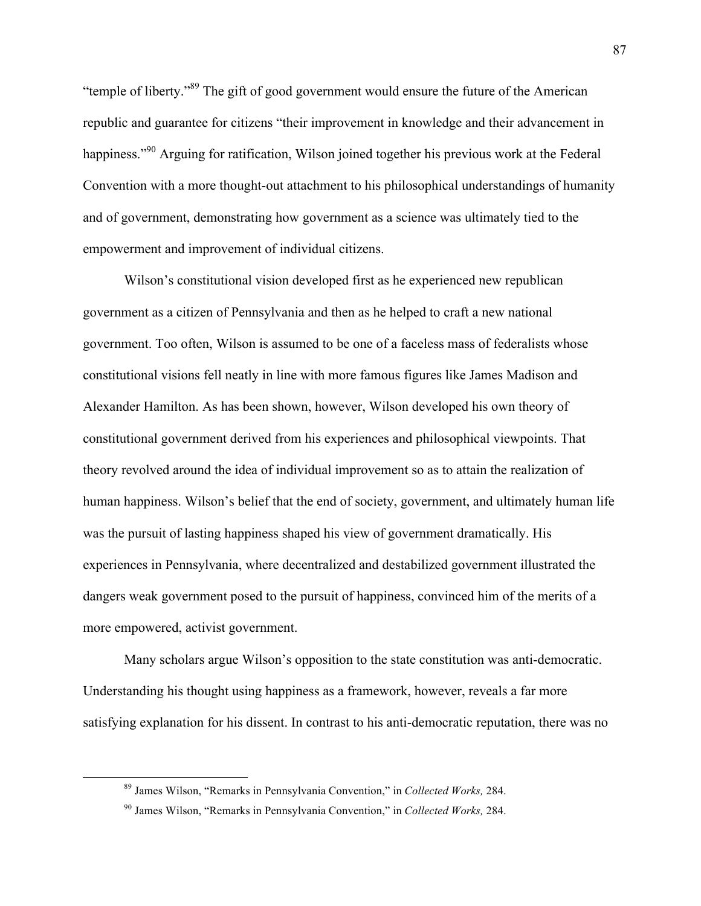"temple of liberty."89 The gift of good government would ensure the future of the American republic and guarantee for citizens "their improvement in knowledge and their advancement in happiness."<sup>90</sup> Arguing for ratification, Wilson joined together his previous work at the Federal Convention with a more thought-out attachment to his philosophical understandings of humanity and of government, demonstrating how government as a science was ultimately tied to the empowerment and improvement of individual citizens.

Wilson's constitutional vision developed first as he experienced new republican government as a citizen of Pennsylvania and then as he helped to craft a new national government. Too often, Wilson is assumed to be one of a faceless mass of federalists whose constitutional visions fell neatly in line with more famous figures like James Madison and Alexander Hamilton. As has been shown, however, Wilson developed his own theory of constitutional government derived from his experiences and philosophical viewpoints. That theory revolved around the idea of individual improvement so as to attain the realization of human happiness. Wilson's belief that the end of society, government, and ultimately human life was the pursuit of lasting happiness shaped his view of government dramatically. His experiences in Pennsylvania, where decentralized and destabilized government illustrated the dangers weak government posed to the pursuit of happiness, convinced him of the merits of a more empowered, activist government.

Many scholars argue Wilson's opposition to the state constitution was anti-democratic. Understanding his thought using happiness as a framework, however, reveals a far more satisfying explanation for his dissent. In contrast to his anti-democratic reputation, there was no

 <sup>89</sup> James Wilson, "Remarks in Pennsylvania Convention," in *Collected Works,* 284.

<sup>90</sup> James Wilson, "Remarks in Pennsylvania Convention," in *Collected Works,* 284.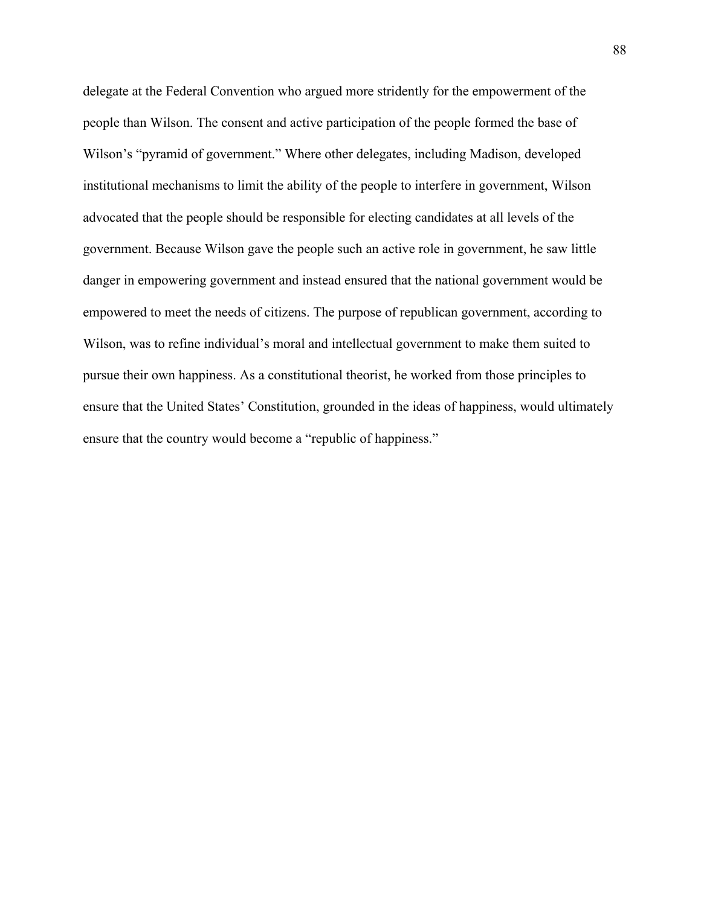delegate at the Federal Convention who argued more stridently for the empowerment of the people than Wilson. The consent and active participation of the people formed the base of Wilson's "pyramid of government." Where other delegates, including Madison, developed institutional mechanisms to limit the ability of the people to interfere in government, Wilson advocated that the people should be responsible for electing candidates at all levels of the government. Because Wilson gave the people such an active role in government, he saw little danger in empowering government and instead ensured that the national government would be empowered to meet the needs of citizens. The purpose of republican government, according to Wilson, was to refine individual's moral and intellectual government to make them suited to pursue their own happiness. As a constitutional theorist, he worked from those principles to ensure that the United States' Constitution, grounded in the ideas of happiness, would ultimately ensure that the country would become a "republic of happiness."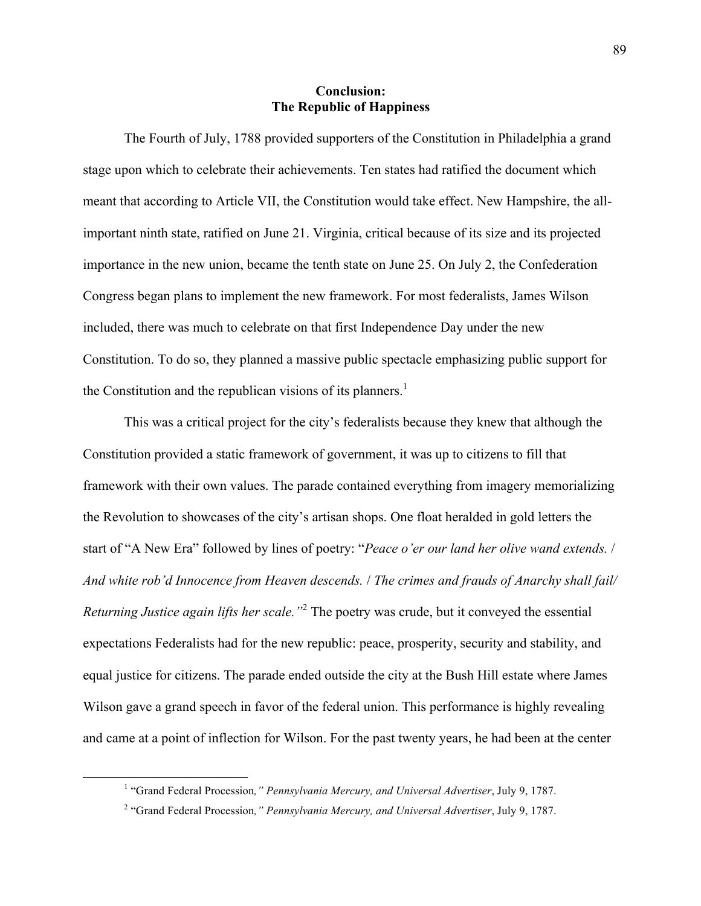## **Conclusion: The Republic of Happiness**

The Fourth of July, 1788 provided supporters of the Constitution in Philadelphia a grand stage upon which to celebrate their achievements. Ten states had ratified the document which meant that according to Article VII, the Constitution would take effect. New Hampshire, the allimportant ninth state, ratified on June 21. Virginia, critical because of its size and its projected importance in the new union, became the tenth state on June 25. On July 2, the Confederation Congress began plans to implement the new framework. For most federalists, James Wilson included, there was much to celebrate on that first Independence Day under the new Constitution. To do so, they planned a massive public spectacle emphasizing public support for the Constitution and the republican visions of its planners.<sup>1</sup>

This was a critical project for the city's federalists because they knew that although the Constitution provided a static framework of government, it was up to citizens to fill that framework with their own values. The parade contained everything from imagery memorializing the Revolution to showcases of the city's artisan shops. One float heralded in gold letters the start of "A New Era" followed by lines of poetry: "*Peace o'er our land her olive wand extends.* / *And white rob'd Innocence from Heaven descends.* / *The crimes and frauds of Anarchy shall fail/ Returning Justice again lifts her scale."*<sup>2</sup> The poetry was crude, but it conveyed the essential expectations Federalists had for the new republic: peace, prosperity, security and stability, and equal justice for citizens. The parade ended outside the city at the Bush Hill estate where James Wilson gave a grand speech in favor of the federal union. This performance is highly revealing and came at a point of inflection for Wilson. For the past twenty years, he had been at the center

 <sup>1</sup> "Grand Federal Procession*," Pennsylvania Mercury, and Universal Advertiser*, July 9, 1787.

<sup>2</sup> "Grand Federal Procession*," Pennsylvania Mercury, and Universal Advertiser*, July 9, 1787.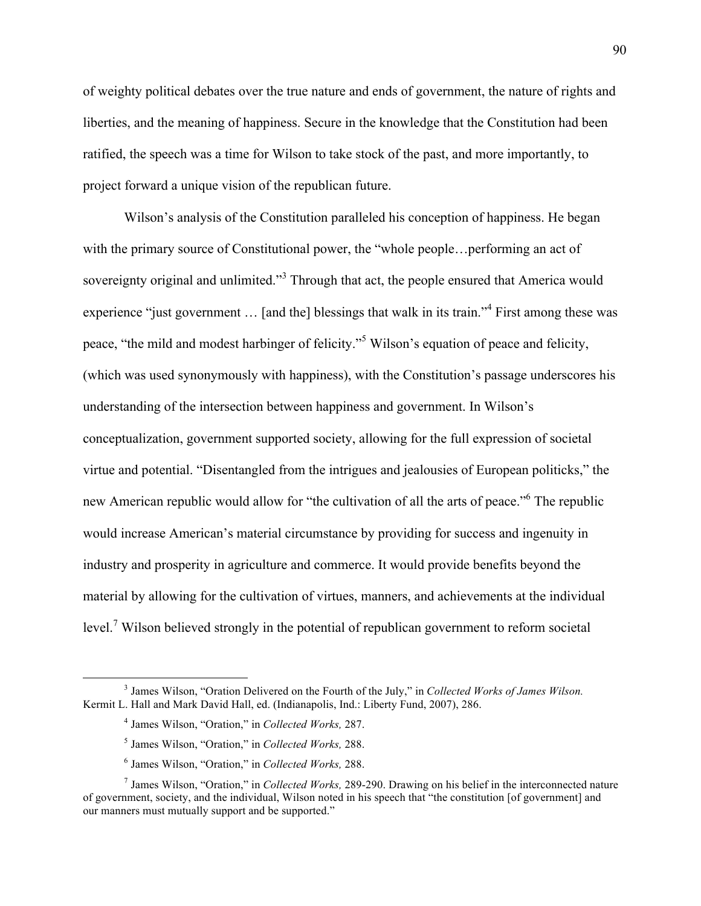of weighty political debates over the true nature and ends of government, the nature of rights and liberties, and the meaning of happiness. Secure in the knowledge that the Constitution had been ratified, the speech was a time for Wilson to take stock of the past, and more importantly, to project forward a unique vision of the republican future.

Wilson's analysis of the Constitution paralleled his conception of happiness. He began with the primary source of Constitutional power, the "whole people... performing an act of sovereignty original and unlimited."<sup>3</sup> Through that act, the people ensured that America would experience "just government ... [and the] blessings that walk in its train."<sup>4</sup> First among these was peace, "the mild and modest harbinger of felicity."<sup>5</sup> Wilson's equation of peace and felicity, (which was used synonymously with happiness), with the Constitution's passage underscores his understanding of the intersection between happiness and government. In Wilson's conceptualization, government supported society, allowing for the full expression of societal virtue and potential. "Disentangled from the intrigues and jealousies of European politicks," the new American republic would allow for "the cultivation of all the arts of peace."<sup>6</sup> The republic would increase American's material circumstance by providing for success and ingenuity in industry and prosperity in agriculture and commerce. It would provide benefits beyond the material by allowing for the cultivation of virtues, manners, and achievements at the individual level.<sup>7</sup> Wilson believed strongly in the potential of republican government to reform societal

 <sup>3</sup> James Wilson, "Oration Delivered on the Fourth of the July," in *Collected Works of James Wilson.*  Kermit L. Hall and Mark David Hall, ed. (Indianapolis, Ind.: Liberty Fund, 2007), 286.

<sup>4</sup> James Wilson, "Oration," in *Collected Works,* 287.

<sup>5</sup> James Wilson, "Oration," in *Collected Works,* 288.

<sup>6</sup> James Wilson, "Oration," in *Collected Works,* 288.

<sup>7</sup> James Wilson, "Oration," in *Collected Works,* 289-290. Drawing on his belief in the interconnected nature of government, society, and the individual, Wilson noted in his speech that "the constitution [of government] and our manners must mutually support and be supported."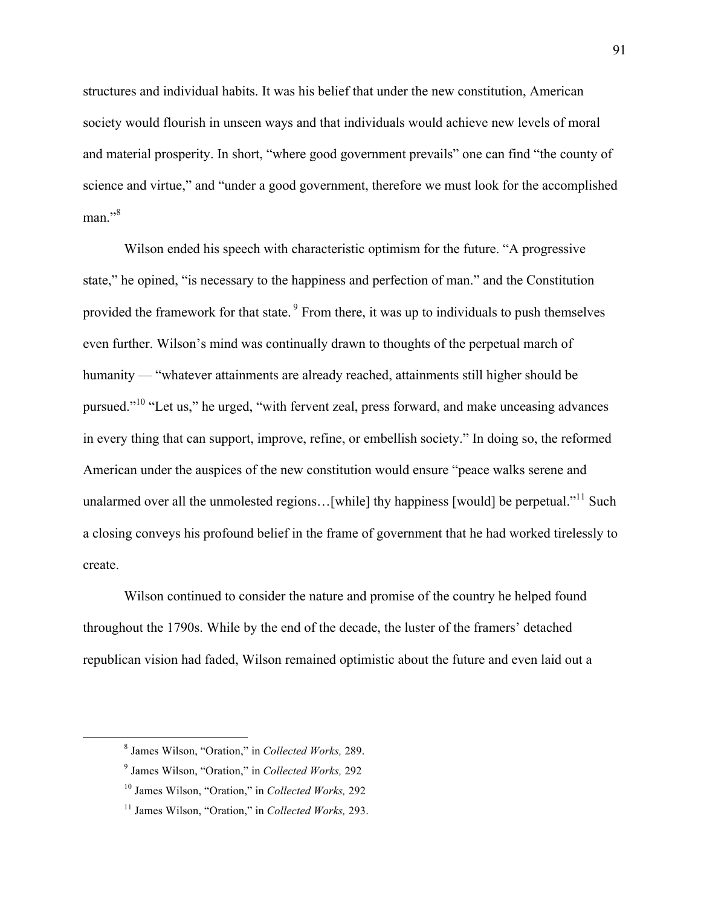structures and individual habits. It was his belief that under the new constitution, American society would flourish in unseen ways and that individuals would achieve new levels of moral and material prosperity. In short, "where good government prevails" one can find "the county of science and virtue," and "under a good government, therefore we must look for the accomplished  $man.$ <sup>38</sup>

Wilson ended his speech with characteristic optimism for the future. "A progressive state," he opined, "is necessary to the happiness and perfection of man." and the Constitution provided the framework for that state. <sup>9</sup> From there, it was up to individuals to push themselves even further. Wilson's mind was continually drawn to thoughts of the perpetual march of humanity –– "whatever attainments are already reached, attainments still higher should be pursued."10 "Let us," he urged, "with fervent zeal, press forward, and make unceasing advances in every thing that can support, improve, refine, or embellish society." In doing so, the reformed American under the auspices of the new constitution would ensure "peace walks serene and unalarmed over all the unmolested regions... [while] thy happiness [would] be perpetual."<sup>11</sup> Such a closing conveys his profound belief in the frame of government that he had worked tirelessly to create.

Wilson continued to consider the nature and promise of the country he helped found throughout the 1790s. While by the end of the decade, the luster of the framers' detached republican vision had faded, Wilson remained optimistic about the future and even laid out a

 <sup>8</sup> James Wilson, "Oration," in *Collected Works,* 289.

<sup>9</sup> James Wilson, "Oration," in *Collected Works,* 292

<sup>10</sup> James Wilson, "Oration," in *Collected Works,* 292

<sup>11</sup> James Wilson, "Oration," in *Collected Works,* 293.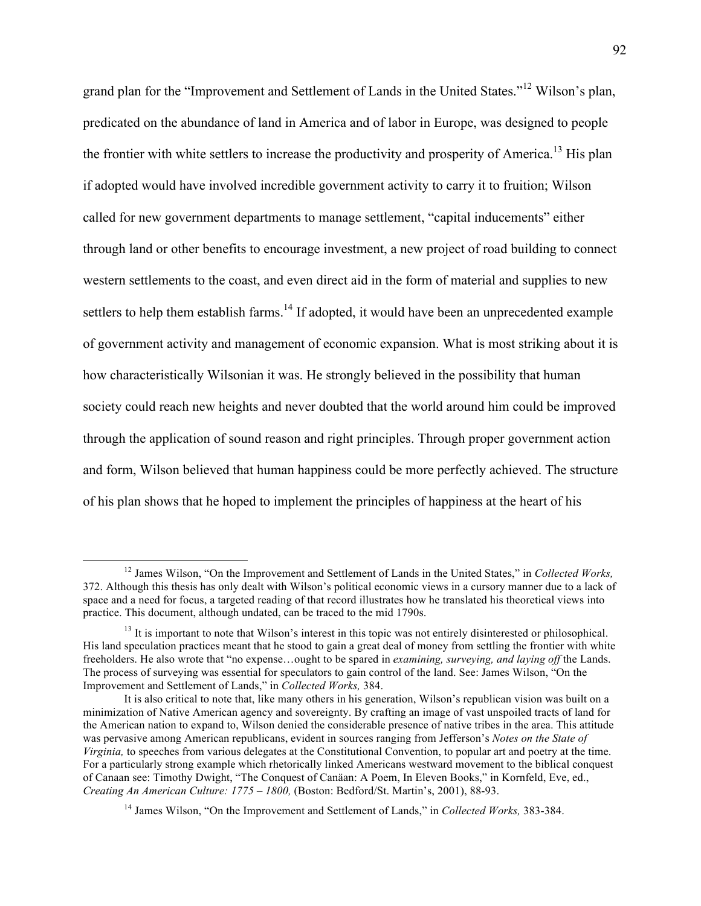grand plan for the "Improvement and Settlement of Lands in the United States."<sup>12</sup> Wilson's plan, predicated on the abundance of land in America and of labor in Europe, was designed to people the frontier with white settlers to increase the productivity and prosperity of America.<sup>13</sup> His plan if adopted would have involved incredible government activity to carry it to fruition; Wilson called for new government departments to manage settlement, "capital inducements" either through land or other benefits to encourage investment, a new project of road building to connect western settlements to the coast, and even direct aid in the form of material and supplies to new settlers to help them establish farms.<sup>14</sup> If adopted, it would have been an unprecedented example of government activity and management of economic expansion. What is most striking about it is how characteristically Wilsonian it was. He strongly believed in the possibility that human society could reach new heights and never doubted that the world around him could be improved through the application of sound reason and right principles. Through proper government action and form, Wilson believed that human happiness could be more perfectly achieved. The structure of his plan shows that he hoped to implement the principles of happiness at the heart of his

 <sup>12</sup> James Wilson, "On the Improvement and Settlement of Lands in the United States," in *Collected Works,*  372. Although this thesis has only dealt with Wilson's political economic views in a cursory manner due to a lack of space and a need for focus, a targeted reading of that record illustrates how he translated his theoretical views into practice. This document, although undated, can be traced to the mid 1790s.

<sup>&</sup>lt;sup>13</sup> It is important to note that Wilson's interest in this topic was not entirely disinterested or philosophical. His land speculation practices meant that he stood to gain a great deal of money from settling the frontier with white freeholders. He also wrote that "no expense…ought to be spared in *examining, surveying, and laying off* the Lands. The process of surveying was essential for speculators to gain control of the land. See: James Wilson, "On the Improvement and Settlement of Lands," in *Collected Works,* 384.

It is also critical to note that, like many others in his generation, Wilson's republican vision was built on a minimization of Native American agency and sovereignty. By crafting an image of vast unspoiled tracts of land for the American nation to expand to, Wilson denied the considerable presence of native tribes in the area. This attitude was pervasive among American republicans, evident in sources ranging from Jefferson's *Notes on the State of Virginia,* to speeches from various delegates at the Constitutional Convention, to popular art and poetry at the time. For a particularly strong example which rhetorically linked Americans westward movement to the biblical conquest of Canaan see: Timothy Dwight, "The Conquest of Canäan: A Poem, In Eleven Books," in Kornfeld, Eve, ed., *Creating An American Culture: 1775 – 1800,* (Boston: Bedford/St. Martin's, 2001), 88-93.

<sup>14</sup> James Wilson, "On the Improvement and Settlement of Lands," in *Collected Works,* 383-384.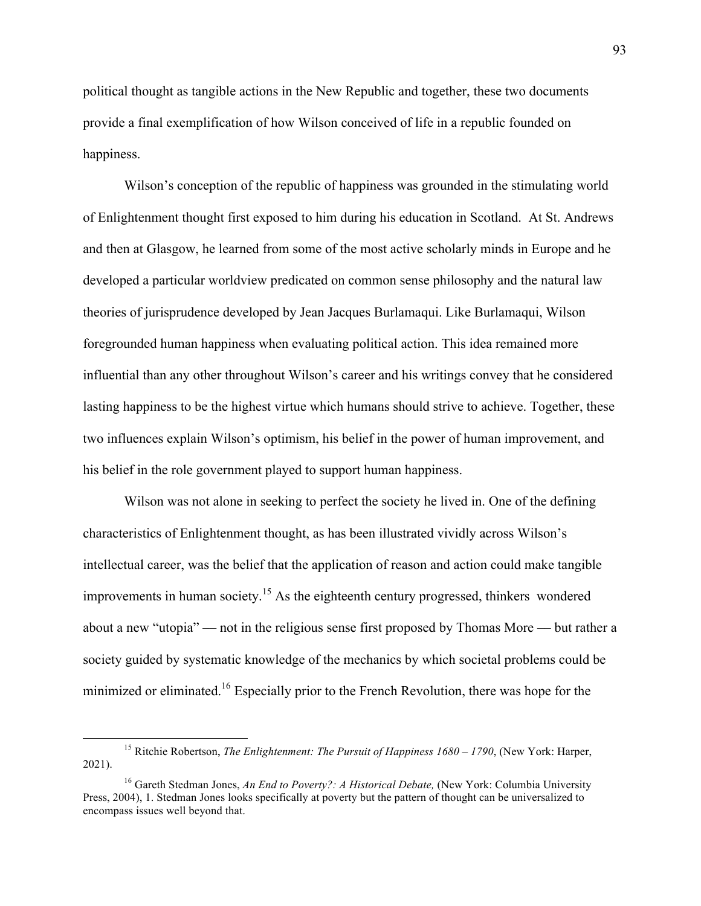political thought as tangible actions in the New Republic and together, these two documents provide a final exemplification of how Wilson conceived of life in a republic founded on happiness.

Wilson's conception of the republic of happiness was grounded in the stimulating world of Enlightenment thought first exposed to him during his education in Scotland. At St. Andrews and then at Glasgow, he learned from some of the most active scholarly minds in Europe and he developed a particular worldview predicated on common sense philosophy and the natural law theories of jurisprudence developed by Jean Jacques Burlamaqui. Like Burlamaqui, Wilson foregrounded human happiness when evaluating political action. This idea remained more influential than any other throughout Wilson's career and his writings convey that he considered lasting happiness to be the highest virtue which humans should strive to achieve. Together, these two influences explain Wilson's optimism, his belief in the power of human improvement, and his belief in the role government played to support human happiness.

Wilson was not alone in seeking to perfect the society he lived in. One of the defining characteristics of Enlightenment thought, as has been illustrated vividly across Wilson's intellectual career, was the belief that the application of reason and action could make tangible improvements in human society.<sup>15</sup> As the eighteenth century progressed, thinkers wondered about a new "utopia" –– not in the religious sense first proposed by Thomas More –– but rather a society guided by systematic knowledge of the mechanics by which societal problems could be minimized or eliminated.<sup>16</sup> Especially prior to the French Revolution, there was hope for the

 <sup>15</sup> Ritchie Robertson, *The Enlightenment: The Pursuit of Happiness 1680 – <sup>1790</sup>*, (New York: Harper, 2021).

<sup>&</sup>lt;sup>16</sup> Gareth Stedman Jones, *An End to Poverty?: A Historical Debate*, (New York: Columbia University Press, 2004), 1. Stedman Jones looks specifically at poverty but the pattern of thought can be universalized to encompass issues well beyond that.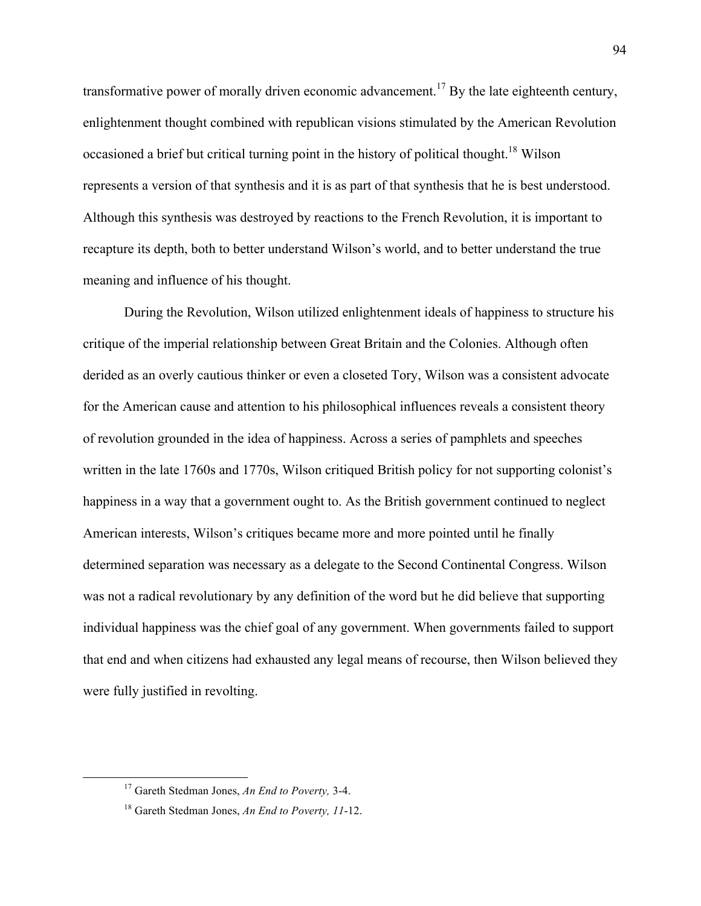transformative power of morally driven economic advancement.<sup>17</sup> By the late eighteenth century, enlightenment thought combined with republican visions stimulated by the American Revolution occasioned a brief but critical turning point in the history of political thought.<sup>18</sup> Wilson represents a version of that synthesis and it is as part of that synthesis that he is best understood. Although this synthesis was destroyed by reactions to the French Revolution, it is important to recapture its depth, both to better understand Wilson's world, and to better understand the true meaning and influence of his thought.

During the Revolution, Wilson utilized enlightenment ideals of happiness to structure his critique of the imperial relationship between Great Britain and the Colonies. Although often derided as an overly cautious thinker or even a closeted Tory, Wilson was a consistent advocate for the American cause and attention to his philosophical influences reveals a consistent theory of revolution grounded in the idea of happiness. Across a series of pamphlets and speeches written in the late 1760s and 1770s, Wilson critiqued British policy for not supporting colonist's happiness in a way that a government ought to. As the British government continued to neglect American interests, Wilson's critiques became more and more pointed until he finally determined separation was necessary as a delegate to the Second Continental Congress. Wilson was not a radical revolutionary by any definition of the word but he did believe that supporting individual happiness was the chief goal of any government. When governments failed to support that end and when citizens had exhausted any legal means of recourse, then Wilson believed they were fully justified in revolting.

 <sup>17</sup> Gareth Stedman Jones, *An End to Poverty,* 3-4.

<sup>18</sup> Gareth Stedman Jones, *An End to Poverty, 11*-12.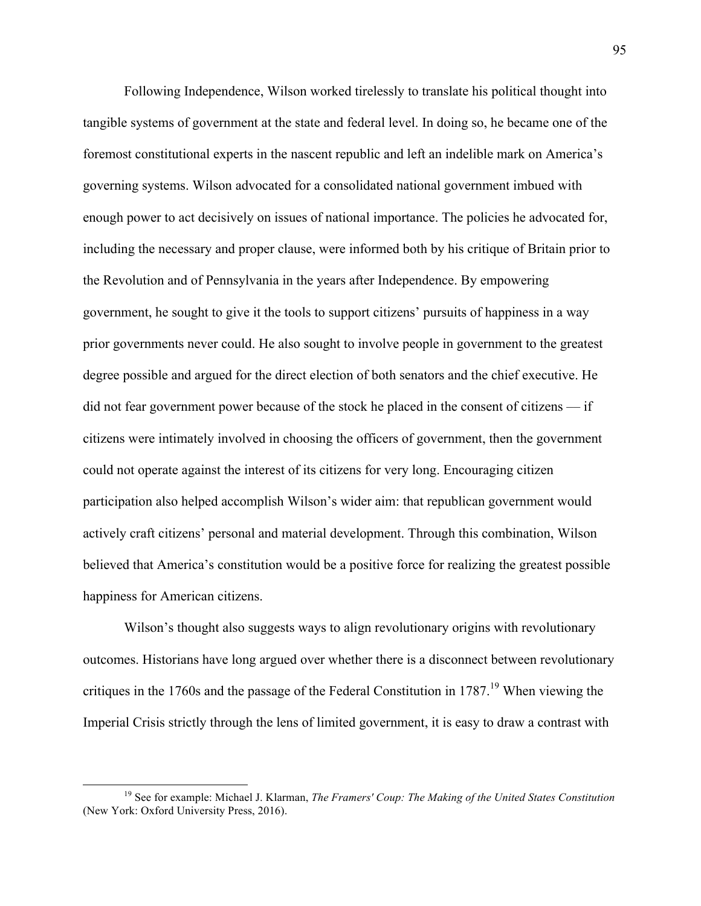Following Independence, Wilson worked tirelessly to translate his political thought into tangible systems of government at the state and federal level. In doing so, he became one of the foremost constitutional experts in the nascent republic and left an indelible mark on America's governing systems. Wilson advocated for a consolidated national government imbued with enough power to act decisively on issues of national importance. The policies he advocated for, including the necessary and proper clause, were informed both by his critique of Britain prior to the Revolution and of Pennsylvania in the years after Independence. By empowering government, he sought to give it the tools to support citizens' pursuits of happiness in a way prior governments never could. He also sought to involve people in government to the greatest degree possible and argued for the direct election of both senators and the chief executive. He did not fear government power because of the stock he placed in the consent of citizens  $-$  if citizens were intimately involved in choosing the officers of government, then the government could not operate against the interest of its citizens for very long. Encouraging citizen participation also helped accomplish Wilson's wider aim: that republican government would actively craft citizens' personal and material development. Through this combination, Wilson believed that America's constitution would be a positive force for realizing the greatest possible happiness for American citizens.

Wilson's thought also suggests ways to align revolutionary origins with revolutionary outcomes. Historians have long argued over whether there is a disconnect between revolutionary critiques in the 1760s and the passage of the Federal Constitution in 1787.<sup>19</sup> When viewing the Imperial Crisis strictly through the lens of limited government, it is easy to draw a contrast with

 <sup>19</sup> See for example: Michael J. Klarman, *The Framers' Coup: The Making of the United States Constitution*  (New York: Oxford University Press, 2016).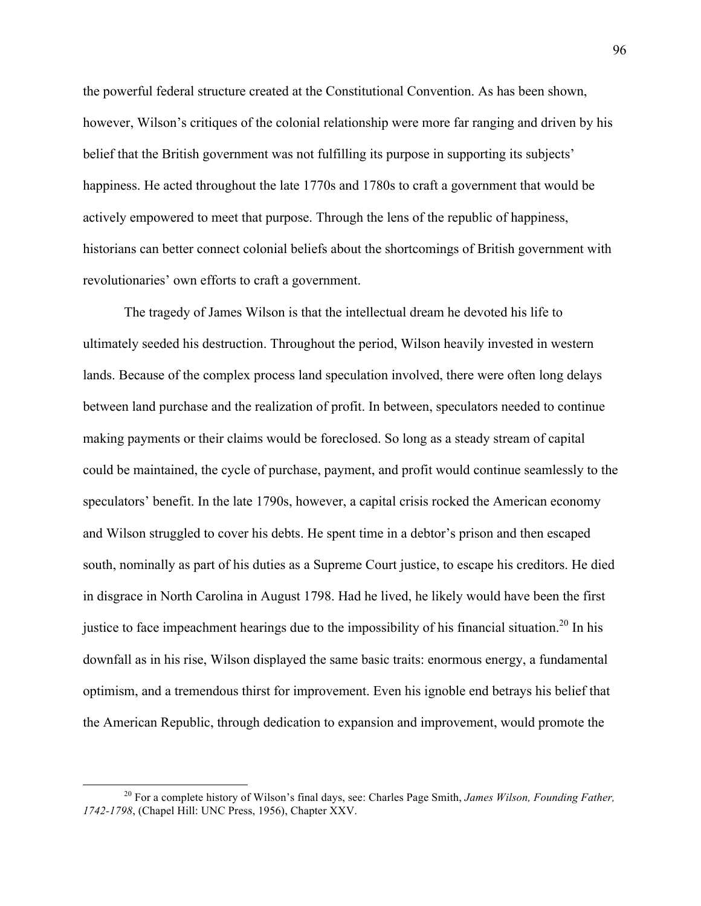the powerful federal structure created at the Constitutional Convention. As has been shown, however, Wilson's critiques of the colonial relationship were more far ranging and driven by his belief that the British government was not fulfilling its purpose in supporting its subjects' happiness. He acted throughout the late 1770s and 1780s to craft a government that would be actively empowered to meet that purpose. Through the lens of the republic of happiness, historians can better connect colonial beliefs about the shortcomings of British government with revolutionaries' own efforts to craft a government.

The tragedy of James Wilson is that the intellectual dream he devoted his life to ultimately seeded his destruction. Throughout the period, Wilson heavily invested in western lands. Because of the complex process land speculation involved, there were often long delays between land purchase and the realization of profit. In between, speculators needed to continue making payments or their claims would be foreclosed. So long as a steady stream of capital could be maintained, the cycle of purchase, payment, and profit would continue seamlessly to the speculators' benefit. In the late 1790s, however, a capital crisis rocked the American economy and Wilson struggled to cover his debts. He spent time in a debtor's prison and then escaped south, nominally as part of his duties as a Supreme Court justice, to escape his creditors. He died in disgrace in North Carolina in August 1798. Had he lived, he likely would have been the first justice to face impeachment hearings due to the impossibility of his financial situation.<sup>20</sup> In his downfall as in his rise, Wilson displayed the same basic traits: enormous energy, a fundamental optimism, and a tremendous thirst for improvement. Even his ignoble end betrays his belief that the American Republic, through dedication to expansion and improvement, would promote the

 <sup>20</sup> For a complete history of Wilson's final days, see: Charles Page Smith, *James Wilson, Founding Father, 1742-1798*, (Chapel Hill: UNC Press, 1956), Chapter XXV.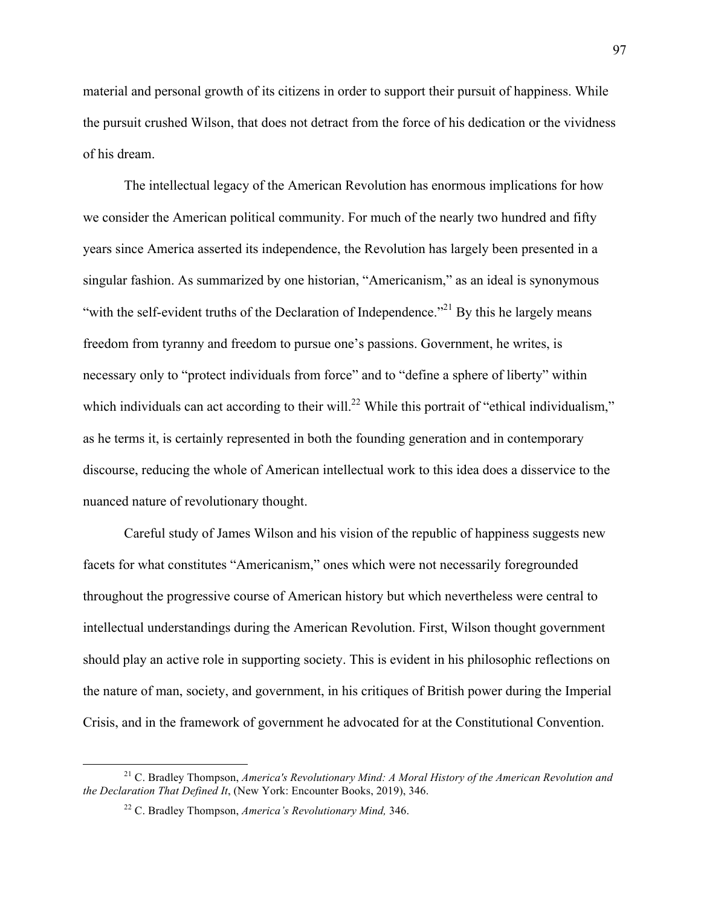material and personal growth of its citizens in order to support their pursuit of happiness. While the pursuit crushed Wilson, that does not detract from the force of his dedication or the vividness of his dream.

The intellectual legacy of the American Revolution has enormous implications for how we consider the American political community. For much of the nearly two hundred and fifty years since America asserted its independence, the Revolution has largely been presented in a singular fashion. As summarized by one historian, "Americanism," as an ideal is synonymous "with the self-evident truths of the Declaration of Independence."<sup>21</sup> By this he largely means freedom from tyranny and freedom to pursue one's passions. Government, he writes, is necessary only to "protect individuals from force" and to "define a sphere of liberty" within which individuals can act according to their will.<sup>22</sup> While this portrait of "ethical individualism," as he terms it, is certainly represented in both the founding generation and in contemporary discourse, reducing the whole of American intellectual work to this idea does a disservice to the nuanced nature of revolutionary thought.

Careful study of James Wilson and his vision of the republic of happiness suggests new facets for what constitutes "Americanism," ones which were not necessarily foregrounded throughout the progressive course of American history but which nevertheless were central to intellectual understandings during the American Revolution. First, Wilson thought government should play an active role in supporting society. This is evident in his philosophic reflections on the nature of man, society, and government, in his critiques of British power during the Imperial Crisis, and in the framework of government he advocated for at the Constitutional Convention.

 <sup>21</sup> C. Bradley Thompson, *America's Revolutionary Mind: A Moral History of the American Revolution and the Declaration That Defined It*, (New York: Encounter Books, 2019), 346.

<sup>22</sup> C. Bradley Thompson, *America's Revolutionary Mind,* 346.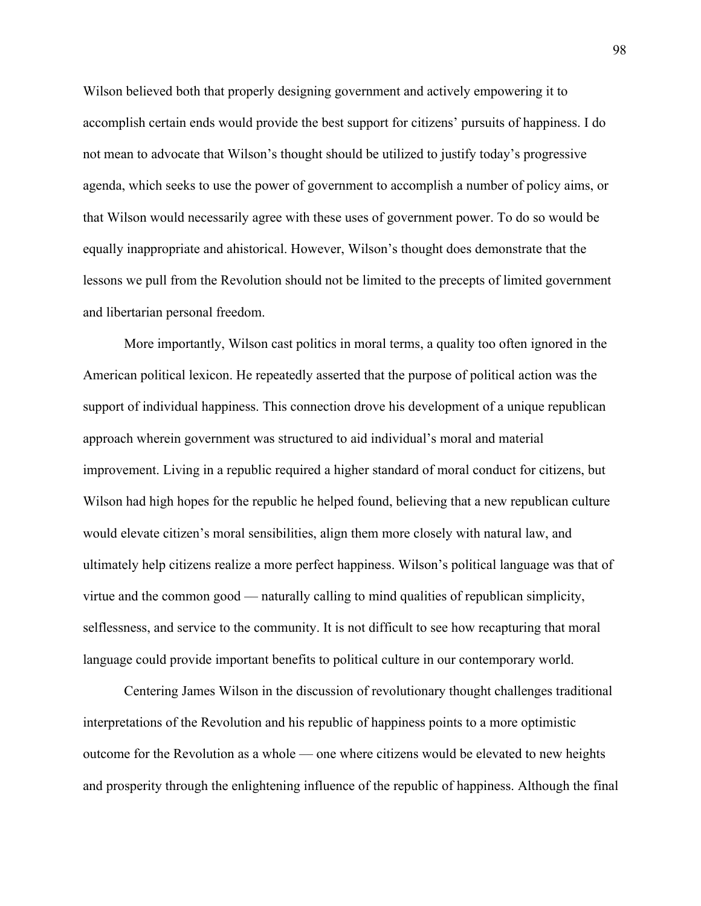Wilson believed both that properly designing government and actively empowering it to accomplish certain ends would provide the best support for citizens' pursuits of happiness. I do not mean to advocate that Wilson's thought should be utilized to justify today's progressive agenda, which seeks to use the power of government to accomplish a number of policy aims, or that Wilson would necessarily agree with these uses of government power. To do so would be equally inappropriate and ahistorical. However, Wilson's thought does demonstrate that the lessons we pull from the Revolution should not be limited to the precepts of limited government and libertarian personal freedom.

More importantly, Wilson cast politics in moral terms, a quality too often ignored in the American political lexicon. He repeatedly asserted that the purpose of political action was the support of individual happiness. This connection drove his development of a unique republican approach wherein government was structured to aid individual's moral and material improvement. Living in a republic required a higher standard of moral conduct for citizens, but Wilson had high hopes for the republic he helped found, believing that a new republican culture would elevate citizen's moral sensibilities, align them more closely with natural law, and ultimately help citizens realize a more perfect happiness. Wilson's political language was that of virtue and the common good –– naturally calling to mind qualities of republican simplicity, selflessness, and service to the community. It is not difficult to see how recapturing that moral language could provide important benefits to political culture in our contemporary world.

Centering James Wilson in the discussion of revolutionary thought challenges traditional interpretations of the Revolution and his republic of happiness points to a more optimistic outcome for the Revolution as a whole –– one where citizens would be elevated to new heights and prosperity through the enlightening influence of the republic of happiness. Although the final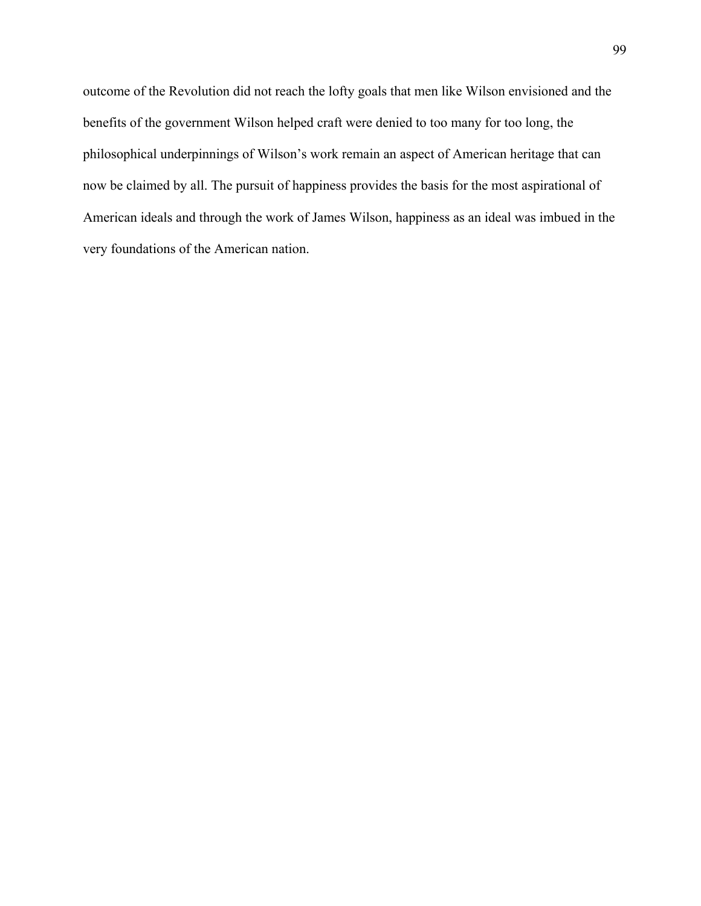outcome of the Revolution did not reach the lofty goals that men like Wilson envisioned and the benefits of the government Wilson helped craft were denied to too many for too long, the philosophical underpinnings of Wilson's work remain an aspect of American heritage that can now be claimed by all. The pursuit of happiness provides the basis for the most aspirational of American ideals and through the work of James Wilson, happiness as an ideal was imbued in the very foundations of the American nation.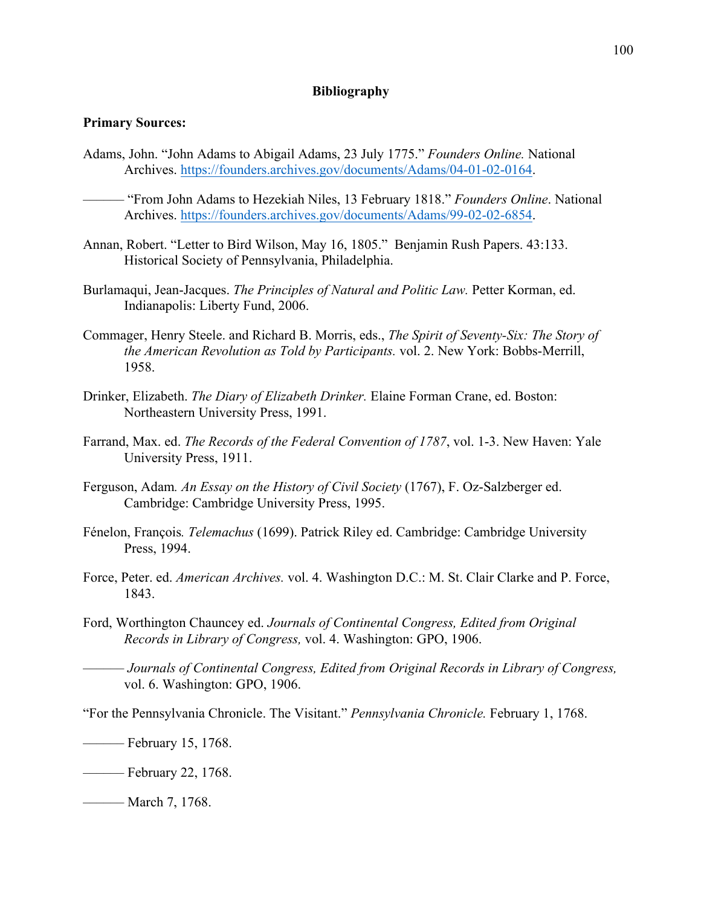## **Bibliography**

## **Primary Sources:**

Adams, John. "John Adams to Abigail Adams, 23 July 1775." *Founders Online.* National Archives. https://founders.archives.gov/documents/Adams/04-01-02-0164.

–––––– "From John Adams to Hezekiah Niles, 13 February 1818." *Founders Online*. National Archives. https://founders.archives.gov/documents/Adams/99-02-02-6854.

- Annan, Robert. "Letter to Bird Wilson, May 16, 1805." Benjamin Rush Papers. 43:133. Historical Society of Pennsylvania, Philadelphia.
- Burlamaqui, Jean-Jacques. *The Principles of Natural and Politic Law.* Petter Korman, ed. Indianapolis: Liberty Fund, 2006.
- Commager, Henry Steele. and Richard B. Morris, eds., *The Spirit of Seventy-Six: The Story of the American Revolution as Told by Participants.* vol. 2. New York: Bobbs-Merrill, 1958.
- Drinker, Elizabeth. *The Diary of Elizabeth Drinker.* Elaine Forman Crane, ed. Boston: Northeastern University Press, 1991.
- Farrand, Max. ed. *The Records of the Federal Convention of 1787*, vol. 1-3. New Haven: Yale University Press, 1911.
- Ferguson, Adam*. An Essay on the History of Civil Society* (1767), F. Oz-Salzberger ed. Cambridge: Cambridge University Press, 1995.
- Fénelon, François*. Telemachus* (1699). Patrick Riley ed. Cambridge: Cambridge University Press, 1994.
- Force, Peter. ed. *American Archives.* vol. 4. Washington D.C.: M. St. Clair Clarke and P. Force, 1843.
- Ford, Worthington Chauncey ed. *Journals of Continental Congress, Edited from Original Records in Library of Congress,* vol. 4. Washington: GPO, 1906.
- –––––– *Journals of Continental Congress, Edited from Original Records in Library of Congress,*  vol. 6. Washington: GPO, 1906.
- "For the Pennsylvania Chronicle. The Visitant." *Pennsylvania Chronicle.* February 1, 1768.

 $\equiv$  February 15, 1768.

–––––– February 22, 1768.

–––––– March 7, 1768.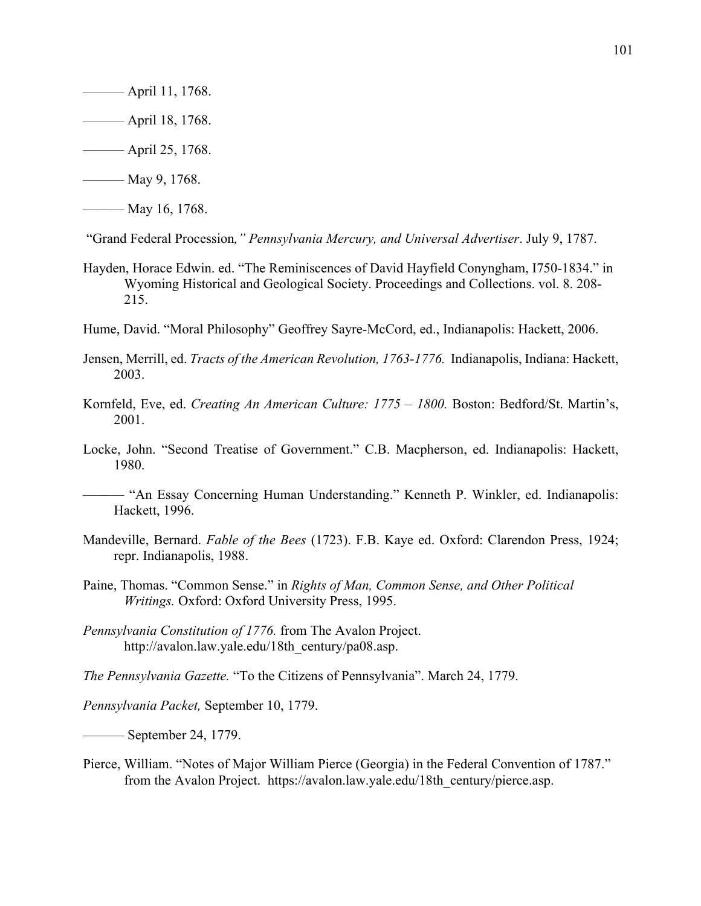- –––––– April 11, 1768.
- –––––– April 18, 1768.
- $\frac{1}{25,1768}$ .
- –––––– May 9, 1768.
- –––––– May 16, 1768.

"Grand Federal Procession*," Pennsylvania Mercury, and Universal Advertiser*. July 9, 1787.

- Hayden, Horace Edwin. ed. "The Reminiscences of David Hayfield Conyngham, I750-1834." in Wyoming Historical and Geological Society. Proceedings and Collections. vol. 8. 208- 215.
- Hume, David. "Moral Philosophy" Geoffrey Sayre-McCord, ed., Indianapolis: Hackett, 2006.
- Jensen, Merrill, ed. *Tracts of the American Revolution, 1763-1776.* Indianapolis, Indiana: Hackett, 2003.
- Kornfeld, Eve, ed. *Creating An American Culture: 1775 – 1800.* Boston: Bedford/St. Martin's, 2001.
- Locke, John. "Second Treatise of Government." C.B. Macpherson, ed. Indianapolis: Hackett, 1980.
- –––––– "An Essay Concerning Human Understanding." Kenneth P. Winkler, ed. Indianapolis: Hackett, 1996.
- Mandeville, Bernard. *Fable of the Bees* (1723). F.B. Kaye ed. Oxford: Clarendon Press, 1924; repr. Indianapolis, 1988.
- Paine, Thomas. "Common Sense." in *Rights of Man, Common Sense, and Other Political Writings.* Oxford: Oxford University Press, 1995.
- *Pennsylvania Constitution of 1776.* from The Avalon Project. http://avalon.law.yale.edu/18th\_century/pa08.asp.

*The Pennsylvania Gazette.* "To the Citizens of Pennsylvania". March 24, 1779.

*Pennsylvania Packet,* September 10, 1779.

*––––––* September 24, 1779.

Pierce, William. "Notes of Major William Pierce (Georgia) in the Federal Convention of 1787." from the Avalon Project. https://avalon.law.yale.edu/18th\_century/pierce.asp.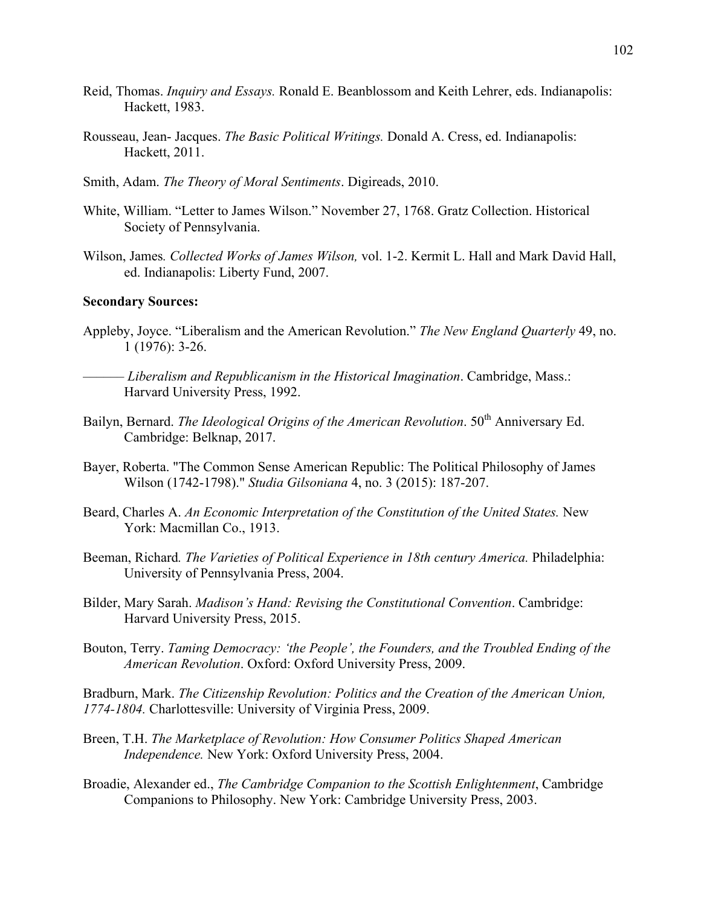- Reid, Thomas. *Inquiry and Essays.* Ronald E. Beanblossom and Keith Lehrer, eds. Indianapolis: Hackett, 1983.
- Rousseau, Jean- Jacques. *The Basic Political Writings.* Donald A. Cress, ed. Indianapolis: Hackett, 2011.
- Smith, Adam. *The Theory of Moral Sentiments*. Digireads, 2010.
- White, William. "Letter to James Wilson." November 27, 1768. Gratz Collection. Historical Society of Pennsylvania.
- Wilson, James*. Collected Works of James Wilson,* vol. 1-2. Kermit L. Hall and Mark David Hall, ed. Indianapolis: Liberty Fund, 2007.

## **Secondary Sources:**

- Appleby, Joyce. "Liberalism and the American Revolution." *The New England Quarterly* 49, no. 1 (1976): 3-26.
- –––––– *Liberalism and Republicanism in the Historical Imagination*. Cambridge, Mass.: Harvard University Press, 1992.
- Bailyn, Bernard. *The Ideological Origins of the American Revolution*. 50<sup>th</sup> Anniversary Ed. Cambridge: Belknap, 2017.
- Bayer, Roberta. "The Common Sense American Republic: The Political Philosophy of James Wilson (1742-1798)." *Studia Gilsoniana* 4, no. 3 (2015): 187-207.
- Beard, Charles A. An Economic Interpretation of the Constitution of the United States. New York: Macmillan Co., 1913.
- Beeman, Richard. The Varieties of Political Experience in 18th century America. Philadelphia: University of Pennsylvania Press, 2004.
- Bilder, Mary Sarah. *Madison's Hand: Revising the Constitutional Convention*. Cambridge: Harvard University Press, 2015.
- Bouton, Terry. *Taming Democracy: 'the People', the Founders, and the Troubled Ending of the American Revolution*. Oxford: Oxford University Press, 2009.

Bradburn, Mark. *The Citizenship Revolution: Politics and the Creation of the American Union, 1774-1804.* Charlottesville: University of Virginia Press, 2009.

- Breen, T.H. *The Marketplace of Revolution: How Consumer Politics Shaped American Independence.* New York: Oxford University Press, 2004.
- Broadie, Alexander ed., *The Cambridge Companion to the Scottish Enlightenment*, Cambridge Companions to Philosophy. New York: Cambridge University Press, 2003.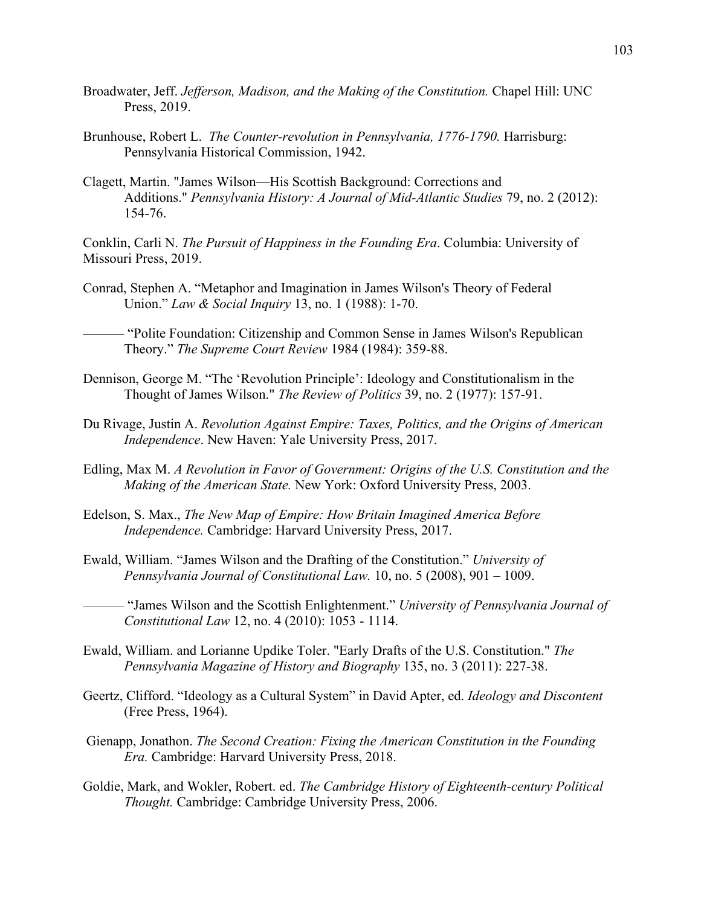- Broadwater, Jeff. *Jefferson, Madison, and the Making of the Constitution.* Chapel Hill: UNC Press, 2019.
- Brunhouse, Robert L. *The Counter-revolution in Pennsylvania, 1776-1790*. Harrisburg: Pennsylvania Historical Commission, 1942.
- Clagett, Martin. "James Wilson—His Scottish Background: Corrections and Additions." *Pennsylvania History: A Journal of Mid-Atlantic Studies* 79, no. 2 (2012): 154-76.

Conklin, Carli N. *The Pursuit of Happiness in the Founding Era*. Columbia: University of Missouri Press, 2019.

Conrad, Stephen A. "Metaphor and Imagination in James Wilson's Theory of Federal Union." *Law & Social Inquiry* 13, no. 1 (1988): 1-70.

–––––– "Polite Foundation: Citizenship and Common Sense in James Wilson's Republican Theory." *The Supreme Court Review* 1984 (1984): 359-88.

- Dennison, George M. "The 'Revolution Principle': Ideology and Constitutionalism in the Thought of James Wilson." *The Review of Politics* 39, no. 2 (1977): 157-91.
- Du Rivage, Justin A. *Revolution Against Empire: Taxes, Politics, and the Origins of American Independence*. New Haven: Yale University Press, 2017.

Edling, Max M. *A Revolution in Favor of Government: Origins of the U.S. Constitution and the Making of the American State.* New York: Oxford University Press, 2003.

- Edelson, S. Max., *The New Map of Empire: How Britain Imagined America Before Independence.* Cambridge: Harvard University Press, 2017.
- Ewald, William. "James Wilson and the Drafting of the Constitution." *University of Pennsylvania Journal of Constitutional Law.* 10, no. 5 (2008), 901 – 1009.

–––––– "James Wilson and the Scottish Enlightenment." *University of Pennsylvania Journal of Constitutional Law* 12, no. 4 (2010): 1053 - 1114.

- Ewald, William. and Lorianne Updike Toler. "Early Drafts of the U.S. Constitution." *The Pennsylvania Magazine of History and Biography* 135, no. 3 (2011): 227-38.
- Geertz, Clifford. "Ideology as a Cultural System" in David Apter, ed. *Ideology and Discontent* (Free Press, 1964).
- Gienapp, Jonathon. *The Second Creation: Fixing the American Constitution in the Founding Era.* Cambridge: Harvard University Press, 2018.
- Goldie, Mark, and Wokler, Robert. ed. *The Cambridge History of Eighteenth-century Political Thought.* Cambridge: Cambridge University Press, 2006.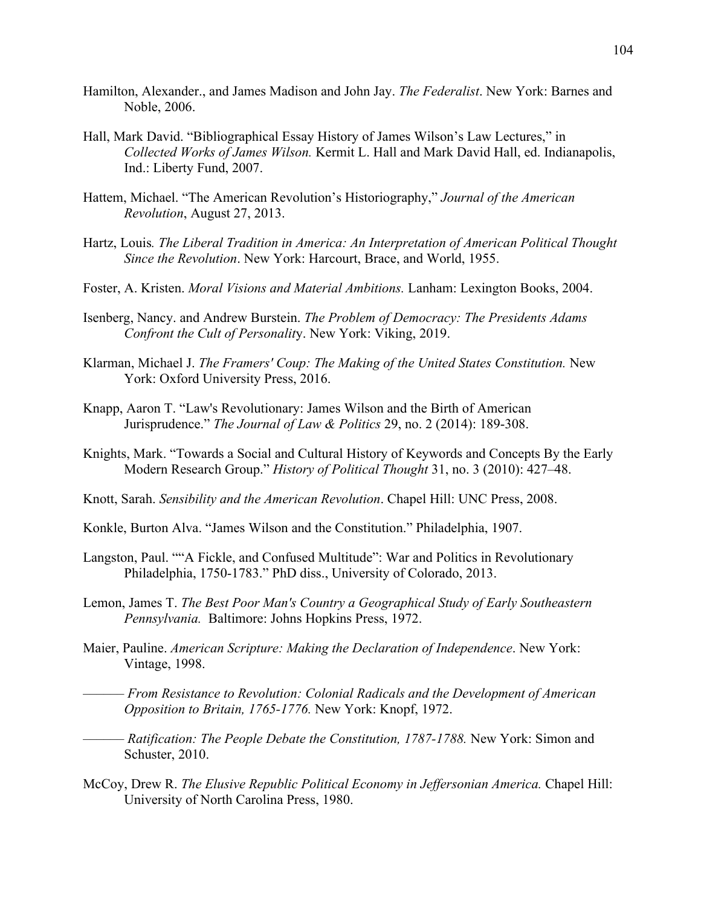- Hamilton, Alexander., and James Madison and John Jay. *The Federalist*. New York: Barnes and Noble, 2006.
- Hall, Mark David. "Bibliographical Essay History of James Wilson's Law Lectures," in *Collected Works of James Wilson.* Kermit L. Hall and Mark David Hall, ed. Indianapolis, Ind.: Liberty Fund, 2007.
- Hattem, Michael. "The American Revolution's Historiography," *Journal of the American Revolution*, August 27, 2013.
- Hartz, Louis*. The Liberal Tradition in America: An Interpretation of American Political Thought Since the Revolution*. New York: Harcourt, Brace, and World, 1955.
- Foster, A. Kristen. *Moral Visions and Material Ambitions.* Lanham: Lexington Books, 2004.
- Isenberg, Nancy. and Andrew Burstein. *The Problem of Democracy: The Presidents Adams Confront the Cult of Personalit*y. New York: Viking, 2019.
- Klarman, Michael J. *The Framers' Coup: The Making of the United States Constitution.* New York: Oxford University Press, 2016.
- Knapp, Aaron T. "Law's Revolutionary: James Wilson and the Birth of American Jurisprudence." *The Journal of Law & Politics* 29, no. 2 (2014): 189-308.
- Knights, Mark. "Towards a Social and Cultural History of Keywords and Concepts By the Early Modern Research Group." *History of Political Thought* 31, no. 3 (2010): 427–48.
- Knott, Sarah. *Sensibility and the American Revolution*. Chapel Hill: UNC Press, 2008.
- Konkle, Burton Alva. "James Wilson and the Constitution." Philadelphia, 1907.
- Langston, Paul. ""A Fickle, and Confused Multitude": War and Politics in Revolutionary Philadelphia, 1750-1783." PhD diss., University of Colorado, 2013.
- Lemon, James T. *The Best Poor Man's Country a Geographical Study of Early Southeastern Pennsylvania.* Baltimore: Johns Hopkins Press, 1972.
- Maier, Pauline. *American Scripture: Making the Declaration of Independence*. New York: Vintage, 1998.
	- –––––– *From Resistance to Revolution: Colonial Radicals and the Development of American Opposition to Britain, 1765-1776.* New York: Knopf, 1972.
- –––––– *Ratification: The People Debate the Constitution, 1787-1788.* New York: Simon and Schuster, 2010.
- McCoy, Drew R. *The Elusive Republic Political Economy in Jeffersonian America.* Chapel Hill: University of North Carolina Press, 1980.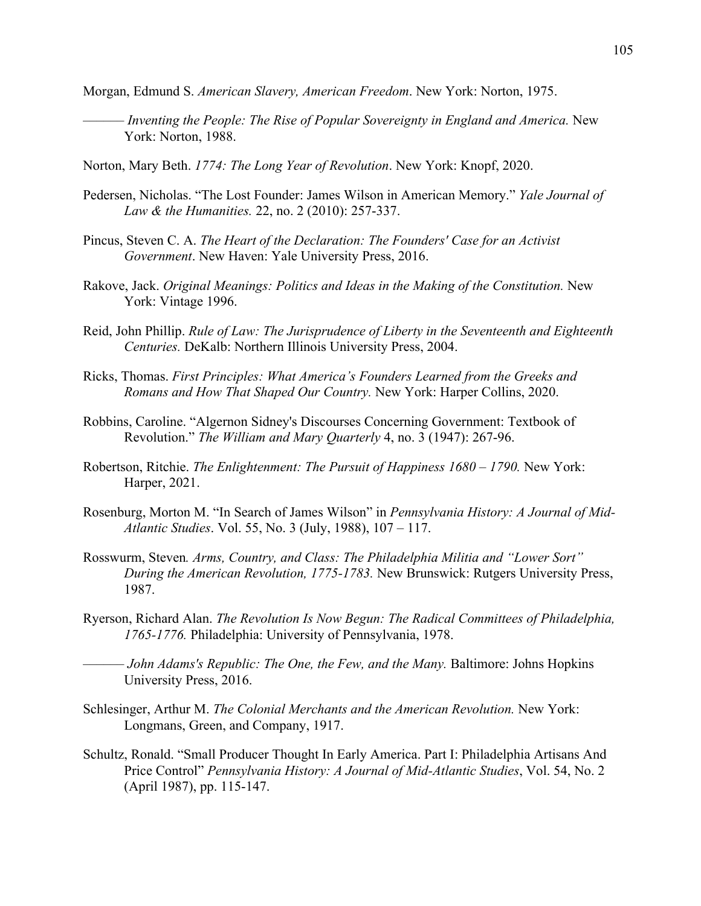Morgan, Edmund S. *American Slavery, American Freedom*. New York: Norton, 1975.

- –––––– *Inventing the People: The Rise of Popular Sovereignty in England and America.* New York: Norton, 1988.
- Norton, Mary Beth. *1774: The Long Year of Revolution*. New York: Knopf, 2020.
- Pedersen, Nicholas. "The Lost Founder: James Wilson in American Memory." *Yale Journal of Law & the Humanities.* 22, no. 2 (2010): 257-337.
- Pincus, Steven C. A. *The Heart of the Declaration: The Founders' Case for an Activist Government*. New Haven: Yale University Press, 2016.
- Rakove, Jack. *Original Meanings: Politics and Ideas in the Making of the Constitution.* New York: Vintage 1996.
- Reid, John Phillip. *Rule of Law: The Jurisprudence of Liberty in the Seventeenth and Eighteenth Centuries.* DeKalb: Northern Illinois University Press, 2004.
- Ricks, Thomas. *First Principles: What America's Founders Learned from the Greeks and Romans and How That Shaped Our Country.* New York: Harper Collins, 2020.
- Robbins, Caroline. "Algernon Sidney's Discourses Concerning Government: Textbook of Revolution." *The William and Mary Quarterly* 4, no. 3 (1947): 267-96.
- Robertson, Ritchie. *The Enlightenment: The Pursuit of Happiness 1680 – 1790.* New York: Harper, 2021.
- Rosenburg, Morton M. "In Search of James Wilson" in *Pennsylvania History: A Journal of Mid-Atlantic Studies*. Vol. 55, No. 3 (July, 1988), 107 – 117.
- Rosswurm, Steven*. Arms, Country, and Class: The Philadelphia Militia and "Lower Sort" During the American Revolution, 1775-1783.* New Brunswick: Rutgers University Press, 1987.
- Ryerson, Richard Alan. *The Revolution Is Now Begun: The Radical Committees of Philadelphia, 1765-1776.* Philadelphia: University of Pennsylvania, 1978.
- –––––– *John Adams's Republic: The One, the Few, and the Many.* Baltimore: Johns Hopkins University Press, 2016.
- Schlesinger, Arthur M. *The Colonial Merchants and the American Revolution.* New York: Longmans, Green, and Company, 1917.
- Schultz, Ronald. "Small Producer Thought In Early America. Part I: Philadelphia Artisans And Price Control" *Pennsylvania History: A Journal of Mid-Atlantic Studies*, Vol. 54, No. 2 (April 1987), pp. 115-147.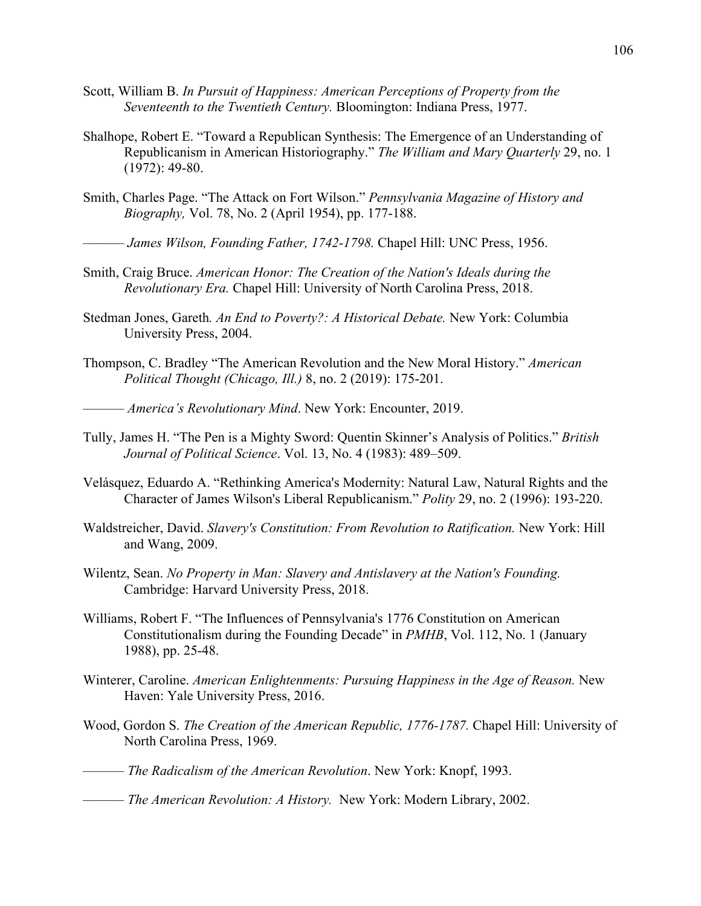- Scott, William B. *In Pursuit of Happiness: American Perceptions of Property from the Seventeenth to the Twentieth Century.* Bloomington: Indiana Press, 1977.
- Shalhope, Robert E. "Toward a Republican Synthesis: The Emergence of an Understanding of Republicanism in American Historiography." *The William and Mary Quarterly* 29, no. 1 (1972): 49-80.
- Smith, Charles Page. "The Attack on Fort Wilson." *Pennsylvania Magazine of History and Biography,* Vol. 78, No. 2 (April 1954), pp. 177-188.
	- –––––– *James Wilson, Founding Father, 1742-1798.* Chapel Hill: UNC Press, 1956.
- Smith, Craig Bruce. *American Honor: The Creation of the Nation's Ideals during the Revolutionary Era.* Chapel Hill: University of North Carolina Press, 2018.
- Stedman Jones, Gareth*. An End to Poverty?: A Historical Debate.* New York: Columbia University Press, 2004.
- Thompson, C. Bradley "The American Revolution and the New Moral History." *American Political Thought (Chicago, Ill.)* 8, no. 2 (2019): 175-201.

–––––– *America's Revolutionary Mind*. New York: Encounter, 2019.

- Tully, James H. "The Pen is a Mighty Sword: Quentin Skinner's Analysis of Politics." *British Journal of Political Science*. Vol. 13, No. 4 (1983): 489–509.
- Velásquez, Eduardo A. "Rethinking America's Modernity: Natural Law, Natural Rights and the Character of James Wilson's Liberal Republicanism." *Polity* 29, no. 2 (1996): 193-220.
- Waldstreicher, David. *Slavery's Constitution: From Revolution to Ratification.* New York: Hill and Wang, 2009.
- Wilentz, Sean. *No Property in Man: Slavery and Antislavery at the Nation's Founding.* Cambridge: Harvard University Press, 2018.
- Williams, Robert F. "The Influences of Pennsylvania's 1776 Constitution on American Constitutionalism during the Founding Decade" in *PMHB*, Vol. 112, No. 1 (January 1988), pp. 25-48.
- Winterer, Caroline. *American Enlightenments: Pursuing Happiness in the Age of Reason.* New Haven: Yale University Press, 2016.
- Wood, Gordon S. *The Creation of the American Republic, 1776-1787.* Chapel Hill: University of North Carolina Press, 1969.
- –––––– *The Radicalism of the American Revolution*. New York: Knopf, 1993.
- –––––– *The American Revolution: A History.* New York: Modern Library, 2002.